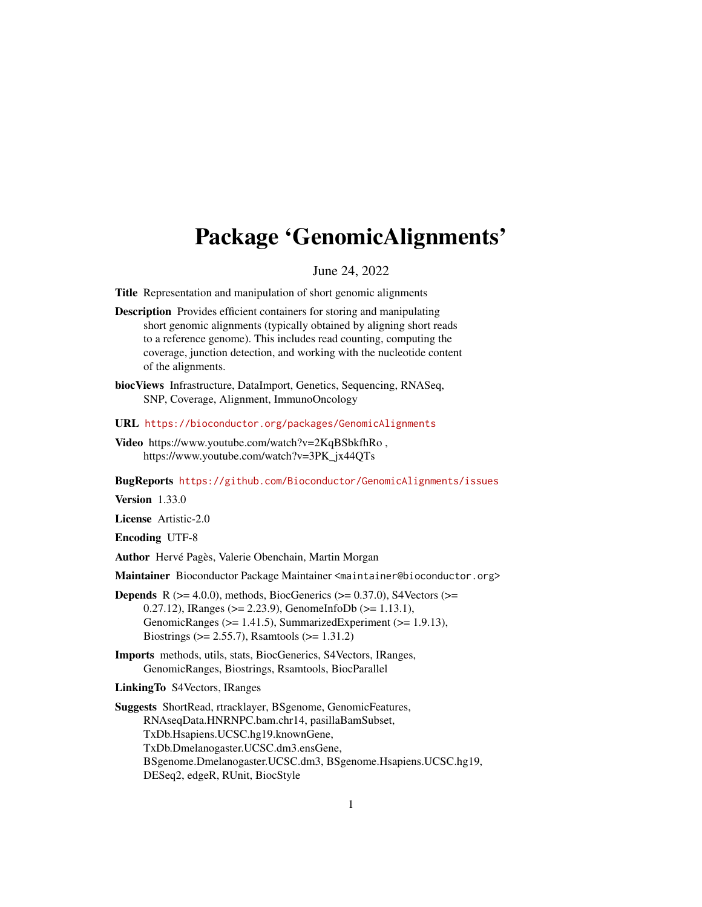# <span id="page-0-0"></span>Package 'GenomicAlignments'

June 24, 2022

Title Representation and manipulation of short genomic alignments

Description Provides efficient containers for storing and manipulating short genomic alignments (typically obtained by aligning short reads to a reference genome). This includes read counting, computing the coverage, junction detection, and working with the nucleotide content of the alignments.

biocViews Infrastructure, DataImport, Genetics, Sequencing, RNASeq, SNP, Coverage, Alignment, ImmunoOncology

- URL <https://bioconductor.org/packages/GenomicAlignments>
- Video https://www.youtube.com/watch?v=2KqBSbkfhRo , https://www.youtube.com/watch?v=3PK\_jx44QTs

BugReports <https://github.com/Bioconductor/GenomicAlignments/issues>

Version 1.33.0

License Artistic-2.0

Encoding UTF-8

Author Hervé Pagès, Valerie Obenchain, Martin Morgan

Maintainer Bioconductor Package Maintainer <maintainer@bioconductor.org>

- **Depends** R ( $>= 4.0.0$ ), methods, BiocGenerics ( $>= 0.37.0$ ), S4Vectors ( $>=$ 0.27.12), IRanges (>= 2.23.9), GenomeInfoDb (>= 1.13.1), GenomicRanges (>= 1.41.5), SummarizedExperiment (>= 1.9.13), Biostrings (>= 2.55.7), Rsamtools (>= 1.31.2)
- Imports methods, utils, stats, BiocGenerics, S4Vectors, IRanges, GenomicRanges, Biostrings, Rsamtools, BiocParallel

LinkingTo S4Vectors, IRanges

Suggests ShortRead, rtracklayer, BSgenome, GenomicFeatures, RNAseqData.HNRNPC.bam.chr14, pasillaBamSubset, TxDb.Hsapiens.UCSC.hg19.knownGene, TxDb.Dmelanogaster.UCSC.dm3.ensGene, BSgenome.Dmelanogaster.UCSC.dm3, BSgenome.Hsapiens.UCSC.hg19, DESeq2, edgeR, RUnit, BiocStyle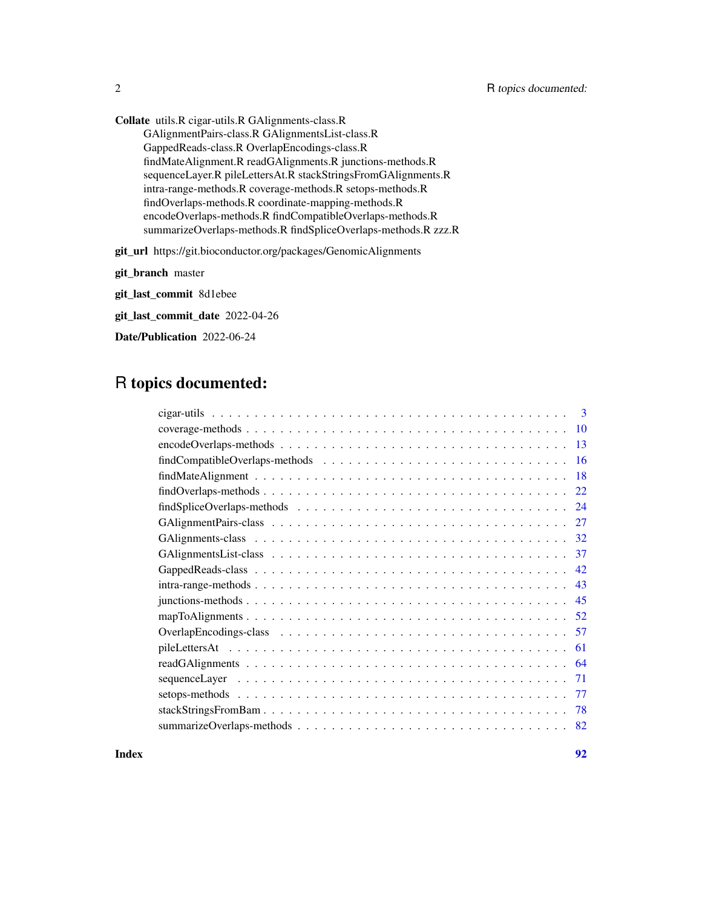Collate utils.R cigar-utils.R GAlignments-class.R GAlignmentPairs-class.R GAlignmentsList-class.R GappedReads-class.R OverlapEncodings-class.R findMateAlignment.R readGAlignments.R junctions-methods.R sequenceLayer.R pileLettersAt.R stackStringsFromGAlignments.R intra-range-methods.R coverage-methods.R setops-methods.R findOverlaps-methods.R coordinate-mapping-methods.R encodeOverlaps-methods.R findCompatibleOverlaps-methods.R summarizeOverlaps-methods.R findSpliceOverlaps-methods.R zzz.R git\_url https://git.bioconductor.org/packages/GenomicAlignments

git\_branch master git\_last\_commit 8d1ebee git\_last\_commit\_date 2022-04-26

Date/Publication 2022-06-24

## R topics documented:

| $\mathcal{R}$                                                                                                    |
|------------------------------------------------------------------------------------------------------------------|
| 10                                                                                                               |
| 13                                                                                                               |
| 16                                                                                                               |
| 18                                                                                                               |
| $findOverlaps-methods \dots \dots \dots \dots \dots \dots \dots \dots \dots \dots \dots \dots \dots \dots$<br>22 |
| 24                                                                                                               |
| 27                                                                                                               |
| 32                                                                                                               |
| 37                                                                                                               |
| 42                                                                                                               |
| 43                                                                                                               |
| 45                                                                                                               |
| -52                                                                                                              |
| -57                                                                                                              |
| 61                                                                                                               |
| 64                                                                                                               |
| 71                                                                                                               |
| -77                                                                                                              |
| 78                                                                                                               |
| 82                                                                                                               |
|                                                                                                                  |

**Index** [92](#page-91-0)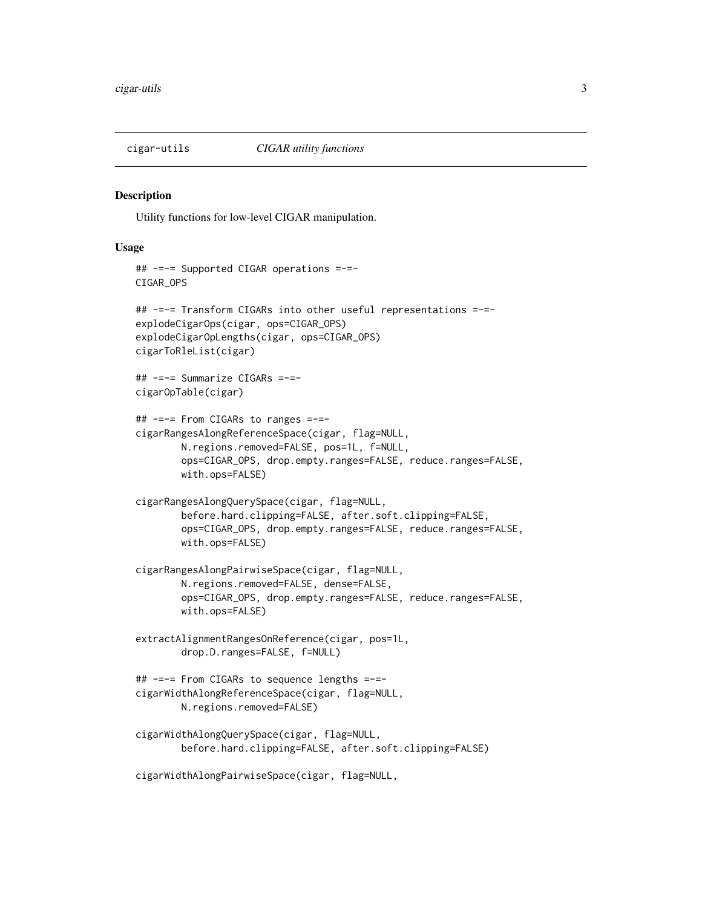<span id="page-2-0"></span>

#### Description

Utility functions for low-level CIGAR manipulation.

## Usage

```
## -=-= Supported CIGAR operations =-=-
CIGAR_OPS
## -=-= Transform CIGARs into other useful representations =-=-
explodeCigarOps(cigar, ops=CIGAR_OPS)
explodeCigarOpLengths(cigar, ops=CIGAR_OPS)
cigarToRleList(cigar)
## -=-= Summarize CIGARs =-=-
cigarOpTable(cigar)
## -=-= From CIGARs to ranges =-=-
cigarRangesAlongReferenceSpace(cigar, flag=NULL,
       N.regions.removed=FALSE, pos=1L, f=NULL,
       ops=CIGAR_OPS, drop.empty.ranges=FALSE, reduce.ranges=FALSE,
       with.ops=FALSE)
cigarRangesAlongQuerySpace(cigar, flag=NULL,
       before.hard.clipping=FALSE, after.soft.clipping=FALSE,
       ops=CIGAR_OPS, drop.empty.ranges=FALSE, reduce.ranges=FALSE,
       with.ops=FALSE)
cigarRangesAlongPairwiseSpace(cigar, flag=NULL,
       N.regions.removed=FALSE, dense=FALSE,
       ops=CIGAR_OPS, drop.empty.ranges=FALSE, reduce.ranges=FALSE,
       with.ops=FALSE)
extractAlignmentRangesOnReference(cigar, pos=1L,
        drop.D.ranges=FALSE, f=NULL)
## -=-= From CIGARs to sequence lengths =-=-
cigarWidthAlongReferenceSpace(cigar, flag=NULL,
       N.regions.removed=FALSE)
cigarWidthAlongQuerySpace(cigar, flag=NULL,
       before.hard.clipping=FALSE, after.soft.clipping=FALSE)
cigarWidthAlongPairwiseSpace(cigar, flag=NULL,
```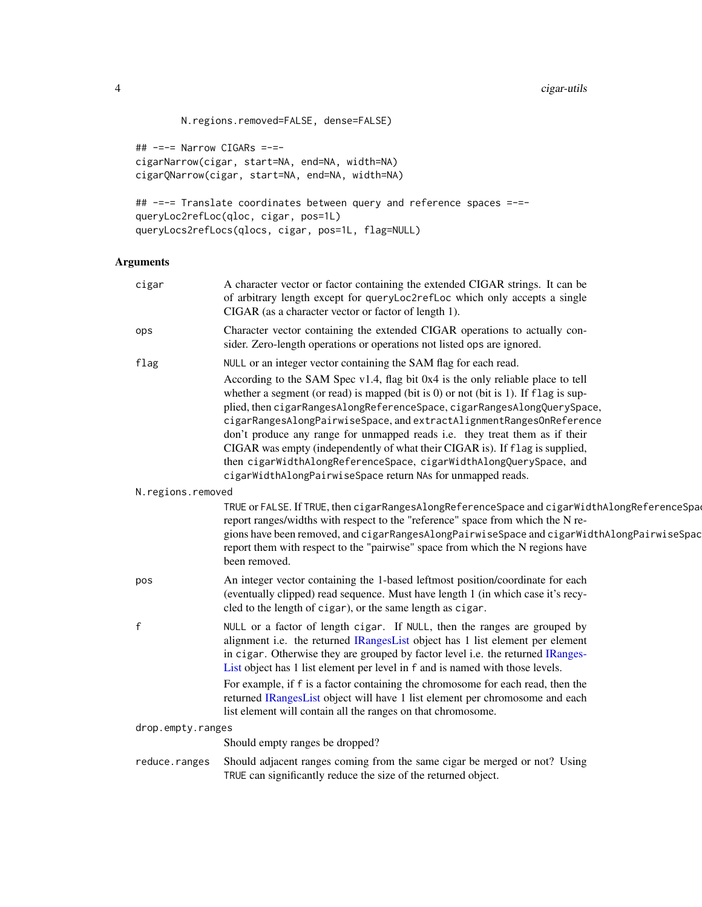```
N.regions.removed=FALSE, dense=FALSE)
```
## -=-= Narrow CIGARs =-= cigarNarrow(cigar, start=NA, end=NA, width=NA) cigarQNarrow(cigar, start=NA, end=NA, width=NA)

```
## -=-= Translate coordinates between query and reference spaces =-=-
queryLoc2refLoc(qloc, cigar, pos=1L)
queryLocs2refLocs(qlocs, cigar, pos=1L, flag=NULL)
```
## Arguments

| cigar             | A character vector or factor containing the extended CIGAR strings. It can be<br>of arbitrary length except for queryLoc2refLoc which only accepts a single<br>CIGAR (as a character vector or factor of length 1).                                                                                                                                                                                                                                                                                                                                                                                                                                                                                  |
|-------------------|------------------------------------------------------------------------------------------------------------------------------------------------------------------------------------------------------------------------------------------------------------------------------------------------------------------------------------------------------------------------------------------------------------------------------------------------------------------------------------------------------------------------------------------------------------------------------------------------------------------------------------------------------------------------------------------------------|
| ops               | Character vector containing the extended CIGAR operations to actually con-<br>sider. Zero-length operations or operations not listed ops are ignored.                                                                                                                                                                                                                                                                                                                                                                                                                                                                                                                                                |
| flag              | NULL or an integer vector containing the SAM flag for each read.<br>According to the SAM Spec v1.4, flag bit 0x4 is the only reliable place to tell<br>whether a segment (or read) is mapped (bit is $0$ ) or not (bit is 1). If flag is sup-<br>plied, then cigarRangesAlongReferenceSpace, cigarRangesAlongQuerySpace,<br>cigarRangesAlongPairwiseSpace, and extractAlignmentRangesOnReference<br>don't produce any range for unmapped reads i.e. they treat them as if their<br>CIGAR was empty (independently of what their CIGAR is). If flag is supplied,<br>then cigarWidthAlongReferenceSpace, cigarWidthAlongQuerySpace, and<br>cigarWidthAlongPairwiseSpace return NAs for unmapped reads. |
| N.regions.removed |                                                                                                                                                                                                                                                                                                                                                                                                                                                                                                                                                                                                                                                                                                      |
|                   | TRUE or FALSE. If TRUE, then cigarRangesAlongReferenceSpace and cigarWidthAlongReferenceSpac<br>report ranges/widths with respect to the "reference" space from which the N re-<br>gions have been removed, and cigarRangesAlongPairwiseSpace and cigarWidthAlongPairwiseSpac<br>report them with respect to the "pairwise" space from which the N regions have<br>been removed.                                                                                                                                                                                                                                                                                                                     |
| pos               | An integer vector containing the 1-based leftmost position/coordinate for each<br>(eventually clipped) read sequence. Must have length 1 (in which case it's recy-<br>cled to the length of cigar), or the same length as cigar.                                                                                                                                                                                                                                                                                                                                                                                                                                                                     |
| $\mathsf{f}$      | NULL or a factor of length cigar. If NULL, then the ranges are grouped by<br>alignment i.e. the returned IRangesList object has 1 list element per element<br>in cigar. Otherwise they are grouped by factor level i.e. the returned IRanges-<br>List object has 1 list element per level in f and is named with those levels.                                                                                                                                                                                                                                                                                                                                                                       |
|                   | For example, if f is a factor containing the chromosome for each read, then the<br>returned IRangesList object will have 1 list element per chromosome and each<br>list element will contain all the ranges on that chromosome.                                                                                                                                                                                                                                                                                                                                                                                                                                                                      |
| drop.empty.ranges |                                                                                                                                                                                                                                                                                                                                                                                                                                                                                                                                                                                                                                                                                                      |
|                   | Should empty ranges be dropped?                                                                                                                                                                                                                                                                                                                                                                                                                                                                                                                                                                                                                                                                      |
| reduce.ranges     | Should adjacent ranges coming from the same cigar be merged or not? Using<br>TRUE can significantly reduce the size of the returned object.                                                                                                                                                                                                                                                                                                                                                                                                                                                                                                                                                          |
|                   |                                                                                                                                                                                                                                                                                                                                                                                                                                                                                                                                                                                                                                                                                                      |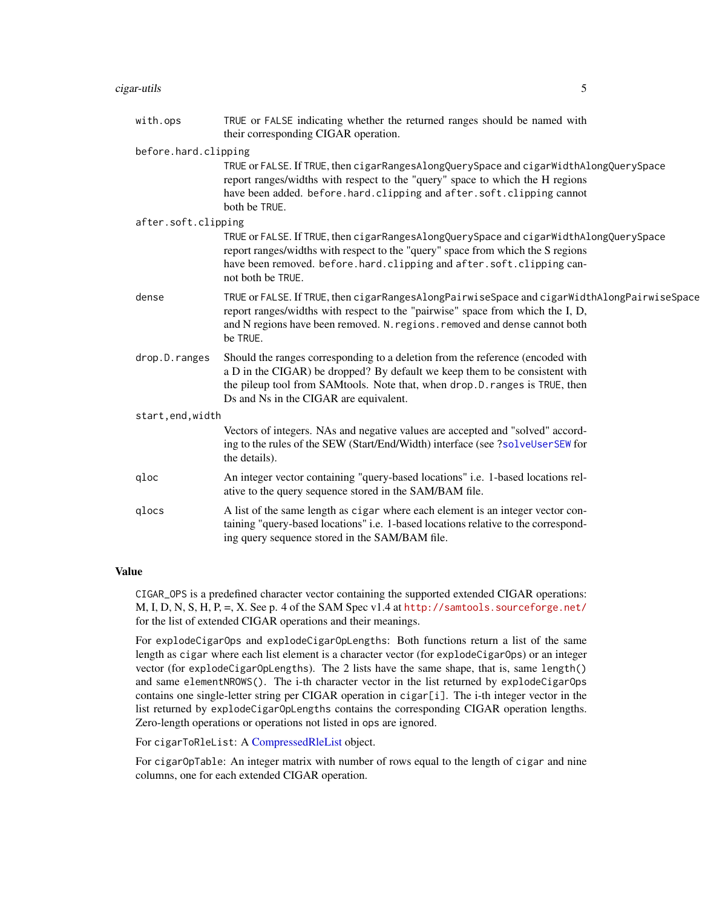## cigar-utils 5

| with.ops             | TRUE or FALSE indicating whether the returned ranges should be named with<br>their corresponding CIGAR operation.                                                                                                                                                                      |
|----------------------|----------------------------------------------------------------------------------------------------------------------------------------------------------------------------------------------------------------------------------------------------------------------------------------|
| before.hard.clipping |                                                                                                                                                                                                                                                                                        |
|                      | TRUE or FALSE. If TRUE, then cigarRangesAlongQuerySpace and cigarWidthAlongQuerySpace<br>report ranges/widths with respect to the "query" space to which the H regions<br>have been added. before.hard.clipping and after.soft.clipping cannot<br>both be TRUE.                        |
| after.soft.clipping  |                                                                                                                                                                                                                                                                                        |
|                      | TRUE or FALSE. If TRUE, then cigarRangesAlongQuerySpace and cigarWidthAlongQuerySpace<br>report ranges/widths with respect to the "query" space from which the S regions<br>have been removed. before.hard.clipping and after.soft.clipping can-<br>not both be TRUE.                  |
| dense                | TRUE or FALSE. If TRUE, then cigarRangesAlongPairwiseSpace and cigarWidthAlongPairwiseSpace<br>report ranges/widths with respect to the "pairwise" space from which the I, D,<br>and N regions have been removed. N. regions. removed and dense cannot both<br>be TRUE.                |
| drop.D.ranges        | Should the ranges corresponding to a deletion from the reference (encoded with<br>a D in the CIGAR) be dropped? By default we keep them to be consistent with<br>the pileup tool from SAMtools. Note that, when drop.D. ranges is TRUE, then<br>Ds and Ns in the CIGAR are equivalent. |
| start, end, width    |                                                                                                                                                                                                                                                                                        |
|                      | Vectors of integers. NAs and negative values are accepted and "solved" accord-<br>ing to the rules of the SEW (Start/End/Width) interface (see ?solveUserSEW for<br>the details).                                                                                                      |
| qloc                 | An integer vector containing "query-based locations" i.e. 1-based locations rel-<br>ative to the query sequence stored in the SAM/BAM file.                                                                                                                                            |
| qlocs                | A list of the same length as cigar where each element is an integer vector con-<br>taining "query-based locations" i.e. 1-based locations relative to the correspond-<br>ing query sequence stored in the SAM/BAM file.                                                                |

#### Value

CIGAR\_OPS is a predefined character vector containing the supported extended CIGAR operations: M, I, D, N, S, H, P,  $=$ , X. See p. 4 of the SAM Spec v1.4 at <http://samtools.sourceforge.net/> for the list of extended CIGAR operations and their meanings.

For explodeCigarOps and explodeCigarOpLengths: Both functions return a list of the same length as cigar where each list element is a character vector (for explodeCigarOps) or an integer vector (for explodeCigarOpLengths). The 2 lists have the same shape, that is, same length() and same elementNROWS(). The i-th character vector in the list returned by explodeCigarOps contains one single-letter string per CIGAR operation in cigar[i]. The i-th integer vector in the list returned by explodeCigarOpLengths contains the corresponding CIGAR operation lengths. Zero-length operations or operations not listed in ops are ignored.

For cigarToRleList: A [CompressedRleList](#page-0-0) object.

For cigarOpTable: An integer matrix with number of rows equal to the length of cigar and nine columns, one for each extended CIGAR operation.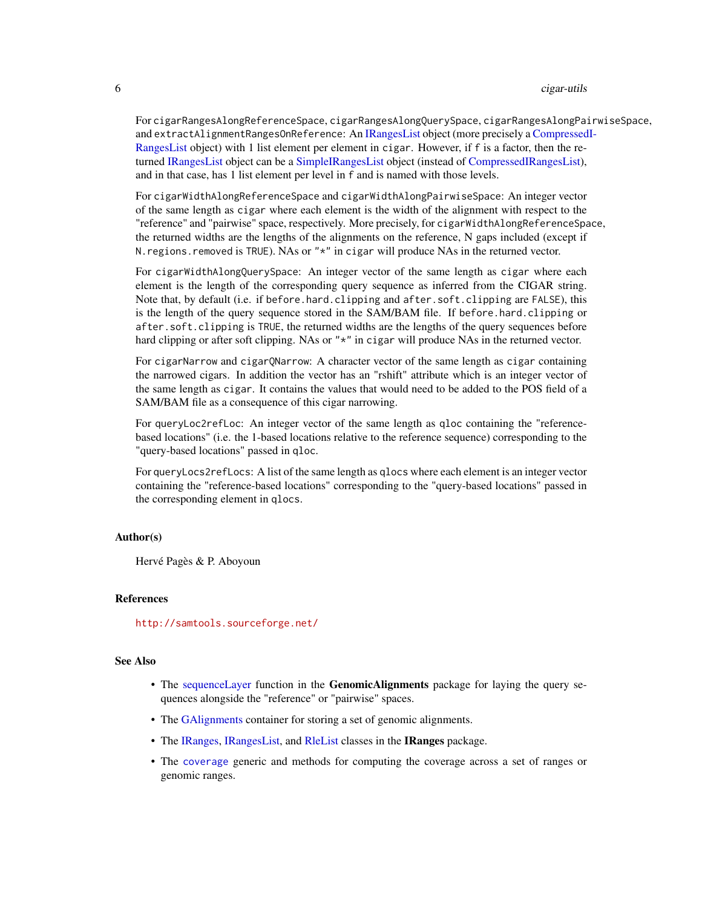For cigarRangesAlongReferenceSpace, cigarRangesAlongQuerySpace, cigarRangesAlongPairwiseSpace, and extractAlignmentRangesOnReference: An [IRangesList](#page-0-0) object (more precisely a [Compressed](#page-0-0)I-[RangesList](#page-0-0) object) with 1 list element per element in cigar. However, if f is a factor, then the returned [IRangesList](#page-0-0) object can be a [SimpleIRangesList](#page-0-0) object (instead of [CompressedIRangesList\)](#page-0-0), and in that case, has 1 list element per level in f and is named with those levels.

For cigarWidthAlongReferenceSpace and cigarWidthAlongPairwiseSpace: An integer vector of the same length as cigar where each element is the width of the alignment with respect to the "reference" and "pairwise" space, respectively. More precisely, for cigarWidthAlongReferenceSpace, the returned widths are the lengths of the alignments on the reference, N gaps included (except if N. regions. removed is TRUE). NAs or "\*" in cigar will produce NAs in the returned vector.

For cigarWidthAlongQuerySpace: An integer vector of the same length as cigar where each element is the length of the corresponding query sequence as inferred from the CIGAR string. Note that, by default (i.e. if before.hard.clipping and after.soft.clipping are FALSE), this is the length of the query sequence stored in the SAM/BAM file. If before.hard.clipping or after.soft.clipping is TRUE, the returned widths are the lengths of the query sequences before hard clipping or after soft clipping. NAs or "\*" in cigar will produce NAs in the returned vector.

For cigarNarrow and cigarQNarrow: A character vector of the same length as cigar containing the narrowed cigars. In addition the vector has an "rshift" attribute which is an integer vector of the same length as cigar. It contains the values that would need to be added to the POS field of a SAM/BAM file as a consequence of this cigar narrowing.

For queryLoc2refLoc: An integer vector of the same length as qloc containing the "referencebased locations" (i.e. the 1-based locations relative to the reference sequence) corresponding to the "query-based locations" passed in qloc.

For queryLocs2refLocs: A list of the same length as qlocs where each element is an integer vector containing the "reference-based locations" corresponding to the "query-based locations" passed in the corresponding element in qlocs.

#### Author(s)

Hervé Pagès & P. Aboyoun

## References

<http://samtools.sourceforge.net/>

## See Also

- The [sequenceLayer](#page-70-1) function in the GenomicAlignments package for laying the query sequences alongside the "reference" or "pairwise" spaces.
- The [GAlignments](#page-31-1) container for storing a set of genomic alignments.
- The [IRanges,](#page-0-0) [IRangesList,](#page-0-0) and [RleList](#page-0-0) classes in the IRanges package.
- The [coverage](#page-9-1) generic and methods for computing the coverage across a set of ranges or genomic ranges.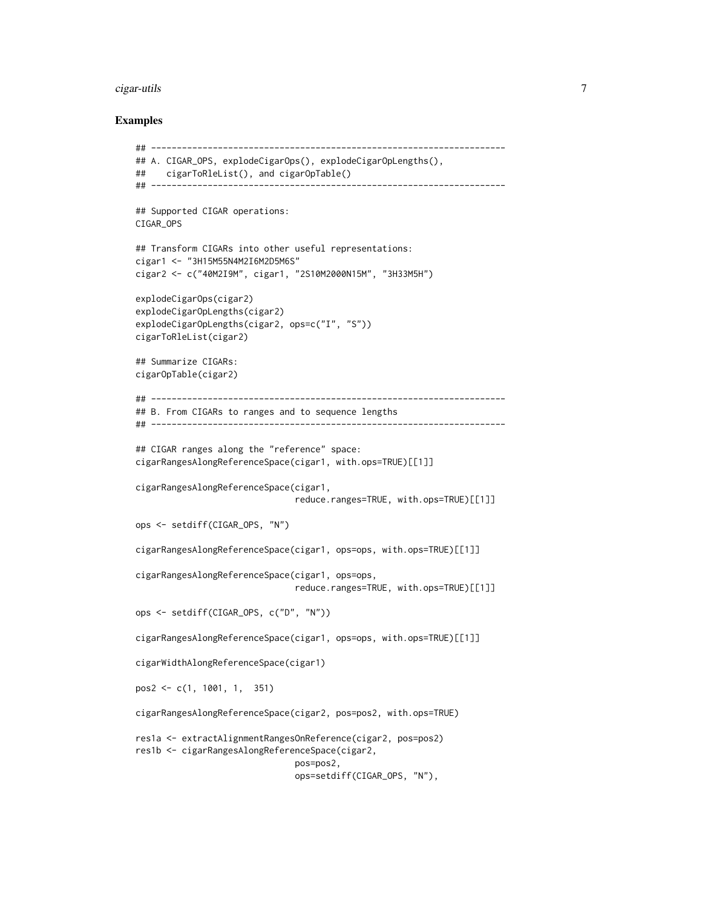#### cigar-utils 7

## Examples

```
## ---------------------------------------------------------------------
## A. CIGAR_OPS, explodeCigarOps(), explodeCigarOpLengths(),
## cigarToRleList(), and cigarOpTable()
## ---------------------------------------------------------------------
## Supported CIGAR operations:
CIGAR_OPS
## Transform CIGARs into other useful representations:
cigar1 <- "3H15M55N4M2I6M2D5M6S"
cigar2 <- c("40M2I9M", cigar1, "2S10M2000N15M", "3H33M5H")
explodeCigarOps(cigar2)
explodeCigarOpLengths(cigar2)
explodeCigarOpLengths(cigar2, ops=c("I", "S"))
cigarToRleList(cigar2)
## Summarize CIGARs:
cigarOpTable(cigar2)
## ---------------------------------------------------------------------
## B. From CIGARs to ranges and to sequence lengths
## ---------------------------------------------------------------------
## CIGAR ranges along the "reference" space:
cigarRangesAlongReferenceSpace(cigar1, with.ops=TRUE)[[1]]
cigarRangesAlongReferenceSpace(cigar1,
                               reduce.ranges=TRUE, with.ops=TRUE)[[1]]
ops <- setdiff(CIGAR_OPS, "N")
cigarRangesAlongReferenceSpace(cigar1, ops=ops, with.ops=TRUE)[[1]]
cigarRangesAlongReferenceSpace(cigar1, ops=ops,
                               reduce.ranges=TRUE, with.ops=TRUE)[[1]]
ops <- setdiff(CIGAR_OPS, c("D", "N"))
cigarRangesAlongReferenceSpace(cigar1, ops=ops, with.ops=TRUE)[[1]]
cigarWidthAlongReferenceSpace(cigar1)
pos2 <- c(1, 1001, 1, 351)
cigarRangesAlongReferenceSpace(cigar2, pos=pos2, with.ops=TRUE)
res1a <- extractAlignmentRangesOnReference(cigar2, pos=pos2)
res1b <- cigarRangesAlongReferenceSpace(cigar2,
                               pos=pos2,
```
ops=setdiff(CIGAR\_OPS, "N"),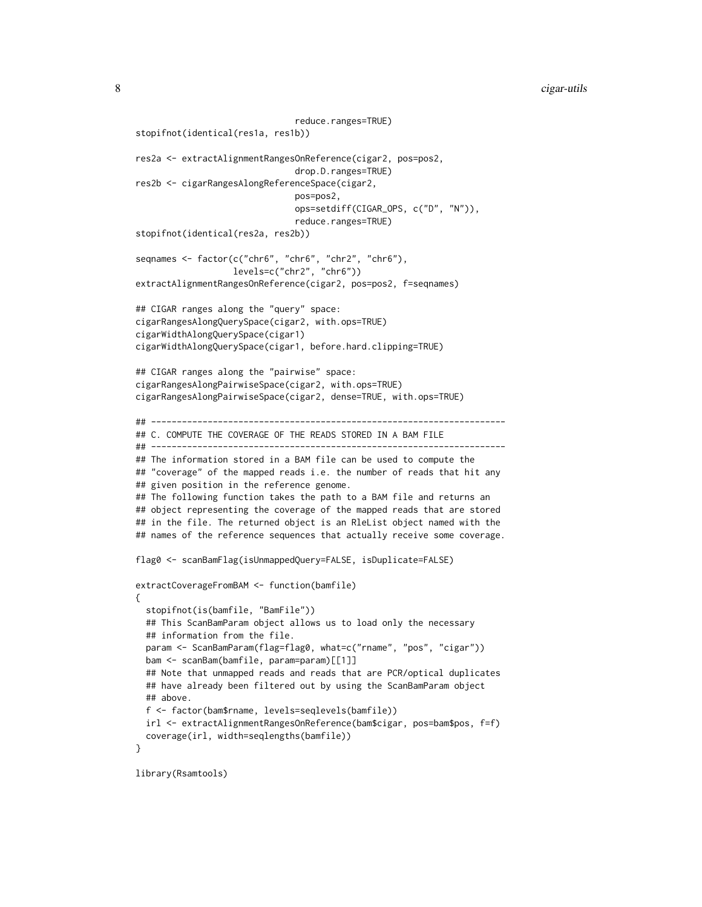```
reduce.ranges=TRUE)
stopifnot(identical(res1a, res1b))
res2a <- extractAlignmentRangesOnReference(cigar2, pos=pos2,
                               drop.D.ranges=TRUE)
res2b <- cigarRangesAlongReferenceSpace(cigar2,
                               pos=pos2,
                               ops=setdiff(CIGAR_OPS, c("D", "N")),
                               reduce.ranges=TRUE)
stopifnot(identical(res2a, res2b))
seqnames <- factor(c("chr6", "chr6", "chr2", "chr6"),
                   levels=c("chr2", "chr6"))
extractAlignmentRangesOnReference(cigar2, pos=pos2, f=seqnames)
## CIGAR ranges along the "query" space:
cigarRangesAlongQuerySpace(cigar2, with.ops=TRUE)
cigarWidthAlongQuerySpace(cigar1)
cigarWidthAlongQuerySpace(cigar1, before.hard.clipping=TRUE)
## CIGAR ranges along the "pairwise" space:
cigarRangesAlongPairwiseSpace(cigar2, with.ops=TRUE)
cigarRangesAlongPairwiseSpace(cigar2, dense=TRUE, with.ops=TRUE)
## ---------------------------------------------------------------------
## C. COMPUTE THE COVERAGE OF THE READS STORED IN A BAM FILE
## ---------------------------------------------------------------------
## The information stored in a BAM file can be used to compute the
## "coverage" of the mapped reads i.e. the number of reads that hit any
## given position in the reference genome.
## The following function takes the path to a BAM file and returns an
## object representing the coverage of the mapped reads that are stored
## in the file. The returned object is an RleList object named with the
## names of the reference sequences that actually receive some coverage.
flag0 <- scanBamFlag(isUnmappedQuery=FALSE, isDuplicate=FALSE)
extractCoverageFromBAM <- function(bamfile)
{
 stopifnot(is(bamfile, "BamFile"))
 ## This ScanBamParam object allows us to load only the necessary
 ## information from the file.
 param <- ScanBamParam(flag=flag0, what=c("rname", "pos", "cigar"))
 bam <- scanBam(bamfile, param=param)[[1]]
 ## Note that unmapped reads and reads that are PCR/optical duplicates
 ## have already been filtered out by using the ScanBamParam object
 ## above.
 f <- factor(bam$rname, levels=seqlevels(bamfile))
 irl <- extractAlignmentRangesOnReference(bam$cigar, pos=bam$pos, f=f)
 coverage(irl, width=seqlengths(bamfile))
}
```
library(Rsamtools)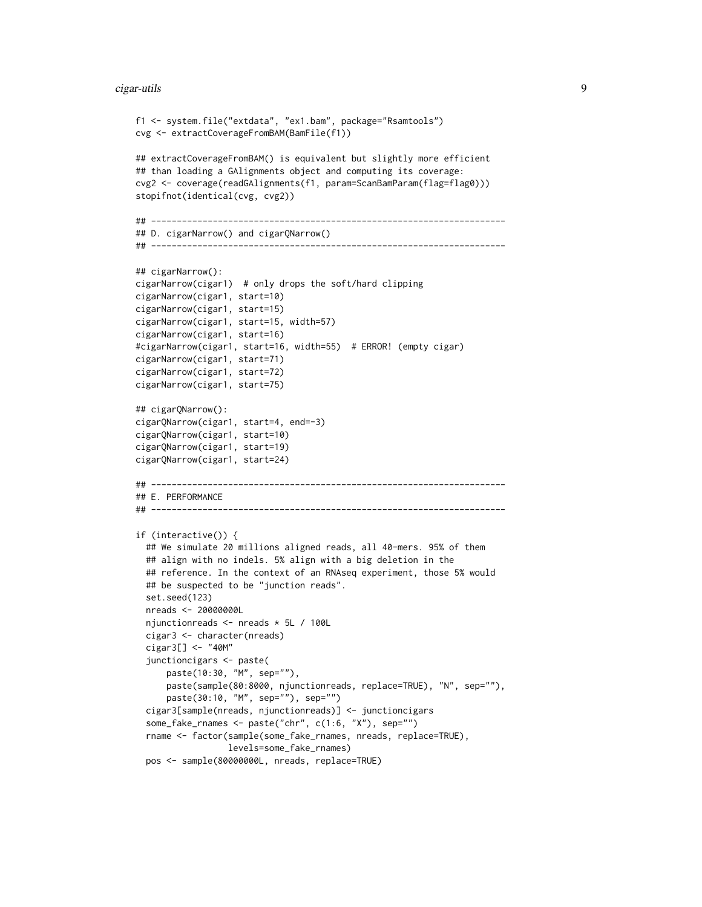#### cigar-utils 9

```
f1 <- system.file("extdata", "ex1.bam", package="Rsamtools")
cvg <- extractCoverageFromBAM(BamFile(f1))
## extractCoverageFromBAM() is equivalent but slightly more efficient
## than loading a GAlignments object and computing its coverage:
cvg2 <- coverage(readGAlignments(f1, param=ScanBamParam(flag=flag0)))
stopifnot(identical(cvg, cvg2))
## ---------------------------------------------------------------------
## D. cigarNarrow() and cigarQNarrow()
## ---------------------------------------------------------------------
## cigarNarrow():
cigarNarrow(cigar1) # only drops the soft/hard clipping
cigarNarrow(cigar1, start=10)
cigarNarrow(cigar1, start=15)
cigarNarrow(cigar1, start=15, width=57)
cigarNarrow(cigar1, start=16)
#cigarNarrow(cigar1, start=16, width=55) # ERROR! (empty cigar)
cigarNarrow(cigar1, start=71)
cigarNarrow(cigar1, start=72)
cigarNarrow(cigar1, start=75)
## cigarQNarrow():
cigarQNarrow(cigar1, start=4, end=-3)
cigarQNarrow(cigar1, start=10)
cigarQNarrow(cigar1, start=19)
cigarQNarrow(cigar1, start=24)
## ---------------------------------------------------------------------
## E. PERFORMANCE
## ---------------------------------------------------------------------
if (interactive()) {
  ## We simulate 20 millions aligned reads, all 40-mers. 95% of them
  ## align with no indels. 5% align with a big deletion in the
  ## reference. In the context of an RNAseq experiment, those 5% would
  ## be suspected to be "junction reads".
  set.seed(123)
  nreads <- 20000000L
  njunctionreads <- nreads * 5L / 100L
  cigar3 <- character(nreads)
  cigar3[] <- "40M"
  junctioncigars <- paste(
      paste(10:30, "M", sep=""),
      paste(sample(80:8000, njunctionreads, replace=TRUE), "N", sep=""),
      paste(30:10, "M", sep=""), sep="")
  cigar3[sample(nreads, njunctionreads)] <- junctioncigars
  some_fake_rnames <- paste("chr", c(1:6, "X"), sep="")
  rname <- factor(sample(some_fake_rnames, nreads, replace=TRUE),
                  levels=some_fake_rnames)
  pos <- sample(80000000L, nreads, replace=TRUE)
```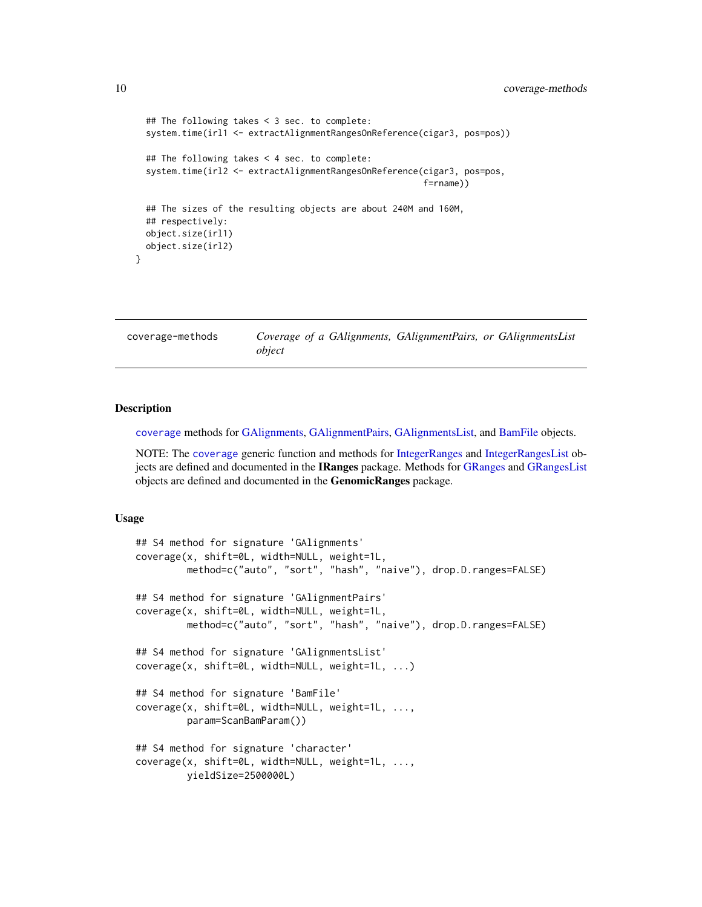```
## The following takes < 3 sec. to complete:
 system.time(irl1 <- extractAlignmentRangesOnReference(cigar3, pos=pos))
 ## The following takes < 4 sec. to complete:
 system.time(irl2 <- extractAlignmentRangesOnReference(cigar3, pos=pos,
                                                        f=rname))
 ## The sizes of the resulting objects are about 240M and 160M,
 ## respectively:
 object.size(irl1)
 object.size(irl2)
}
```
<span id="page-9-2"></span>coverage-methods *Coverage of a GAlignments, GAlignmentPairs, or GAlignmentsList object*

## <span id="page-9-1"></span>**Description**

[coverage](#page-9-1) methods for [GAlignments,](#page-31-1) [GAlignmentPairs,](#page-26-1) [GAlignmentsList,](#page-36-1) and [BamFile](#page-0-0) objects.

NOTE: The [coverage](#page-9-1) generic function and methods for [IntegerRanges](#page-0-0) and [IntegerRangesList](#page-0-0) objects are defined and documented in the IRanges package. Methods for [GRanges](#page-0-0) and [GRangesList](#page-0-0) objects are defined and documented in the GenomicRanges package.

#### Usage

```
## S4 method for signature 'GAlignments'
coverage(x, shift=0L, width=NULL, weight=1L,
        method=c("auto", "sort", "hash", "naive"), drop.D.ranges=FALSE)
## S4 method for signature 'GAlignmentPairs'
coverage(x, shift=0L, width=NULL, weight=1L,
        method=c("auto", "sort", "hash", "naive"), drop.D.ranges=FALSE)
## S4 method for signature 'GAlignmentsList'
coverage(x, shift=0L, width=NULL, weight=1L, ...)
## S4 method for signature 'BamFile'
coverage(x, shift=0L, width=NULL, weight=1L, ...,
         param=ScanBamParam())
## S4 method for signature 'character'
coverage(x, shift=0L, width=NULL, weight=1L, ...,
         yieldSize=2500000L)
```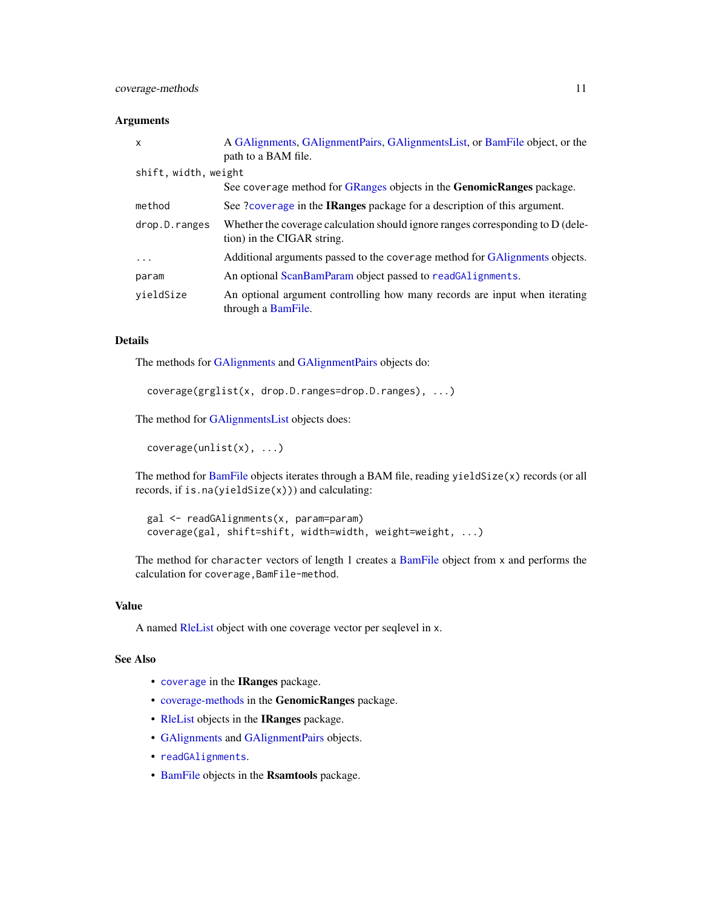## Arguments

| $\mathsf{x}$         | A GAlignments, GAlignmentPairs, GAlignmentsList, or BamFile object, or the<br>path to a BAM file.               |
|----------------------|-----------------------------------------------------------------------------------------------------------------|
| shift, width, weight |                                                                                                                 |
|                      | See coverage method for GRanges objects in the <b>GenomicRanges</b> package.                                    |
| method               | See ?coverage in the IRanges package for a description of this argument.                                        |
| drop.D.ranges        | Whether the coverage calculation should ignore ranges corresponding to $D$ (dele-<br>tion) in the CIGAR string. |
| .                    | Additional arguments passed to the coverage method for GAlignments objects.                                     |
| param                | An optional ScanBamParam object passed to readGAlignments.                                                      |
| vieldSize            | An optional argument controlling how many records are input when iterating<br>through a BamFile.                |

## Details

The methods for [GAlignments](#page-31-1) and [GAlignmentPairs](#page-26-1) objects do:

```
coverage(grglist(x, drop.D.ranges=drop.D.ranges), ...)
```
The method for [GAlignmentsList](#page-36-1) objects does:

coverage(unlist(x), ...)

The method for [BamFile](#page-0-0) objects iterates through a BAM file, reading yieldSize(x) records (or all records, if is.na(yieldSize(x))) and calculating:

```
gal <- readGAlignments(x, param=param)
coverage(gal, shift=shift, width=width, weight=weight, ...)
```
The method for character vectors of length 1 creates a [BamFile](#page-0-0) object from x and performs the calculation for coverage,BamFile-method.

## Value

A named [RleList](#page-0-0) object with one coverage vector per seqlevel in x.

## See Also

- [coverage](#page-9-1) in the IRanges package.
- [coverage-methods](#page-9-2) in the GenomicRanges package.
- [RleList](#page-0-0) objects in the IRanges package.
- [GAlignments](#page-31-1) and [GAlignmentPairs](#page-26-1) objects.
- [readGAlignments](#page-63-1).
- [BamFile](#page-0-0) objects in the Rsamtools package.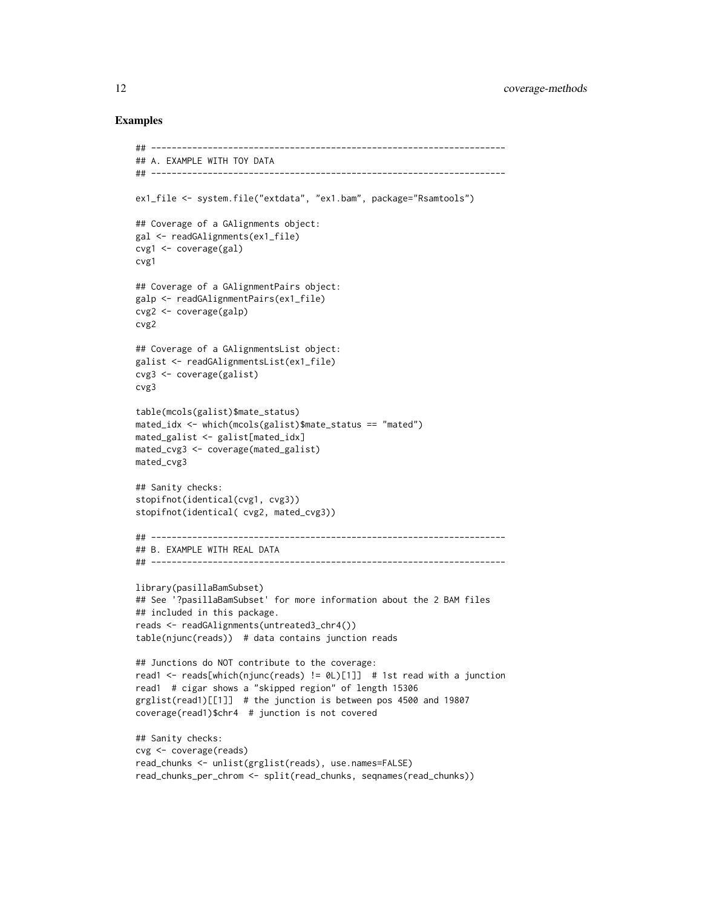## Examples

```
## ---------------------------------------------------------------------
## A. EXAMPLE WITH TOY DATA
## ---------------------------------------------------------------------
ex1_file <- system.file("extdata", "ex1.bam", package="Rsamtools")
## Coverage of a GAlignments object:
gal <- readGAlignments(ex1_file)
cvg1 <- coverage(gal)
cvg1
## Coverage of a GAlignmentPairs object:
galp <- readGAlignmentPairs(ex1_file)
cvg2 <- coverage(galp)
cvg2
## Coverage of a GAlignmentsList object:
galist <- readGAlignmentsList(ex1_file)
cvg3 <- coverage(galist)
cvg3
table(mcols(galist)$mate_status)
mated_idx <- which(mcols(galist)$mate_status == "mated")
mated_galist <- galist[mated_idx]
mated_cvg3 <- coverage(mated_galist)
mated_cvg3
## Sanity checks:
stopifnot(identical(cvg1, cvg3))
stopifnot(identical( cvg2, mated_cvg3))
## ---------------------------------------------------------------------
## B. EXAMPLE WITH REAL DATA
## ---------------------------------------------------------------------
library(pasillaBamSubset)
## See '?pasillaBamSubset' for more information about the 2 BAM files
## included in this package.
reads <- readGAlignments(untreated3_chr4())
table(njunc(reads)) # data contains junction reads
## Junctions do NOT contribute to the coverage:
read1 <- reads[which(njunc(reads) != 0L)[1]] # 1st read with a junction
read1 # cigar shows a "skipped region" of length 15306
grglist(read1)[[1]] # the junction is between pos 4500 and 19807
coverage(read1)$chr4 # junction is not covered
## Sanity checks:
cvg <- coverage(reads)
read_chunks <- unlist(grglist(reads), use.names=FALSE)
read_chunks_per_chrom <- split(read_chunks, seqnames(read_chunks))
```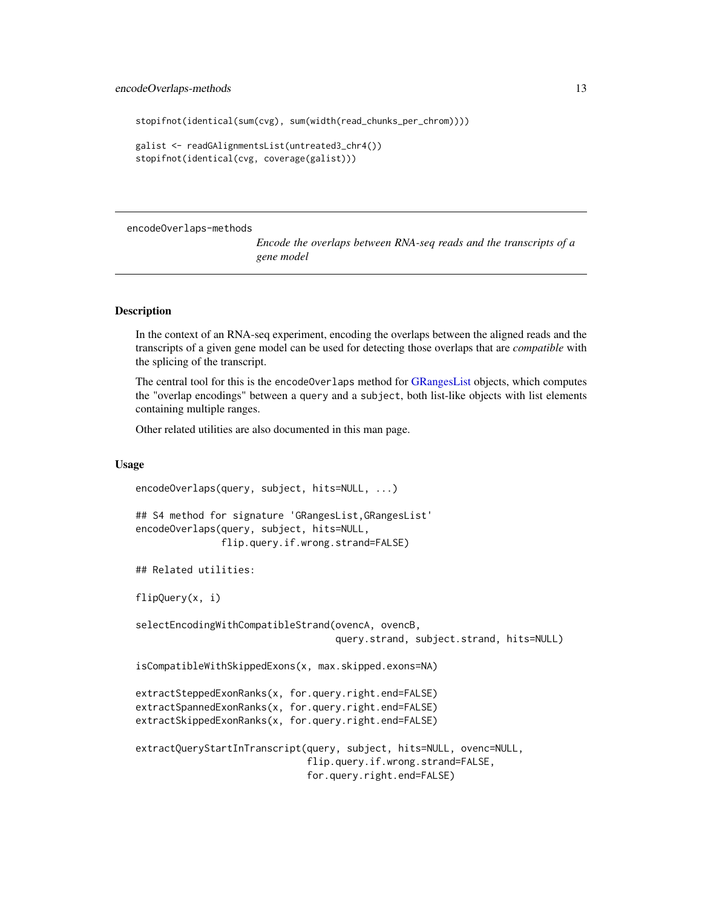```
stopifnot(identical(sum(cvg), sum(width(read_chunks_per_chrom))))
```

```
galist <- readGAlignmentsList(untreated3_chr4())
stopifnot(identical(cvg, coverage(galist)))
```
encodeOverlaps-methods

```
Encode the overlaps between RNA-seq reads and the transcripts of a
gene model
```
## <span id="page-12-1"></span>**Description**

In the context of an RNA-seq experiment, encoding the overlaps between the aligned reads and the transcripts of a given gene model can be used for detecting those overlaps that are *compatible* with the splicing of the transcript.

The central tool for this is the encodeOverlaps method for [GRangesList](#page-0-0) objects, which computes the "overlap encodings" between a query and a subject, both list-like objects with list elements containing multiple ranges.

Other related utilities are also documented in this man page.

## Usage

```
encodeOverlaps(query, subject, hits=NULL, ...)
## S4 method for signature 'GRangesList,GRangesList'
encodeOverlaps(query, subject, hits=NULL,
               flip.query.if.wrong.strand=FALSE)
## Related utilities:
flipQuery(x, i)
selectEncodingWithCompatibleStrand(ovencA, ovencB,
                                   query.strand, subject.strand, hits=NULL)
isCompatibleWithSkippedExons(x, max.skipped.exons=NA)
extractSteppedExonRanks(x, for.query.right.end=FALSE)
extractSpannedExonRanks(x, for.query.right.end=FALSE)
extractSkippedExonRanks(x, for.query.right.end=FALSE)
extractQueryStartInTranscript(query, subject, hits=NULL, ovenc=NULL,
                              flip.query.if.wrong.strand=FALSE,
                              for.query.right.end=FALSE)
```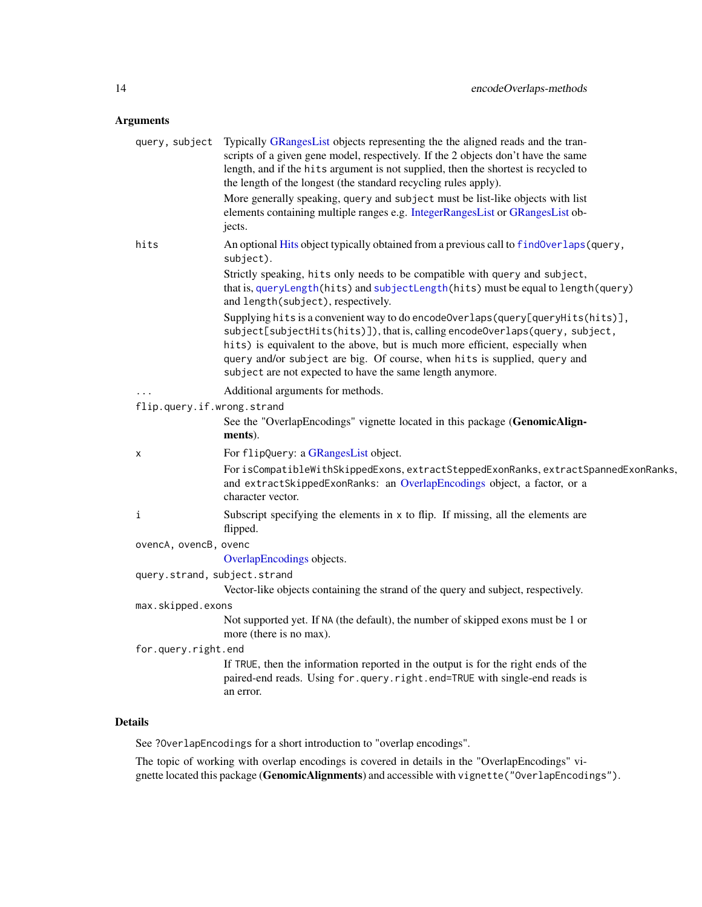## Arguments

| query, subject               | Typically GRangesList objects representing the the aligned reads and the tran-<br>scripts of a given gene model, respectively. If the 2 objects don't have the same<br>length, and if the hits argument is not supplied, then the shortest is recycled to<br>the length of the longest (the standard recycling rules apply).                                                               |
|------------------------------|--------------------------------------------------------------------------------------------------------------------------------------------------------------------------------------------------------------------------------------------------------------------------------------------------------------------------------------------------------------------------------------------|
|                              | More generally speaking, query and subject must be list-like objects with list<br>elements containing multiple ranges e.g. IntegerRangesList or GRangesList ob-<br>jects.                                                                                                                                                                                                                  |
| hits                         | An optional Hits object typically obtained from a previous call to findOverlaps (query,<br>subject).                                                                                                                                                                                                                                                                                       |
|                              | Strictly speaking, hits only needs to be compatible with query and subject,<br>that is, queryLength(hits) and subjectLength(hits) must be equal to length(query)<br>and length(subject), respectively.                                                                                                                                                                                     |
|                              | Supplying hits is a convenient way to do encodeOverlaps(query[queryHits(hits)],<br>subject[subjectHits(hits)]), that is, calling encodeOverlaps(query, subject,<br>hits) is equivalent to the above, but is much more efficient, especially when<br>query and/or subject are big. Of course, when hits is supplied, query and<br>subject are not expected to have the same length anymore. |
|                              | Additional arguments for methods.                                                                                                                                                                                                                                                                                                                                                          |
| flip.query.if.wrong.strand   |                                                                                                                                                                                                                                                                                                                                                                                            |
|                              | See the "OverlapEncodings" vignette located in this package (GenomicAlign-<br>ments).                                                                                                                                                                                                                                                                                                      |
| х                            | For flipQuery: a GRangesList object.                                                                                                                                                                                                                                                                                                                                                       |
|                              | For isCompatibleWithSkippedExons, extractSteppedExonRanks, extractSpannedExonRanks,<br>and extractSkippedExonRanks: an OverlapEncodings object, a factor, or a<br>character vector.                                                                                                                                                                                                        |
| i                            | Subscript specifying the elements in $x$ to flip. If missing, all the elements are<br>flipped.                                                                                                                                                                                                                                                                                             |
| ovencA, ovencB, ovenc        |                                                                                                                                                                                                                                                                                                                                                                                            |
|                              | OverlapEncodings objects.                                                                                                                                                                                                                                                                                                                                                                  |
| query.strand, subject.strand |                                                                                                                                                                                                                                                                                                                                                                                            |
|                              | Vector-like objects containing the strand of the query and subject, respectively.                                                                                                                                                                                                                                                                                                          |
| max.skipped.exons            |                                                                                                                                                                                                                                                                                                                                                                                            |
|                              | Not supported yet. If NA (the default), the number of skipped exons must be 1 or<br>more (there is no max).                                                                                                                                                                                                                                                                                |
| for.query.right.end          |                                                                                                                                                                                                                                                                                                                                                                                            |
|                              | If TRUE, then the information reported in the output is for the right ends of the<br>paired-end reads. Using for.query.right.end=TRUE with single-end reads is<br>an error.                                                                                                                                                                                                                |
|                              |                                                                                                                                                                                                                                                                                                                                                                                            |

## Details

See ?OverlapEncodings for a short introduction to "overlap encodings".

The topic of working with overlap encodings is covered in details in the "OverlapEncodings" vignette located this package (GenomicAlignments) and accessible with vignette("OverlapEncodings").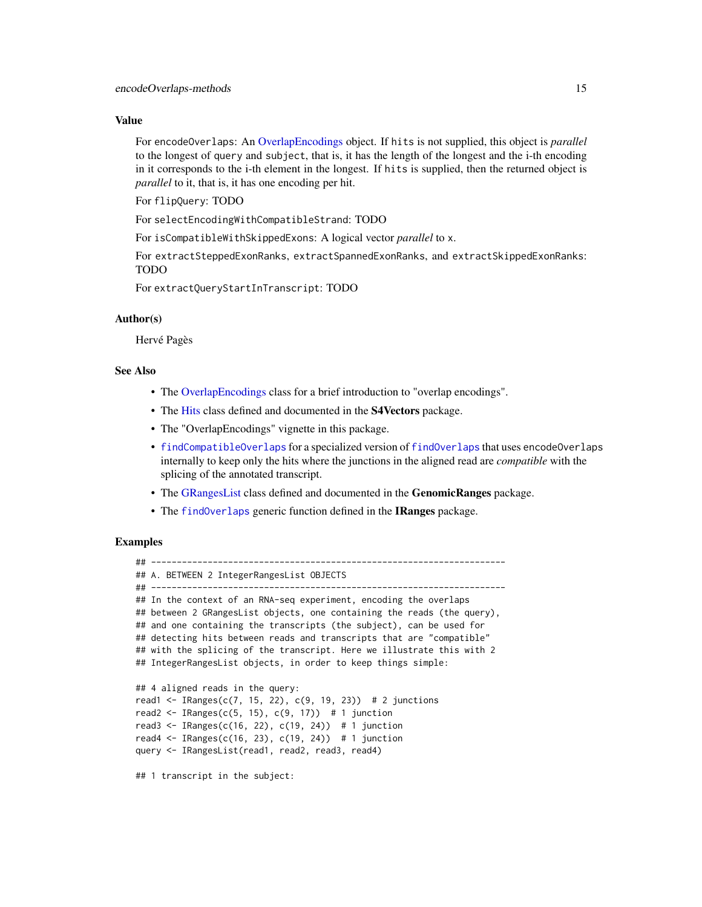## Value

For encodeOverlaps: An [OverlapEncodings](#page-56-1) object. If hits is not supplied, this object is *parallel* to the longest of query and subject, that is, it has the length of the longest and the i-th encoding in it corresponds to the i-th element in the longest. If hits is supplied, then the returned object is *parallel* to it, that is, it has one encoding per hit.

For flipQuery: TODO

For selectEncodingWithCompatibleStrand: TODO

For isCompatibleWithSkippedExons: A logical vector *parallel* to x.

For extractSteppedExonRanks, extractSpannedExonRanks, and extractSkippedExonRanks: TODO

For extractQueryStartInTranscript: TODO

## Author(s)

Hervé Pagès

## See Also

- The [OverlapEncodings](#page-56-1) class for a brief introduction to "overlap encodings".
- The [Hits](#page-0-0) class defined and documented in the S4Vectors package.
- The "OverlapEncodings" vignette in this package.
- [findCompatibleOverlaps](#page-15-1) for a specialized version of [findOverlaps](#page-21-1) that uses encodeOverlaps internally to keep only the hits where the junctions in the aligned read are *compatible* with the splicing of the annotated transcript.
- The [GRangesList](#page-0-0) class defined and documented in the GenomicRanges package.
- The [findOverlaps](#page-21-1) generic function defined in the IRanges package.

## Examples

```
## ---------------------------------------------------------------------
## A. BETWEEN 2 IntegerRangesList OBJECTS
## ---------------------------------------------------------------------
## In the context of an RNA-seq experiment, encoding the overlaps
## between 2 GRangesList objects, one containing the reads (the query),
## and one containing the transcripts (the subject), can be used for
## detecting hits between reads and transcripts that are "compatible"
## with the splicing of the transcript. Here we illustrate this with 2
## IntegerRangesList objects, in order to keep things simple:
## 4 aligned reads in the query:
read1 <- IRanges(c(7, 15, 22), c(9, 19, 23)) # 2 junctions
read2 <- IRanges(c(5, 15), c(9, 17)) # 1 junction
read3 <- IRanges(c(16, 22), c(19, 24)) # 1 junction
read4 <- IRanges(c(16, 23), c(19, 24)) # 1 junction
query <- IRangesList(read1, read2, read3, read4)
## 1 transcript in the subject:
```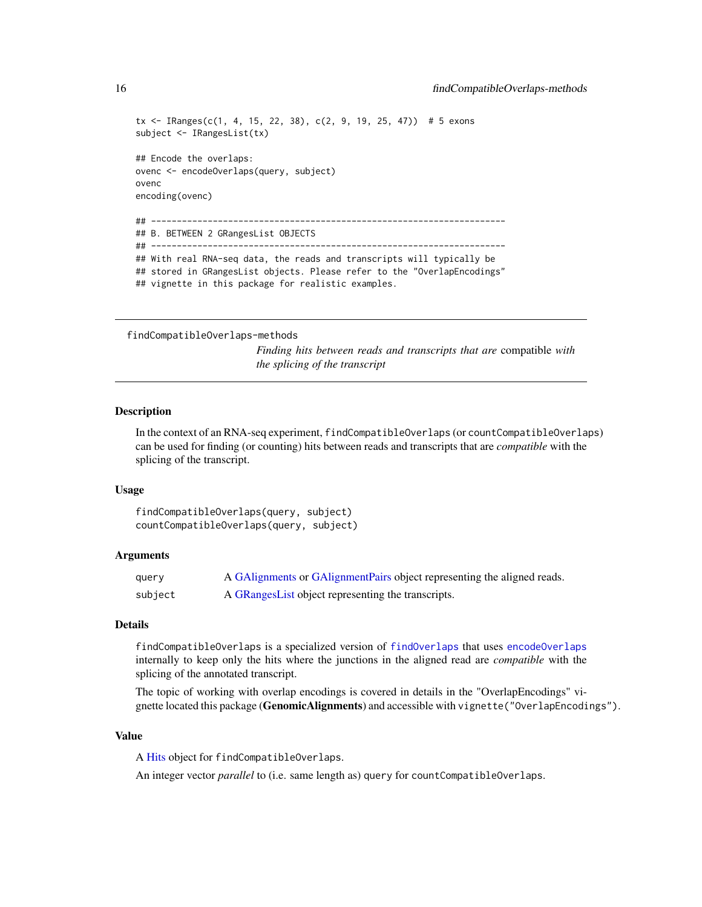```
tx \leq IRanges(c(1, 4, 15, 22, 38), c(2, 9, 19, 25, 47)) # 5 exons
subject <- IRangesList(tx)
## Encode the overlaps:
ovenc <- encodeOverlaps(query, subject)
ovenc
encoding(ovenc)
## ---------------------------------------------------------------------
## B. BETWEEN 2 GRangesList OBJECTS
## ---------------------------------------------------------------------
## With real RNA-seq data, the reads and transcripts will typically be
## stored in GRangesList objects. Please refer to the "OverlapEncodings"
## vignette in this package for realistic examples.
```

```
findCompatibleOverlaps-methods
```
*Finding hits between reads and transcripts that are* compatible *with the splicing of the transcript*

#### <span id="page-15-1"></span>**Description**

In the context of an RNA-seq experiment, findCompatibleOverlaps (or countCompatibleOverlaps) can be used for finding (or counting) hits between reads and transcripts that are *compatible* with the splicing of the transcript.

#### Usage

```
findCompatibleOverlaps(query, subject)
countCompatibleOverlaps(query, subject)
```
## Arguments

| query   | A GAlignments or GAlignment Pairs object representing the aligned reads. |
|---------|--------------------------------------------------------------------------|
| subject | A GRangesList object representing the transcripts.                       |

#### Details

findCompatibleOverlaps is a specialized version of [findOverlaps](#page-21-1) that uses [encodeOverlaps](#page-12-1) internally to keep only the hits where the junctions in the aligned read are *compatible* with the splicing of the annotated transcript.

The topic of working with overlap encodings is covered in details in the "OverlapEncodings" vignette located this package (GenomicAlignments) and accessible with vignette ("OverlapEncodings").

## Value

A [Hits](#page-0-0) object for findCompatibleOverlaps.

An integer vector *parallel* to (i.e. same length as) query for countCompatibleOverlaps.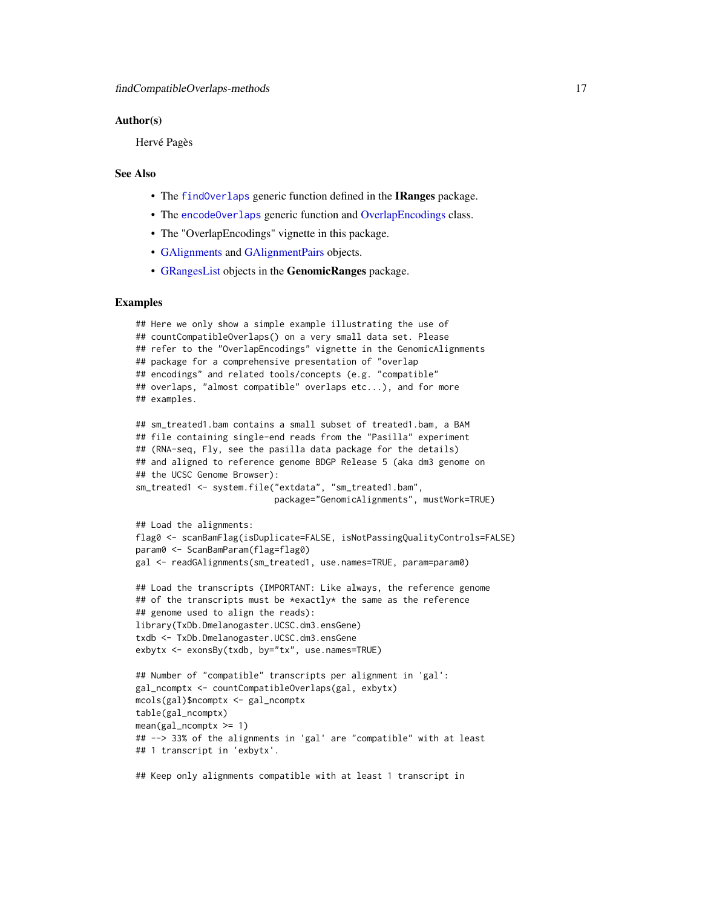## Author(s)

Hervé Pagès

## See Also

- The [findOverlaps](#page-21-1) generic function defined in the IRanges package.
- The [encodeOverlaps](#page-12-1) generic function and [OverlapEncodings](#page-56-1) class.
- The "OverlapEncodings" vignette in this package.
- [GAlignments](#page-31-1) and [GAlignmentPairs](#page-26-1) objects.
- [GRangesList](#page-0-0) objects in the GenomicRanges package.

## Examples

```
## Here we only show a simple example illustrating the use of
## countCompatibleOverlaps() on a very small data set. Please
## refer to the "OverlapEncodings" vignette in the GenomicAlignments
## package for a comprehensive presentation of "overlap
## encodings" and related tools/concepts (e.g. "compatible"
## overlaps, "almost compatible" overlaps etc...), and for more
## examples.
## sm_treated1.bam contains a small subset of treated1.bam, a BAM
## file containing single-end reads from the "Pasilla" experiment
## (RNA-seq, Fly, see the pasilla data package for the details)
## and aligned to reference genome BDGP Release 5 (aka dm3 genome on
## the UCSC Genome Browser):
sm_treated1 <- system.file("extdata", "sm_treated1.bam",
                           package="GenomicAlignments", mustWork=TRUE)
## Load the alignments:
flag0 <- scanBamFlag(isDuplicate=FALSE, isNotPassingQualityControls=FALSE)
param0 <- ScanBamParam(flag=flag0)
gal <- readGAlignments(sm_treated1, use.names=TRUE, param=param0)
## Load the transcripts (IMPORTANT: Like always, the reference genome
## of the transcripts must be *exactly* the same as the reference
## genome used to align the reads):
library(TxDb.Dmelanogaster.UCSC.dm3.ensGene)
txdb <- TxDb.Dmelanogaster.UCSC.dm3.ensGene
exbytx <- exonsBy(txdb, by="tx", use.names=TRUE)
## Number of "compatible" transcripts per alignment in 'gal':
gal_ncomptx <- countCompatibleOverlaps(gal, exbytx)
mcols(gal)$ncomptx <- gal_ncomptx
table(gal_ncomptx)
mean(gal_ncomptx \geq 1)## --> 33% of the alignments in 'gal' are "compatible" with at least
## 1 transcript in 'exbytx'.
## Keep only alignments compatible with at least 1 transcript in
```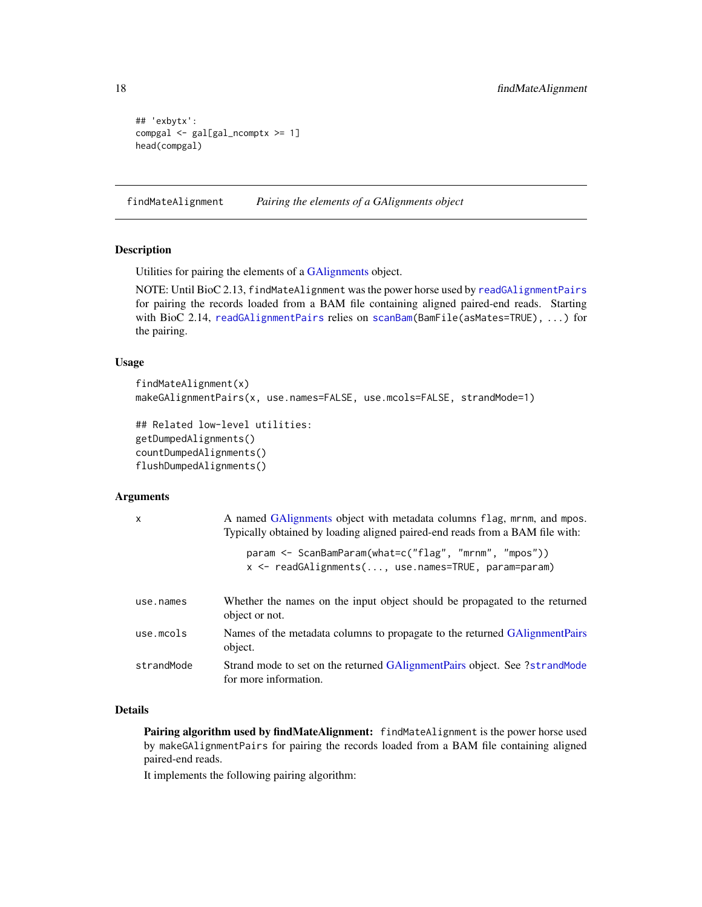```
## 'exbytx':
compgal <- gal[gal_ncomptx >= 1]
head(compgal)
```
findMateAlignment *Pairing the elements of a GAlignments object*

## <span id="page-17-1"></span>Description

Utilities for pairing the elements of a [GAlignments](#page-31-1) object.

NOTE: Until BioC 2.13, findMateAlignment was the power horse used by [readGAlignmentPairs](#page-63-2) for pairing the records loaded from a BAM file containing aligned paired-end reads. Starting with BioC 2.14, [readGAlignmentPairs](#page-63-2) relies on [scanBam\(](#page-0-0)BamFile(asMates=TRUE), ...) for the pairing.

## Usage

```
findMateAlignment(x)
makeGAlignmentPairs(x, use.names=FALSE, use.mcols=FALSE, strandMode=1)
```

```
## Related low-level utilities:
getDumpedAlignments()
countDumpedAlignments()
flushDumpedAlignments()
```
## Arguments

| $\mathsf{x}$ | A named GAIignments object with metadata columns flag, mrnm, and mpos.<br>Typically obtained by loading aligned paired-end reads from a BAM file with: |
|--------------|--------------------------------------------------------------------------------------------------------------------------------------------------------|
|              | param <- ScanBamParam(what=c("flag", "mrnm", "mpos"))<br>$x \le$ readGAlignments(, use.names=TRUE, param=param)                                        |
| use.names    | Whether the names on the input object should be propagated to the returned<br>object or not.                                                           |
| use.mcols    | Names of the metadata columns to propagate to the returned GAlignmentPairs<br>object.                                                                  |
| strandMode   | Strand mode to set on the returned GAlignmentPairs object. See ?strandMode<br>for more information.                                                    |

## Details

Pairing algorithm used by findMateAlignment: findMateAlignment is the power horse used by makeGAlignmentPairs for pairing the records loaded from a BAM file containing aligned paired-end reads.

It implements the following pairing algorithm:

<span id="page-17-0"></span>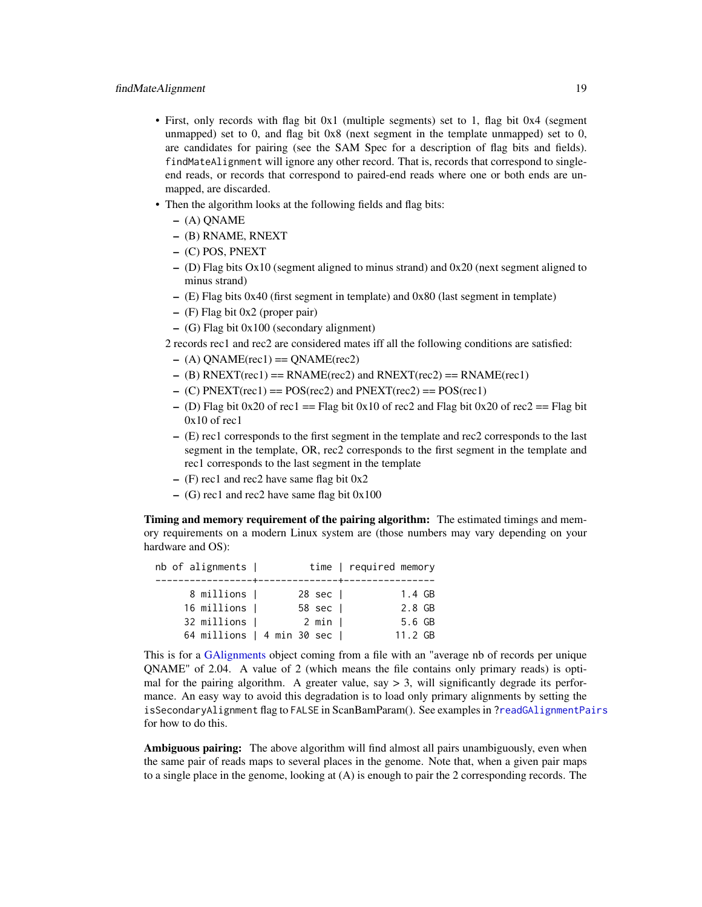- First, only records with flag bit 0x1 (multiple segments) set to 1, flag bit 0x4 (segment unmapped) set to 0, and flag bit 0x8 (next segment in the template unmapped) set to 0, are candidates for pairing (see the SAM Spec for a description of flag bits and fields). findMateAlignment will ignore any other record. That is, records that correspond to singleend reads, or records that correspond to paired-end reads where one or both ends are unmapped, are discarded.
- Then the algorithm looks at the following fields and flag bits:
	- (A) QNAME
	- (B) RNAME, RNEXT
	- (C) POS, PNEXT
	- (D) Flag bits Ox10 (segment aligned to minus strand) and 0x20 (next segment aligned to minus strand)
	- (E) Flag bits 0x40 (first segment in template) and 0x80 (last segment in template)
	- (F) Flag bit 0x2 (proper pair)
	- (G) Flag bit 0x100 (secondary alignment)
	- 2 records rec1 and rec2 are considered mates iff all the following conditions are satisfied:
		- $-$  (A) QNAME(rec1) = QNAME(rec2)
		- $-$  (B) RNEXT(rec1) = RNAME(rec2) and RNEXT(rec2) = RNAME(rec1)
	- $-$  (C) PNEXT(rec1) = POS(rec2) and PNEXT(rec2) = POS(rec1)
	- (D) Flag bit 0x20 of rec1 == Flag bit 0x10 of rec2 and Flag bit 0x20 of rec2 == Flag bit  $0x10$  of rec1
	- (E) rec1 corresponds to the first segment in the template and rec2 corresponds to the last segment in the template, OR, rec2 corresponds to the first segment in the template and rec1 corresponds to the last segment in the template
	- $-$  (F) rec1 and rec2 have same flag bit 0x2
	- $-$  (G) rec1 and rec2 have same flag bit  $0x100$

Timing and memory requirement of the pairing algorithm: The estimated timings and memory requirements on a modern Linux system are (those numbers may vary depending on your hardware and OS):

| nb of alignments |                            | time   required memory |
|------------------|----------------------------|------------------------|
|                  |                            |                        |
| 8 millions       | $28 \text{ sec}$           | 1.4 GB                 |
| 16 millions      | 58 sec                     | 2.8 GB                 |
| 32 millions      | $2$ min $\overline{1}$     | 5.6 GB                 |
|                  | 64 millions   4 min 30 sec | $11.2 \, \text{GB}$    |

This is for a [GAlignments](#page-31-1) object coming from a file with an "average nb of records per unique QNAME" of 2.04. A value of 2 (which means the file contains only primary reads) is optimal for the pairing algorithm. A greater value, say  $> 3$ , will significantly degrade its performance. An easy way to avoid this degradation is to load only primary alignments by setting the isSecondaryAlignment flag to FALSE in ScanBamParam(). See examples in [?readGAlignmentPairs](#page-63-2) for how to do this.

Ambiguous pairing: The above algorithm will find almost all pairs unambiguously, even when the same pair of reads maps to several places in the genome. Note that, when a given pair maps to a single place in the genome, looking at (A) is enough to pair the 2 corresponding records. The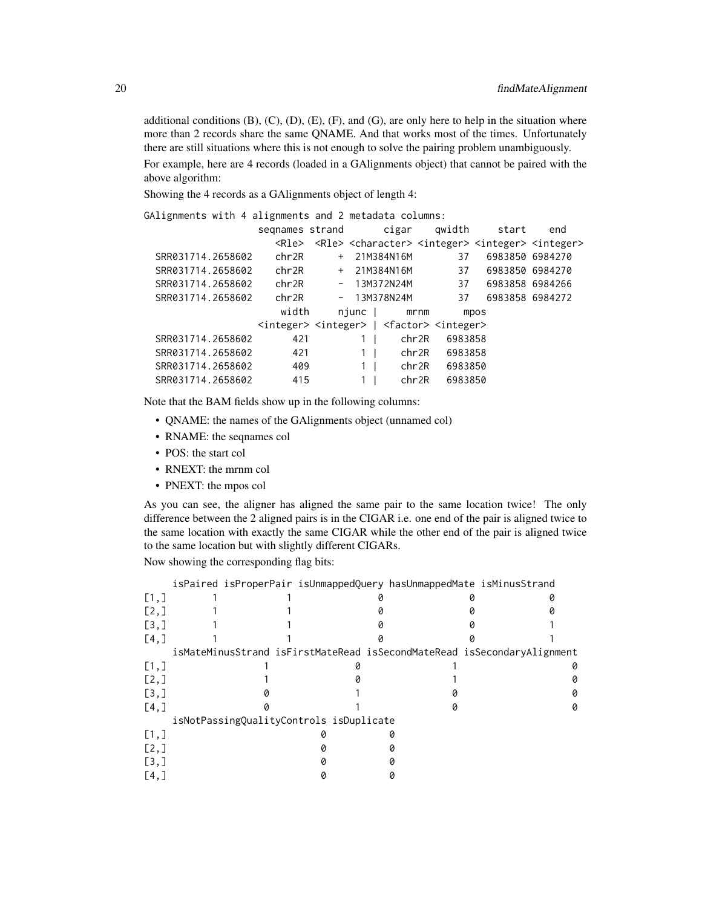additional conditions  $(B)$ ,  $(C)$ ,  $(D)$ ,  $(E)$ ,  $(F)$ , and  $(G)$ , are only here to help in the situation where more than 2 records share the same QNAME. And that works most of the times. Unfortunately there are still situations where this is not enough to solve the pairing problem unambiguously. For example, here are 4 records (loaded in a GAlignments object) that cannot be paired with the above algorithm:

Showing the 4 records as a GAlignments object of length 4:

GAlignments with 4 alignments and 2 metadata columns:

|                   | segnames strand                                                                 |     |                | cigar         |         | qwidth  | start                                                                                           | end             |
|-------------------|---------------------------------------------------------------------------------|-----|----------------|---------------|---------|---------|-------------------------------------------------------------------------------------------------|-----------------|
|                   | <rle></rle>                                                                     |     |                |               |         |         | <rle> <character> <integer> <integer> <integer></integer></integer></integer></character></rle> |                 |
| SRR031714.2658602 | chr2R                                                                           | $+$ |                | 21M384N16M    |         | 37      |                                                                                                 | 6983850 6984270 |
| SRR031714.2658602 | chr2R                                                                           |     |                | + 21M384N16M  |         | 37      | 6983850 6984270                                                                                 |                 |
| SRR031714.2658602 | chr2R                                                                           |     |                | $-13M372N24M$ |         | 37      | 6983858 6984266                                                                                 |                 |
| SRR031714.2658602 | chr2R                                                                           |     |                | $-13M378N24M$ |         | 37      |                                                                                                 | 6983858 6984272 |
|                   | width                                                                           |     | njunc          |               | $m$ rnm |         | mpos                                                                                            |                 |
|                   | <integer> <integer>   <factor> <integer></integer></factor></integer></integer> |     |                |               |         |         |                                                                                                 |                 |
| SRR031714.2658602 | 421                                                                             |     |                |               | chr2R   | 6983858 |                                                                                                 |                 |
| SRR031714.2658602 | 421                                                                             |     | 1 <sup>1</sup> |               | chr2R   | 6983858 |                                                                                                 |                 |
| SRR031714.2658602 | 409                                                                             |     | $1 \mid$       |               | chr2R   | 6983850 |                                                                                                 |                 |
| SRR031714.2658602 | 415                                                                             |     |                |               | chr2R   | 6983850 |                                                                                                 |                 |
|                   |                                                                                 |     |                |               |         |         |                                                                                                 |                 |

Note that the BAM fields show up in the following columns:

- QNAME: the names of the GAlignments object (unnamed col)
- RNAME: the seqnames col
- POS: the start col
- RNEXT: the mrnm col
- PNEXT: the mpos col

As you can see, the aligner has aligned the same pair to the same location twice! The only difference between the 2 aligned pairs is in the CIGAR i.e. one end of the pair is aligned twice to the same location with exactly the same CIGAR while the other end of the pair is aligned twice to the same location but with slightly different CIGARs.

Now showing the corresponding flag bits:

|                    |                                         |  | isPaired isProperPair isUnmappedQuery hasUnmappedMate isMinusStrand |                                                                         |
|--------------------|-----------------------------------------|--|---------------------------------------------------------------------|-------------------------------------------------------------------------|
| [1,]               |                                         |  |                                                                     |                                                                         |
| [2,1]              |                                         |  |                                                                     |                                                                         |
| $\left[3, \right]$ |                                         |  |                                                                     |                                                                         |
| $[4,$ ]            |                                         |  |                                                                     |                                                                         |
|                    |                                         |  |                                                                     | isMateMinusStrand isFirstMateRead isSecondMateRead isSecondaryAlignment |
| [1,]               |                                         |  |                                                                     |                                                                         |
| [2,1]              |                                         |  |                                                                     |                                                                         |
| $\left[3, \right]$ |                                         |  |                                                                     |                                                                         |
| $[4,$ ]            |                                         |  |                                                                     |                                                                         |
|                    | isNotPassingQualityControls isDuplicate |  |                                                                     |                                                                         |
| [1,]               |                                         |  |                                                                     |                                                                         |
| [2,1]              |                                         |  |                                                                     |                                                                         |
| $\left[3, \right]$ |                                         |  |                                                                     |                                                                         |
| $[4,$ ]            |                                         |  |                                                                     |                                                                         |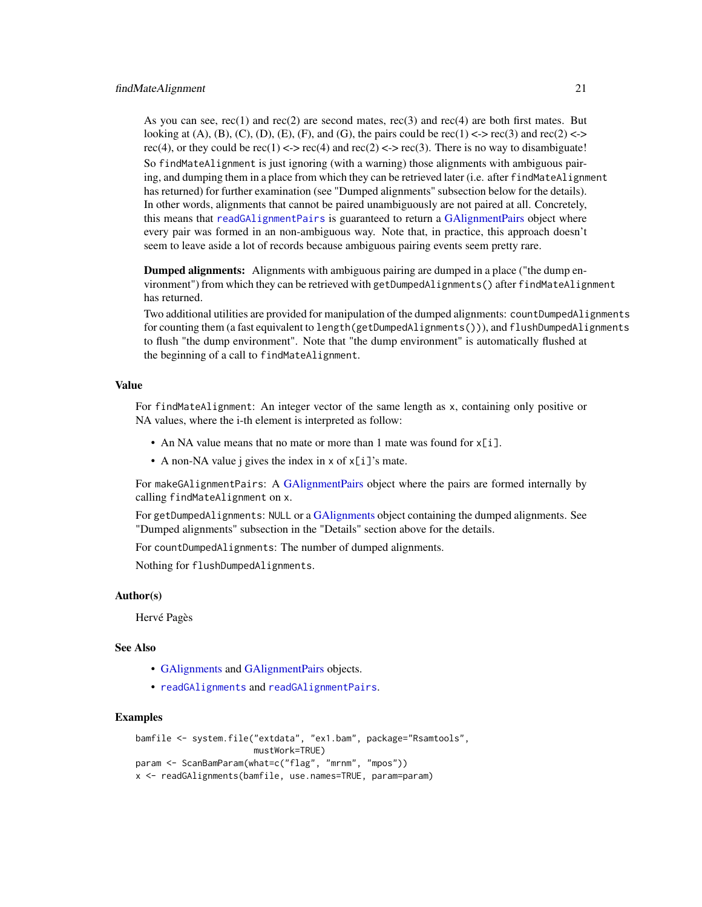As you can see,  $rec(1)$  and  $rec(2)$  are second mates,  $rec(3)$  and  $rec(4)$  are both first mates. But looking at  $(A)$ ,  $(B)$ ,  $(C)$ ,  $(D)$ ,  $(E)$ ,  $(F)$ , and  $(G)$ , the pairs could be rec $(1) \leq r \leq C(3)$  and rec $(2) \leq r$ rec(4), or they could be rec(1) <-> rec(4) and rec(2) <-> rec(3). There is no way to disambiguate! So findMateAlignment is just ignoring (with a warning) those alignments with ambiguous pairing, and dumping them in a place from which they can be retrieved later (i.e. after findMateAlignment has returned) for further examination (see "Dumped alignments" subsection below for the details). In other words, alignments that cannot be paired unambiguously are not paired at all. Concretely, this means that [readGAlignmentPairs](#page-63-2) is guaranteed to return a [GAlignmentPairs](#page-26-1) object where every pair was formed in an non-ambiguous way. Note that, in practice, this approach doesn't seem to leave aside a lot of records because ambiguous pairing events seem pretty rare.

Dumped alignments: Alignments with ambiguous pairing are dumped in a place ("the dump environment") from which they can be retrieved with getDumpedAlignments() after findMateAlignment has returned.

Two additional utilities are provided for manipulation of the dumped alignments: countDumpedAlignments for counting them (a fast equivalent to length(getDumpedAlignments())), and flushDumpedAlignments to flush "the dump environment". Note that "the dump environment" is automatically flushed at the beginning of a call to findMateAlignment.

## Value

For findMateAlignment: An integer vector of the same length as x, containing only positive or NA values, where the i-th element is interpreted as follow:

- An NA value means that no mate or more than 1 mate was found for x[i].
- A non-NA value j gives the index in x of x[i]'s mate.

For makeGAlignmentPairs: A [GAlignmentPairs](#page-26-1) object where the pairs are formed internally by calling findMateAlignment on x.

For getDumpedAlignments: NULL or a [GAlignments](#page-31-1) object containing the dumped alignments. See "Dumped alignments" subsection in the "Details" section above for the details.

For countDumpedAlignments: The number of dumped alignments.

Nothing for flushDumpedAlignments.

#### Author(s)

Hervé Pagès

## See Also

- [GAlignments](#page-31-1) and [GAlignmentPairs](#page-26-1) objects.
- [readGAlignments](#page-63-1) and [readGAlignmentPairs](#page-63-2).

### Examples

```
bamfile <- system.file("extdata", "ex1.bam", package="Rsamtools",
                      mustWork=TRUE)
param <- ScanBamParam(what=c("flag", "mrnm", "mpos"))
x <- readGAlignments(bamfile, use.names=TRUE, param=param)
```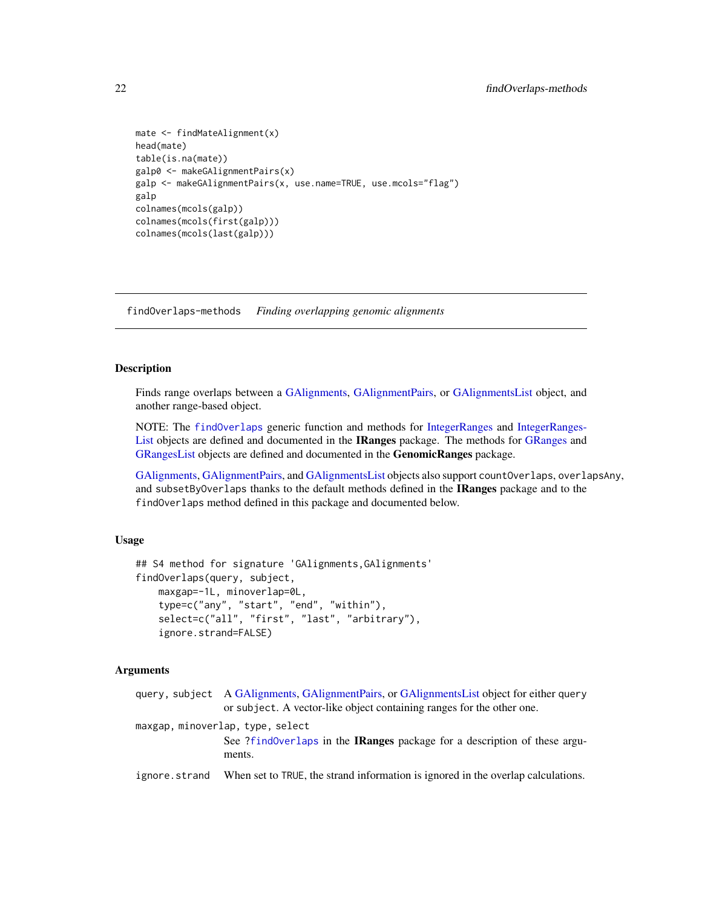```
mate <- findMateAlignment(x)
head(mate)
table(is.na(mate))
galp0 <- makeGAlignmentPairs(x)
galp <- makeGAlignmentPairs(x, use.name=TRUE, use.mcols="flag")
galp
colnames(mcols(galp))
colnames(mcols(first(galp)))
colnames(mcols(last(galp)))
```
<span id="page-21-2"></span>findOverlaps-methods *Finding overlapping genomic alignments*

## <span id="page-21-1"></span>Description

Finds range overlaps between a [GAlignments,](#page-31-1) [GAlignmentPairs,](#page-26-1) or [GAlignmentsList](#page-36-1) object, and another range-based object.

NOTE: The [findOverlaps](#page-21-1) generic function and methods for [IntegerRanges](#page-0-0) and [IntegerRanges-](#page-0-0)[List](#page-0-0) objects are defined and documented in the IRanges package. The methods for [GRanges](#page-0-0) and [GRangesList](#page-0-0) objects are defined and documented in the GenomicRanges package.

[GAlignments,](#page-31-1) [GAlignmentPairs,](#page-26-1) and [GAlignmentsList](#page-36-1) objects also support countOverlaps, overlapsAny, and subsetByOverlaps thanks to the default methods defined in the **IRanges** package and to the findOverlaps method defined in this package and documented below.

## Usage

```
## S4 method for signature 'GAlignments,GAlignments'
findOverlaps(query, subject,
    maxgap=-1L, minoverlap=0L,
    type=c("any", "start", "end", "within"),
    select=c("all", "first", "last", "arbitrary"),
    ignore.strand=FALSE)
```
## Arguments

|               | query, subject A GAlignments, GAlignmentPairs, or GAlignmentsList object for either query<br>or subject. A vector-like object containing ranges for the other one. |
|---------------|--------------------------------------------------------------------------------------------------------------------------------------------------------------------|
|               | maxgap, minoverlap, type, select<br>See ?findoverlaps in the IRanges package for a description of these argu-                                                      |
|               | ments.                                                                                                                                                             |
| ignore.strand | When set to TRUE, the strand information is ignored in the overlap calculations.                                                                                   |

<span id="page-21-0"></span>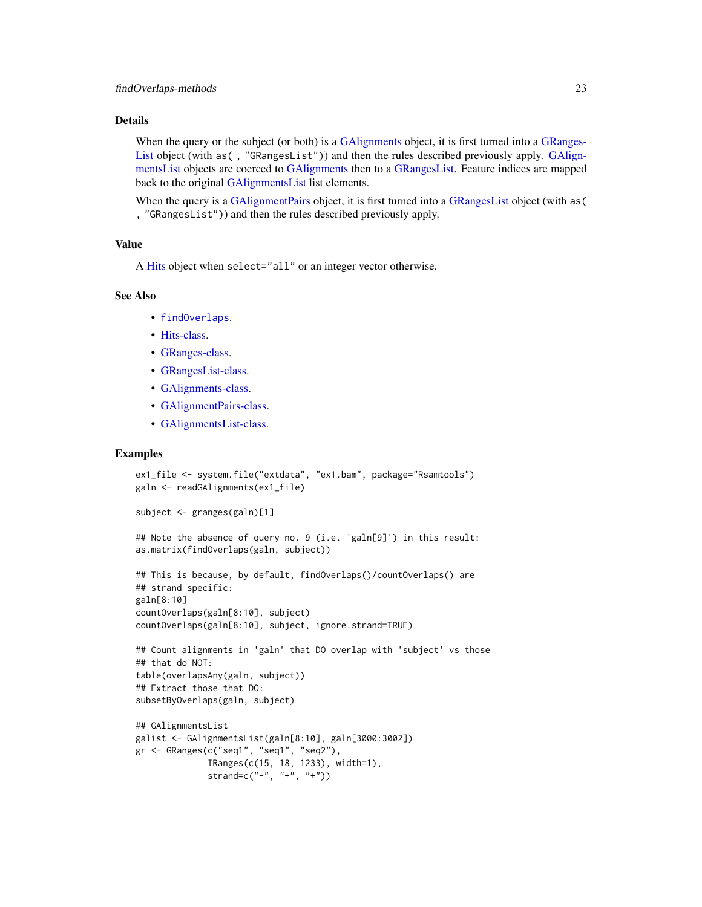## Details

When the query or the subject (or both) is a GAIignments object, it is first turned into a [GRanges-](#page-0-0)[List](#page-0-0) object (with as (, "GRangesList")) and then the rules described previously apply. [GAlign](#page-36-1)[mentsList](#page-36-1) objects are coerced to [GAlignments](#page-31-1) then to a [GRangesList.](#page-0-0) Feature indices are mapped back to the original [GAlignmentsList](#page-36-1) list elements.

When the query is a [GAlignmentPairs](#page-26-1) object, it is first turned into a [GRangesList](#page-0-0) object (with as ( , "GRangesList")) and then the rules described previously apply.

## Value

A [Hits](#page-0-0) object when select="all" or an integer vector otherwise.

## See Also

- [findOverlaps](#page-21-1).
- [Hits-class.](#page-0-0)
- [GRanges-class.](#page-0-0)
- [GRangesList-class.](#page-0-0)
- [GAlignments-class.](#page-31-2)
- [GAlignmentPairs-class.](#page-26-2)
- [GAlignmentsList-class.](#page-36-2)

## Examples

```
ex1_file <- system.file("extdata", "ex1.bam", package="Rsamtools")
galn <- readGAlignments(ex1_file)
subject <- granges(galn)[1]
## Note the absence of query no. 9 (i.e. 'galn[9]') in this result:
as.matrix(findOverlaps(galn, subject))
## This is because, by default, findOverlaps()/countOverlaps() are
## strand specific:
galn[8:10]
countOverlaps(galn[8:10], subject)
countOverlaps(galn[8:10], subject, ignore.strand=TRUE)
## Count alignments in 'galn' that DO overlap with 'subject' vs those
## that do NOT:
table(overlapsAny(galn, subject))
## Extract those that DO:
subsetByOverlaps(galn, subject)
## GAlignmentsList
galist <- GAlignmentsList(galn[8:10], galn[3000:3002])
gr <- GRanges(c("seq1", "seq1", "seq2"),
             IRanges(c(15, 18, 1233), width=1),
             strand=c("-", "+", "+")
```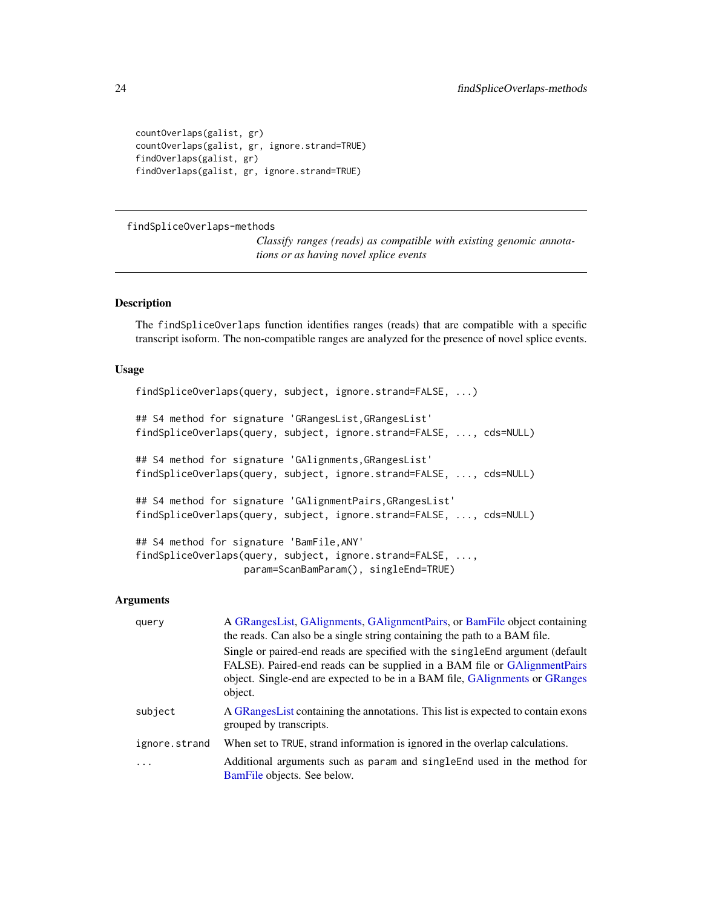```
countOverlaps(galist, gr)
countOverlaps(galist, gr, ignore.strand=TRUE)
findOverlaps(galist, gr)
findOverlaps(galist, gr, ignore.strand=TRUE)
```
findSpliceOverlaps-methods

*Classify ranges (reads) as compatible with existing genomic annotations or as having novel splice events*

## Description

The findSpliceOverlaps function identifies ranges (reads) that are compatible with a specific transcript isoform. The non-compatible ranges are analyzed for the presence of novel splice events.

#### Usage

```
findSpliceOverlaps(query, subject, ignore.strand=FALSE, ...)
## S4 method for signature 'GRangesList,GRangesList'
findSpliceOverlaps(query, subject, ignore.strand=FALSE, ..., cds=NULL)
## S4 method for signature 'GAlignments,GRangesList'
findSpliceOverlaps(query, subject, ignore.strand=FALSE, ..., cds=NULL)
## S4 method for signature 'GAlignmentPairs,GRangesList'
findSpliceOverlaps(query, subject, ignore.strand=FALSE, ..., cds=NULL)
## S4 method for signature 'BamFile,ANY'
findSpliceOverlaps(query, subject, ignore.strand=FALSE, ...,
                   param=ScanBamParam(), singleEnd=TRUE)
```
#### Arguments

| query         | A GRangesList, GAlignments, GAlignmentPairs, or BamFile object containing<br>the reads. Can also be a single string containing the path to a BAM file.                                                                                                |
|---------------|-------------------------------------------------------------------------------------------------------------------------------------------------------------------------------------------------------------------------------------------------------|
|               | Single or paired-end reads are specified with the single End argument (default<br>FALSE). Paired-end reads can be supplied in a BAM file or GAlignmentPairs<br>object. Single-end are expected to be in a BAM file, GAlignments or GRanges<br>object. |
| subject       | A GRanges List containing the annotations. This list is expected to contain exons<br>grouped by transcripts.                                                                                                                                          |
| ignore.strand | When set to TRUE, strand information is ignored in the overlap calculations.                                                                                                                                                                          |
| $\ddotsc$     | Additional arguments such as param and singleEnd used in the method for<br>BamFile objects. See below.                                                                                                                                                |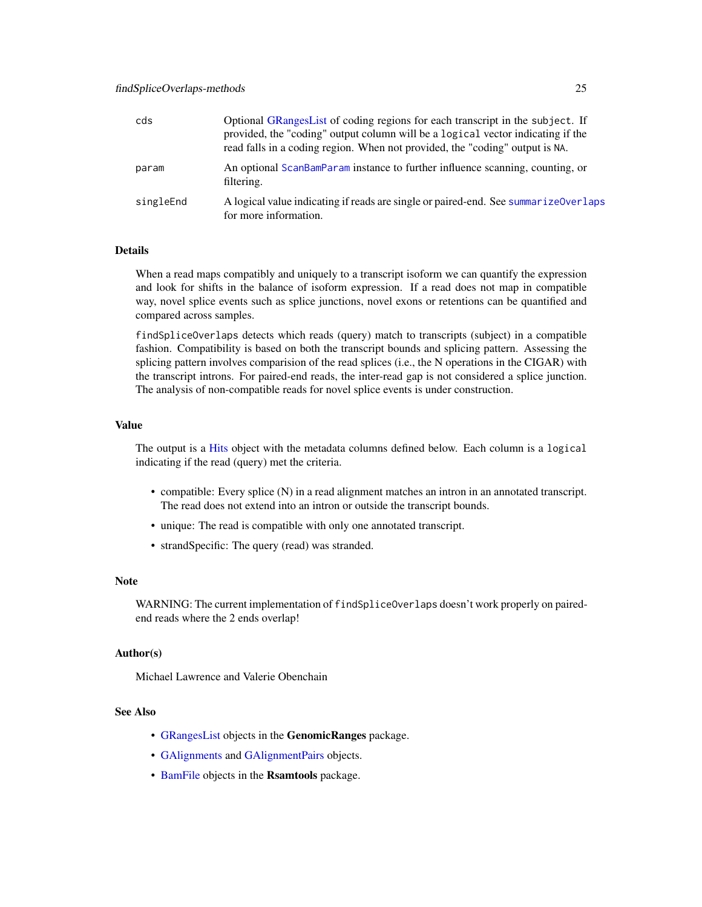| cds       | Optional GRanges List of coding regions for each transcript in the subject. If<br>provided, the "coding" output column will be a logical vector indicating if the<br>read falls in a coding region. When not provided, the "coding" output is NA. |
|-----------|---------------------------------------------------------------------------------------------------------------------------------------------------------------------------------------------------------------------------------------------------|
| param     | An optional ScanBamParam instance to further influence scanning, counting, or<br>filtering.                                                                                                                                                       |
| singleEnd | A logical value indicating if reads are single or paired-end. See summarize0verlaps<br>for more information.                                                                                                                                      |

## Details

When a read maps compatibly and uniquely to a transcript isoform we can quantify the expression and look for shifts in the balance of isoform expression. If a read does not map in compatible way, novel splice events such as splice junctions, novel exons or retentions can be quantified and compared across samples.

findSpliceOverlaps detects which reads (query) match to transcripts (subject) in a compatible fashion. Compatibility is based on both the transcript bounds and splicing pattern. Assessing the splicing pattern involves comparision of the read splices (i.e., the N operations in the CIGAR) with the transcript introns. For paired-end reads, the inter-read gap is not considered a splice junction. The analysis of non-compatible reads for novel splice events is under construction.

## Value

The output is a [Hits](#page-0-0) object with the metadata columns defined below. Each column is a logical indicating if the read (query) met the criteria.

- compatible: Every splice (N) in a read alignment matches an intron in an annotated transcript. The read does not extend into an intron or outside the transcript bounds.
- unique: The read is compatible with only one annotated transcript.
- strandSpecific: The query (read) was stranded.

#### Note

WARNING: The current implementation of findSpliceOverlaps doesn't work properly on pairedend reads where the 2 ends overlap!

## Author(s)

Michael Lawrence and Valerie Obenchain

## See Also

- [GRangesList](#page-0-0) objects in the GenomicRanges package.
- [GAlignments](#page-31-1) and [GAlignmentPairs](#page-26-1) objects.
- [BamFile](#page-0-0) objects in the Rsamtools package.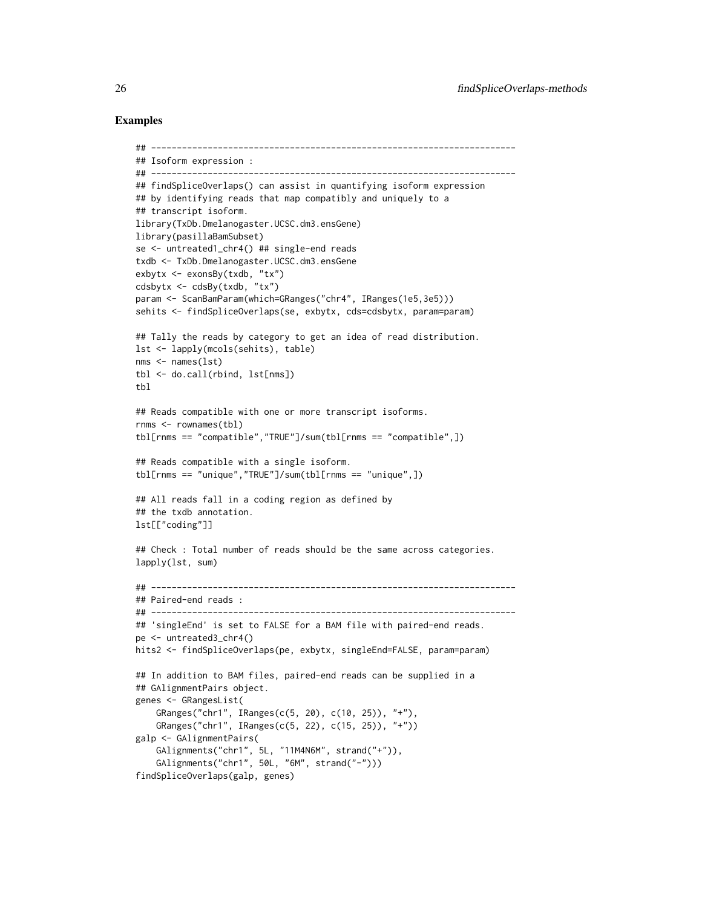## Examples

```
## -----------------------------------------------------------------------
## Isoform expression :
## -----------------------------------------------------------------------
## findSpliceOverlaps() can assist in quantifying isoform expression
## by identifying reads that map compatibly and uniquely to a
## transcript isoform.
library(TxDb.Dmelanogaster.UCSC.dm3.ensGene)
library(pasillaBamSubset)
se <- untreated1_chr4() ## single-end reads
txdb <- TxDb.Dmelanogaster.UCSC.dm3.ensGene
exbytx <- exonsBy(txdb, "tx")
cdsbytx <- cdsBy(txdb, "tx")
param <- ScanBamParam(which=GRanges("chr4", IRanges(1e5,3e5)))
sehits <- findSpliceOverlaps(se, exbytx, cds=cdsbytx, param=param)
## Tally the reads by category to get an idea of read distribution.
lst <- lapply(mcols(sehits), table)
nms <- names(lst)
tbl <- do.call(rbind, lst[nms])
tbl
## Reads compatible with one or more transcript isoforms.
rnms <- rownames(tbl)
tbl[rnms == "compatible","TRUE"]/sum(tbl[rnms == "compatible",])
## Reads compatible with a single isoform.
tbl[rnms == "unique","TRUE"]/sum(tbl[rnms == "unique",])
## All reads fall in a coding region as defined by
## the txdb annotation.
lst[["coding"]]
## Check : Total number of reads should be the same across categories.
lapply(lst, sum)
## -----------------------------------------------------------------------
## Paired-end reads :
## -----------------------------------------------------------------------
## 'singleEnd' is set to FALSE for a BAM file with paired-end reads.
pe <- untreated3_chr4()
hits2 <- findSpliceOverlaps(pe, exbytx, singleEnd=FALSE, param=param)
## In addition to BAM files, paired-end reads can be supplied in a
## GAlignmentPairs object.
genes <- GRangesList(
    GRanges("chr1", IRanges(c(5, 20), c(10, 25)), "+"),
    GRanges("chr1", IRanges(c(5, 22), c(15, 25)), "+"))
galp <- GAlignmentPairs(
    GAlignments("chr1", 5L, "11M4N6M", strand("+")),
    GAlignments("chr1", 50L, "6M", strand("-")))
findSpliceOverlaps(galp, genes)
```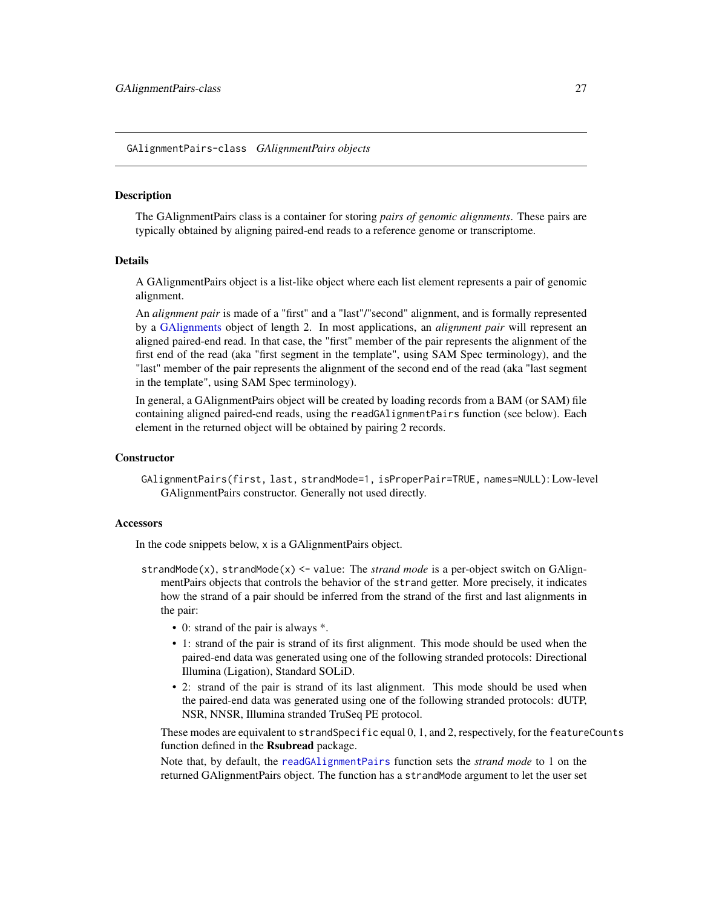<span id="page-26-2"></span><span id="page-26-0"></span>GAlignmentPairs-class *GAlignmentPairs objects*

## <span id="page-26-1"></span>Description

The GAlignmentPairs class is a container for storing *pairs of genomic alignments*. These pairs are typically obtained by aligning paired-end reads to a reference genome or transcriptome.

#### Details

A GAlignmentPairs object is a list-like object where each list element represents a pair of genomic alignment.

An *alignment pair* is made of a "first" and a "last"/"second" alignment, and is formally represented by a [GAlignments](#page-31-1) object of length 2. In most applications, an *alignment pair* will represent an aligned paired-end read. In that case, the "first" member of the pair represents the alignment of the first end of the read (aka "first segment in the template", using SAM Spec terminology), and the "last" member of the pair represents the alignment of the second end of the read (aka "last segment in the template", using SAM Spec terminology).

In general, a GAlignmentPairs object will be created by loading records from a BAM (or SAM) file containing aligned paired-end reads, using the readGAlignmentPairs function (see below). Each element in the returned object will be obtained by pairing 2 records.

## **Constructor**

GAlignmentPairs(first, last, strandMode=1, isProperPair=TRUE, names=NULL): Low-level GAlignmentPairs constructor. Generally not used directly.

## **Accessors**

In the code snippets below, x is a GAlignmentPairs object.

- strandMode(x), strandMode(x) <- value: The *strand mode* is a per-object switch on GAlignmentPairs objects that controls the behavior of the strand getter. More precisely, it indicates how the strand of a pair should be inferred from the strand of the first and last alignments in the pair:
	- 0: strand of the pair is always \*.
	- 1: strand of the pair is strand of its first alignment. This mode should be used when the paired-end data was generated using one of the following stranded protocols: Directional Illumina (Ligation), Standard SOLiD.
	- 2: strand of the pair is strand of its last alignment. This mode should be used when the paired-end data was generated using one of the following stranded protocols: dUTP, NSR, NNSR, Illumina stranded TruSeq PE protocol.

These modes are equivalent to strandSpecific equal 0, 1, and 2, respectively, for the featureCounts function defined in the Rsubread package.

Note that, by default, the [readGAlignmentPairs](#page-63-2) function sets the *strand mode* to 1 on the returned GAlignmentPairs object. The function has a strandMode argument to let the user set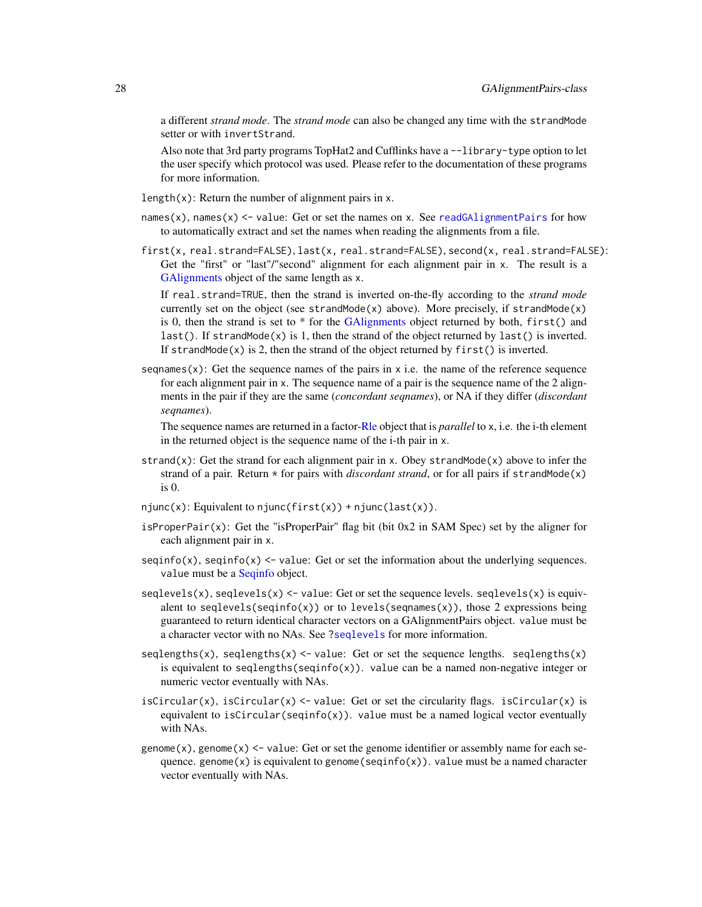a different *strand mode*. The *strand mode* can also be changed any time with the strandMode setter or with invertStrand.

Also note that 3rd party programs TopHat2 and Cufflinks have a --library-type option to let the user specify which protocol was used. Please refer to the documentation of these programs for more information.

- length(x): Return the number of alignment pairs in x.
- names(x), names(x)  $\le$  value: Get or set the names on x. See [readGAlignmentPairs](#page-63-2) for how to automatically extract and set the names when reading the alignments from a file.
- first(x, real.strand=FALSE), last(x, real.strand=FALSE), second(x, real.strand=FALSE): Get the "first" or "last"/"second" alignment for each alignment pair in x. The result is a [GAlignments](#page-31-1) object of the same length as x.

If real.strand=TRUE, then the strand is inverted on-the-fly according to the *strand mode* currently set on the object (see strandMode(x) above). More precisely, if strandMode(x) is 0, then the strand is set to \* for the [GAlignments](#page-31-1) object returned by both, first() and last(). If strandMode(x) is 1, then the strand of the object returned by last() is inverted. If strandMode(x) is 2, then the strand of the object returned by  $first()$  is inverted.

sequences (x): Get the sequence names of the pairs in x i.e. the name of the reference sequence for each alignment pair in x. The sequence name of a pair is the sequence name of the 2 alignments in the pair if they are the same (*concordant seqnames*), or NA if they differ (*discordant seqnames*).

The sequence names are returned in a factor[-Rle](#page-0-0) object that is *parallel* to x, i.e. the i-th element in the returned object is the sequence name of the i-th pair in x.

- strand(x): Get the strand for each alignment pair in x. Obey strandMode(x) above to infer the strand of a pair. Return  $*$  for pairs with *discordant strand*, or for all pairs if strandMode(x) is 0.
- $njunc(x)$ : Equivalent to  $njunc(first(x)) + njunc(last(x))$ .
- isProperPair $(x)$ : Get the "isProperPair" flag bit (bit 0x2 in SAM Spec) set by the aligner for each alignment pair in x.
- seqinfo(x), seqinfo(x)  $\le$  value: Get or set the information about the underlying sequences. value must be a [Seqinfo](#page-0-0) object.
- $seqlevels(x)$ ,  $seqlevels(x) \leq value: Get or set the sequence levels. seqlevels(x) is equiv$ alent to seqlevels(seqinfo(x)) or to levels(seqnames(x)), those 2 expressions being guaranteed to return identical character vectors on a GAlignmentPairs object. value must be a character vector with no NAs. See [?seqlevels](#page-0-0) for more information.
- seqlengths(x), seqlengths(x)  $\le$  value: Get or set the sequence lengths. seqlengths(x) is equivalent to seqlengths(seqinfo(x)). value can be a named non-negative integer or numeric vector eventually with NAs.
- isCircular(x), isCircular(x)  $\le$  value: Get or set the circularity flags. isCircular(x) is equivalent to isCircular(seqinfo(x)). value must be a named logical vector eventually with NAs.
- genome $(x)$ , genome $(x)$  <- value: Get or set the genome identifier or assembly name for each sequence. genome $(x)$  is equivalent to genome(seqinfo $(x)$ ). value must be a named character vector eventually with NAs.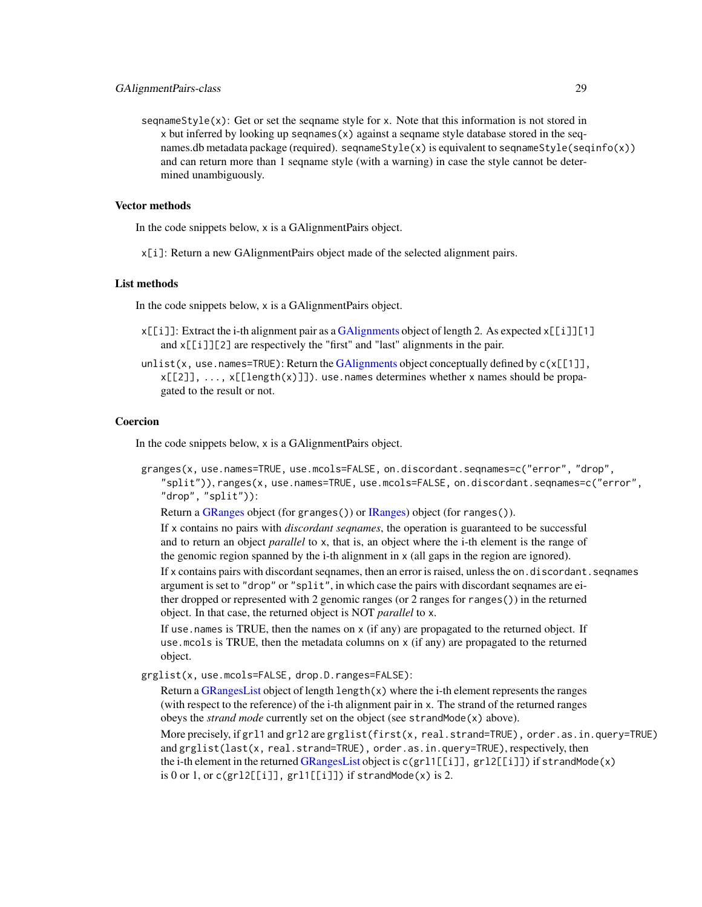seqnameStyle $(x)$ : Get or set the seqname style for x. Note that this information is not stored in x but inferred by looking up seqnames(x) against a seqname style database stored in the seqnames.db metadata package (required). seqnameStyle(x) is equivalent to seqnameStyle(seqinfo(x)) and can return more than 1 seqname style (with a warning) in case the style cannot be determined unambiguously.

## Vector methods

In the code snippets below, x is a GAlignmentPairs object.

x[i]: Return a new GAlignmentPairs object made of the selected alignment pairs.

#### List methods

In the code snippets below, x is a GAlignmentPairs object.

- $x[[i]]$ : Extract the i-th alignment pair as a [GAlignments](#page-31-1) object of length 2. As expected  $x[[i]][1]$ and x[[i]][2] are respectively the "first" and "last" alignments in the pair.
- unlist(x, use.names=TRUE): Return the [GAlignments](#page-31-1) object conceptually defined by  $c(x[[1]]$ ,  $x[[2]]$ , ...,  $x[[length(x)]]$ ). use.names determines whether x names should be propagated to the result or not.

## Coercion

In the code snippets below, x is a GAlignmentPairs object.

granges(x, use.names=TRUE, use.mcols=FALSE, on.discordant.seqnames=c("error", "drop", "split")), ranges(x, use.names=TRUE, use.mcols=FALSE, on.discordant.seqnames=c("error", "drop", "split")):

Return a [GRanges](#page-0-0) object (for granges()) or [IRanges\)](#page-0-0) object (for ranges()).

If x contains no pairs with *discordant seqnames*, the operation is guaranteed to be successful and to return an object *parallel* to x, that is, an object where the i-th element is the range of the genomic region spanned by the i-th alignment in  $x$  (all gaps in the region are ignored).

If x contains pairs with discordant seqnames, then an error is raised, unless the on. discordant. seqnames argument is set to "drop" or "split", in which case the pairs with discordant seqnames are either dropped or represented with 2 genomic ranges (or 2 ranges for ranges()) in the returned object. In that case, the returned object is NOT *parallel* to x.

If use.names is TRUE, then the names on x (if any) are propagated to the returned object. If use. mcols is TRUE, then the metadata columns on  $x$  (if any) are propagated to the returned object.

grglist(x, use.mcols=FALSE, drop.D.ranges=FALSE):

Return a [GRangesList](#page-0-0) object of length length(x) where the i-th element represents the ranges (with respect to the reference) of the i-th alignment pair in x. The strand of the returned ranges obeys the *strand mode* currently set on the object (see strandMode(x) above). More precisely, if grl1 and grl2 are grglist(first(x, real.strand=TRUE), order.as.in.query=TRUE)

and grglist(last(x, real.strand=TRUE), order.as.in.query=TRUE), respectively, then the i-th element in the returned [GRangesList](#page-0-0) object is  $c(gr11[[i]], gr12[[i]])$  if strandMode $(x)$ is 0 or 1, or  $c(gr12[[1]], gr11[[1]])$  if strandMode(x) is 2.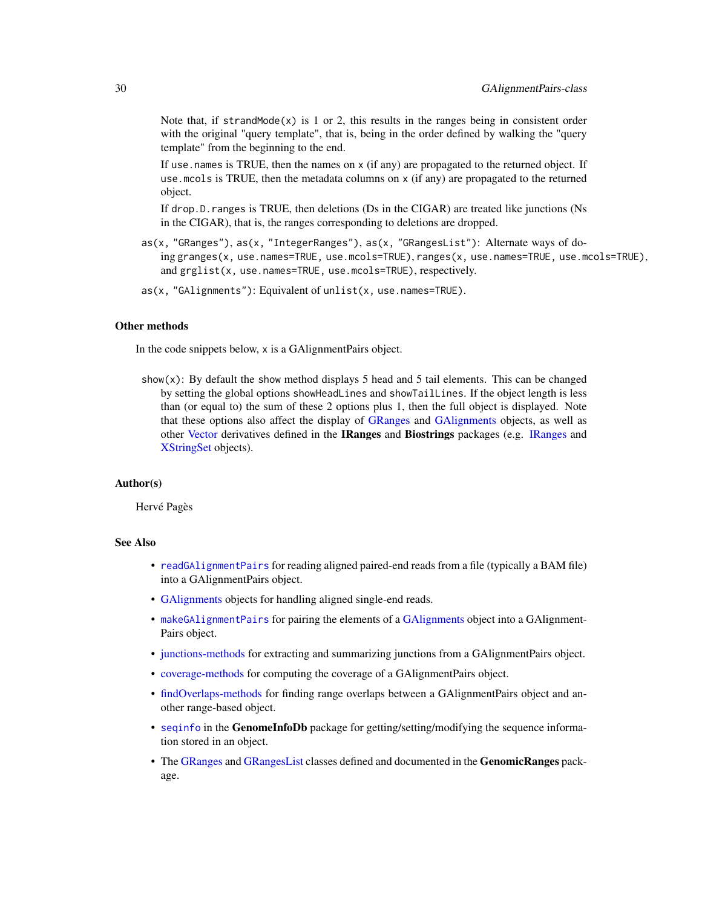Note that, if strandMode $(x)$  is 1 or 2, this results in the ranges being in consistent order with the original "query template", that is, being in the order defined by walking the "query template" from the beginning to the end.

If use . names is TRUE, then the names on  $x$  (if any) are propagated to the returned object. If use.mcols is TRUE, then the metadata columns on x (if any) are propagated to the returned object.

If drop.D.ranges is TRUE, then deletions (Ds in the CIGAR) are treated like junctions (Ns in the CIGAR), that is, the ranges corresponding to deletions are dropped.

- as(x, "GRanges"), as(x, "IntegerRanges"), as(x, "GRangesList"): Alternate ways of doing granges(x, use.names=TRUE, use.mcols=TRUE), ranges(x, use.names=TRUE, use.mcols=TRUE), and grglist(x, use.names=TRUE, use.mcols=TRUE), respectively.
- as(x, "GAlignments"): Equivalent of unlist(x, use.names=TRUE).

## Other methods

In the code snippets below, x is a GAlignmentPairs object.

show(x): By default the show method displays 5 head and 5 tail elements. This can be changed by setting the global options showHeadLines and showTailLines. If the object length is less than (or equal to) the sum of these 2 options plus 1, then the full object is displayed. Note that these options also affect the display of [GRanges](#page-0-0) and [GAlignments](#page-31-1) objects, as well as other [Vector](#page-0-0) derivatives defined in the IRanges and Biostrings packages (e.g. [IRanges](#page-0-0) and [XStringSet](#page-0-0) objects).

## Author(s)

Hervé Pagès

## See Also

- [readGAlignmentPairs](#page-63-2) for reading aligned paired-end reads from a file (typically a BAM file) into a GAlignmentPairs object.
- [GAlignments](#page-31-1) objects for handling aligned single-end reads.
- [makeGAlignmentPairs](#page-17-1) for pairing the elements of a [GAlignments](#page-31-1) object into a GAlignment-Pairs object.
- [junctions-methods](#page-44-1) for extracting and summarizing junctions from a GAlignmentPairs object.
- [coverage-methods](#page-9-2) for computing the coverage of a GAlignmentPairs object.
- [findOverlaps-methods](#page-21-2) for finding range overlaps between a GAlignmentPairs object and another range-based object.
- [seqinfo](#page-0-0) in the GenomeInfoDb package for getting/setting/modifying the sequence information stored in an object.
- The [GRanges](#page-0-0) and [GRangesList](#page-0-0) classes defined and documented in the GenomicRanges package.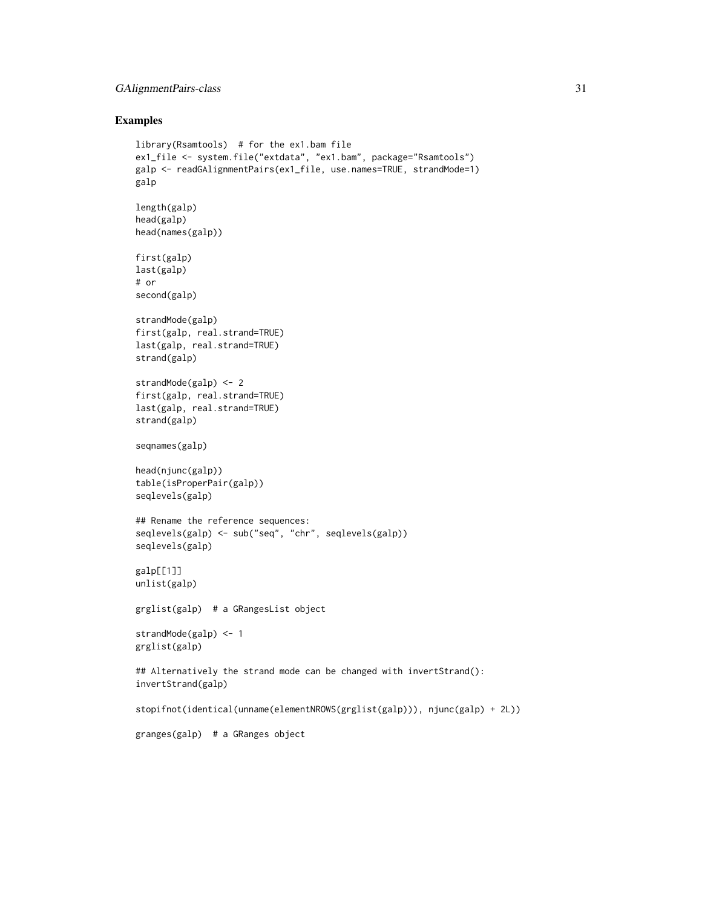## GAlignmentPairs-class 31

## Examples

```
library(Rsamtools) # for the ex1.bam file
ex1_file <- system.file("extdata", "ex1.bam", package="Rsamtools")
galp <- readGAlignmentPairs(ex1_file, use.names=TRUE, strandMode=1)
galp
length(galp)
head(galp)
head(names(galp))
first(galp)
last(galp)
# or
second(galp)
strandMode(galp)
first(galp, real.strand=TRUE)
last(galp, real.strand=TRUE)
strand(galp)
strandMode(galp) <- 2
first(galp, real.strand=TRUE)
last(galp, real.strand=TRUE)
strand(galp)
seqnames(galp)
head(njunc(galp))
table(isProperPair(galp))
seqlevels(galp)
## Rename the reference sequences:
seqlevels(galp) <- sub("seq", "chr", seqlevels(galp))
seqlevels(galp)
galp[[1]]
unlist(galp)
grglist(galp) # a GRangesList object
strandMode(galp) <- 1
grglist(galp)
## Alternatively the strand mode can be changed with invertStrand():
invertStrand(galp)
stopifnot(identical(unname(elementNROWS(grglist(galp))), njunc(galp) + 2L))
```
granges(galp) # a GRanges object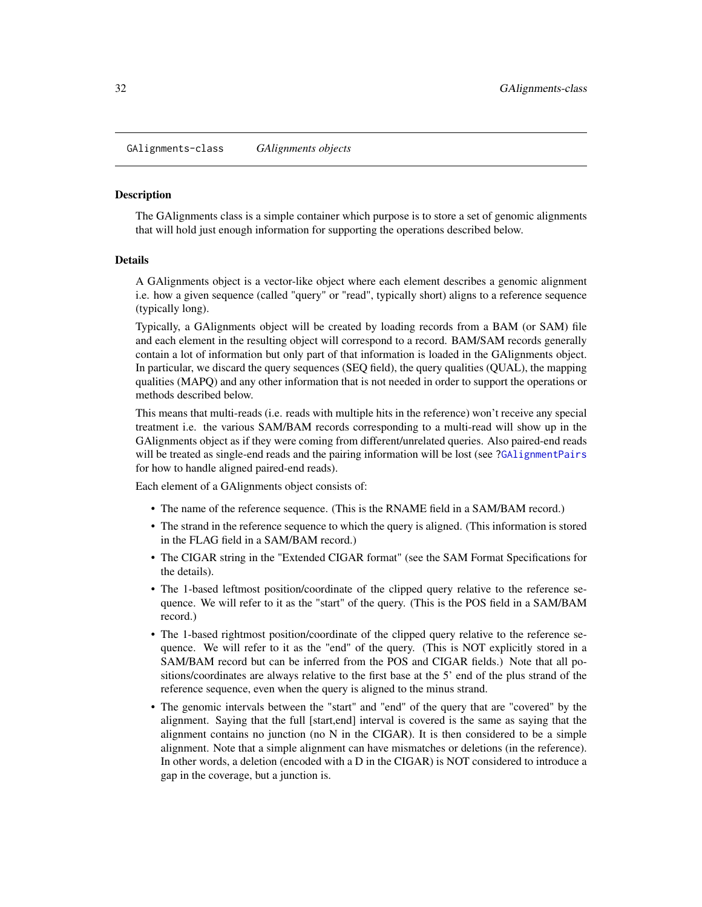<span id="page-31-2"></span><span id="page-31-0"></span>GAlignments-class *GAlignments objects*

#### <span id="page-31-1"></span>Description

The GAlignments class is a simple container which purpose is to store a set of genomic alignments that will hold just enough information for supporting the operations described below.

#### Details

A GAlignments object is a vector-like object where each element describes a genomic alignment i.e. how a given sequence (called "query" or "read", typically short) aligns to a reference sequence (typically long).

Typically, a GAlignments object will be created by loading records from a BAM (or SAM) file and each element in the resulting object will correspond to a record. BAM/SAM records generally contain a lot of information but only part of that information is loaded in the GAlignments object. In particular, we discard the query sequences (SEQ field), the query qualities (QUAL), the mapping qualities (MAPQ) and any other information that is not needed in order to support the operations or methods described below.

This means that multi-reads (i.e. reads with multiple hits in the reference) won't receive any special treatment i.e. the various SAM/BAM records corresponding to a multi-read will show up in the GAlignments object as if they were coming from different/unrelated queries. Also paired-end reads will be treated as single-end reads and the pairing information will be lost (see [?GAlignmentPairs](#page-26-1) for how to handle aligned paired-end reads).

Each element of a GAlignments object consists of:

- The name of the reference sequence. (This is the RNAME field in a SAM/BAM record.)
- The strand in the reference sequence to which the query is aligned. (This information is stored in the FLAG field in a SAM/BAM record.)
- The CIGAR string in the "Extended CIGAR format" (see the SAM Format Specifications for the details).
- The 1-based leftmost position/coordinate of the clipped query relative to the reference sequence. We will refer to it as the "start" of the query. (This is the POS field in a SAM/BAM record.)
- The 1-based rightmost position/coordinate of the clipped query relative to the reference sequence. We will refer to it as the "end" of the query. (This is NOT explicitly stored in a SAM/BAM record but can be inferred from the POS and CIGAR fields.) Note that all positions/coordinates are always relative to the first base at the 5' end of the plus strand of the reference sequence, even when the query is aligned to the minus strand.
- The genomic intervals between the "start" and "end" of the query that are "covered" by the alignment. Saying that the full [start,end] interval is covered is the same as saying that the alignment contains no junction (no  $N$  in the CIGAR). It is then considered to be a simple alignment. Note that a simple alignment can have mismatches or deletions (in the reference). In other words, a deletion (encoded with a D in the CIGAR) is NOT considered to introduce a gap in the coverage, but a junction is.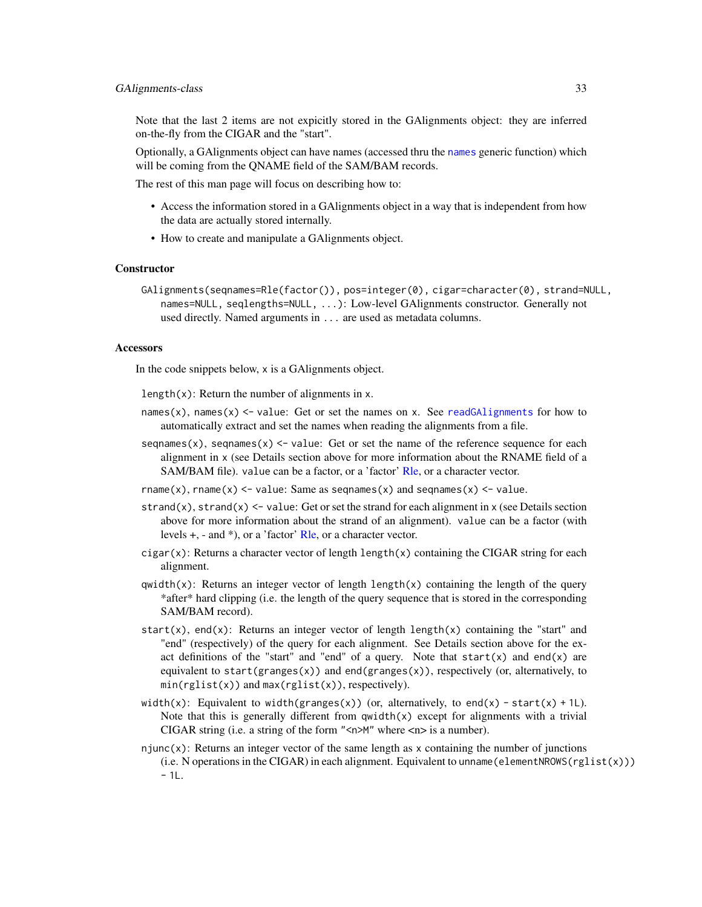## GAIignments-class 33

Note that the last 2 items are not expicitly stored in the GAlignments object: they are inferred on-the-fly from the CIGAR and the "start".

Optionally, a GAlignments object can have names (accessed thru the [names](#page-0-0) generic function) which will be coming from the QNAME field of the SAM/BAM records.

The rest of this man page will focus on describing how to:

- Access the information stored in a GAlignments object in a way that is independent from how the data are actually stored internally.
- How to create and manipulate a GAlignments object.

## **Constructor**

GAlignments(seqnames=Rle(factor()), pos=integer(0), cigar=character(0), strand=NULL, names=NULL, seqlengths=NULL, ...): Low-level GAlignments constructor. Generally not used directly. Named arguments in ... are used as metadata columns.

## **Accessors**

In the code snippets below, x is a GAlignments object.

length $(x)$ : Return the number of alignments in x.

- names(x), names(x)  $\le$  value: Get or set the names on x. See [readGAlignments](#page-63-1) for how to automatically extract and set the names when reading the alignments from a file.
- sequal sequences (x), sequal sequences (x)  $\leq$  value: Get or set the name of the reference sequence for each alignment in x (see Details section above for more information about the RNAME field of a SAM/BAM file). value can be a factor, or a 'factor' [Rle,](#page-0-0) or a character vector.
- rname(x), rname(x)  $\le$  value: Same as seqnames(x) and seqnames(x)  $\le$  value.
- strand(x), strand(x)  $\le$  value: Get or set the strand for each alignment in x (see Details section above for more information about the strand of an alignment). value can be a factor (with levels +, - and \*), or a 'factor' [Rle,](#page-0-0) or a character vector.
- cigar(x): Returns a character vector of length length(x) containing the CIGAR string for each alignment.
- $qwidth(x)$ : Returns an integer vector of length length(x) containing the length of the query \*after\* hard clipping (i.e. the length of the query sequence that is stored in the corresponding SAM/BAM record).
- start(x), end(x): Returns an integer vector of length length(x) containing the "start" and "end" (respectively) of the query for each alignment. See Details section above for the exact definitions of the "start" and "end" of a query. Note that  $start(x)$  and end $(x)$  are equivalent to start( $granges(x)$ ) and end( $granges(x)$ ), respectively (or, alternatively, to  $min(rglist(x))$  and  $max(rglist(x))$ , respectively).
- width(x): Equivalent to width(granges(x)) (or, alternatively, to end(x) start(x) + 1L). Note that this is generally different from  $qwidth(x)$  except for alignments with a trivial CIGAR string (i.e. a string of the form " $\langle n \rangle$ " where  $\langle n \rangle$  is a number).
- njunc $(x)$ : Returns an integer vector of the same length as x containing the number of junctions  $(i.e. N$  operations in the CIGAR) in each alignment. Equivalent to unname (elementNROWS( $rglist(x))$ )  $-1L.$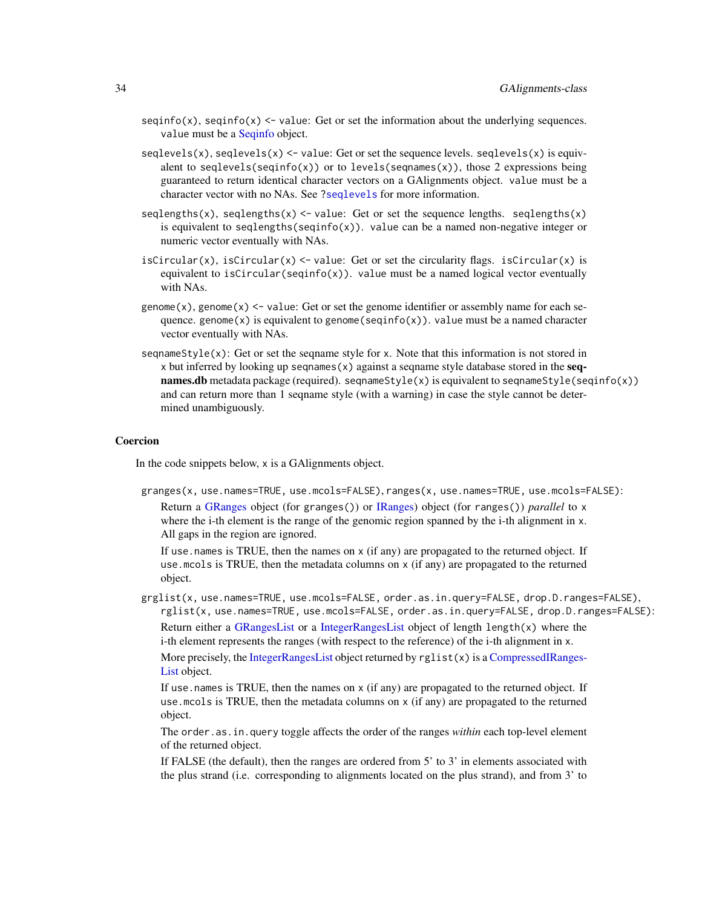- seqinfo(x), seqinfo(x)  $\le$  value: Get or set the information about the underlying sequences. value must be a [Seqinfo](#page-0-0) object.
- $seqlevels(x)$ ,  $seqlevels(x) \leq value$ : Get or set the sequence levels.  $seqlevels(x)$  is equivalent to seqlevels(seqinfo(x)) or to levels(seqnames(x)), those 2 expressions being guaranteed to return identical character vectors on a GAlignments object. value must be a character vector with no NAs. See [?seqlevels](#page-0-0) for more information.
- seqlengths(x), seqlengths(x)  $\le$  value: Get or set the sequence lengths. seqlengths(x) is equivalent to seqlengths(seqinfo(x)). value can be a named non-negative integer or numeric vector eventually with NAs.
- isCircular(x), isCircular(x)  $\le$  value: Get or set the circularity flags. isCircular(x) is equivalent to isCircular(seqinfo(x)). value must be a named logical vector eventually with NAs.
- genome(x), genome(x)  $\le$  value: Get or set the genome identifier or assembly name for each sequence. genome(x) is equivalent to genome(seqinfo(x)). value must be a named character vector eventually with NAs.
- seqnameStyle(x): Get or set the seqname style for x. Note that this information is not stored in x but inferred by looking up seqnames(x) against a seqname style database stored in the seq**names.db** metadata package (required). seqnameStyle(x) is equivalent to seqnameStyle(seqinfo(x)) and can return more than 1 seqname style (with a warning) in case the style cannot be determined unambiguously.

## Coercion

In the code snippets below, x is a GAlignments object.

granges(x, use.names=TRUE, use.mcols=FALSE), ranges(x, use.names=TRUE, use.mcols=FALSE):

Return a [GRanges](#page-0-0) object (for granges()) or [IRanges\)](#page-0-0) object (for ranges()) *parallel* to x where the i-th element is the range of the genomic region spanned by the i-th alignment in x. All gaps in the region are ignored.

If use names is TRUE, then the names on  $x$  (if any) are propagated to the returned object. If use. mcols is TRUE, then the metadata columns on  $x$  (if any) are propagated to the returned object.

grglist(x, use.names=TRUE, use.mcols=FALSE, order.as.in.query=FALSE, drop.D.ranges=FALSE), rglist(x, use.names=TRUE, use.mcols=FALSE, order.as.in.query=FALSE, drop.D.ranges=FALSE): Return either a [GRangesList](#page-0-0) or a [IntegerRangesList](#page-0-0) object of length length(x) where the i-th element represents the ranges (with respect to the reference) of the i-th alignment in x.

More precisely, the [IntegerRangesList](#page-0-0) object returned by  $rglist(x)$  is a [CompressedIRanges-](#page-0-0)[List](#page-0-0) object.

If use.names is TRUE, then the names on x (if any) are propagated to the returned object. If use.mcols is TRUE, then the metadata columns on x (if any) are propagated to the returned object.

The order.as.in.query toggle affects the order of the ranges *within* each top-level element of the returned object.

If FALSE (the default), then the ranges are ordered from 5' to 3' in elements associated with the plus strand (i.e. corresponding to alignments located on the plus strand), and from 3' to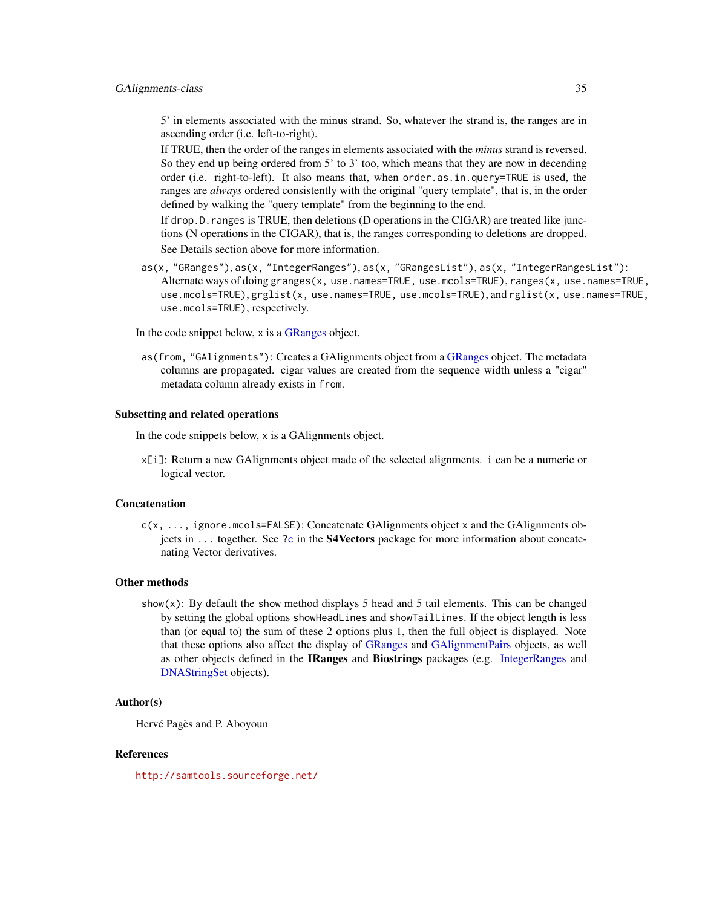## GAIignments-class 35

5' in elements associated with the minus strand. So, whatever the strand is, the ranges are in ascending order (i.e. left-to-right).

If TRUE, then the order of the ranges in elements associated with the *minus* strand is reversed. So they end up being ordered from 5' to 3' too, which means that they are now in decending order (i.e. right-to-left). It also means that, when order.as.in.query=TRUE is used, the ranges are *always* ordered consistently with the original "query template", that is, in the order defined by walking the "query template" from the beginning to the end.

If drop. D. ranges is TRUE, then deletions (D operations in the CIGAR) are treated like junctions (N operations in the CIGAR), that is, the ranges corresponding to deletions are dropped. See Details section above for more information.

as(x, "GRanges"), as(x, "IntegerRanges"), as(x, "GRangesList"), as(x, "IntegerRangesList"): Alternate ways of doing granges(x, use.names=TRUE, use.mcols=TRUE), ranges(x, use.names=TRUE, use.mcols=TRUE), grglist(x, use.names=TRUE, use.mcols=TRUE), and rglist(x, use.names=TRUE, use.mcols=TRUE), respectively.

In the code snippet below, x is a [GRanges](#page-0-0) object.

as(from, "GAlignments"): Creates a GAlignments object from a [GRanges](#page-0-0) object. The metadata columns are propagated. cigar values are created from the sequence width unless a "cigar" metadata column already exists in from.

## Subsetting and related operations

In the code snippets below, x is a GAlignments object.

x[i]: Return a new GAlignments object made of the selected alignments. i can be a numeric or logical vector.

## Concatenation

c(x, ..., ignore.mcols=FALSE): Concatenate GAlignments object x and the GAlignments ob-jects in ... together. See [?c](#page-0-0) in the **S4Vectors** package for more information about concatenating Vector derivatives.

#### Other methods

show(x): By default the show method displays 5 head and 5 tail elements. This can be changed by setting the global options showHeadLines and showTailLines. If the object length is less than (or equal to) the sum of these 2 options plus 1, then the full object is displayed. Note that these options also affect the display of [GRanges](#page-0-0) and [GAlignmentPairs](#page-26-1) objects, as well as other objects defined in the IRanges and Biostrings packages (e.g. [IntegerRanges](#page-0-0) and [DNAStringSet](#page-0-0) objects).

## Author(s)

Hervé Pagès and P. Aboyoun

## References

<http://samtools.sourceforge.net/>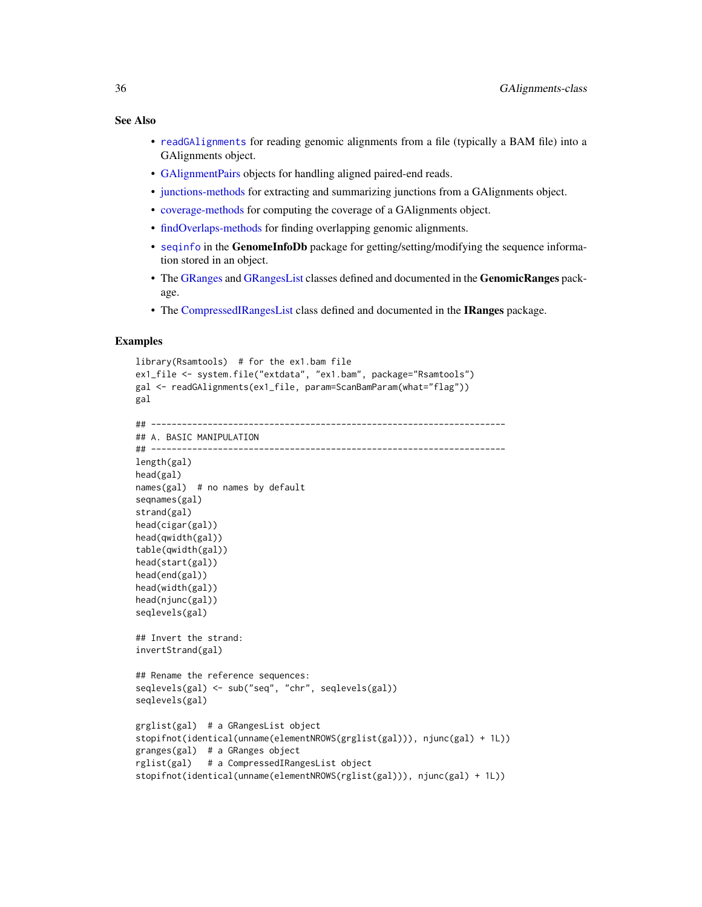## See Also

- [readGAlignments](#page-63-1) for reading genomic alignments from a file (typically a BAM file) into a GAlignments object.
- [GAlignmentPairs](#page-26-1) objects for handling aligned paired-end reads.
- [junctions-methods](#page-44-1) for extracting and summarizing junctions from a GAlignments object.
- [coverage-methods](#page-9-2) for computing the coverage of a GAlignments object.
- [findOverlaps-methods](#page-21-2) for finding overlapping genomic alignments.
- [seqinfo](#page-0-0) in the GenomeInfoDb package for getting/setting/modifying the sequence information stored in an object.
- The [GRanges](#page-0-0) and [GRangesList](#page-0-0) classes defined and documented in the GenomicRanges package.
- The [CompressedIRangesList](#page-0-0) class defined and documented in the IRanges package.

## Examples

```
library(Rsamtools) # for the ex1.bam file
ex1_file <- system.file("extdata", "ex1.bam", package="Rsamtools")
gal <- readGAlignments(ex1_file, param=ScanBamParam(what="flag"))
gal
## ---------------------------------------------------------------------
## A. BASIC MANIPULATION
## ---------------------------------------------------------------------
length(gal)
head(gal)
names(gal) # no names by default
seqnames(gal)
strand(gal)
head(cigar(gal))
head(qwidth(gal))
table(qwidth(gal))
head(start(gal))
head(end(gal))
head(width(gal))
head(njunc(gal))
seqlevels(gal)
## Invert the strand:
invertStrand(gal)
## Rename the reference sequences:
seqlevels(gal) <- sub("seq", "chr", seqlevels(gal))
seqlevels(gal)
grglist(gal) # a GRangesList object
stopifnot(identical(unname(elementNROWS(grglist(gal))), njunc(gal) + 1L))
granges(gal) # a GRanges object
rglist(gal) # a CompressedIRangesList object
stopifnot(identical(unname(elementNROWS(rglist(gal))), njunc(gal) + 1L))
```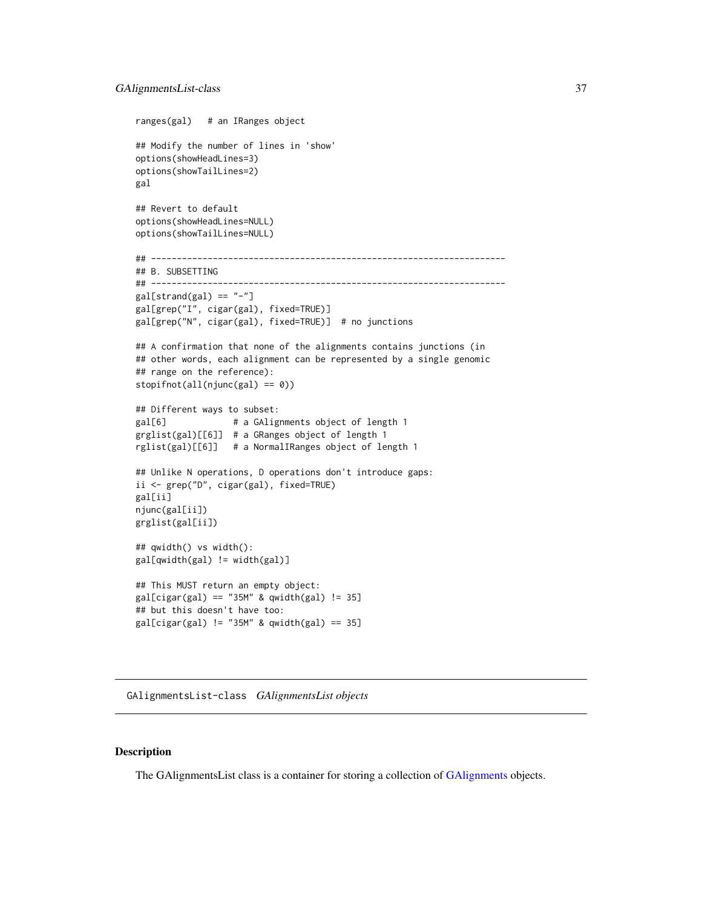```
ranges(gal) # an IRanges object
## Modify the number of lines in 'show'
options(showHeadLines=3)
options(showTailLines=2)
gal
## Revert to default
options(showHeadLines=NULL)
options(showTailLines=NULL)
## ---------------------------------------------------------------------
## B. SUBSETTING
## ---------------------------------------------------------------------
gal[strand(gal) == "-'']gal[grep("I", cigar(gal), fixed=TRUE)]
gal[grep("N", cigar(gal), fixed=TRUE)] # no junctions
## A confirmation that none of the alignments contains junctions (in
## other words, each alignment can be represented by a single genomic
## range on the reference):
stopifnot(all(njunc(gal) == 0))
## Different ways to subset:
gal[6] # a GAlignments object of length 1
grglist(gal)[[6]] # a GRanges object of length 1
rglist(gal)[[6]] # a NormalIRanges object of length 1
## Unlike N operations, D operations don't introduce gaps:
ii <- grep("D", cigar(gal), fixed=TRUE)
gal[ii]
njunc(gal[ii])
grglist(gal[ii])
## qwidth() vs width():
gal[qwidth(gal) != width(gal)]
## This MUST return an empty object:
gal[cigar(gal) == "35M" & qwidth(gal) != 35]## but this doesn't have too:
gal[cigar(gal) != "35M" & qwidth(gal) == 35]
```
GAlignmentsList-class *GAlignmentsList objects*

### <span id="page-36-0"></span>**Description**

The GAlignmentsList class is a container for storing a collection of [GAlignments](#page-31-0) objects.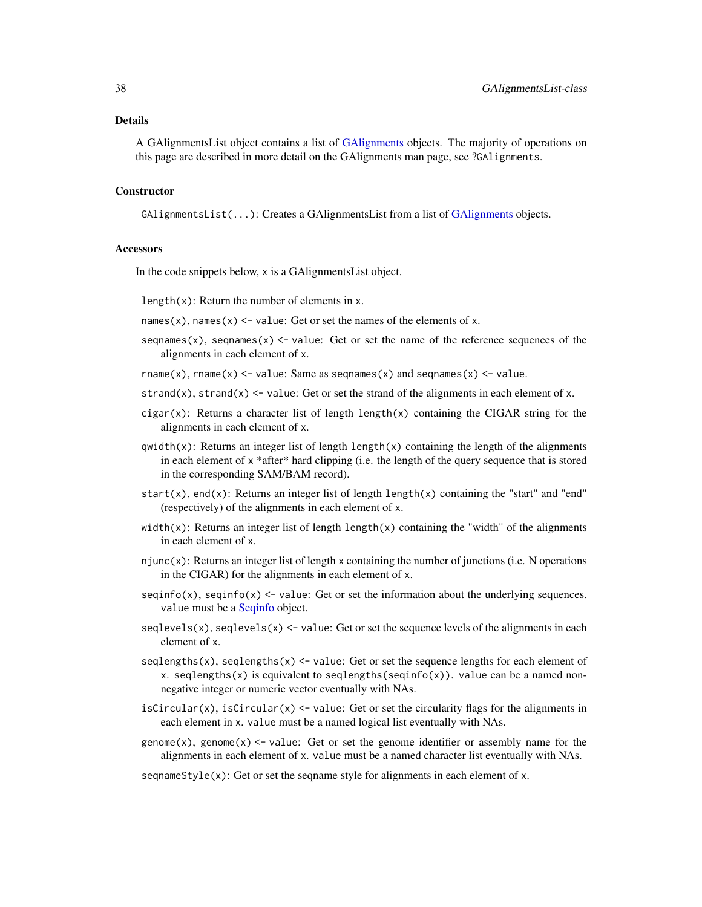#### Details

A GAlignmentsList object contains a list of [GAlignments](#page-31-0) objects. The majority of operations on this page are described in more detail on the GAlignments man page, see ?GAlignments.

#### **Constructor**

GAlignmentsList(...): Creates a GAlignmentsList from a list of [GAlignments](#page-31-0) objects.

### **Accessors**

In the code snippets below, x is a GAlignmentsList object.

length $(x)$ : Return the number of elements in x.

names(x), names(x)  $\le$  value: Get or set the names of the elements of x.

seqnames(x), seqnames(x)  $\le$  value: Get or set the name of the reference sequences of the alignments in each element of x.

rname(x), rname(x)  $\le$  value: Same as segnames(x) and segnames(x)  $\le$  value.

- strand(x), strand(x)  $\le$  value: Get or set the strand of the alignments in each element of x.
- cigar(x): Returns a character list of length length(x) containing the CIGAR string for the alignments in each element of x.
- $qwidth(x)$ : Returns an integer list of length length(x) containing the length of the alignments in each element of x \*after\* hard clipping (i.e. the length of the query sequence that is stored in the corresponding SAM/BAM record).
- start(x), end(x): Returns an integer list of length length(x) containing the "start" and "end" (respectively) of the alignments in each element of x.
- width(x): Returns an integer list of length length(x) containing the "width" of the alignments in each element of x.
- njunc(x): Returns an integer list of length x containing the number of junctions (i.e. N operations in the CIGAR) for the alignments in each element of x.
- $seqinfo(x)$ ,  $seqinfo(x) \leq value$ : Get or set the information about the underlying sequences. value must be a [Seqinfo](#page-0-0) object.
- seqlevels(x), seqlevels(x)  $\le$  value: Get or set the sequence levels of the alignments in each element of x.
- seqlengths(x), seqlengths(x)  $\le$  value: Get or set the sequence lengths for each element of x. seqlengths(x) is equivalent to seqlengths(seqinfo(x)). value can be a named nonnegative integer or numeric vector eventually with NAs.
- isCircular(x), isCircular(x) <- value: Get or set the circularity flags for the alignments in each element in x. value must be a named logical list eventually with NAs.
- genome(x), genome(x)  $\le$  value: Get or set the genome identifier or assembly name for the alignments in each element of x. value must be a named character list eventually with NAs.

seqnameStyle(x): Get or set the seqname style for alignments in each element of x.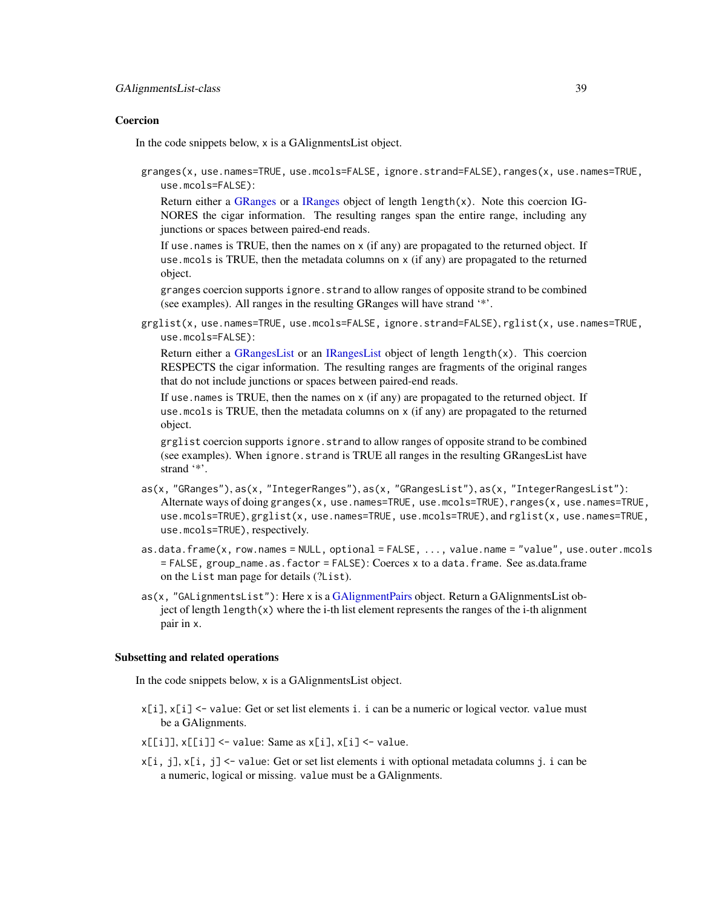#### Coercion

In the code snippets below, x is a GAlignmentsList object.

granges(x, use.names=TRUE, use.mcols=FALSE, ignore.strand=FALSE), ranges(x, use.names=TRUE, use.mcols=FALSE):

Return either a [GRanges](#page-0-0) or a [IRanges](#page-0-0) object of length length $(x)$ . Note this coercion IG-NORES the cigar information. The resulting ranges span the entire range, including any junctions or spaces between paired-end reads.

If use.names is TRUE, then the names on x (if any) are propagated to the returned object. If use. mcols is TRUE, then the metadata columns on  $x$  (if any) are propagated to the returned object.

granges coercion supports ignore.strand to allow ranges of opposite strand to be combined (see examples). All ranges in the resulting GRanges will have strand '\*'.

grglist(x, use.names=TRUE, use.mcols=FALSE, ignore.strand=FALSE), rglist(x, use.names=TRUE, use.mcols=FALSE):

Return either a [GRangesList](#page-0-0) or an [IRangesList](#page-0-0) object of length length $(x)$ . This coercion RESPECTS the cigar information. The resulting ranges are fragments of the original ranges that do not include junctions or spaces between paired-end reads.

If use.names is TRUE, then the names on x (if any) are propagated to the returned object. If use.mcols is TRUE, then the metadata columns on x (if any) are propagated to the returned object.

grglist coercion supports ignore.strand to allow ranges of opposite strand to be combined (see examples). When ignore.strand is TRUE all ranges in the resulting GRangesList have strand '\*'.

- as(x, "GRanges"), as(x, "IntegerRanges"), as(x, "GRangesList"), as(x, "IntegerRangesList"): Alternate ways of doing granges(x, use.names=TRUE, use.mcols=TRUE), ranges(x, use.names=TRUE, use.mcols=TRUE), grglist(x, use.names=TRUE, use.mcols=TRUE), and rglist(x, use.names=TRUE, use.mcols=TRUE), respectively.
- as.data.frame(x, row.names = NULL, optional = FALSE, ..., value.name = "value", use.outer.mcols = FALSE, group\_name.as.factor = FALSE): Coerces x to a data.frame. See as.data.frame on the List man page for details (?List).
- as(x, "GALignmentsList"): Here x is a [GAlignmentPairs](#page-26-0) object. Return a GAlignmentsList object of length length $(x)$  where the i-th list element represents the ranges of the i-th alignment pair in x.

#### Subsetting and related operations

In the code snippets below, x is a GAlignmentsList object.

- x[i], x[i] <- value: Get or set list elements i. i can be a numeric or logical vector. value must be a GAlignments.
- $x[[i]], x[[i]] \leftarrow$  value: Same as  $x[i], x[i] \leftarrow$  value.
- $x[i, j], x[i, j] \le$  value: Get or set list elements i with optional metadata columns j. i can be a numeric, logical or missing. value must be a GAlignments.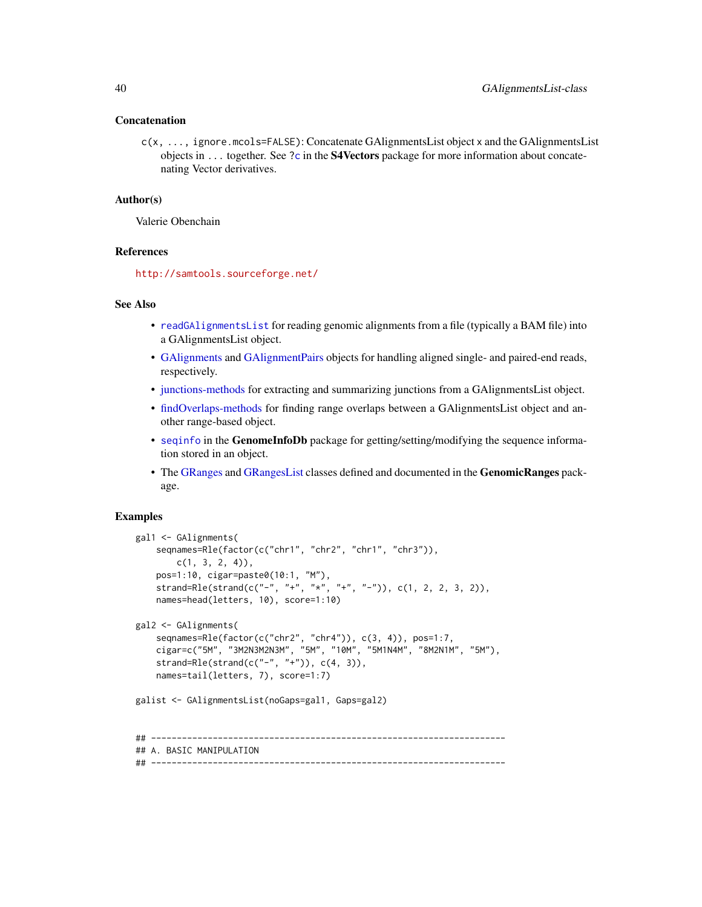#### Concatenation

c(x, ..., ignore.mcols=FALSE): Concatenate GAlignmentsList object x and the GAlignmentsList objects in  $\dots$  together. See [?c](#page-0-0) in the **S4Vectors** package for more information about concatenating Vector derivatives.

## Author(s)

Valerie Obenchain

# References

<http://samtools.sourceforge.net/>

## See Also

- [readGAlignmentsList](#page-63-0) for reading genomic alignments from a file (typically a BAM file) into a GAlignmentsList object.
- [GAlignments](#page-31-0) and [GAlignmentPairs](#page-26-0) objects for handling aligned single- and paired-end reads, respectively.
- [junctions-methods](#page-44-0) for extracting and summarizing junctions from a GAlignmentsList object.
- [findOverlaps-methods](#page-21-0) for finding range overlaps between a GAlignmentsList object and another range-based object.
- [seqinfo](#page-0-0) in the GenomeInfoDb package for getting/setting/modifying the sequence information stored in an object.
- The [GRanges](#page-0-0) and [GRangesList](#page-0-0) classes defined and documented in the GenomicRanges package.

## Examples

```
gal1 <- GAlignments(
    seqnames=Rle(factor(c("chr1", "chr2", "chr1", "chr3")),
        c(1, 3, 2, 4),
   pos=1:10, cigar=paste0(10:1, "M"),
    strand=Rle(strand(c("-", "+", "*", "+", "-")), c(1, 2, 2, 3, 2)),
   names=head(letters, 10), score=1:10)
gal2 <- GAlignments(
    seqnames=Rle(factor(c("chr2", "chr4")), c(3, 4)), pos=1:7,
    cigar=c("5M", "3M2N3M2N3M", "5M", "10M", "5M1N4M", "8M2N1M", "5M"),
    strand=Rle(strand(c("-", "+")), c(4, 3)),
   names=tail(letters, 7), score=1:7)
galist <- GAlignmentsList(noGaps=gal1, Gaps=gal2)
## ---------------------------------------------------------------------
## A. BASIC MANIPULATION
## ---------------------------------------------------------------------
```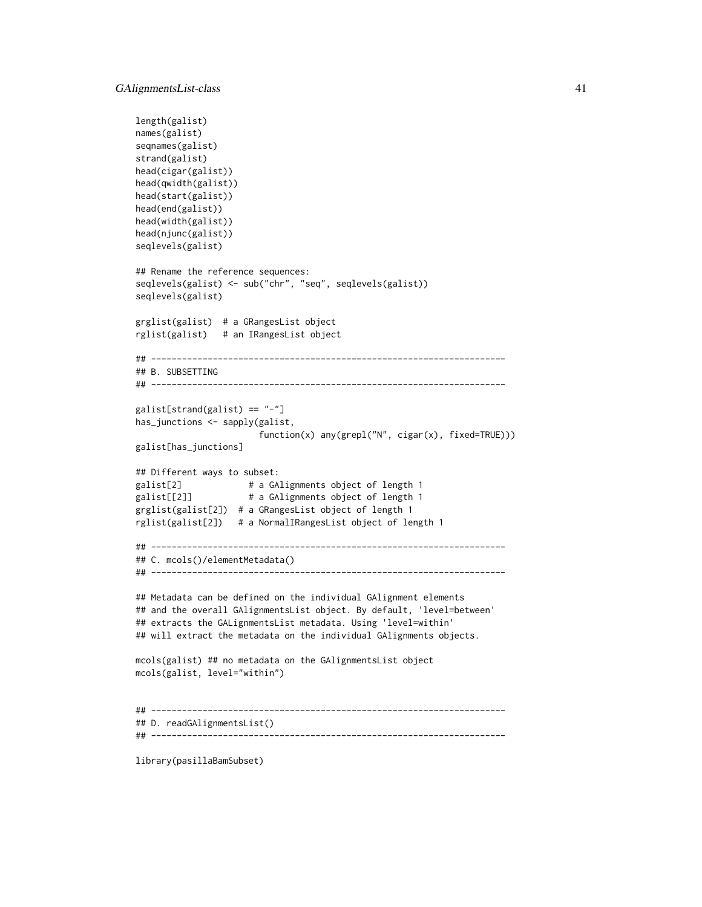```
length(galist)
names(galist)
seqnames(galist)
strand(galist)
head(cigar(galist))
head(qwidth(galist))
head(start(galist))
head(end(galist))
head(width(galist))
head(njunc(galist))
seqlevels(galist)
## Rename the reference sequences:
seqlevels(galist) <- sub("chr", "seq", seqlevels(galist))
seqlevels(galist)
grglist(galist) # a GRangesList object
rglist(galist) # an IRangesList object
## ---------------------------------------------------------------------
## B. SUBSETTING
## ---------------------------------------------------------------------
galist[strand(galist) == "-"]
has_junctions <- sapply(galist,
                        function(x) any(grepl("N", cigar(x), fixed=TRUE)))
galist[has_junctions]
## Different ways to subset:
galist[2] \qquad # a GAlignments object of length 1
galist[[2]] \qquad \qquad # a GAlignments object of length 1
grglist(galist[2]) # a GRangesList object of length 1
rglist(galist[2]) # a NormalIRangesList object of length 1
## ---------------------------------------------------------------------
## C. mcols()/elementMetadata()
## ---------------------------------------------------------------------
## Metadata can be defined on the individual GAlignment elements
## and the overall GAlignmentsList object. By default, 'level=between'
## extracts the GALignmentsList metadata. Using 'level=within'
## will extract the metadata on the individual GAlignments objects.
mcols(galist) ## no metadata on the GAlignmentsList object
mcols(galist, level="within")
## ---------------------------------------------------------------------
## D. readGAlignmentsList()
## ---------------------------------------------------------------------
```
library(pasillaBamSubset)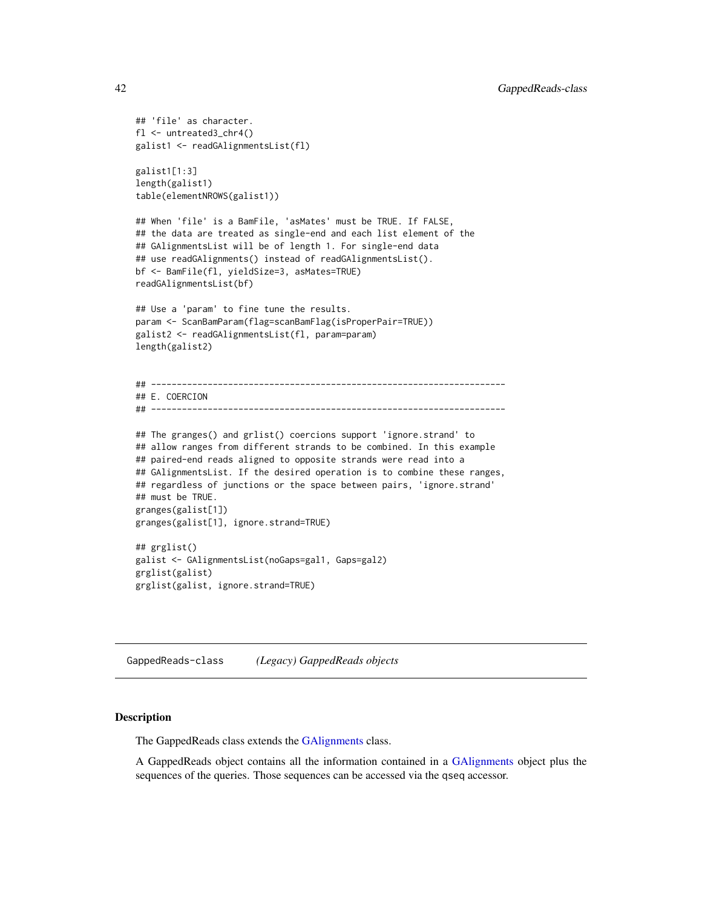```
## 'file' as character.
fl <- untreated3_chr4()
galist1 <- readGAlignmentsList(fl)
galist1[1:3]
length(galist1)
table(elementNROWS(galist1))
## When 'file' is a BamFile, 'asMates' must be TRUE. If FALSE,
## the data are treated as single-end and each list element of the
## GAlignmentsList will be of length 1. For single-end data
## use readGAlignments() instead of readGAlignmentsList().
bf <- BamFile(fl, yieldSize=3, asMates=TRUE)
readGAlignmentsList(bf)
## Use a 'param' to fine tune the results.
param <- ScanBamParam(flag=scanBamFlag(isProperPair=TRUE))
galist2 <- readGAlignmentsList(fl, param=param)
length(galist2)
## ---------------------------------------------------------------------
## E. COERCION
## ---------------------------------------------------------------------
## The granges() and grlist() coercions support 'ignore.strand' to
## allow ranges from different strands to be combined. In this example
## paired-end reads aligned to opposite strands were read into a
## GAlignmentsList. If the desired operation is to combine these ranges,
## regardless of junctions or the space between pairs, 'ignore.strand'
## must be TRUE.
granges(galist[1])
granges(galist[1], ignore.strand=TRUE)
## grglist()
galist <- GAlignmentsList(noGaps=gal1, Gaps=gal2)
grglist(galist)
grglist(galist, ignore.strand=TRUE)
```
GappedReads-class *(Legacy) GappedReads objects*

## <span id="page-41-0"></span>Description

The GappedReads class extends the [GAlignments](#page-31-0) class.

A GappedReads object contains all the information contained in a [GAlignments](#page-31-0) object plus the sequences of the queries. Those sequences can be accessed via the qseq accessor.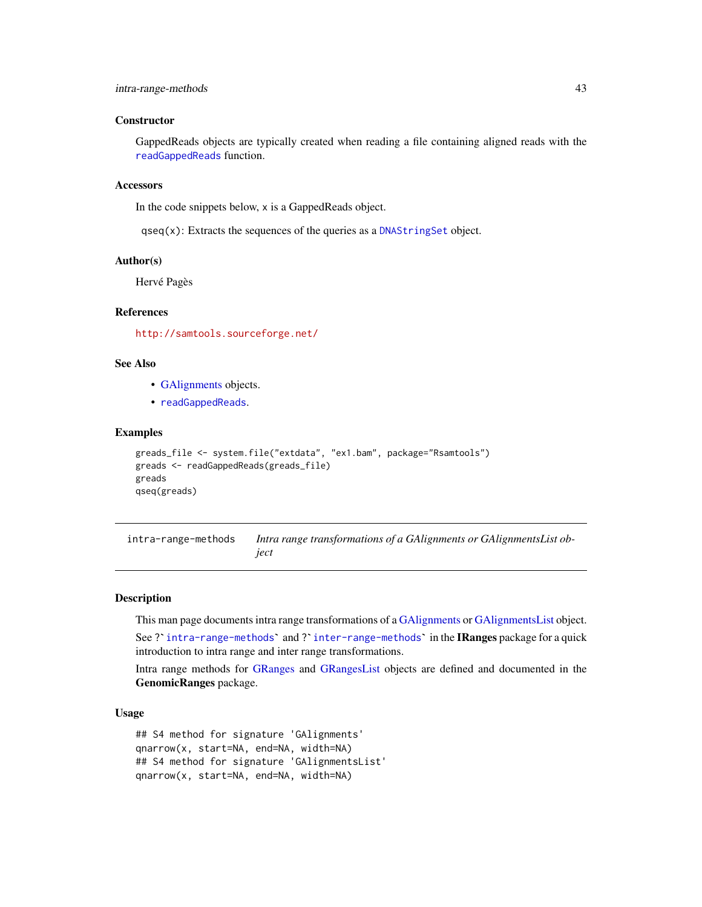#### **Constructor**

GappedReads objects are typically created when reading a file containing aligned reads with the [readGappedReads](#page-63-0) function.

### **Accessors**

In the code snippets below, x is a GappedReads object.

qseq(x): Extracts the sequences of the queries as a [DNAStringSet](#page-0-0) object.

### Author(s)

Hervé Pagès

# References

<http://samtools.sourceforge.net/>

## See Also

- [GAlignments](#page-31-0) objects.
- [readGappedReads](#page-63-0).

## Examples

```
greads_file <- system.file("extdata", "ex1.bam", package="Rsamtools")
greads <- readGappedReads(greads_file)
greads
qseq(greads)
```
<span id="page-42-0"></span>intra-range-methods *Intra range transformations of a GAlignments or GAlignmentsList object*

#### Description

This man page documents intra range transformations of a [GAlignments](#page-31-0) or [GAlignmentsList](#page-36-0) object.

r**iption**<br>This man page documents intra range transformations of a GAlignments or GAlignmentsList object.<br>See ?`[intra-range-methods](#page-42-0)` and ?`[inter-range-methods](#page-0-0)` in the **IRanges** package for a quick introduction to intra range and inter range transformations.

Intra range methods for [GRanges](#page-0-0) and [GRangesList](#page-0-0) objects are defined and documented in the GenomicRanges package.

#### Usage

```
## S4 method for signature 'GAlignments'
qnarrow(x, start=NA, end=NA, width=NA)
## S4 method for signature 'GAlignmentsList'
qnarrow(x, start=NA, end=NA, width=NA)
```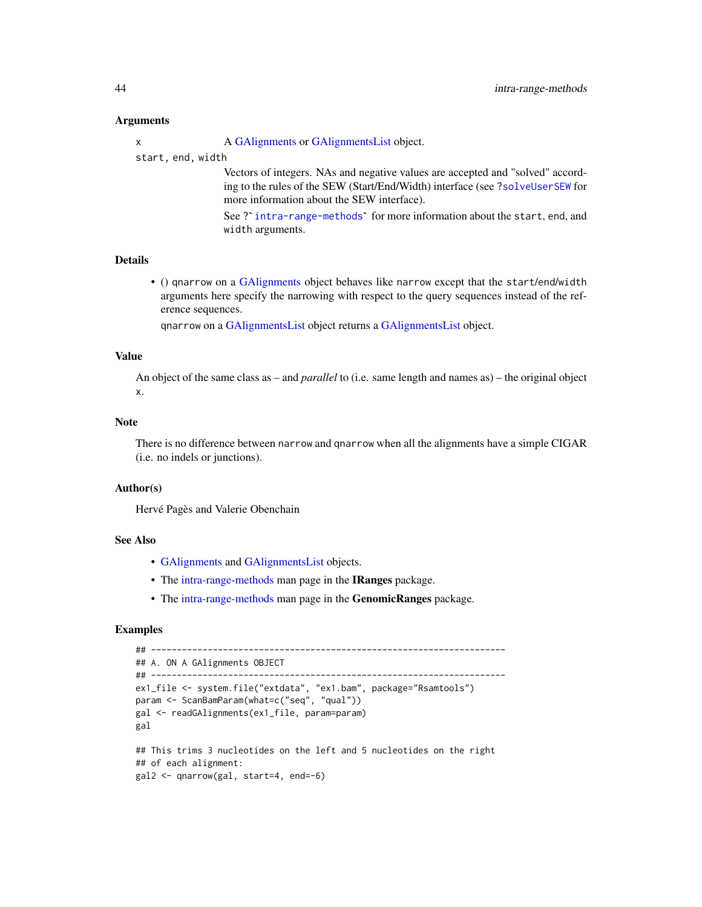### Arguments

x A [GAlignments](#page-31-0) or [GAlignmentsList](#page-36-0) object.

start, end, width

Vectors of integers. NAs and negative values are accepted and "solved" according to the rules of the SEW (Start/End/Width) interface (see [?solveUserSEW](#page-0-0) for more information about the SEW interface).

See ? [intra-range-methods](#page-42-0)' for more information about the start, end, and width arguments.

# Details

• () qnarrow on a [GAlignments](#page-31-0) object behaves like narrow except that the start/end/width arguments here specify the narrowing with respect to the query sequences instead of the reference sequences.

qnarrow on a [GAlignmentsList](#page-36-0) object returns a [GAlignmentsList](#page-36-0) object.

#### Value

An object of the same class as – and *parallel* to (i.e. same length and names as) – the original object x.

# Note

There is no difference between narrow and qnarrow when all the alignments have a simple CIGAR (i.e. no indels or junctions).

## Author(s)

Hervé Pagès and Valerie Obenchain

### See Also

- [GAlignments](#page-31-0) and [GAlignmentsList](#page-36-0) objects.
- The [intra-range-methods](#page-42-0) man page in the IRanges package.
- The [intra-range-methods](#page-42-0) man page in the GenomicRanges package.

# Examples

```
## ---------------------------------------------------------------------
## A. ON A GAlignments OBJECT
## ---------------------------------------------------------------------
ex1_file <- system.file("extdata", "ex1.bam", package="Rsamtools")
param <- ScanBamParam(what=c("seq", "qual"))
gal <- readGAlignments(ex1_file, param=param)
gal
## This trims 3 nucleotides on the left and 5 nucleotides on the right
## of each alignment:
gal2 <- qnarrow(gal, start=4, end=-6)
```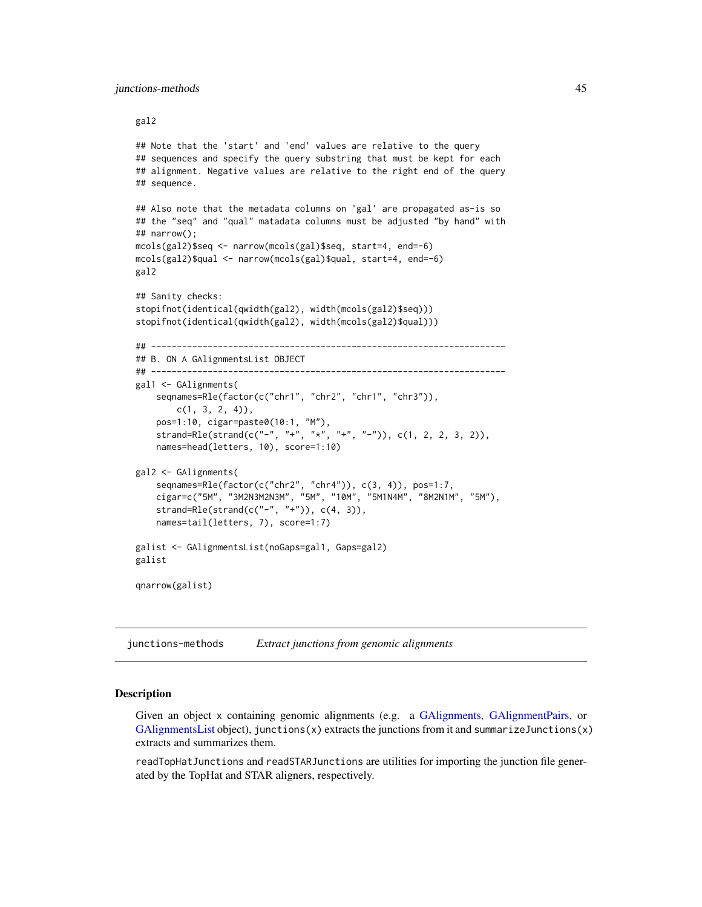#### gal2

```
## Note that the 'start' and 'end' values are relative to the query
## sequences and specify the query substring that must be kept for each
## alignment. Negative values are relative to the right end of the query
## sequence.
## Also note that the metadata columns on 'gal' are propagated as-is so
## the "seq" and "qual" matadata columns must be adjusted "by hand" with
## narrow();
mcols(gal2)$seq <- narrow(mcols(gal)$seq, start=4, end=-6)
mcols(gal2)$qual <- narrow(mcols(gal)$qual, start=4, end=-6)
gal2
## Sanity checks:
stopifnot(identical(qwidth(gal2), width(mcols(gal2)$seq)))
stopifnot(identical(qwidth(gal2), width(mcols(gal2)$qual)))
## ---------------------------------------------------------------------
## B. ON A GAlignmentsList OBJECT
## ---------------------------------------------------------------------
gal1 <- GAlignments(
    seqnames=Rle(factor(c("chr1", "chr2", "chr1", "chr3")),
       c(1, 3, 2, 4),
   pos=1:10, cigar=paste0(10:1, "M"),
    strand=Rle(strand(c("-", "+", "*", "+", "-")), c(1, 2, 2, 3, 2)),
    names=head(letters, 10), score=1:10)
gal2 <- GAlignments(
    seqnames=Rle(factor(c("chr2", "chr4")), c(3, 4)), pos=1:7,
    cigar=c("5M", "3M2N3M2N3M", "5M", "10M", "5M1N4M", "8M2N1M", "5M"),
   strand=Rle(strand(c("-", "+")), c(4, 3)),
   names=tail(letters, 7), score=1:7)
galist <- GAlignmentsList(noGaps=gal1, Gaps=gal2)
galist
qnarrow(galist)
```
<span id="page-44-0"></span>junctions-methods *Extract junctions from genomic alignments*

#### **Description**

Given an object x containing genomic alignments (e.g. a [GAlignments,](#page-31-0) [GAlignmentPairs,](#page-26-0) or  $G$ AlignmentsList object), junctions $(x)$  extracts the junctions from it and summarizeJunctions $(x)$ extracts and summarizes them.

readTopHatJunctions and readSTARJunctions are utilities for importing the junction file generated by the TopHat and STAR aligners, respectively.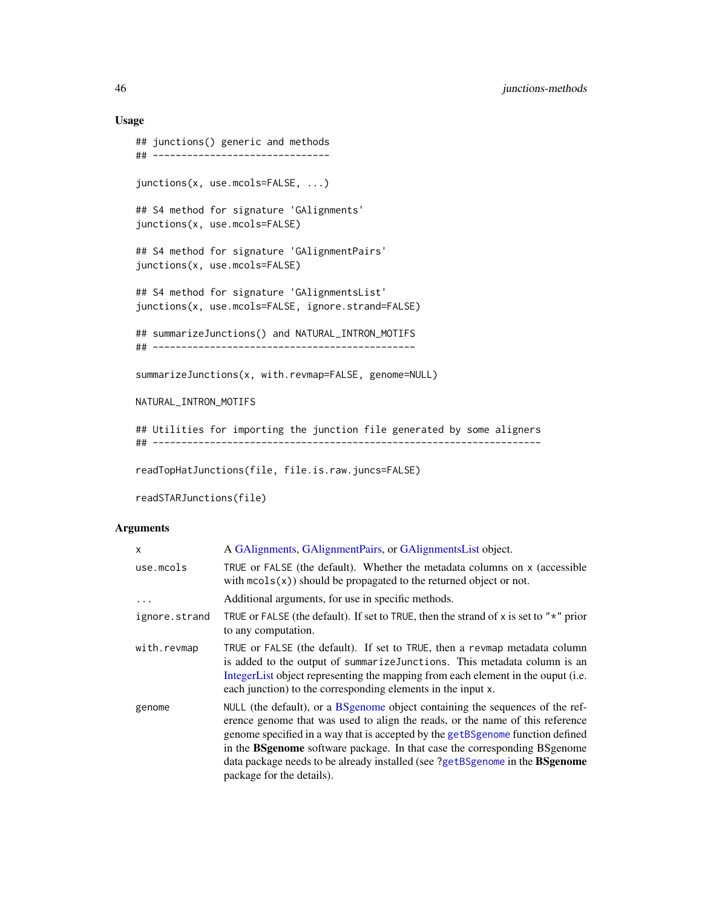# Usage

```
## junctions() generic and methods
## -------------------------------
junctions(x, use.mcols=FALSE, ...)
## S4 method for signature 'GAlignments'
junctions(x, use.mcols=FALSE)
## S4 method for signature 'GAlignmentPairs'
junctions(x, use.mcols=FALSE)
## S4 method for signature 'GAlignmentsList'
junctions(x, use.mcols=FALSE, ignore.strand=FALSE)
## summarizeJunctions() and NATURAL_INTRON_MOTIFS
## ----------------------------------------------
summarizeJunctions(x, with.revmap=FALSE, genome=NULL)
NATURAL_INTRON_MOTIFS
## Utilities for importing the junction file generated by some aligners
## --------------------------------------------------------------------
```
readTopHatJunctions(file, file.is.raw.juncs=FALSE)

```
readSTARJunctions(file)
```
# Arguments

| x             | A GAlignments, GAlignmentPairs, or GAlignmentsList object.                                                                                                                                                                                                                                                                                                                                                                                         |
|---------------|----------------------------------------------------------------------------------------------------------------------------------------------------------------------------------------------------------------------------------------------------------------------------------------------------------------------------------------------------------------------------------------------------------------------------------------------------|
| use.mcols     | TRUE or FALSE (the default). Whether the metadata columns on x (accessible<br>with $\text{mcols}(x)$ should be propagated to the returned object or not.                                                                                                                                                                                                                                                                                           |
| .             | Additional arguments, for use in specific methods.                                                                                                                                                                                                                                                                                                                                                                                                 |
| ignore.strand | TRUE or FALSE (the default). If set to TRUE, then the strand of x is set to " $*$ " prior<br>to any computation.                                                                                                                                                                                                                                                                                                                                   |
| with.revmap   | TRUE or FALSE (the default). If set to TRUE, then a revmap metadata column<br>is added to the output of summarize Junctions. This metadata column is an<br>IntegerList object representing the mapping from each element in the ouput (i.e.<br>each junction) to the corresponding elements in the input x.                                                                                                                                        |
| genome        | NULL (the default), or a BS genome object containing the sequences of the ref-<br>erence genome that was used to align the reads, or the name of this reference<br>genome specified in a way that is accepted by the getBSgenome function defined<br>in the BSgenome software package. In that case the corresponding BSgenome<br>data package needs to be already installed (see ?getBSgenome in the <b>BSgenome</b><br>package for the details). |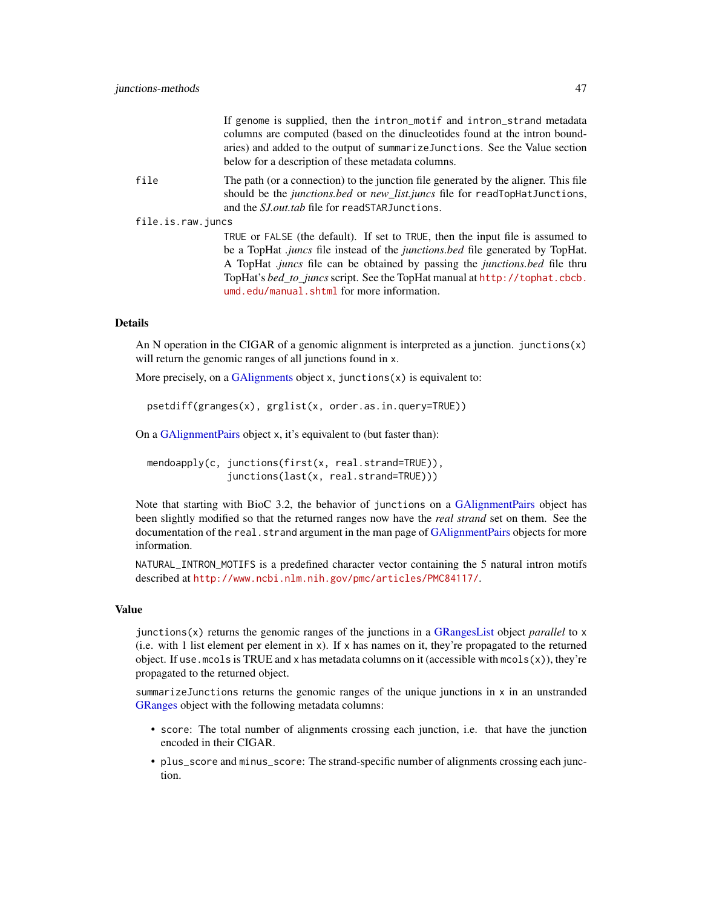|                   | If genome is supplied, then the intron_motif and intron_strand metadata<br>columns are computed (based on the dinucleotides found at the intron bound-<br>aries) and added to the output of summarize Junctions. See the Value section<br>below for a description of these metadata columns.                                                                                                          |
|-------------------|-------------------------------------------------------------------------------------------------------------------------------------------------------------------------------------------------------------------------------------------------------------------------------------------------------------------------------------------------------------------------------------------------------|
| file              | The path (or a connection) to the junction file generated by the aligner. This file<br>should be the junctions.bed or new_list.juncs file for readTopHatJunctions,<br>and the <i>S.I. out tab</i> file for readSTAR Junctions.                                                                                                                                                                        |
| file.is.raw.juncs |                                                                                                                                                                                                                                                                                                                                                                                                       |
|                   | TRUE or FALSE (the default). If set to TRUE, then the input file is assumed to<br>be a TopHat <i>juncs</i> file instead of the <i>junctions bed</i> file generated by TopHat.<br>A TopHat <i>juncs</i> file can be obtained by passing the <i>junctions bed</i> file thru<br>TopHat's bed to juncs script. See the TopHat manual at http://tophat.cbcb.<br>umd.edu/manual.shtml for more information. |
|                   |                                                                                                                                                                                                                                                                                                                                                                                                       |

# Details

An N operation in the CIGAR of a genomic alignment is interpreted as a junction. junctions $(x)$ will return the genomic ranges of all junctions found in x.

More precisely, on a [GAlignments](#page-31-0) object  $x$ , junctions $(x)$  is equivalent to:

psetdiff(granges(x), grglist(x, order.as.in.query=TRUE))

On a [GAlignmentPairs](#page-26-0) object x, it's equivalent to (but faster than):

mendoapply(c, junctions(first(x, real.strand=TRUE)), junctions(last(x, real.strand=TRUE)))

Note that starting with BioC 3.2, the behavior of junctions on a [GAlignmentPairs](#page-26-0) object has been slightly modified so that the returned ranges now have the *real strand* set on them. See the documentation of the real.strand argument in the man page of [GAlignmentPairs](#page-26-0) objects for more information.

NATURAL\_INTRON\_MOTIFS is a predefined character vector containing the 5 natural intron motifs described at <http://www.ncbi.nlm.nih.gov/pmc/articles/PMC84117/>.

#### Value

junctions(x) returns the genomic ranges of the junctions in a [GRangesList](#page-0-0) object *parallel* to x  $(i.e.$  with 1 list element per element in x). If x has names on it, they're propagated to the returned object. If use . mcols is TRUE and x has metadata columns on it (accessible with mcols(x)), they're propagated to the returned object.

summarizeJunctions returns the genomic ranges of the unique junctions in  $x$  in an unstranded [GRanges](#page-0-0) object with the following metadata columns:

- score: The total number of alignments crossing each junction, i.e. that have the junction encoded in their CIGAR.
- plus\_score and minus\_score: The strand-specific number of alignments crossing each junction.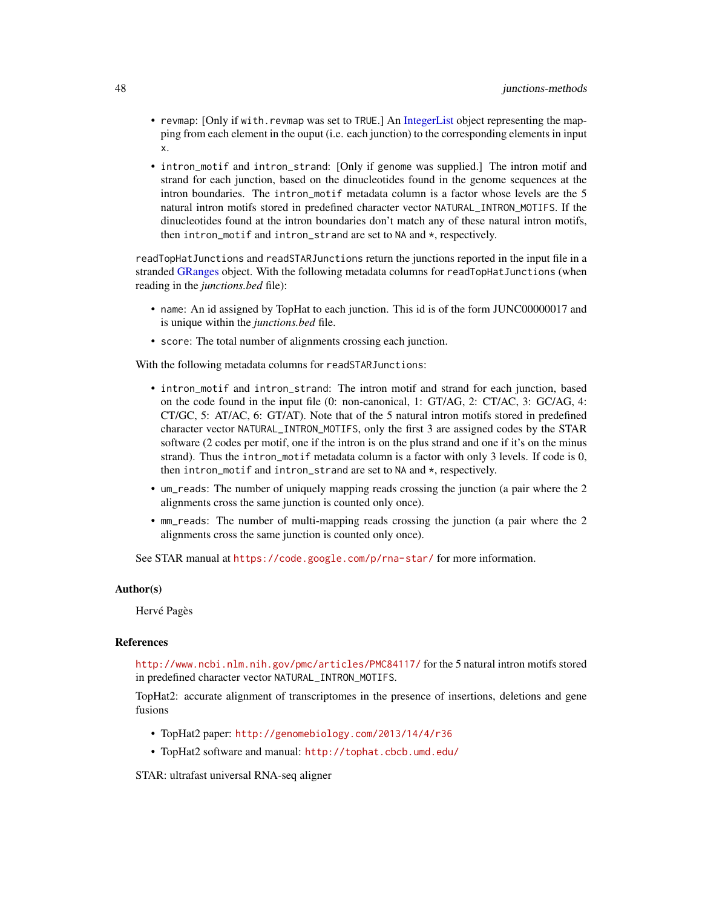- revmap: [Only if with.revmap was set to TRUE.] An [IntegerList](#page-0-0) object representing the mapping from each element in the ouput (i.e. each junction) to the corresponding elements in input x.
- intron\_motif and intron\_strand: [Only if genome was supplied.] The intron motif and strand for each junction, based on the dinucleotides found in the genome sequences at the intron boundaries. The intron\_motif metadata column is a factor whose levels are the 5 natural intron motifs stored in predefined character vector NATURAL\_INTRON\_MOTIFS. If the dinucleotides found at the intron boundaries don't match any of these natural intron motifs, then intron\_motif and intron\_strand are set to NA and \*, respectively.

readTopHatJunctions and readSTARJunctions return the junctions reported in the input file in a stranded [GRanges](#page-0-0) object. With the following metadata columns for readTopHatJunctions (when reading in the *junctions.bed* file):

- name: An id assigned by TopHat to each junction. This id is of the form JUNC00000017 and is unique within the *junctions.bed* file.
- score: The total number of alignments crossing each junction.

With the following metadata columns for readSTARJunctions:

- intron\_motif and intron\_strand: The intron motif and strand for each junction, based on the code found in the input file (0: non-canonical, 1: GT/AG, 2: CT/AC, 3: GC/AG, 4: CT/GC, 5: AT/AC, 6: GT/AT). Note that of the 5 natural intron motifs stored in predefined character vector NATURAL\_INTRON\_MOTIFS, only the first 3 are assigned codes by the STAR software (2 codes per motif, one if the intron is on the plus strand and one if it's on the minus strand). Thus the intron\_motif metadata column is a factor with only 3 levels. If code is 0, then intron\_motif and intron\_strand are set to NA and \*, respectively.
- um\_reads: The number of uniquely mapping reads crossing the junction (a pair where the 2 alignments cross the same junction is counted only once).
- mm\_reads: The number of multi-mapping reads crossing the junction (a pair where the 2 alignments cross the same junction is counted only once).

See STAR manual at <https://code.google.com/p/rna-star/> for more information.

#### Author(s)

Hervé Pagès

## References

<http://www.ncbi.nlm.nih.gov/pmc/articles/PMC84117/> for the 5 natural intron motifs stored in predefined character vector NATURAL\_INTRON\_MOTIFS.

TopHat2: accurate alignment of transcriptomes in the presence of insertions, deletions and gene fusions

- TopHat2 paper: <http://genomebiology.com/2013/14/4/r36>
- TopHat2 software and manual: <http://tophat.cbcb.umd.edu/>

STAR: ultrafast universal RNA-seq aligner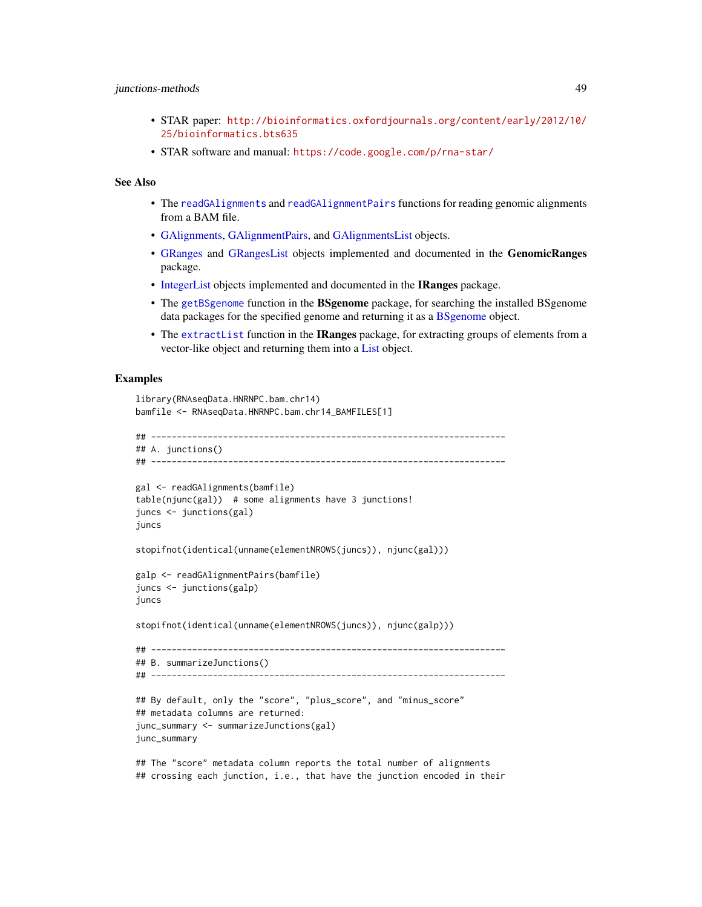# junctions-methods 49

- STAR paper: [http://bioinformatics.oxfordjournals.org/content/early/2012/10/](http://bioinformatics.oxfordjournals.org/content/early/2012/10/25/bioinformatics.bts635) [25/bioinformatics.bts635](http://bioinformatics.oxfordjournals.org/content/early/2012/10/25/bioinformatics.bts635)
- STAR software and manual: <https://code.google.com/p/rna-star/>

# See Also

- The [readGAlignments](#page-63-1) and [readGAlignmentPairs](#page-63-0) functions for reading genomic alignments from a BAM file.
- [GAlignments,](#page-31-0) [GAlignmentPairs,](#page-26-0) and [GAlignmentsList](#page-36-0) objects.
- [GRanges](#page-0-0) and [GRangesList](#page-0-0) objects implemented and documented in the GenomicRanges package.
- [IntegerList](#page-0-0) objects implemented and documented in the IRanges package.
- The [getBSgenome](#page-0-0) function in the BSgenome package, for searching the installed BSgenome data packages for the specified genome and returning it as a [BSgenome](#page-0-0) object.
- The [extractList](#page-0-0) function in the **IRanges** package, for extracting groups of elements from a vector-like object and returning them into a [List](#page-0-0) object.

#### Examples

```
library(RNAseqData.HNRNPC.bam.chr14)
bamfile <- RNAseqData.HNRNPC.bam.chr14_BAMFILES[1]
## ---------------------------------------------------------------------
## A. junctions()
## ---------------------------------------------------------------------
gal <- readGAlignments(bamfile)
table(njunc(gal)) # some alignments have 3 junctions!
juncs <- junctions(gal)
juncs
stopifnot(identical(unname(elementNROWS(juncs)), njunc(gal)))
galp <- readGAlignmentPairs(bamfile)
juncs <- junctions(galp)
juncs
stopifnot(identical(unname(elementNROWS(juncs)), njunc(galp)))
## ---------------------------------------------------------------------
## B. summarizeJunctions()
## ---------------------------------------------------------------------
## By default, only the "score", "plus_score", and "minus_score"
## metadata columns are returned:
junc_summary <- summarizeJunctions(gal)
junc_summary
## The "score" metadata column reports the total number of alignments
## crossing each junction, i.e., that have the junction encoded in their
```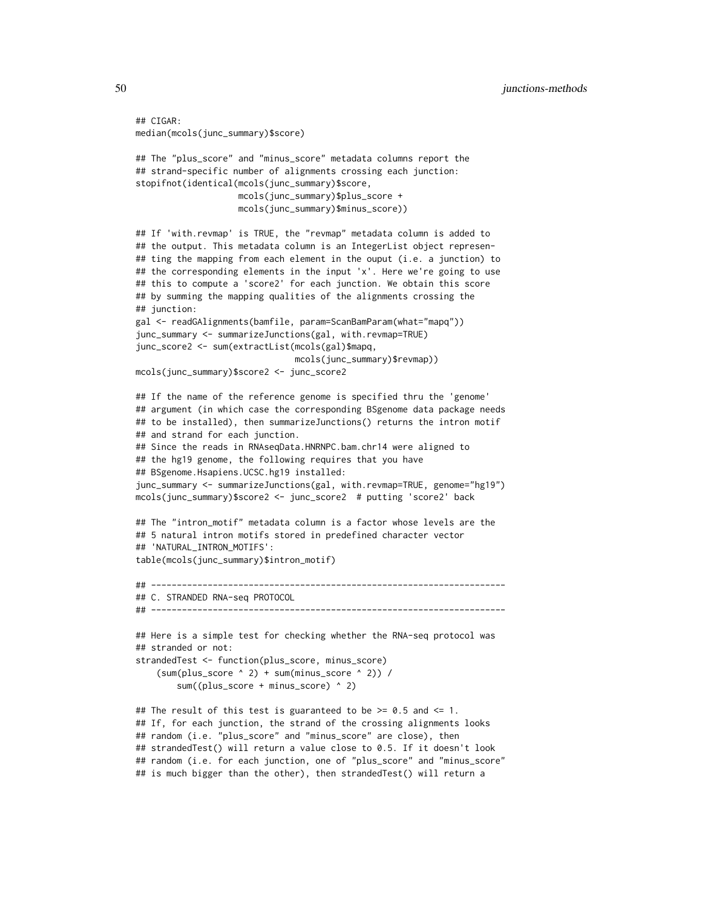```
## CIGAR:
median(mcols(junc_summary)$score)
## The "plus_score" and "minus_score" metadata columns report the
## strand-specific number of alignments crossing each junction:
stopifnot(identical(mcols(junc_summary)$score,
                   mcols(junc_summary)$plus_score +
                   mcols(junc_summary)$minus_score))
## If 'with.revmap' is TRUE, the "revmap" metadata column is added to
## the output. This metadata column is an IntegerList object represen-
## ting the mapping from each element in the ouput (i.e. a junction) to
## the corresponding elements in the input 'x'. Here we're going to use
## this to compute a 'score2' for each junction. We obtain this score
## by summing the mapping qualities of the alignments crossing the
## junction:
gal <- readGAlignments(bamfile, param=ScanBamParam(what="mapq"))
junc_summary <- summarizeJunctions(gal, with.revmap=TRUE)
junc_score2 <- sum(extractList(mcols(gal)$mapq,
                               mcols(junc_summary)$revmap))
mcols(junc_summary)$score2 <- junc_score2
## If the name of the reference genome is specified thru the 'genome'
## argument (in which case the corresponding BSgenome data package needs
## to be installed), then summarizeJunctions() returns the intron motif
## and strand for each junction.
## Since the reads in RNAseqData.HNRNPC.bam.chr14 were aligned to
## the hg19 genome, the following requires that you have
## BSgenome.Hsapiens.UCSC.hg19 installed:
junc_summary <- summarizeJunctions(gal, with.revmap=TRUE, genome="hg19")
mcols(junc_summary)$score2 <- junc_score2 # putting 'score2' back
## The "intron_motif" metadata column is a factor whose levels are the
## 5 natural intron motifs stored in predefined character vector
## 'NATURAL_INTRON_MOTIFS':
table(mcols(junc_summary)$intron_motif)
## ---------------------------------------------------------------------
## C. STRANDED RNA-seq PROTOCOL
## ---------------------------------------------------------------------
## Here is a simple test for checking whether the RNA-seq protocol was
## stranded or not:
strandedTest <- function(plus_score, minus_score)
    (sum(plus_score ^ 2) + sum(minus_score ^ 2)) /
        sum((plus_score + minus_score) ^ 2)
## The result of this test is guaranteed to be >= 0.5 and <= 1.
## If, for each junction, the strand of the crossing alignments looks
## random (i.e. "plus_score" and "minus_score" are close), then
## strandedTest() will return a value close to 0.5. If it doesn't look
```
## random (i.e. for each junction, one of "plus\_score" and "minus\_score" ## is much bigger than the other), then strandedTest() will return a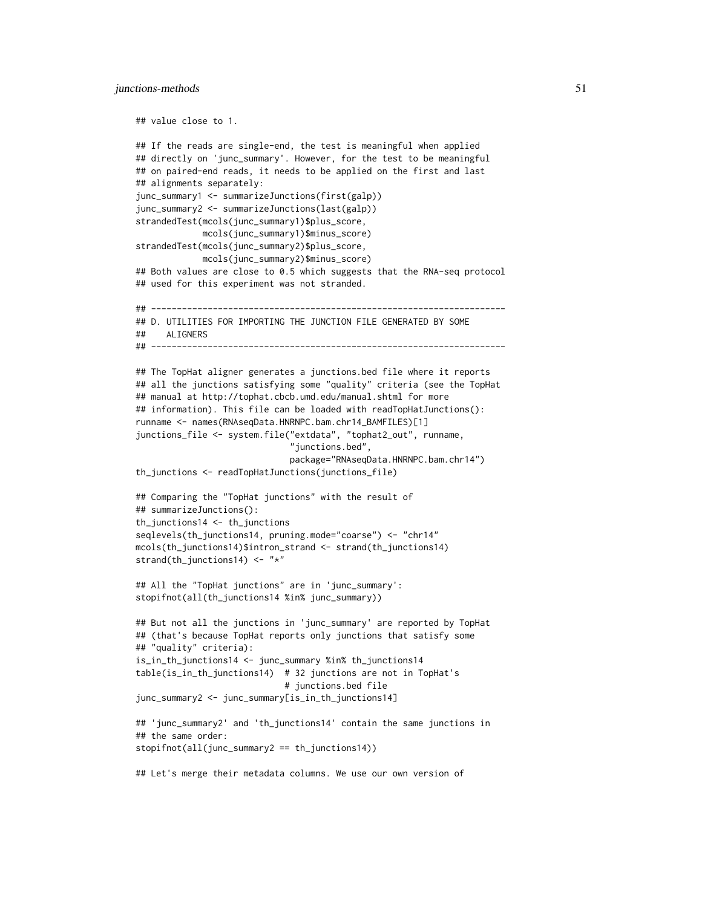#### junctions-methods 51

```
## value close to 1.
## If the reads are single-end, the test is meaningful when applied
## directly on 'junc_summary'. However, for the test to be meaningful
## on paired-end reads, it needs to be applied on the first and last
## alignments separately:
junc_summary1 <- summarizeJunctions(first(galp))
junc_summary2 <- summarizeJunctions(last(galp))
strandedTest(mcols(junc_summary1)$plus_score,
             mcols(junc_summary1)$minus_score)
strandedTest(mcols(junc_summary2)$plus_score,
             mcols(junc_summary2)$minus_score)
## Both values are close to 0.5 which suggests that the RNA-seq protocol
## used for this experiment was not stranded.
## ---------------------------------------------------------------------
## D. UTILITIES FOR IMPORTING THE JUNCTION FILE GENERATED BY SOME
## ALIGNERS
## ---------------------------------------------------------------------
## The TopHat aligner generates a junctions.bed file where it reports
## all the junctions satisfying some "quality" criteria (see the TopHat
## manual at http://tophat.cbcb.umd.edu/manual.shtml for more
## information). This file can be loaded with readTopHatJunctions():
runname <- names(RNAseqData.HNRNPC.bam.chr14_BAMFILES)[1]
junctions_file <- system.file("extdata", "tophat2_out", runname,
                              "junctions.bed",
                              package="RNAseqData.HNRNPC.bam.chr14")
th_junctions <- readTopHatJunctions(junctions_file)
## Comparing the "TopHat junctions" with the result of
## summarizeJunctions():
th_junctions14 <- th_junctions
seqlevels(th_junctions14, pruning.mode="coarse") <- "chr14"
mcols(th_junctions14)$intron_strand <- strand(th_junctions14)
strand(th_junctions14) <- "*"
## All the "TopHat junctions" are in 'junc_summary':
stopifnot(all(th_junctions14 %in% junc_summary))
## But not all the junctions in 'junc_summary' are reported by TopHat
## (that's because TopHat reports only junctions that satisfy some
## "quality" criteria):
is_in_th_junctions14 <- junc_summary %in% th_junctions14
table(is_in_th_junctions14) # 32 junctions are not in TopHat's
                             # junctions.bed file
junc_summary2 <- junc_summary[is_in_th_junctions14]
## 'junc_summary2' and 'th_junctions14' contain the same junctions in
## the same order:
stopifnot(all(junc_summary2 == th_junctions14))
## Let's merge their metadata columns. We use our own version of
```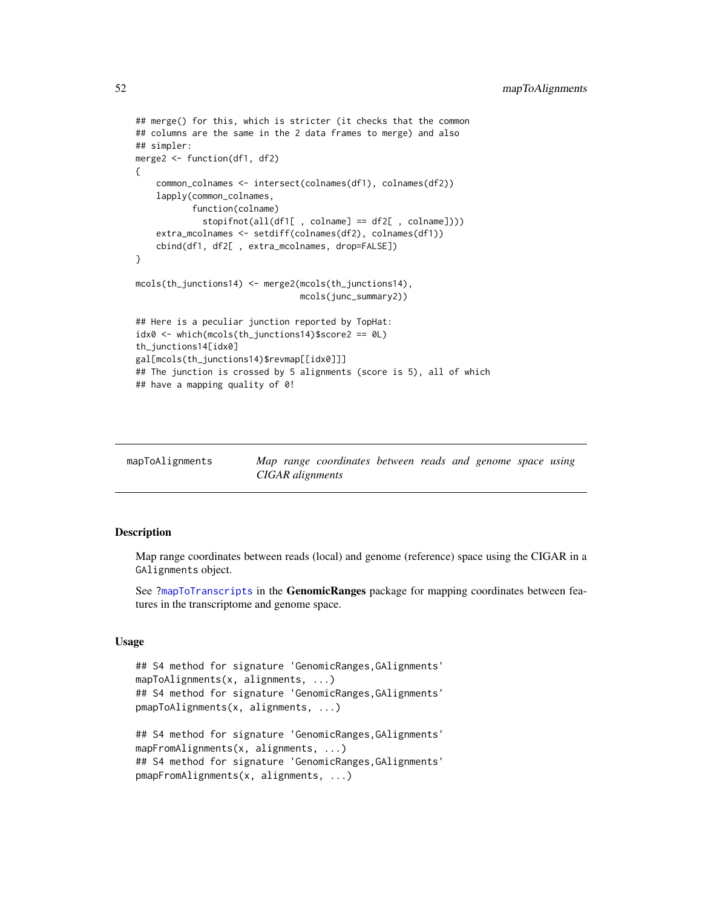```
## merge() for this, which is stricter (it checks that the common
## columns are the same in the 2 data frames to merge) and also
## simpler:
merge2 <- function(df1, df2)
{
    common_colnames <- intersect(colnames(df1), colnames(df2))
    lapply(common_colnames,
           function(colname)
             stopifnot(all(df1[ , colname] == df2[ , colname])))
    extra_mcolnames <- setdiff(colnames(df2), colnames(df1))
    cbind(df1, df2[ , extra_mcolnames, drop=FALSE])
}
mcols(th_junctions14) <- merge2(mcols(th_junctions14),
                                mcols(junc_summary2))
## Here is a peculiar junction reported by TopHat:
idx0 <- which(mcols(th_junctions14)$score2 == 0L)
th_junctions14[idx0]
gal[mcols(th_junctions14)$revmap[[idx0]]]
## The junction is crossed by 5 alignments (score is 5), all of which
## have a mapping quality of 0!
```

| mapToAlignments |                  | Map range coordinates between reads and genome space using |  |  |  |
|-----------------|------------------|------------------------------------------------------------|--|--|--|
|                 | CIGAR alignments |                                                            |  |  |  |

# Description

Map range coordinates between reads (local) and genome (reference) space using the CIGAR in a GAlignments object.

See [?mapToTranscripts](#page-0-0) in the GenomicRanges package for mapping coordinates between features in the transcriptome and genome space.

# Usage

```
## S4 method for signature 'GenomicRanges, GAlignments'
mapToAlignments(x, alignments, ...)
## S4 method for signature 'GenomicRanges,GAlignments'
pmapToAlignments(x, alignments, ...)
## S4 method for signature 'GenomicRanges,GAlignments'
mapFromAlignments(x, alignments, ...)
## S4 method for signature 'GenomicRanges, GAlignments'
pmapFromAlignments(x, alignments, ...)
```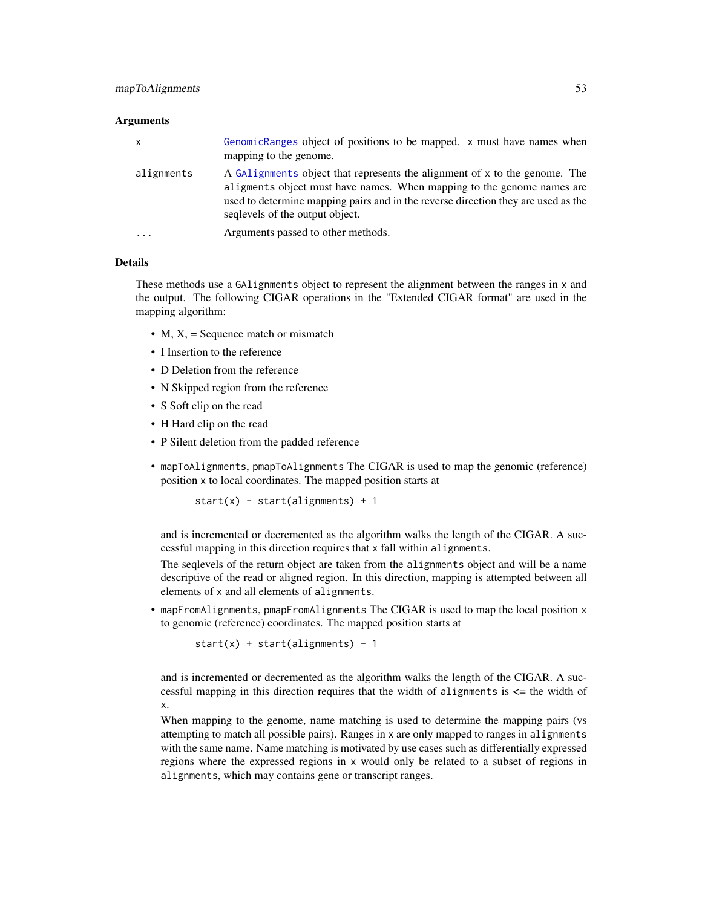#### **Arguments**

| $\mathsf{x}$ | GenomicRanges object of positions to be mapped. x must have names when<br>mapping to the genome.                                                                                                                                                                             |
|--------------|------------------------------------------------------------------------------------------------------------------------------------------------------------------------------------------------------------------------------------------------------------------------------|
| alignments   | A GAlignments object that represents the alignment of x to the genome. The<br>aligments object must have names. When mapping to the genome names are<br>used to determine mapping pairs and in the reverse direction they are used as the<br>sequelles of the output object. |
| $\cdots$     | Arguments passed to other methods.                                                                                                                                                                                                                                           |

### Details

These methods use a GAlignments object to represent the alignment between the ranges in x and the output. The following CIGAR operations in the "Extended CIGAR format" are used in the mapping algorithm:

- M,  $X =$  Sequence match or mismatch
- I Insertion to the reference
- D Deletion from the reference
- N Skipped region from the reference
- S Soft clip on the read
- H Hard clip on the read
- P Silent deletion from the padded reference
- mapToAlignments, pmapToAlignments The CIGAR is used to map the genomic (reference) position x to local coordinates. The mapped position starts at

 $start(x) - start(aligmments) + 1$ 

and is incremented or decremented as the algorithm walks the length of the CIGAR. A successful mapping in this direction requires that x fall within alignments.

The seqlevels of the return object are taken from the alignments object and will be a name descriptive of the read or aligned region. In this direction, mapping is attempted between all elements of x and all elements of alignments.

• mapFromAlignments, pmapFromAlignments The CIGAR is used to map the local position x to genomic (reference) coordinates. The mapped position starts at

 $start(x) + start(alignments) - 1$ 

and is incremented or decremented as the algorithm walks the length of the CIGAR. A successful mapping in this direction requires that the width of alignments is <= the width of x.

When mapping to the genome, name matching is used to determine the mapping pairs (vs attempting to match all possible pairs). Ranges in x are only mapped to ranges in alignments with the same name. Name matching is motivated by use cases such as differentially expressed regions where the expressed regions in x would only be related to a subset of regions in alignments, which may contains gene or transcript ranges.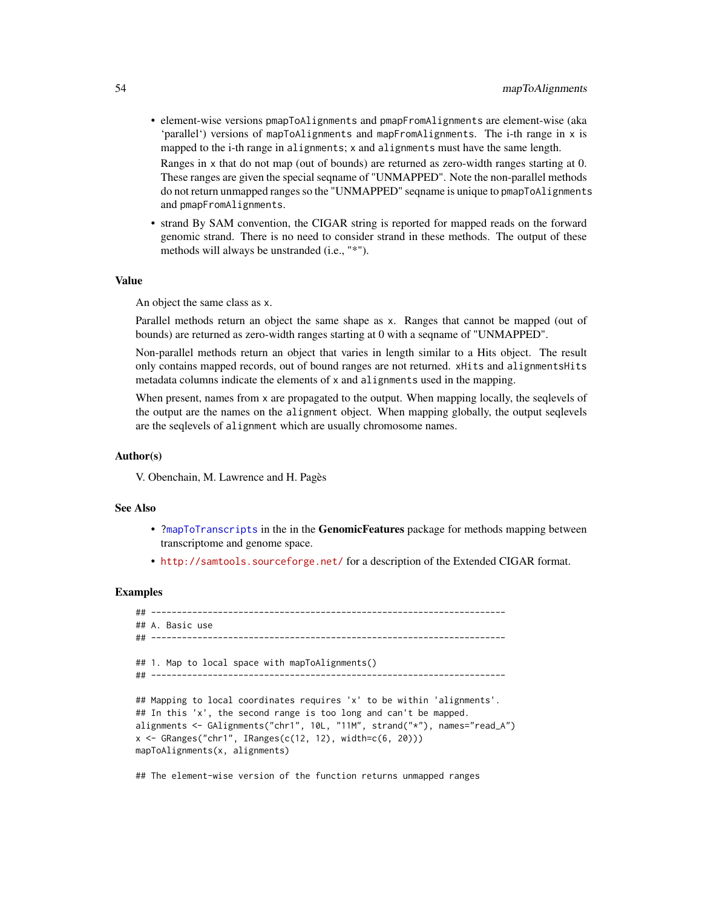• element-wise versions pmapToAlignments and pmapFromAlignments are element-wise (aka 'parallel') versions of mapToAlignments and mapFromAlignments. The i-th range in x is mapped to the i-th range in alignments; x and alignments must have the same length.

Ranges in x that do not map (out of bounds) are returned as zero-width ranges starting at 0. These ranges are given the special seqname of "UNMAPPED". Note the non-parallel methods do not return unmapped ranges so the "UNMAPPED" seqname is unique to pmapToAlignments and pmapFromAlignments.

• strand By SAM convention, the CIGAR string is reported for mapped reads on the forward genomic strand. There is no need to consider strand in these methods. The output of these methods will always be unstranded (i.e., "\*").

#### Value

An object the same class as x.

Parallel methods return an object the same shape as x. Ranges that cannot be mapped (out of bounds) are returned as zero-width ranges starting at 0 with a seqname of "UNMAPPED".

Non-parallel methods return an object that varies in length similar to a Hits object. The result only contains mapped records, out of bound ranges are not returned. xHits and alignmentsHits metadata columns indicate the elements of x and alignments used in the mapping.

When present, names from x are propagated to the output. When mapping locally, the seqlevels of the output are the names on the alignment object. When mapping globally, the output seqlevels are the seqlevels of alignment which are usually chromosome names.

#### Author(s)

V. Obenchain, M. Lawrence and H. Pagès

### See Also

- [?mapToTranscripts](#page-0-0) in the in the GenomicFeatures package for methods mapping between transcriptome and genome space.
- <http://samtools.sourceforge.net/> for a description of the Extended CIGAR format.

### Examples

```
## ---------------------------------------------------------------------
## A. Basic use
## ---------------------------------------------------------------------
## 1. Map to local space with mapToAlignments()
## ---------------------------------------------------------------------
## Mapping to local coordinates requires 'x' to be within 'alignments'.
## In this 'x', the second range is too long and can't be mapped.
alignments <- GAlignments("chr1", 10L, "11M", strand("*"), names="read_A")
x <- GRanges("chr1", IRanges(c(12, 12), width=c(6, 20)))
mapToAlignments(x, alignments)
## The element-wise version of the function returns unmapped ranges
```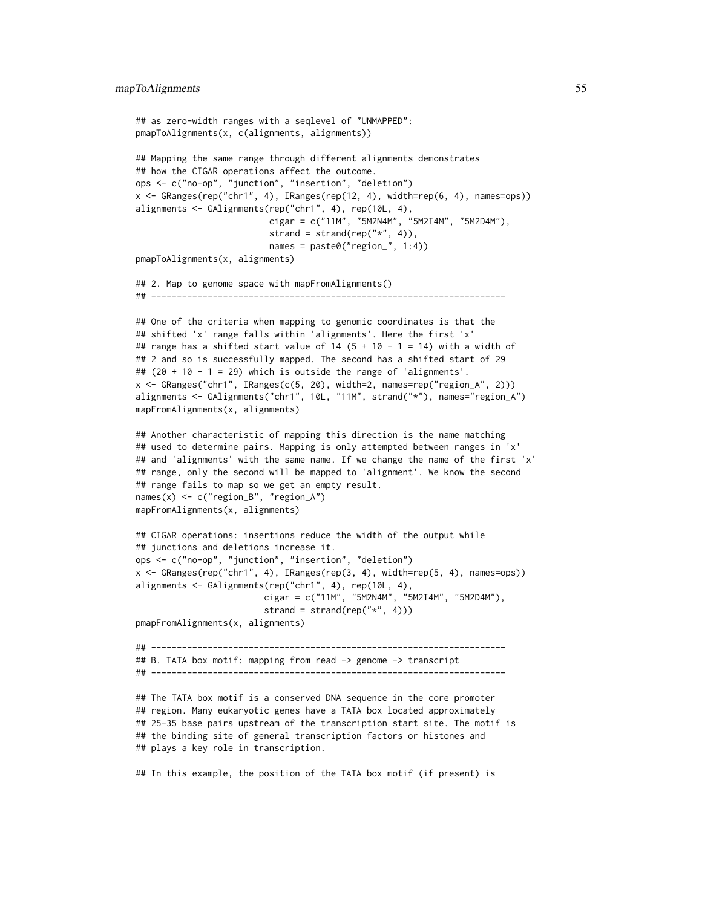```
## as zero-width ranges with a seqlevel of "UNMAPPED":
pmapToAlignments(x, c(alignments, alignments))
## Mapping the same range through different alignments demonstrates
## how the CIGAR operations affect the outcome.
ops <- c("no-op", "junction", "insertion", "deletion")
x <- GRanges(rep("chr1", 4), IRanges(rep(12, 4), width=rep(6, 4), names=ops))
alignments <- GAlignments(rep("chr1", 4), rep(10L, 4),
                          cigar = c("11M", "5M2N4M", "5M2I4M", "5M2D4M"),
                          strand = strand(rep("*", 4)),
                          names = paste0("region_", 1:4))
pmapToAlignments(x, alignments)
## 2. Map to genome space with mapFromAlignments()
## ---------------------------------------------------------------------
## One of the criteria when mapping to genomic coordinates is that the
## shifted 'x' range falls within 'alignments'. Here the first 'x'
## range has a shifted start value of 14 (5 + 10 - 1 = 14) with a width of
## 2 and so is successfully mapped. The second has a shifted start of 29
## (20 + 10 - 1 = 29) which is outside the range of 'alignments'.
x \leftarrow GRanges("chr1", IRanges(c(5, 20), width=2, names=rep("region_A", 2)))
alignments <- GAlignments("chr1", 10L, "11M", strand("*"), names="region_A")
mapFromAlignments(x, alignments)
## Another characteristic of mapping this direction is the name matching
## used to determine pairs. Mapping is only attempted between ranges in 'x'
## and 'alignments' with the same name. If we change the name of the first 'x'
## range, only the second will be mapped to 'alignment'. We know the second
## range fails to map so we get an empty result.
names(x) <- c("region_B", "region_A")
mapFromAlignments(x, alignments)
## CIGAR operations: insertions reduce the width of the output while
## junctions and deletions increase it.
ops <- c("no-op", "junction", "insertion", "deletion")
x <- GRanges(rep("chr1", 4), IRanges(rep(3, 4), width=rep(5, 4), names=ops))
alignments <- GAlignments(rep("chr1", 4), rep(10L, 4),
                         cigar = c("11M", "5M2N4M", "5M2I4M", "5M2D4M"),
                         strand = strand(rep("*", 4)))
pmapFromAlignments(x, alignments)
## ---------------------------------------------------------------------
## B. TATA box motif: mapping from read -> genome -> transcript
## ---------------------------------------------------------------------
## The TATA box motif is a conserved DNA sequence in the core promoter
## region. Many eukaryotic genes have a TATA box located approximately
## 25-35 base pairs upstream of the transcription start site. The motif is
## the binding site of general transcription factors or histones and
## plays a key role in transcription.
## In this example, the position of the TATA box motif (if present) is
```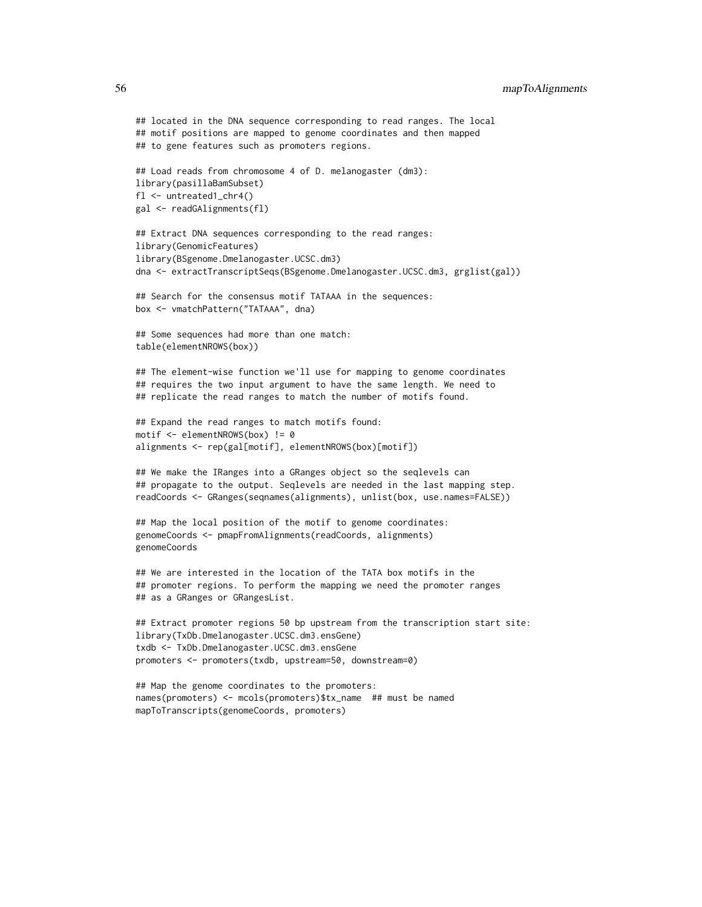## 56 mapToAlignments

```
## located in the DNA sequence corresponding to read ranges. The local
## motif positions are mapped to genome coordinates and then mapped
## to gene features such as promoters regions.
## Load reads from chromosome 4 of D. melanogaster (dm3):
library(pasillaBamSubset)
fl <- untreated1_chr4()
gal <- readGAlignments(fl)
## Extract DNA sequences corresponding to the read ranges:
library(GenomicFeatures)
library(BSgenome.Dmelanogaster.UCSC.dm3)
dna <- extractTranscriptSeqs(BSgenome.Dmelanogaster.UCSC.dm3, grglist(gal))
## Search for the consensus motif TATAAA in the sequences:
box <- vmatchPattern("TATAAA", dna)
## Some sequences had more than one match:
table(elementNROWS(box))
## The element-wise function we'll use for mapping to genome coordinates
## requires the two input argument to have the same length. We need to
## replicate the read ranges to match the number of motifs found.
## Expand the read ranges to match motifs found:
motif <- elementNROWS(box) != 0
alignments <- rep(gal[motif], elementNROWS(box)[motif])
## We make the IRanges into a GRanges object so the seqlevels can
## propagate to the output. Seqlevels are needed in the last mapping step.
readCoords <- GRanges(seqnames(alignments), unlist(box, use.names=FALSE))
## Map the local position of the motif to genome coordinates:
genomeCoords <- pmapFromAlignments(readCoords, alignments)
genomeCoords
## We are interested in the location of the TATA box motifs in the
## promoter regions. To perform the mapping we need the promoter ranges
## as a GRanges or GRangesList.
## Extract promoter regions 50 bp upstream from the transcription start site:
library(TxDb.Dmelanogaster.UCSC.dm3.ensGene)
txdb <- TxDb.Dmelanogaster.UCSC.dm3.ensGene
promoters <- promoters(txdb, upstream=50, downstream=0)
## Map the genome coordinates to the promoters:
names(promoters) <- mcols(promoters)$tx_name ## must be named
```
mapToTranscripts(genomeCoords, promoters)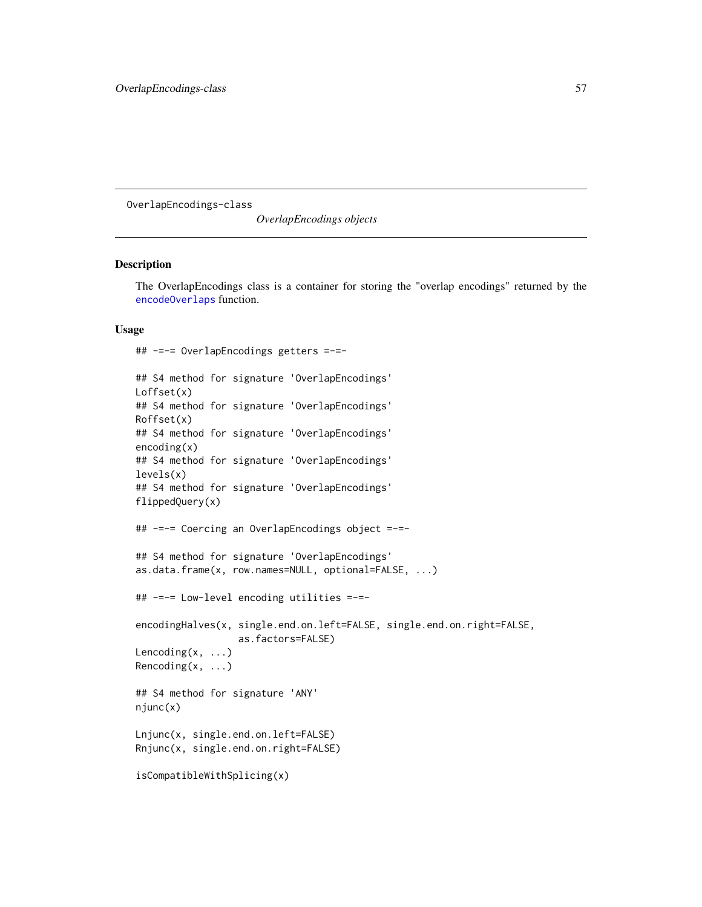OverlapEncodings-class

*OverlapEncodings objects*

# Description

The OverlapEncodings class is a container for storing the "overlap encodings" returned by the [encodeOverlaps](#page-12-0) function.

# Usage

```
## -=-= OverlapEncodings getters =-=-
```

```
## S4 method for signature 'OverlapEncodings'
Loffset(x)
## S4 method for signature 'OverlapEncodings'
Roffset(x)
## S4 method for signature 'OverlapEncodings'
encoding(x)
## S4 method for signature 'OverlapEncodings'
levels(x)
## S4 method for signature 'OverlapEncodings'
flippedQuery(x)
## -=-= Coercing an OverlapEncodings object =-=-
## S4 method for signature 'OverlapEncodings'
as.data.frame(x, row.names=NULL, optional=FALSE, ...)
## -=-= Low-level encoding utilities =-=-
encodingHalves(x, single.end.on.left=FALSE, single.end.on.right=FALSE,
                  as.factors=FALSE)
Lencoding(x, ...)
Rencoding(x, ...)
## S4 method for signature 'ANY'
niunc(x)Lnjunc(x, single.end.on.left=FALSE)
Rnjunc(x, single.end.on.right=FALSE)
isCompatibleWithSplicing(x)
```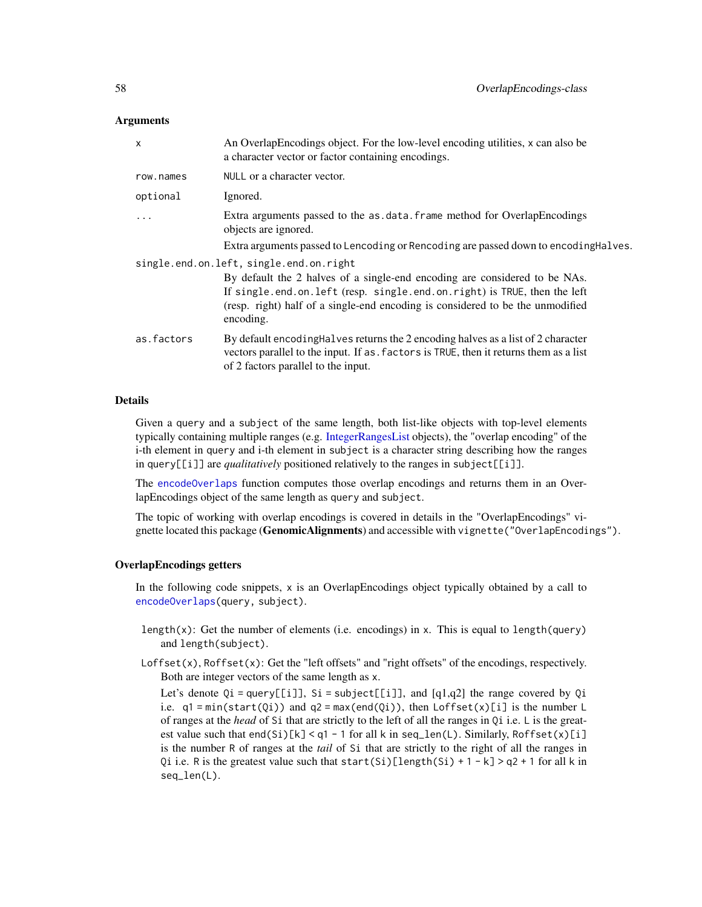## **Arguments**

| $\times$                                | An Overlap Encodings object. For the low-level encoding utilities, x can also be<br>a character vector or factor containing encodings.                                                                            |  |
|-----------------------------------------|-------------------------------------------------------------------------------------------------------------------------------------------------------------------------------------------------------------------|--|
| row.names                               | NULL or a character vector.                                                                                                                                                                                       |  |
| optional                                | Ignored.                                                                                                                                                                                                          |  |
| $\ddots$                                | Extra arguments passed to the as data. frame method for OverlapEncodings<br>objects are ignored.                                                                                                                  |  |
|                                         | Extra arguments passed to Lencoding or Rencoding are passed down to encoding Halves.                                                                                                                              |  |
| single.end.on.left, single.end.on.right |                                                                                                                                                                                                                   |  |
|                                         | By default the 2 halves of a single-end encoding are considered to be NAs.                                                                                                                                        |  |
|                                         | If single.end.on.left (resp. single.end.on.right) is TRUE, then the left                                                                                                                                          |  |
|                                         | (resp. right) half of a single-end encoding is considered to be the unmodified<br>encoding.                                                                                                                       |  |
| as.factors                              | By default encoding Halves returns the 2 encoding halves as a list of 2 character<br>vectors parallel to the input. If as, factors is TRUE, then it returns them as a list<br>of 2 factors parallel to the input. |  |

# **Details**

Given a query and a subject of the same length, both list-like objects with top-level elements typically containing multiple ranges (e.g. [IntegerRangesList](#page-0-0) objects), the "overlap encoding" of the i-th element in query and i-th element in subject is a character string describing how the ranges in query[[i]] are *qualitatively* positioned relatively to the ranges in subject[[i]].

The [encodeOverlaps](#page-12-0) function computes those overlap encodings and returns them in an OverlapEncodings object of the same length as query and subject.

The topic of working with overlap encodings is covered in details in the "OverlapEncodings" vignette located this package (GenomicAlignments) and accessible with vignette ("OverlapEncodings").

#### OverlapEncodings getters

In the following code snippets, x is an OverlapEncodings object typically obtained by a call to [encodeOverlaps\(](#page-12-0)query, subject).

- length $(x)$ : Get the number of elements (i.e. encodings) in x. This is equal to length(query) and length(subject).
- Loffset(x), Roffset(x): Get the "left offsets" and "right offsets" of the encodings, respectively. Both are integer vectors of the same length as x.

Let's denote  $Qi = query[[i]], Si = subject[[i]], and [q1,q2]$  the range covered by  $Qi$ i.e.  $q1 = min(start(0i))$  and  $q2 = max(end(0i))$ , then  $Loffset(x)[i]$  is the number L of ranges at the *head* of Si that are strictly to the left of all the ranges in Qi i.e. L is the greatest value such that  $end(Si)[k] < q1 - 1$  for all k in seq\_len(L). Similarly, Roffset(x)[i] is the number R of ranges at the *tail* of Si that are strictly to the right of all the ranges in Qi i.e. R is the greatest value such that start(Si)[length(Si) + 1 - k] > q2 + 1 for all k in seq\_len(L).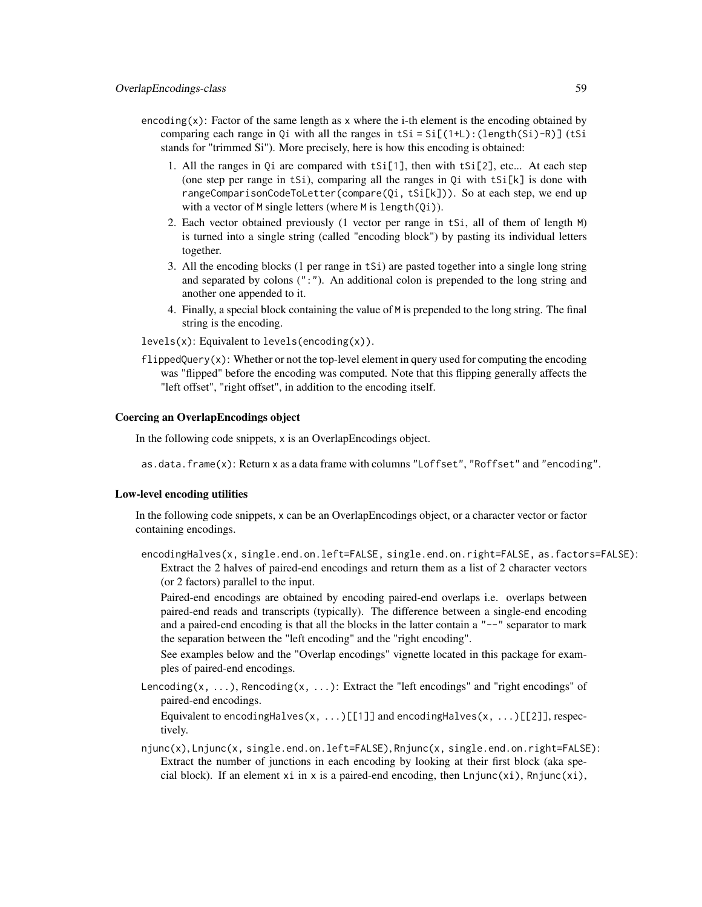- encoding $(x)$ : Factor of the same length as x where the *i*-th element is the encoding obtained by comparing each range in Qi with all the ranges in tSi = Si[(1+L):(length(Si)-R)] (tSi stands for "trimmed Si"). More precisely, here is how this encoding is obtained:
	- 1. All the ranges in Q<sub>i</sub> are compared with  $tSi[1]$ , then with  $tSi[2]$ , etc... At each step (one step per range in tSi), comparing all the ranges in  $Qi$  with tSi $[k]$  is done with rangeComparisonCodeToLetter(compare(Qi, tSi[k])). So at each step, we end up with a vector of M single letters (where M is length(Qi)).
	- 2. Each vector obtained previously (1 vector per range in tSi, all of them of length M) is turned into a single string (called "encoding block") by pasting its individual letters together.
	- 3. All the encoding blocks (1 per range in tSi) are pasted together into a single long string and separated by colons (":"). An additional colon is prepended to the long string and another one appended to it.
	- 4. Finally, a special block containing the value of M is prepended to the long string. The final string is the encoding.

levels(x): Equivalent to levels(encoding(x)).

 $flippedQuery(x)$ : Whether or not the top-level element in query used for computing the encoding was "flipped" before the encoding was computed. Note that this flipping generally affects the "left offset", "right offset", in addition to the encoding itself.

### Coercing an OverlapEncodings object

In the following code snippets, x is an OverlapEncodings object.

as.data.frame(x): Return x as a data frame with columns "Loffset", "Roffset" and "encoding".

# Low-level encoding utilities

In the following code snippets, x can be an OverlapEncodings object, or a character vector or factor containing encodings.

encodingHalves(x, single.end.on.left=FALSE, single.end.on.right=FALSE, as.factors=FALSE): Extract the 2 halves of paired-end encodings and return them as a list of 2 character vectors (or 2 factors) parallel to the input.

Paired-end encodings are obtained by encoding paired-end overlaps i.e. overlaps between paired-end reads and transcripts (typically). The difference between a single-end encoding and a paired-end encoding is that all the blocks in the latter contain a  $"--"$  separator to mark the separation between the "left encoding" and the "right encoding".

See examples below and the "Overlap encodings" vignette located in this package for examples of paired-end encodings.

Lencoding(x, ...), Rencoding(x, ...): Extract the "left encodings" and "right encodings" of paired-end encodings.

Equivalent to encoding Halves(x, ...) [[1]] and encoding Halves(x, ...) [[2]], respectively.

njunc(x), Lnjunc(x, single.end.on.left=FALSE), Rnjunc(x, single.end.on.right=FALSE): Extract the number of junctions in each encoding by looking at their first block (aka special block). If an element xi in x is a paired-end encoding, then  $Lnjunc(xi)$ , Rnjunc(xi),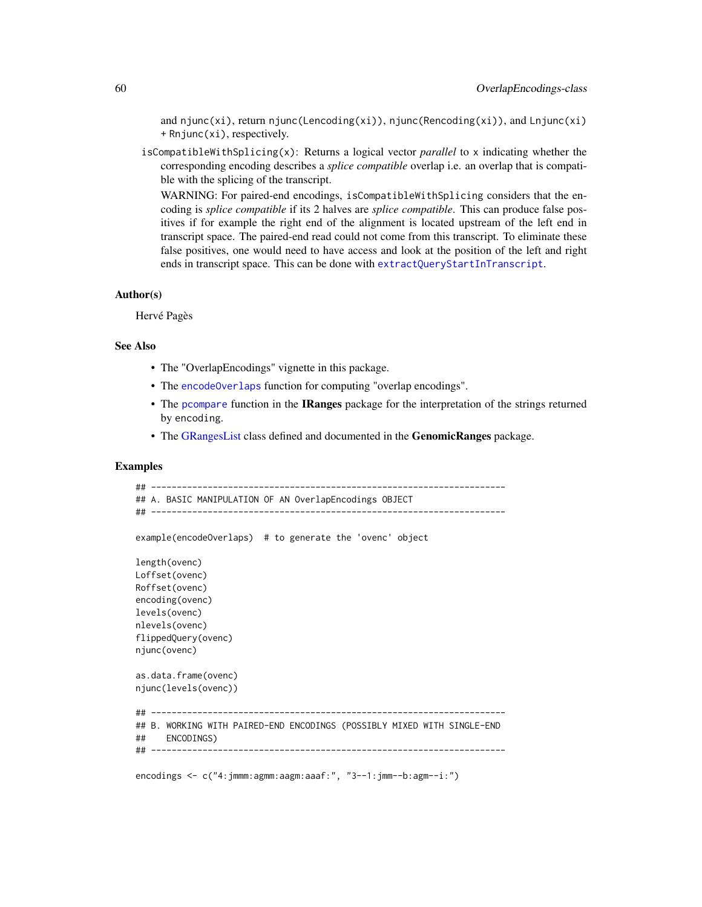and njunc(xi), return njunc(Lencoding(xi)), njunc(Rencoding(xi)), and Lnjunc(xi) + Rnjunc(xi), respectively.

isCompatibleWithSplicing(x): Returns a logical vector *parallel* to x indicating whether the corresponding encoding describes a *splice compatible* overlap i.e. an overlap that is compatible with the splicing of the transcript.

WARNING: For paired-end encodings, isCompatibleWithSplicing considers that the encoding is *splice compatible* if its 2 halves are *splice compatible*. This can produce false positives if for example the right end of the alignment is located upstream of the left end in transcript space. The paired-end read could not come from this transcript. To eliminate these false positives, one would need to have access and look at the position of the left and right ends in transcript space. This can be done with [extractQueryStartInTranscript](#page-12-0).

#### Author(s)

Hervé Pagès

# See Also

- The "OverlapEncodings" vignette in this package.
- The [encodeOverlaps](#page-12-0) function for computing "overlap encodings".
- The [pcompare](#page-0-0) function in the **IRanges** package for the interpretation of the strings returned by encoding.
- The [GRangesList](#page-0-0) class defined and documented in the GenomicRanges package.

# Examples

```
## ---------------------------------------------------------------------
## A. BASIC MANIPULATION OF AN OverlapEncodings OBJECT
## ---------------------------------------------------------------------
example(encodeOverlaps) # to generate the 'ovenc' object
length(ovenc)
Loffset(ovenc)
Roffset(ovenc)
encoding(ovenc)
levels(ovenc)
nlevels(ovenc)
flippedQuery(ovenc)
njunc(ovenc)
as.data.frame(ovenc)
njunc(levels(ovenc))
## ---------------------------------------------------------------------
## B. WORKING WITH PAIRED-END ENCODINGS (POSSIBLY MIXED WITH SINGLE-END
## ENCODINGS)
## ---------------------------------------------------------------------
encodings <- c("4:jmmm:agmm:aagm:aaaf:", "3--1:jmm--b:agm--i:")
```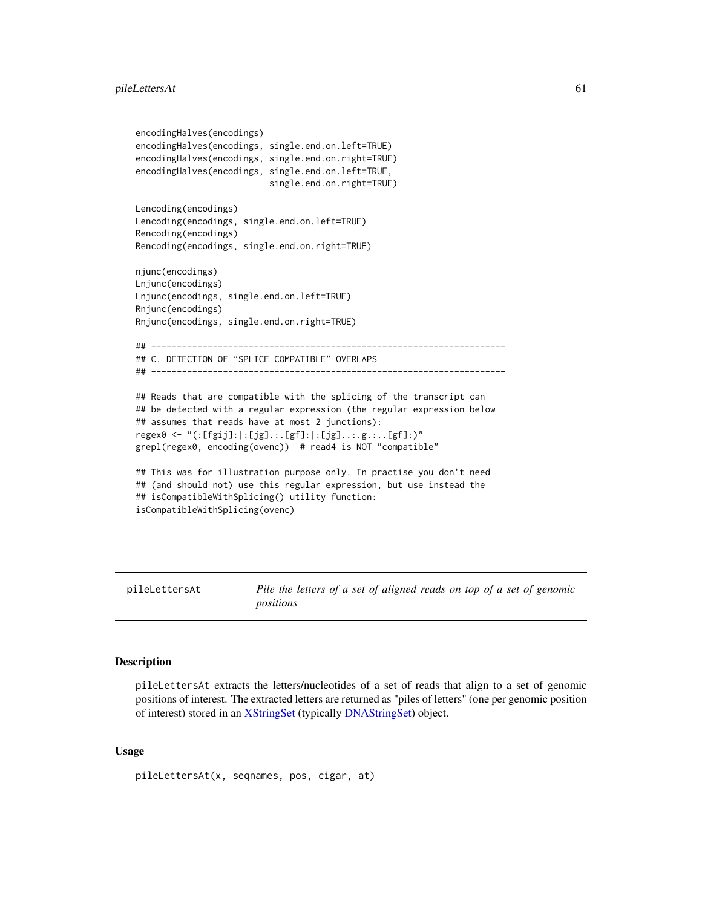```
encodingHalves(encodings)
encodingHalves(encodings, single.end.on.left=TRUE)
encodingHalves(encodings, single.end.on.right=TRUE)
encodingHalves(encodings, single.end.on.left=TRUE,
                          single.end.on.right=TRUE)
Lencoding(encodings)
Lencoding(encodings, single.end.on.left=TRUE)
Rencoding(encodings)
Rencoding(encodings, single.end.on.right=TRUE)
njunc(encodings)
Lnjunc(encodings)
Lnjunc(encodings, single.end.on.left=TRUE)
Rnjunc(encodings)
Rnjunc(encodings, single.end.on.right=TRUE)
## ---------------------------------------------------------------------
## C. DETECTION OF "SPLICE COMPATIBLE" OVERLAPS
## ---------------------------------------------------------------------
## Reads that are compatible with the splicing of the transcript can
## be detected with a regular expression (the regular expression below
## assumes that reads have at most 2 junctions):
regex0 <- "(:[fgij]:|:[jg].:.[gf]:|:[jg]..:.g.:..[gf]:)"
grepl(regex0, encoding(ovenc)) # read4 is NOT "compatible"
## This was for illustration purpose only. In practise you don't need
## (and should not) use this regular expression, but use instead the
## isCompatibleWithSplicing() utility function:
isCompatibleWithSplicing(ovenc)
```
pileLettersAt *Pile the letters of a set of aligned reads on top of a set of genomic positions*

# Description

pileLettersAt extracts the letters/nucleotides of a set of reads that align to a set of genomic positions of interest. The extracted letters are returned as "piles of letters" (one per genomic position of interest) stored in an [XStringSet](#page-0-0) (typically [DNAStringSet\)](#page-0-0) object.

### Usage

pileLettersAt(x, seqnames, pos, cigar, at)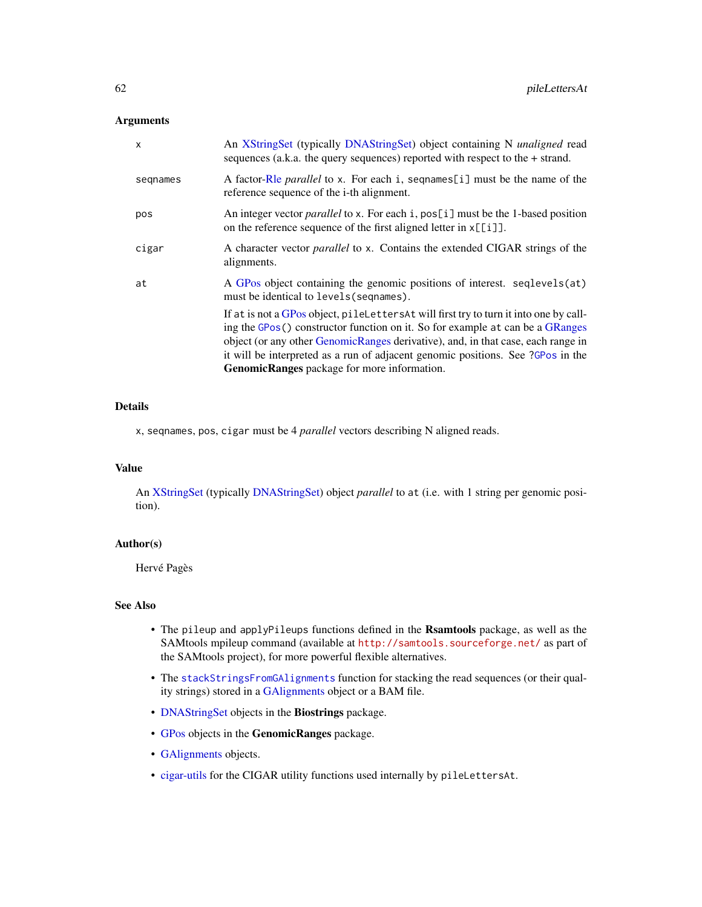# Arguments

| $\mathsf{x}$ | An XStringSet (typically DNAStringSet) object containing N <i>unaligned</i> read<br>sequences (a.k.a. the query sequences) reported with respect to the $+$ strand.                                                                                                                                                                                                                          |
|--------------|----------------------------------------------------------------------------------------------------------------------------------------------------------------------------------------------------------------------------------------------------------------------------------------------------------------------------------------------------------------------------------------------|
| segnames     | A factor-Rle parallel to x. For each i, sequames[i] must be the name of the<br>reference sequence of the i-th alignment.                                                                                                                                                                                                                                                                     |
| pos          | An integer vector <i>parallel</i> to x. For each i, $pos[i]$ must be the 1-based position<br>on the reference sequence of the first aligned letter in $x[[i]]$ .                                                                                                                                                                                                                             |
| cigar        | A character vector <i>parallel</i> to x. Contains the extended CIGAR strings of the<br>alignments.                                                                                                                                                                                                                                                                                           |
| at           | A GPos object containing the genomic positions of interest. seqlevels(at)<br>must be identical to levels (sequames).                                                                                                                                                                                                                                                                         |
|              | If at is not a GPos object, pileLettersAt will first try to turn it into one by call-<br>ing the GPos() constructor function on it. So for example at can be a GRanges<br>object (or any other GenomicRanges derivative), and, in that case, each range in<br>it will be interpreted as a run of adjacent genomic positions. See ?GPos in the<br>GenomicRanges package for more information. |
|              |                                                                                                                                                                                                                                                                                                                                                                                              |

# Details

x, seqnames, pos, cigar must be 4 *parallel* vectors describing N aligned reads.

### Value

An [XStringSet](#page-0-0) (typically [DNAStringSet\)](#page-0-0) object *parallel* to at (i.e. with 1 string per genomic position).

# Author(s)

Hervé Pagès

## See Also

- The pileup and applyPileups functions defined in the Rsamtools package, as well as the SAMtools mpileup command (available at <http://samtools.sourceforge.net/> as part of the SAMtools project), for more powerful flexible alternatives.
- The [stackStringsFromGAlignments](#page-77-0) function for stacking the read sequences (or their quality strings) stored in a [GAlignments](#page-31-0) object or a BAM file.
- [DNAStringSet](#page-0-0) objects in the Biostrings package.
- [GPos](#page-0-0) objects in the GenomicRanges package.
- [GAlignments](#page-31-0) objects.
- [cigar-utils](#page-2-0) for the CIGAR utility functions used internally by pileLettersAt.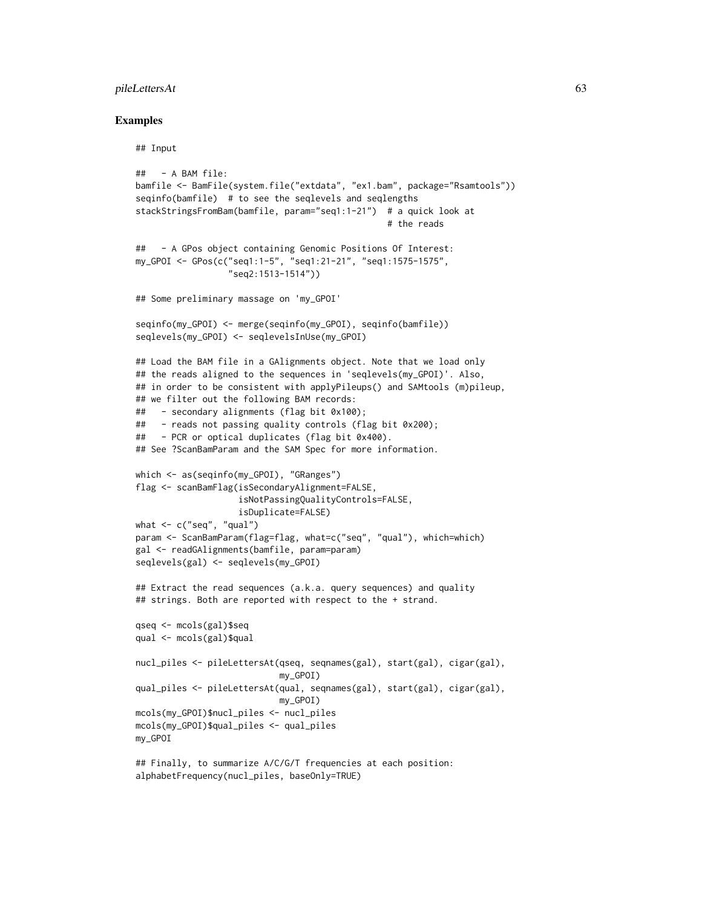### pileLettersAt 63

## Examples

## Input

```
## - A BAM file:
bamfile <- BamFile(system.file("extdata", "ex1.bam", package="Rsamtools"))
seqinfo(bamfile) # to see the seqlevels and seqlengths
stackStringsFromBam(bamfile, param="seq1:1-21") # a quick look at
                                                 # the reads
## - A GPos object containing Genomic Positions Of Interest:
my_GPOI <- GPos(c("seq1:1-5", "seq1:21-21", "seq1:1575-1575",
                  "seq2:1513-1514"))
## Some preliminary massage on 'my_GPOI'
seqinfo(my_GPOI) <- merge(seqinfo(my_GPOI), seqinfo(bamfile))
seqlevels(my_GPOI) <- seqlevelsInUse(my_GPOI)
## Load the BAM file in a GAlignments object. Note that we load only
## the reads aligned to the sequences in 'seqlevels(my_GPOI)'. Also,
## in order to be consistent with applyPileups() and SAMtools (m)pileup,
## we filter out the following BAM records:
## - secondary alignments (flag bit 0x100);
## - reads not passing quality controls (flag bit 0x200);
## - PCR or optical duplicates (flag bit 0x400).
## See ?ScanBamParam and the SAM Spec for more information.
which <- as(seqinfo(my_GPOI), "GRanges")
flag <- scanBamFlag(isSecondaryAlignment=FALSE,
                    isNotPassingQualityControls=FALSE,
                    isDuplicate=FALSE)
what \leq c("seq", "qual")
param <- ScanBamParam(flag=flag, what=c("seq", "qual"), which=which)
gal <- readGAlignments(bamfile, param=param)
seqlevels(gal) <- seqlevels(my_GPOI)
## Extract the read sequences (a.k.a. query sequences) and quality
## strings. Both are reported with respect to the + strand.
qseq <- mcols(gal)$seq
qual <- mcols(gal)$qual
nucl_piles <- pileLettersAt(qseq, seqnames(gal), start(gal), cigar(gal),
                            my_GPOI)
qual_piles <- pileLettersAt(qual, seqnames(gal), start(gal), cigar(gal),
                            my_GPOI)
mcols(my_GPOI)$nucl_piles <- nucl_piles
mcols(my_GPOI)$qual_piles <- qual_piles
my_GPOI
## Finally, to summarize A/C/G/T frequencies at each position:
alphabetFrequency(nucl_piles, baseOnly=TRUE)
```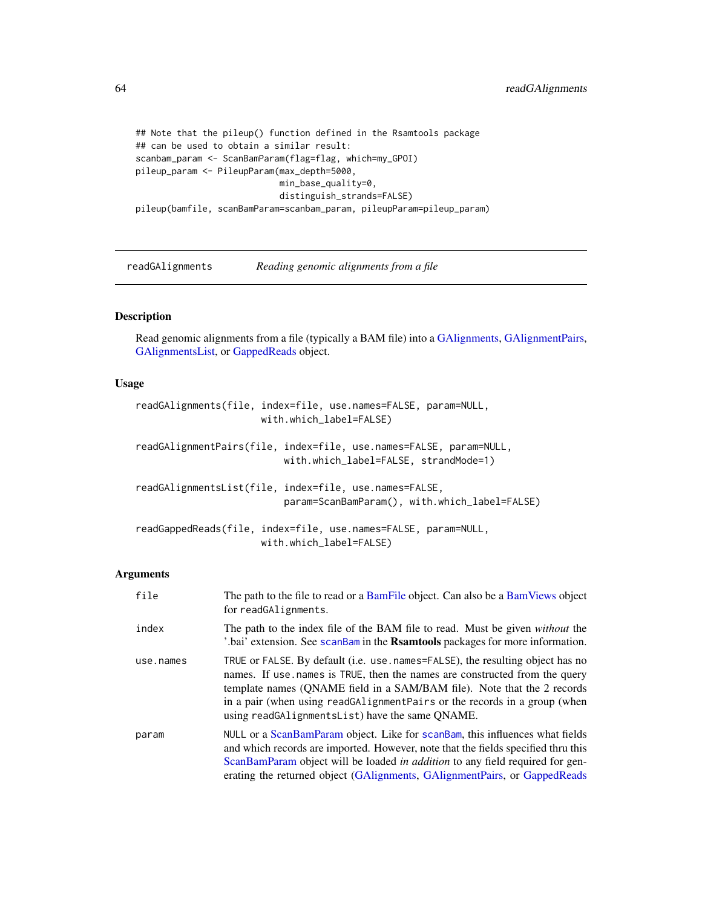```
## Note that the pileup() function defined in the Rsamtools package
## can be used to obtain a similar result:
scanbam_param <- ScanBamParam(flag=flag, which=my_GPOI)
pileup_param <- PileupParam(max_depth=5000,
                            min_base_quality=0,
                            distinguish_strands=FALSE)
pileup(bamfile, scanBamParam=scanbam_param, pileupParam=pileup_param)
```
<span id="page-63-1"></span>readGAlignments *Reading genomic alignments from a file*

### <span id="page-63-0"></span>Description

Read genomic alignments from a file (typically a BAM file) into a [GAlignments,](#page-31-0) [GAlignmentPairs,](#page-26-0) [GAlignmentsList,](#page-36-0) or [GappedReads](#page-41-0) object.

### Usage

```
readGAlignments(file, index=file, use.names=FALSE, param=NULL,
                      with.which_label=FALSE)
readGAlignmentPairs(file, index=file, use.names=FALSE, param=NULL,
                          with.which_label=FALSE, strandMode=1)
readGAlignmentsList(file, index=file, use.names=FALSE,
                          param=ScanBamParam(), with.which_label=FALSE)
readGappedReads(file, index=file, use.names=FALSE, param=NULL,
```

```
with.which_label=FALSE)
```
#### Arguments

| file      | The path to the file to read or a BamFile object. Can also be a BamViews object<br>for readGAlignments.                                                                                                                                                                                                                                                                |
|-----------|------------------------------------------------------------------------------------------------------------------------------------------------------------------------------------------------------------------------------------------------------------------------------------------------------------------------------------------------------------------------|
| index     | The path to the index file of the BAM file to read. Must be given <i>without</i> the<br>'.bai' extension. See scanBam in the Rsamtools packages for more information.                                                                                                                                                                                                  |
| use.names | TRUE or FALSE. By default (i.e. use names=FALSE), the resulting object has no<br>names. If use names is TRUE, then the names are constructed from the query<br>template names (QNAME field in a SAM/BAM file). Note that the 2 records<br>in a pair (when using readGAlignmentPairs or the records in a group (when<br>using readGAlignmentsList) have the same QNAME. |
| param     | NULL or a ScanBamParam object. Like for scanBam, this influences what fields<br>and which records are imported. However, note that the fields specified thru this<br>ScanBamParam object will be loaded in <i>addition</i> to any field required for gen-<br>erating the returned object (GAIignments, GAIignmentPairs, or GappedReads                                 |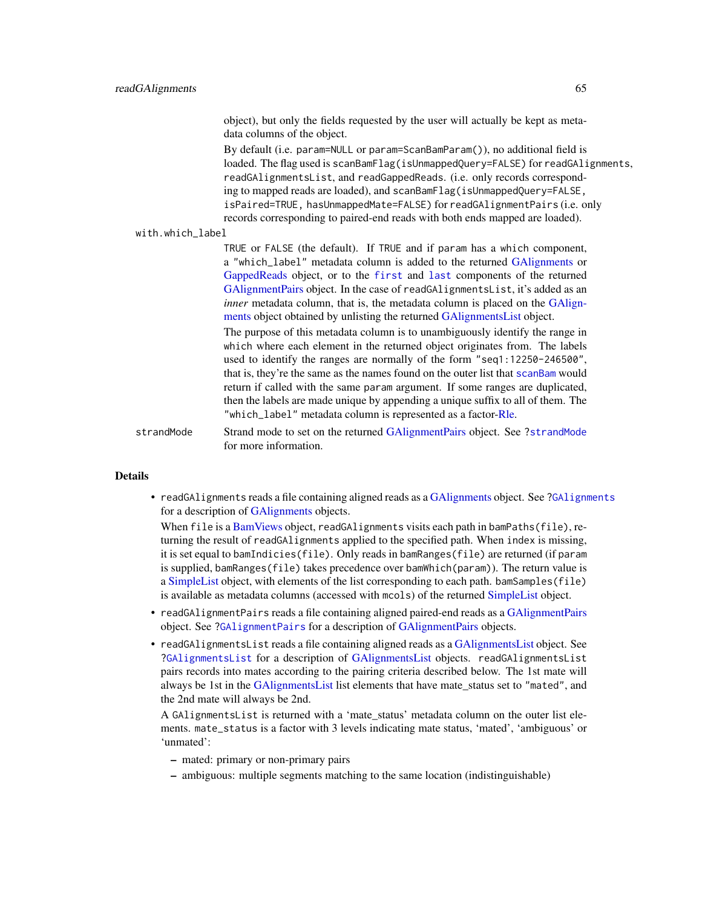object), but only the fields requested by the user will actually be kept as metadata columns of the object.

By default (i.e. param=NULL or param=ScanBamParam()), no additional field is loaded. The flag used is scanBamFlag(isUnmappedQuery=FALSE) for readGAlignments, readGAlignmentsList, and readGappedReads. (i.e. only records corresponding to mapped reads are loaded), and scanBamFlag(isUnmappedQuery=FALSE, isPaired=TRUE, hasUnmappedMate=FALSE) for readGAlignmentPairs (i.e. only records corresponding to paired-end reads with both ends mapped are loaded).

#### with.which\_label

TRUE or FALSE (the default). If TRUE and if param has a which component, a "which\_label" metadata column is added to the returned [GAlignments](#page-31-0) or [GappedReads](#page-41-0) object, or to the [first](#page-26-0) and [last](#page-26-0) components of the returned [GAlignmentPairs](#page-26-0) object. In the case of readGAlignmentsList, it's added as an *inner* metadata column, that is, the metadata column is placed on the [GAlign](#page-31-0)[ments](#page-31-0) object obtained by unlisting the returned [GAlignmentsList](#page-36-0) object.

The purpose of this metadata column is to unambiguously identify the range in which where each element in the returned object originates from. The labels used to identify the ranges are normally of the form "seq1:12250-246500", that is, they're the same as the names found on the outer list that [scanBam](#page-0-0) would return if called with the same param argument. If some ranges are duplicated, then the labels are made unique by appending a unique suffix to all of them. The "which\_label" metadata column is represented as a factor[-Rle.](#page-0-0)

strandMode Strand mode to set on the returned [GAlignmentPairs](#page-26-0) object. See [?strandMode](#page-26-0) for more information.

#### **Details**

• readGAlignments reads a file containing aligned reads as a [GAlignments](#page-31-0) object. See [?GAlignments](#page-31-0) for a description of [GAlignments](#page-31-0) objects.

When file is a [BamViews](#page-0-0) object, readGAlignments visits each path in bamPaths(file), returning the result of readGAlignments applied to the specified path. When index is missing, it is set equal to bamIndicies(file). Only reads in bamRanges(file) are returned (if param is supplied, bamRanges(file) takes precedence over bamWhich(param)). The return value is a [SimpleList](#page-0-0) object, with elements of the list corresponding to each path. bamSamples(file) is available as metadata columns (accessed with mcols) of the returned [SimpleList](#page-0-0) object.

- readGAlignmentPairs reads a file containing aligned paired-end reads as a [GAlignmentPairs](#page-26-0) object. See [?GAlignmentPairs](#page-26-0) for a description of [GAlignmentPairs](#page-26-0) objects.
- readGAlignmentsList reads a file containing aligned reads as a [GAlignmentsList](#page-36-0) object. See [?GAlignmentsList](#page-36-0) for a description of [GAlignmentsList](#page-36-0) objects. readGAlignmentsList pairs records into mates according to the pairing criteria described below. The 1st mate will always be 1st in the [GAlignmentsList](#page-36-0) list elements that have mate\_status set to "mated", and the 2nd mate will always be 2nd.

A GAlignmentsList is returned with a 'mate\_status' metadata column on the outer list elements. mate\_status is a factor with 3 levels indicating mate status, 'mated', 'ambiguous' or 'unmated':

- mated: primary or non-primary pairs
- ambiguous: multiple segments matching to the same location (indistinguishable)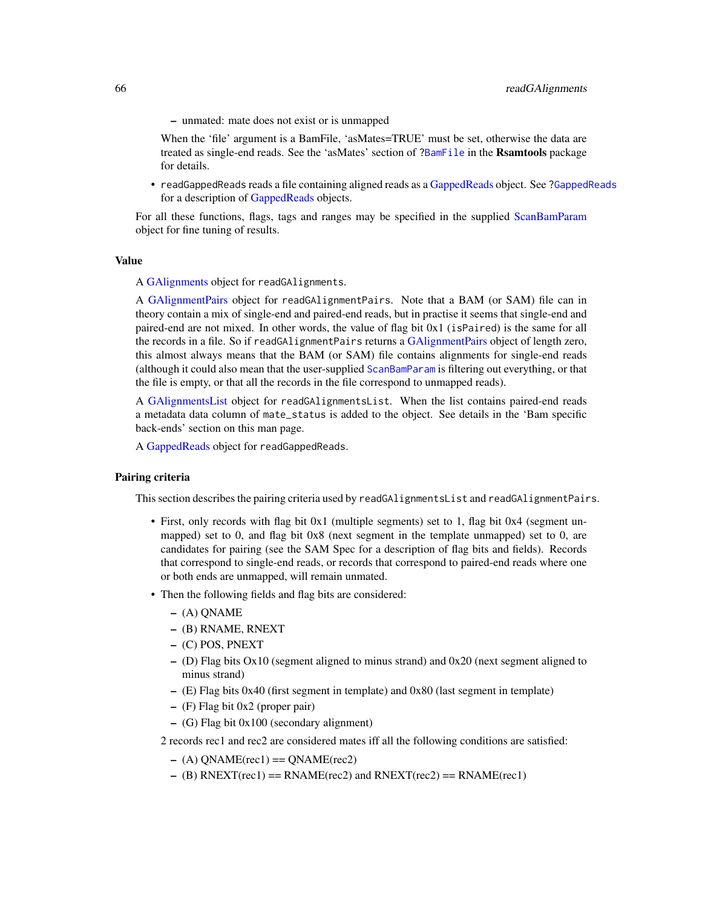– unmated: mate does not exist or is unmapped

When the 'file' argument is a BamFile, 'asMates=TRUE' must be set, otherwise the data are treated as single-end reads. See the 'asMates' section of [?BamFile](#page-0-0) in the Rsamtools package for details.

• readGappedReads reads a file containing aligned reads as a [GappedReads](#page-41-0) object. See [?GappedReads](#page-41-0) for a description of [GappedReads](#page-41-0) objects.

For all these functions, flags, tags and ranges may be specified in the supplied [ScanBamParam](#page-0-0) object for fine tuning of results.

#### Value

A [GAlignments](#page-31-0) object for readGAlignments.

A [GAlignmentPairs](#page-26-0) object for readGAlignmentPairs. Note that a BAM (or SAM) file can in theory contain a mix of single-end and paired-end reads, but in practise it seems that single-end and paired-end are not mixed. In other words, the value of flag bit 0x1 (isPaired) is the same for all the records in a file. So if readGAlignmentPairs returns a [GAlignmentPairs](#page-26-0) object of length zero, this almost always means that the BAM (or SAM) file contains alignments for single-end reads (although it could also mean that the user-supplied [ScanBamParam](#page-0-0) is filtering out everything, or that the file is empty, or that all the records in the file correspond to unmapped reads).

A [GAlignmentsList](#page-36-0) object for readGAlignmentsList. When the list contains paired-end reads a metadata data column of mate\_status is added to the object. See details in the 'Bam specific back-ends' section on this man page.

A [GappedReads](#page-41-0) object for readGappedReads.

## Pairing criteria

This section describes the pairing criteria used by readGAlignmentsList and readGAlignmentPairs.

- First, only records with flag bit 0x1 (multiple segments) set to 1, flag bit 0x4 (segment unmapped) set to 0, and flag bit 0x8 (next segment in the template unmapped) set to 0, are candidates for pairing (see the SAM Spec for a description of flag bits and fields). Records that correspond to single-end reads, or records that correspond to paired-end reads where one or both ends are unmapped, will remain unmated.
- Then the following fields and flag bits are considered:
	- (A) QNAME
	- (B) RNAME, RNEXT
	- (C) POS, PNEXT
	- (D) Flag bits Ox10 (segment aligned to minus strand) and 0x20 (next segment aligned to minus strand)
	- (E) Flag bits 0x40 (first segment in template) and 0x80 (last segment in template)
	- (F) Flag bit 0x2 (proper pair)
	- (G) Flag bit 0x100 (secondary alignment)
	- 2 records rec1 and rec2 are considered mates iff all the following conditions are satisfied:
		- $-$  (A) ONAME(rec1) = ONAME(rec2)
		- $-$  (B) RNEXT(rec1) = RNAME(rec2) and RNEXT(rec2) = RNAME(rec1)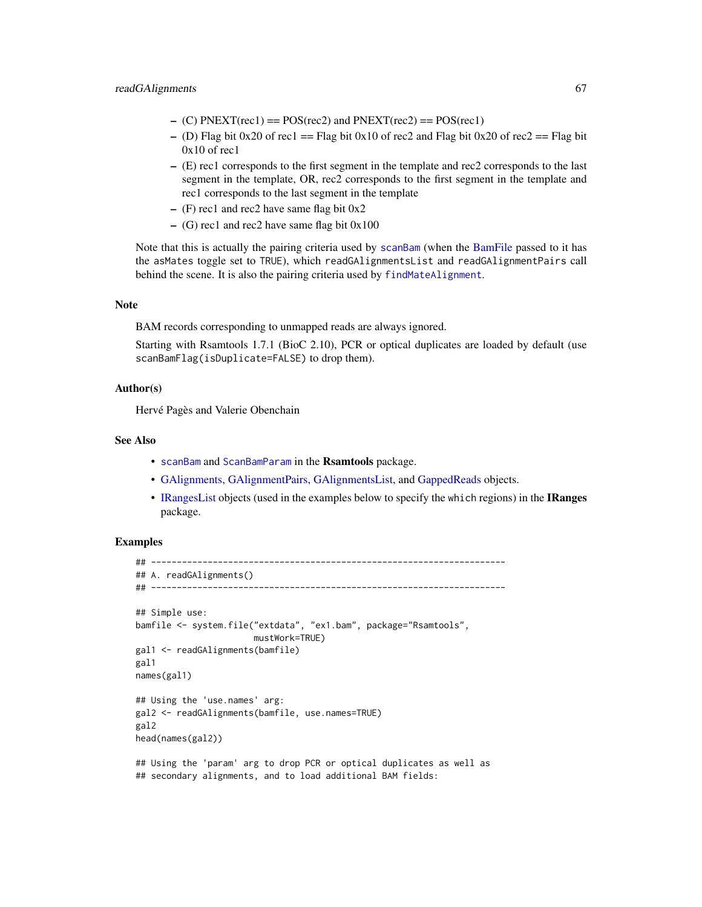- $-$  (C) PNEXT(rec1) = POS(rec2) and PNEXT(rec2) = POS(rec1)
- (D) Flag bit 0x20 of rec1 == Flag bit 0x10 of rec2 and Flag bit 0x20 of rec2 == Flag bit  $0x10$  of rec1
- (E) rec1 corresponds to the first segment in the template and rec2 corresponds to the last segment in the template, OR, rec2 corresponds to the first segment in the template and rec1 corresponds to the last segment in the template
- $-$  (F) rec1 and rec2 have same flag bit  $0x2$
- $-$  (G) rec1 and rec2 have same flag bit  $0x100$

Note that this is actually the pairing criteria used by [scanBam](#page-0-0) (when the [BamFile](#page-0-0) passed to it has the asMates toggle set to TRUE), which readGAlignmentsList and readGAlignmentPairs call behind the scene. It is also the pairing criteria used by [findMateAlignment](#page-17-0).

### Note

BAM records corresponding to unmapped reads are always ignored.

Starting with Rsamtools 1.7.1 (BioC 2.10), PCR or optical duplicates are loaded by default (use scanBamFlag(isDuplicate=FALSE) to drop them).

# Author(s)

Hervé Pagès and Valerie Obenchain

# See Also

- [scanBam](#page-0-0) and [ScanBamParam](#page-0-0) in the Rsamtools package.
- [GAlignments,](#page-31-0) [GAlignmentPairs,](#page-26-0) [GAlignmentsList,](#page-36-0) and [GappedReads](#page-41-0) objects.
- [IRangesList](#page-0-0) objects (used in the examples below to specify the which regions) in the IRanges package.

## Examples

```
## ---------------------------------------------------------------------
## A. readGAlignments()
## ---------------------------------------------------------------------
## Simple use:
bamfile <- system.file("extdata", "ex1.bam", package="Rsamtools",
                       mustWork=TRUE)
gal1 <- readGAlignments(bamfile)
gal1
names(gal1)
## Using the 'use.names' arg:
gal2 <- readGAlignments(bamfile, use.names=TRUE)
gal2
head(names(gal2))
## Using the 'param' arg to drop PCR or optical duplicates as well as
## secondary alignments, and to load additional BAM fields:
```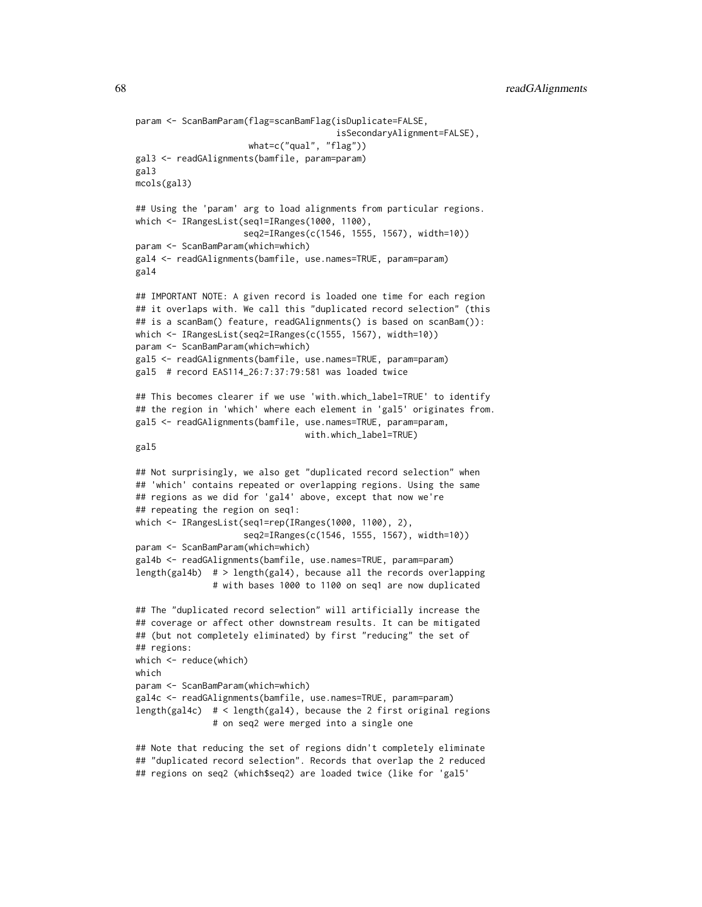68 readGAlignments

```
param <- ScanBamParam(flag=scanBamFlag(isDuplicate=FALSE,
                                       isSecondaryAlignment=FALSE),
                      what=c("qual", "flag"))
gal3 <- readGAlignments(bamfile, param=param)
gal3
mcols(gal3)
## Using the 'param' arg to load alignments from particular regions.
which <- IRangesList(seq1=IRanges(1000, 1100),
                     seq2=IRanges(c(1546, 1555, 1567), width=10))
param <- ScanBamParam(which=which)
gal4 <- readGAlignments(bamfile, use.names=TRUE, param=param)
gal4
## IMPORTANT NOTE: A given record is loaded one time for each region
## it overlaps with. We call this "duplicated record selection" (this
## is a scanBam() feature, readGAlignments() is based on scanBam()):
which <- IRangesList(seq2=IRanges(c(1555, 1567), width=10))
param <- ScanBamParam(which=which)
gal5 <- readGAlignments(bamfile, use.names=TRUE, param=param)
gal5 # record EAS114_26:7:37:79:581 was loaded twice
## This becomes clearer if we use 'with.which_label=TRUE' to identify
## the region in 'which' where each element in 'gal5' originates from.
gal5 <- readGAlignments(bamfile, use.names=TRUE, param=param,
                                 with.which_label=TRUE)
gal5
## Not surprisingly, we also get "duplicated record selection" when
## 'which' contains repeated or overlapping regions. Using the same
## regions as we did for 'gal4' above, except that now we're
## repeating the region on seq1:
which <- IRangesList(seq1=rep(IRanges(1000, 1100), 2),
                     seq2=IRanges(c(1546, 1555, 1567), width=10))
param <- ScanBamParam(which=which)
gal4b <- readGAlignments(bamfile, use.names=TRUE, param=param)
length(gal4b) # > length(gal4), because all the records overlapping
               # with bases 1000 to 1100 on seq1 are now duplicated
## The "duplicated record selection" will artificially increase the
## coverage or affect other downstream results. It can be mitigated
## (but not completely eliminated) by first "reducing" the set of
## regions:
which <- reduce(which)
which
param <- ScanBamParam(which=which)
gal4c <- readGAlignments(bamfile, use.names=TRUE, param=param)
length(gal4c) # < length(gal4), because the 2 first original regions
               # on seq2 were merged into a single one
## Note that reducing the set of regions didn't completely eliminate
```
## "duplicated record selection". Records that overlap the 2 reduced ## regions on seq2 (which\$seq2) are loaded twice (like for 'gal5'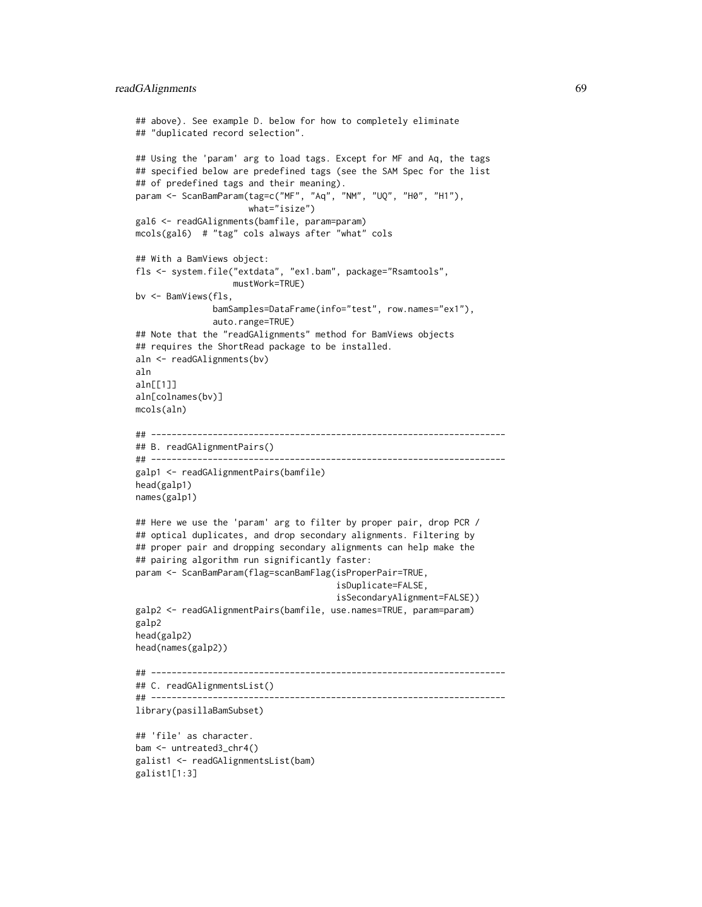```
## above). See example D. below for how to completely eliminate
## "duplicated record selection".
## Using the 'param' arg to load tags. Except for MF and Aq, the tags
## specified below are predefined tags (see the SAM Spec for the list
## of predefined tags and their meaning).
param <- ScanBamParam(tag=c("MF", "Aq", "NM", "UQ", "H0", "H1"),
                     what="isize")
gal6 <- readGAlignments(bamfile, param=param)
mcols(gal6) # "tag" cols always after "what" cols
## With a BamViews object:
fls <- system.file("extdata", "ex1.bam", package="Rsamtools",
                   mustWork=TRUE)
bv <- BamViews(fls,
               bamSamples=DataFrame(info="test", row.names="ex1"),
               auto.range=TRUE)
## Note that the "readGAlignments" method for BamViews objects
## requires the ShortRead package to be installed.
aln <- readGAlignments(bv)
aln
aln[[1]]
aln[colnames(bv)]
mcols(aln)
## ---------------------------------------------------------------------
## B. readGAlignmentPairs()
## ---------------------------------------------------------------------
galp1 <- readGAlignmentPairs(bamfile)
head(galp1)
names(galp1)
## Here we use the 'param' arg to filter by proper pair, drop PCR /
## optical duplicates, and drop secondary alignments. Filtering by
## proper pair and dropping secondary alignments can help make the
## pairing algorithm run significantly faster:
param <- ScanBamParam(flag=scanBamFlag(isProperPair=TRUE,
                                       isDuplicate=FALSE,
                                       isSecondaryAlignment=FALSE))
galp2 <- readGAlignmentPairs(bamfile, use.names=TRUE, param=param)
galp2
head(galp2)
head(names(galp2))
## ---------------------------------------------------------------------
## C. readGAlignmentsList()
## ---------------------------------------------------------------------
library(pasillaBamSubset)
## 'file' as character.
bam <- untreated3_chr4()
galist1 <- readGAlignmentsList(bam)
galist1[1:3]
```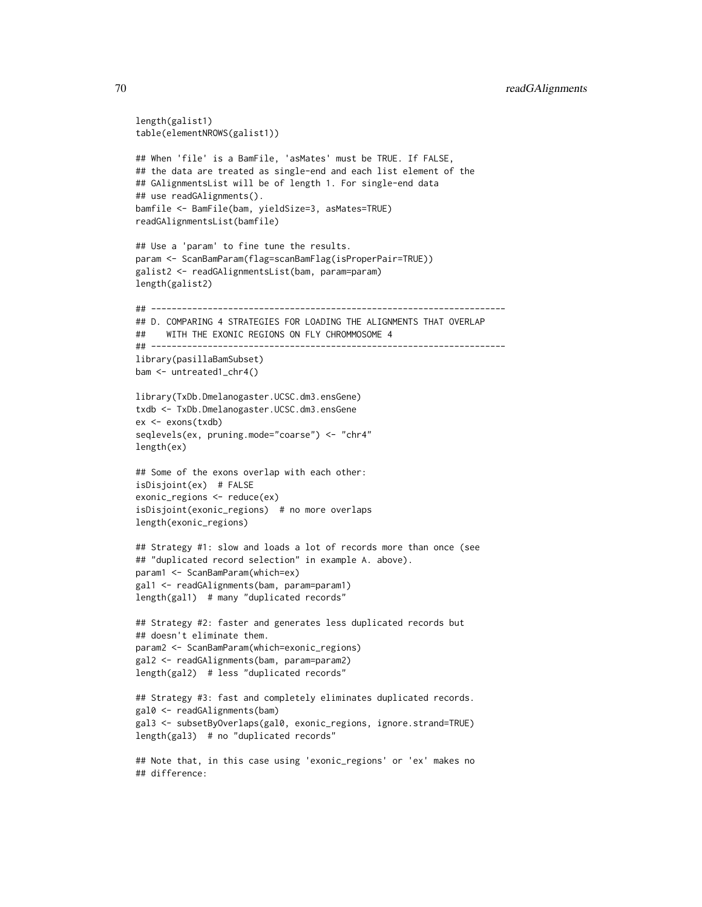```
length(galist1)
table(elementNROWS(galist1))
## When 'file' is a BamFile, 'asMates' must be TRUE. If FALSE,
## the data are treated as single-end and each list element of the
## GAlignmentsList will be of length 1. For single-end data
## use readGAlignments().
bamfile <- BamFile(bam, yieldSize=3, asMates=TRUE)
readGAlignmentsList(bamfile)
## Use a 'param' to fine tune the results.
param <- ScanBamParam(flag=scanBamFlag(isProperPair=TRUE))
galist2 <- readGAlignmentsList(bam, param=param)
length(galist2)
## ---------------------------------------------------------------------
## D. COMPARING 4 STRATEGIES FOR LOADING THE ALIGNMENTS THAT OVERLAP
## WITH THE EXONIC REGIONS ON FLY CHROMMOSOME 4
## ---------------------------------------------------------------------
library(pasillaBamSubset)
bam <- untreated1_chr4()
library(TxDb.Dmelanogaster.UCSC.dm3.ensGene)
txdb <- TxDb.Dmelanogaster.UCSC.dm3.ensGene
ex <- exons(txdb)
seqlevels(ex, pruning.mode="coarse") <- "chr4"
length(ex)
## Some of the exons overlap with each other:
isDisjoint(ex) # FALSE
exonic_regions <- reduce(ex)
isDisjoint(exonic_regions) # no more overlaps
length(exonic_regions)
## Strategy #1: slow and loads a lot of records more than once (see
## "duplicated record selection" in example A. above).
param1 <- ScanBamParam(which=ex)
gal1 <- readGAlignments(bam, param=param1)
length(gal1) # many "duplicated records"
## Strategy #2: faster and generates less duplicated records but
## doesn't eliminate them.
param2 <- ScanBamParam(which=exonic_regions)
gal2 <- readGAlignments(bam, param=param2)
length(gal2) # less "duplicated records"
## Strategy #3: fast and completely eliminates duplicated records.
gal0 <- readGAlignments(bam)
gal3 <- subsetByOverlaps(gal0, exonic_regions, ignore.strand=TRUE)
length(gal3) # no "duplicated records"
## Note that, in this case using 'exonic_regions' or 'ex' makes no
```
## difference: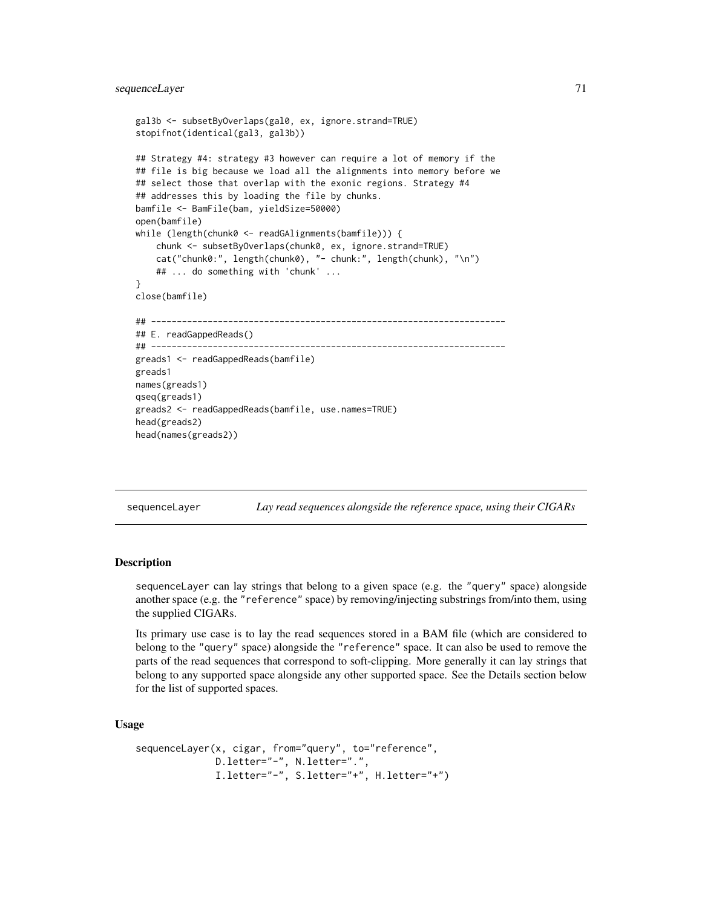# sequenceLayer 71

```
gal3b <- subsetByOverlaps(gal0, ex, ignore.strand=TRUE)
stopifnot(identical(gal3, gal3b))
## Strategy #4: strategy #3 however can require a lot of memory if the
## file is big because we load all the alignments into memory before we
## select those that overlap with the exonic regions. Strategy #4
## addresses this by loading the file by chunks.
bamfile <- BamFile(bam, yieldSize=50000)
open(bamfile)
while (length(chunk0 <- readGAlignments(bamfile))) {
    chunk <- subsetByOverlaps(chunk0, ex, ignore.strand=TRUE)
    cat("chunk0:", length(chunk0), "- chunk:", length(chunk), "\n")
    ## ... do something with 'chunk' ...
}
close(bamfile)
## ---------------------------------------------------------------------
## E. readGappedReads()
## ---------------------------------------------------------------------
greads1 <- readGappedReads(bamfile)
greads1
names(greads1)
qseq(greads1)
greads2 <- readGappedReads(bamfile, use.names=TRUE)
head(greads2)
head(names(greads2))
```
sequenceLayer *Lay read sequences alongside the reference space, using their CIGARs*

## **Description**

sequenceLayer can lay strings that belong to a given space (e.g. the "query" space) alongside another space (e.g. the "reference" space) by removing/injecting substrings from/into them, using the supplied CIGARs.

Its primary use case is to lay the read sequences stored in a BAM file (which are considered to belong to the "query" space) alongside the "reference" space. It can also be used to remove the parts of the read sequences that correspond to soft-clipping. More generally it can lay strings that belong to any supported space alongside any other supported space. See the Details section below for the list of supported spaces.

# Usage

```
sequenceLayer(x, cigar, from="query", to="reference",
             D.letter="-", N.letter=".",
             I.letter="-", S.letter="+", H.letter="+")
```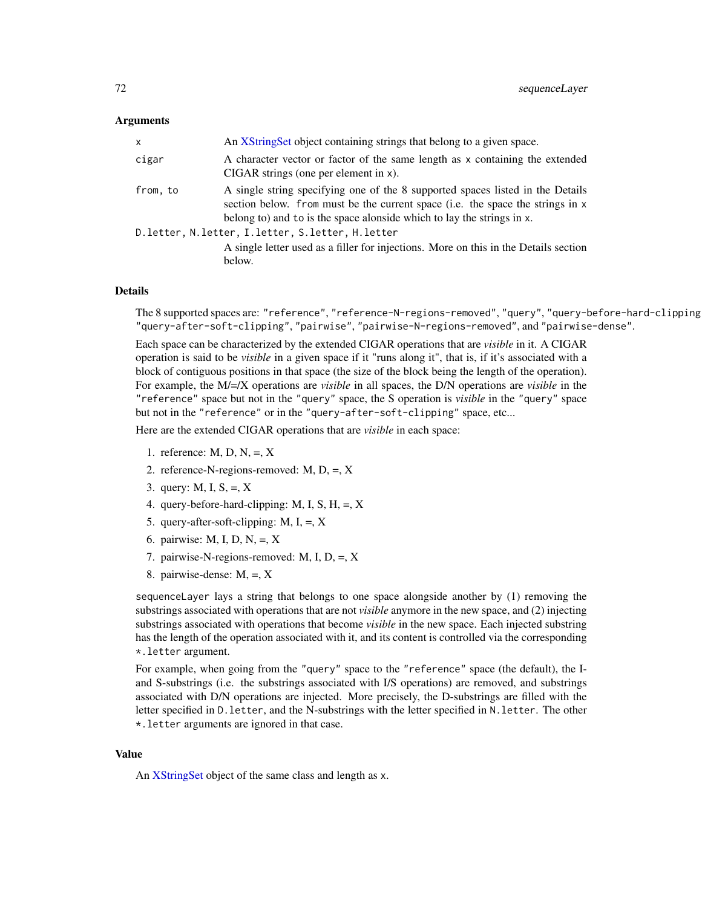#### Arguments

| x                                                | An XStringSet object containing strings that belong to a given space.                                                                                                                                                                      |  |
|--------------------------------------------------|--------------------------------------------------------------------------------------------------------------------------------------------------------------------------------------------------------------------------------------------|--|
| cigar                                            | A character vector or factor of the same length as x containing the extended<br>$CIGAR$ strings (one per element in x).                                                                                                                    |  |
| from, to                                         | A single string specifying one of the 8 supported spaces listed in the Details<br>section below. from must be the current space (i.e. the space the strings in x<br>belong to) and to is the space alonside which to lay the strings in x. |  |
| D.letter, N.letter, I.letter, S.letter, H.letter |                                                                                                                                                                                                                                            |  |
|                                                  | A single letter used as a filler for injections. More on this in the Details section<br>below.                                                                                                                                             |  |

# Details

The 8 supported spaces are: "reference", "reference-N-regions-removed", "query", "query-before-hard-clipping", "query-after-soft-clipping", "pairwise", "pairwise-N-regions-removed", and "pairwise-dense".

Each space can be characterized by the extended CIGAR operations that are *visible* in it. A CIGAR operation is said to be *visible* in a given space if it "runs along it", that is, if it's associated with a block of contiguous positions in that space (the size of the block being the length of the operation). For example, the M/=/X operations are *visible* in all spaces, the D/N operations are *visible* in the "reference" space but not in the "query" space, the S operation is *visible* in the "query" space but not in the "reference" or in the "query-after-soft-clipping" space, etc...

Here are the extended CIGAR operations that are *visible* in each space:

- 1. reference:  $M$ ,  $D$ ,  $N$ ,  $=$ ,  $X$
- 2. reference-N-regions-removed: M, D, =, X
- 3. query: M, I,  $S_2 = X$
- 4. query-before-hard-clipping: M, I, S, H,  $=$ , X
- 5. query-after-soft-clipping:  $M$ ,  $I$ ,  $=$ ,  $X$
- 6. pairwise: M, I, D, N,  $=$ , X
- 7. pairwise-N-regions-removed: M, I, D, =, X
- 8. pairwise-dense: M, =, X

sequenceLayer lays a string that belongs to one space alongside another by (1) removing the substrings associated with operations that are not *visible* anymore in the new space, and (2) injecting substrings associated with operations that become *visible* in the new space. Each injected substring has the length of the operation associated with it, and its content is controlled via the corresponding \*.letter argument.

For example, when going from the "query" space to the "reference" space (the default), the Iand S-substrings (i.e. the substrings associated with I/S operations) are removed, and substrings associated with D/N operations are injected. More precisely, the D-substrings are filled with the letter specified in D.letter, and the N-substrings with the letter specified in N.letter. The other \*.letter arguments are ignored in that case.

#### Value

An [XStringSet](#page-0-0) object of the same class and length as x.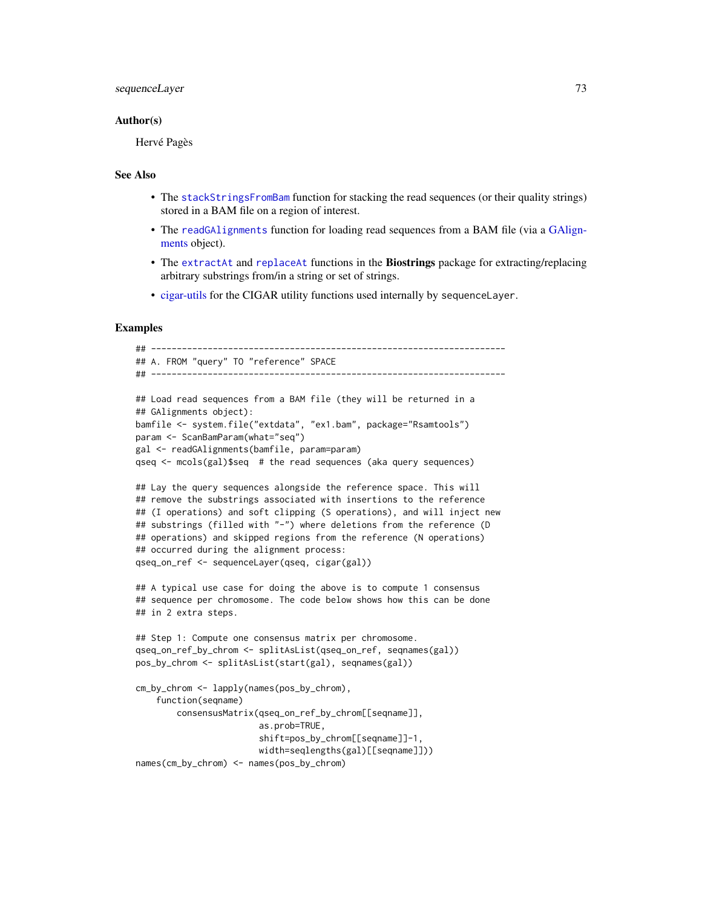# <span id="page-72-0"></span>sequenceLayer 73

#### Author(s)

Hervé Pagès

## See Also

- The [stackStringsFromBam](#page-77-0) function for stacking the read sequences (or their quality strings) stored in a BAM file on a region of interest.
- The [readGAlignments](#page-63-0) function for loading read sequences from a BAM file (via a [GAlign](#page-31-0)[ments](#page-31-0) object).
- The [extractAt](#page-0-0) and [replaceAt](#page-0-0) functions in the Biostrings package for extracting/replacing arbitrary substrings from/in a string or set of strings.
- [cigar-utils](#page-2-0) for the CIGAR utility functions used internally by sequenceLayer.

# Examples

```
## ---------------------------------------------------------------------
## A. FROM "query" TO "reference" SPACE
## ---------------------------------------------------------------------
## Load read sequences from a BAM file (they will be returned in a
## GAlignments object):
bamfile <- system.file("extdata", "ex1.bam", package="Rsamtools")
param <- ScanBamParam(what="seq")
gal <- readGAlignments(bamfile, param=param)
qseq <- mcols(gal)$seq # the read sequences (aka query sequences)
## Lay the query sequences alongside the reference space. This will
## remove the substrings associated with insertions to the reference
## (I operations) and soft clipping (S operations), and will inject new
## substrings (filled with "-") where deletions from the reference (D
## operations) and skipped regions from the reference (N operations)
## occurred during the alignment process:
qseq_on_ref <- sequenceLayer(qseq, cigar(gal))
## A typical use case for doing the above is to compute 1 consensus
## sequence per chromosome. The code below shows how this can be done
## in 2 extra steps.
## Step 1: Compute one consensus matrix per chromosome.
qseq_on_ref_by_chrom <- splitAsList(qseq_on_ref, seqnames(gal))
pos_by_chrom <- splitAsList(start(gal), seqnames(gal))
cm_by_chrom <- lapply(names(pos_by_chrom),
    function(seqname)
       consensusMatrix(qseq_on_ref_by_chrom[[seqname]],
                        as.prob=TRUE,
                        shift=pos_by_chrom[[seqname]]-1,
```
width=seqlengths(gal)[[seqname]]))

```
names(cm_by_chrom) <- names(pos_by_chrom)
```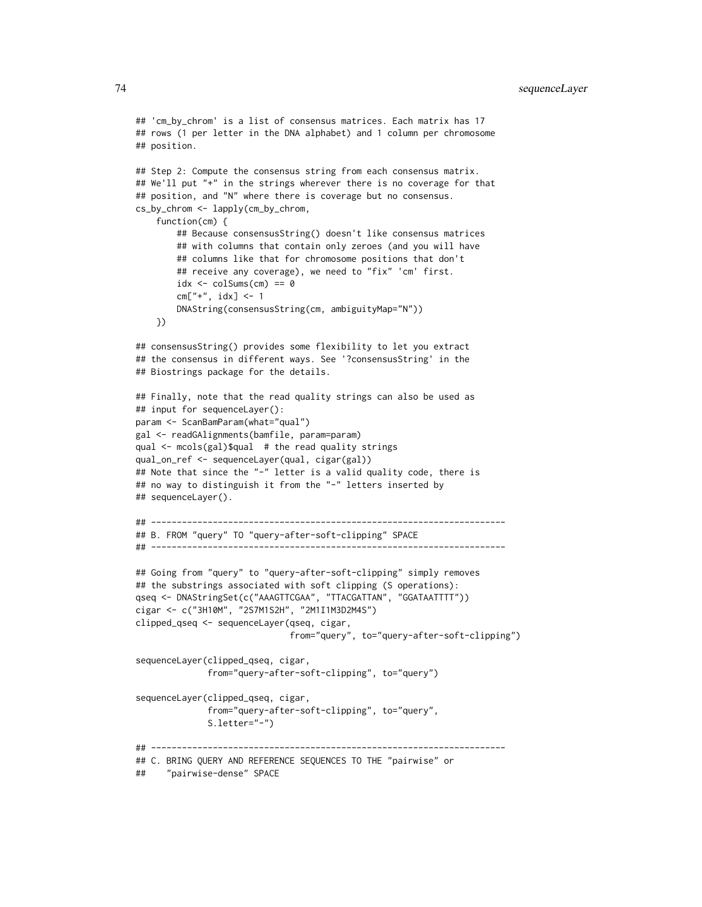```
## 'cm_by_chrom' is a list of consensus matrices. Each matrix has 17
## rows (1 per letter in the DNA alphabet) and 1 column per chromosome
## position.
## Step 2: Compute the consensus string from each consensus matrix.
## We'll put "+" in the strings wherever there is no coverage for that
## position, and "N" where there is coverage but no consensus.
cs_by_chrom <- lapply(cm_by_chrom,
    function(cm) {
        ## Because consensusString() doesn't like consensus matrices
        ## with columns that contain only zeroes (and you will have
       ## columns like that for chromosome positions that don't
       ## receive any coverage), we need to "fix" 'cm' first.
       idx \leq colSums(cm) == 0
       cm["+", idx] <- 1
       DNAString(consensusString(cm, ambiguityMap="N"))
    })
## consensusString() provides some flexibility to let you extract
## the consensus in different ways. See '?consensusString' in the
## Biostrings package for the details.
## Finally, note that the read quality strings can also be used as
## input for sequenceLayer():
param <- ScanBamParam(what="qual")
gal <- readGAlignments(bamfile, param=param)
qual <- mcols(gal)$qual # the read quality strings
qual_on_ref <- sequenceLayer(qual, cigar(gal))
## Note that since the "-" letter is a valid quality code, there is
## no way to distinguish it from the "-" letters inserted by
## sequenceLayer().
## ---------------------------------------------------------------------
## B. FROM "query" TO "query-after-soft-clipping" SPACE
## ---------------------------------------------------------------------
## Going from "query" to "query-after-soft-clipping" simply removes
## the substrings associated with soft clipping (S operations):
qseq <- DNAStringSet(c("AAAGTTCGAA", "TTACGATTAN", "GGATAATTTT"))
cigar <- c("3H10M", "2S7M1S2H", "2M1I1M3D2M4S")
clipped_qseq <- sequenceLayer(qseq, cigar,
                              from="query", to="query-after-soft-clipping")
sequenceLayer(clipped_qseq, cigar,
              from="query-after-soft-clipping", to="query")
sequenceLayer(clipped_qseq, cigar,
              from="query-after-soft-clipping", to="query",
              S.letter="-")
## ---------------------------------------------------------------------
## C. BRING QUERY AND REFERENCE SEQUENCES TO THE "pairwise" or
## "pairwise-dense" SPACE
```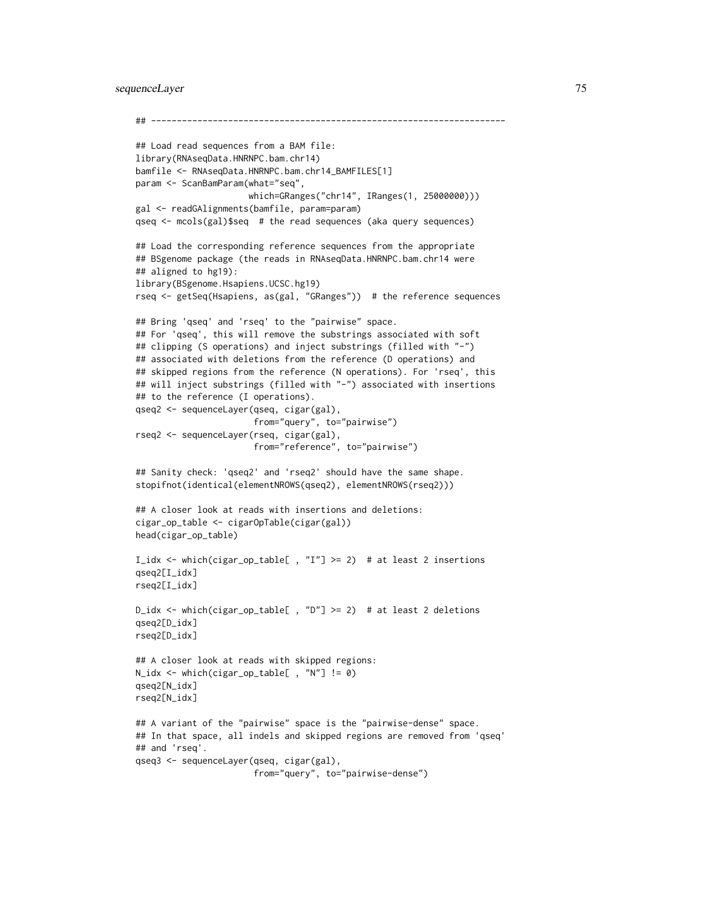```
## ---------------------------------------------------------------------
## Load read sequences from a BAM file:
library(RNAseqData.HNRNPC.bam.chr14)
bamfile <- RNAseqData.HNRNPC.bam.chr14_BAMFILES[1]
param <- ScanBamParam(what="seq",
                      which=GRanges("chr14", IRanges(1, 25000000)))
gal <- readGAlignments(bamfile, param=param)
qseq <- mcols(gal)$seq # the read sequences (aka query sequences)
## Load the corresponding reference sequences from the appropriate
## BSgenome package (the reads in RNAseqData.HNRNPC.bam.chr14 were
## aligned to hg19):
library(BSgenome.Hsapiens.UCSC.hg19)
rseq <- getSeq(Hsapiens, as(gal, "GRanges")) # the reference sequences
## Bring 'qseq' and 'rseq' to the "pairwise" space.
## For 'qseq', this will remove the substrings associated with soft
## clipping (S operations) and inject substrings (filled with "-")
## associated with deletions from the reference (D operations) and
## skipped regions from the reference (N operations). For 'rseq', this
## will inject substrings (filled with "-") associated with insertions
## to the reference (I operations).
qseq2 <- sequenceLayer(qseq, cigar(gal),
                      from="query", to="pairwise")
rseq2 <- sequenceLayer(rseq, cigar(gal),
                       from="reference", to="pairwise")
## Sanity check: 'qseq2' and 'rseq2' should have the same shape.
stopifnot(identical(elementNROWS(qseq2), elementNROWS(rseq2)))
## A closer look at reads with insertions and deletions:
cigar_op_table <- cigarOpTable(cigar(gal))
head(cigar_op_table)
I_idx <- which(cigar_op_table[ , "I"] >= 2) # at least 2 insertions
qseq2[I_idx]
rseq2[I_idx]
D_idx <- which(cigar_op_table[ , "D"] >= 2) # at least 2 deletions
qseq2[D_idx]
rseq2[D_idx]
## A closer look at reads with skipped regions:
N_idx <- which(cigar_op_table[ , "N"] != 0)
qseq2[N_idx]
rseq2[N_idx]
## A variant of the "pairwise" space is the "pairwise-dense" space.
## In that space, all indels and skipped regions are removed from 'qseq'
## and 'rseq'.
qseq3 <- sequenceLayer(qseq, cigar(gal),
                       from="query", to="pairwise-dense")
```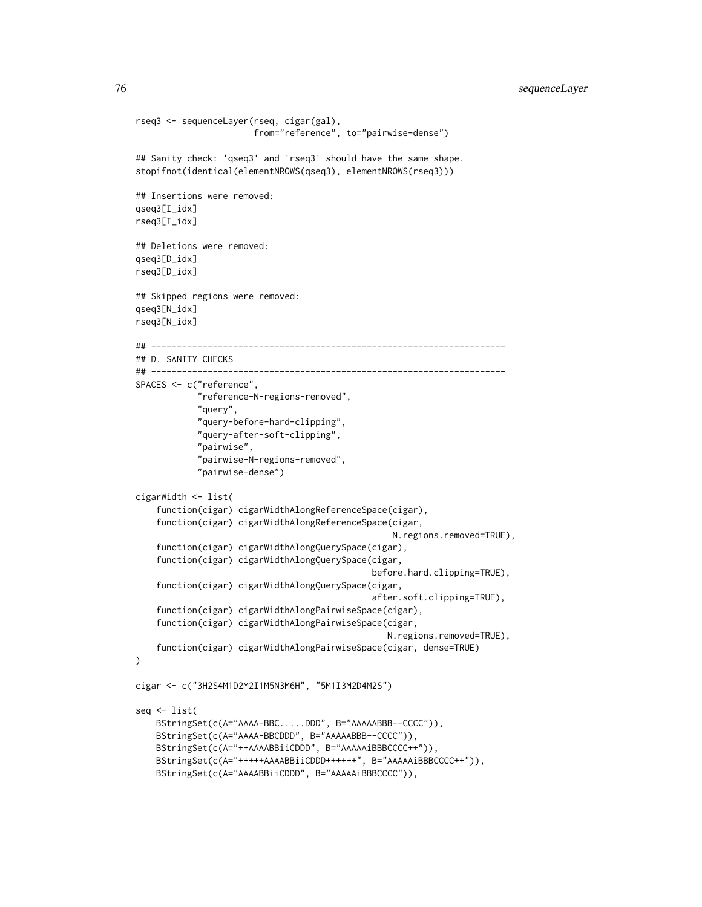76 sequenceLayer

```
rseq3 <- sequenceLayer(rseq, cigar(gal),
                       from="reference", to="pairwise-dense")
## Sanity check: 'qseq3' and 'rseq3' should have the same shape.
stopifnot(identical(elementNROWS(qseq3), elementNROWS(rseq3)))
## Insertions were removed:
qseq3[I_idx]
rseq3[I_idx]
## Deletions were removed:
qseq3[D_idx]
rseq3[D_idx]
## Skipped regions were removed:
qseq3[N_idx]
rseq3[N_idx]
## ---------------------------------------------------------------------
## D. SANITY CHECKS
## ---------------------------------------------------------------------
SPACES <- c("reference",
            "reference-N-regions-removed",
            "query",
            "query-before-hard-clipping",
            "query-after-soft-clipping",
            "pairwise",
            "pairwise-N-regions-removed",
            "pairwise-dense")
cigarWidth <- list(
    function(cigar) cigarWidthAlongReferenceSpace(cigar),
    function(cigar) cigarWidthAlongReferenceSpace(cigar,
                                                  N.regions.removed=TRUE),
    function(cigar) cigarWidthAlongQuerySpace(cigar),
    function(cigar) cigarWidthAlongQuerySpace(cigar,
                                              before.hard.clipping=TRUE),
    function(cigar) cigarWidthAlongQuerySpace(cigar,
                                              after.soft.clipping=TRUE),
    function(cigar) cigarWidthAlongPairwiseSpace(cigar),
    function(cigar) cigarWidthAlongPairwiseSpace(cigar,
                                                 N.regions.removed=TRUE),
    function(cigar) cigarWidthAlongPairwiseSpace(cigar, dense=TRUE)
)
cigar <- c("3H2S4M1D2M2I1M5N3M6H", "5M1I3M2D4M2S")
seq <- list(
    BStringSet(c(A="AAAA-BBC.....DDD", B="AAAAABBB--CCCC")),
    BStringSet(c(A="AAAA-BBCDDD", B="AAAAABBB--CCCC")),
   BStringSet(c(A="++AAAABBiiCDDD", B="AAAAAiBBBCCCC++")),
    BStringSet(c(A="+++++AAAABBiiCDDD++++++", B="AAAAAiBBBCCCC++")),
    BStringSet(c(A="AAAABBiiCDDD", B="AAAAAiBBBCCCC")),
```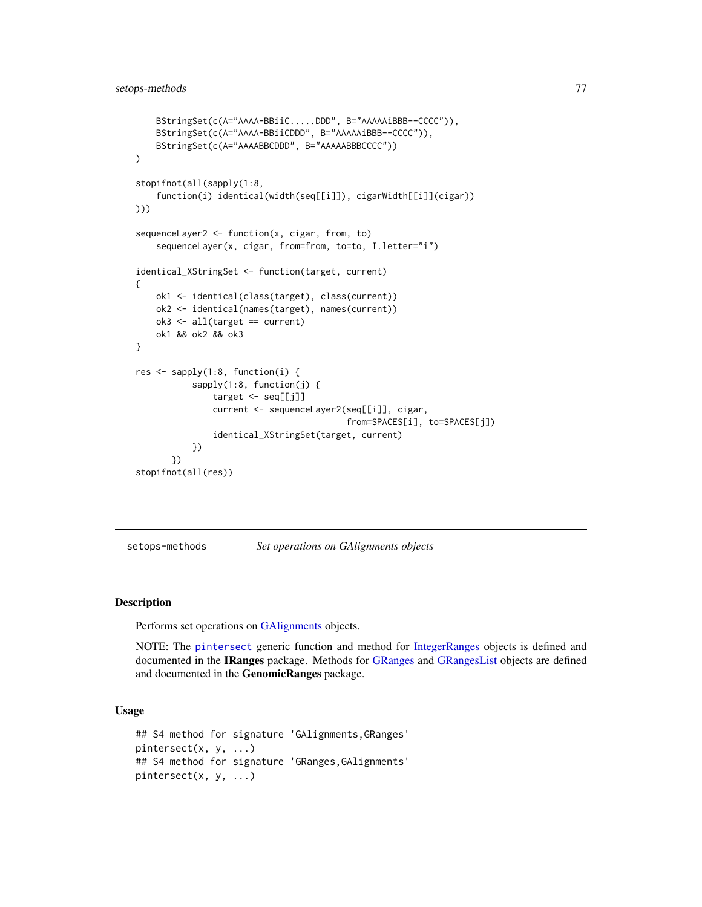```
BStringSet(c(A="AAAA-BBiiC.....DDD", B="AAAAAiBBB--CCCC")),
    BStringSet(c(A="AAAA-BBiiCDDD", B="AAAAAiBBB--CCCC")),
    BStringSet(c(A="AAAABBCDDD", B="AAAAABBBCCCC"))
)
stopifnot(all(sapply(1:8,
    function(i) identical(width(seq[[i]]), cigarWidth[[i]](cigar))
)))
sequenceLayer2 <- function(x, cigar, from, to)
    sequenceLayer(x, cigar, from=from, to=to, I.letter="i")
identical_XStringSet <- function(target, current)
{
    ok1 <- identical(class(target), class(current))
    ok2 <- identical(names(target), names(current))
    ok3 <- all(target == current)
    ok1 && ok2 && ok3
}
res <- sapply(1:8, function(i) {
           sapply(1:8, function(j) {
               target <- seq[[j]]
               current <- sequenceLayer2(seq[[i]], cigar,
                                         from=SPACES[i], to=SPACES[j])
               identical_XStringSet(target, current)
           })
       })
stopifnot(all(res))
```
<span id="page-76-1"></span>setops-methods *Set operations on GAlignments objects*

# <span id="page-76-0"></span>Description

Performs set operations on [GAlignments](#page-31-0) objects.

NOTE: The [pintersect](#page-76-0) generic function and method for [IntegerRanges](#page-0-0) objects is defined and documented in the IRanges package. Methods for [GRanges](#page-0-0) and [GRangesList](#page-0-0) objects are defined and documented in the GenomicRanges package.

# Usage

```
## S4 method for signature 'GAlignments,GRanges'
pintersect(x, y, ...)
## S4 method for signature 'GRanges,GAlignments'
pintersect(x, y, ...)
```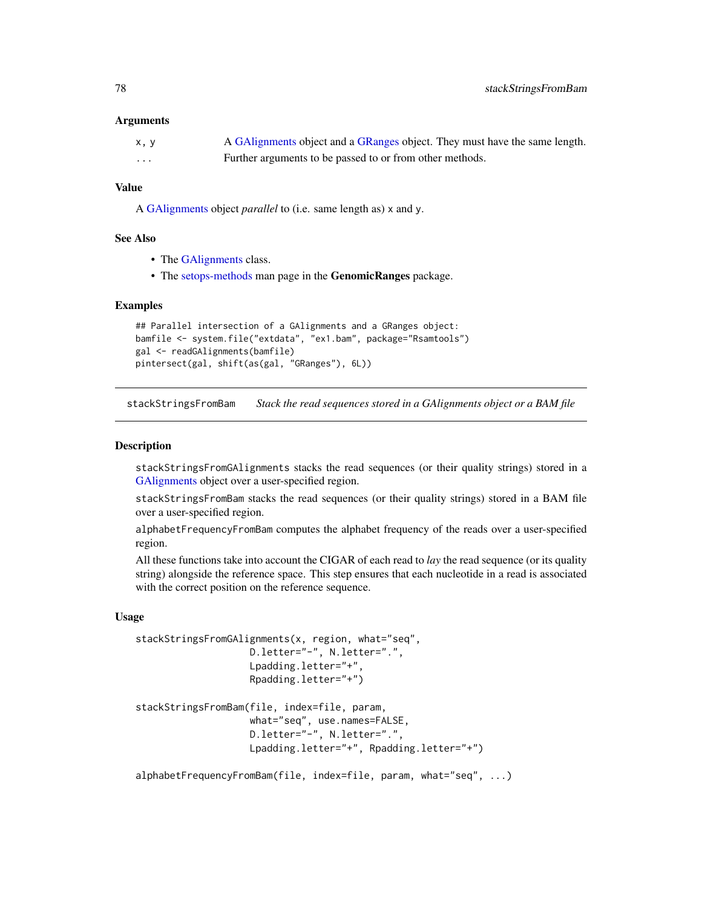## <span id="page-77-1"></span>**Arguments**

| x, y | A GAlignments object and a GRanges object. They must have the same length. |
|------|----------------------------------------------------------------------------|
| .    | Further arguments to be passed to or from other methods.                   |

# Value

A [GAlignments](#page-31-0) object *parallel* to (i.e. same length as) x and y.

#### See Also

- The [GAlignments](#page-31-0) class.
- The [setops-methods](#page-76-1) man page in the GenomicRanges package.

#### Examples

```
## Parallel intersection of a GAlignments and a GRanges object:
bamfile <- system.file("extdata", "ex1.bam", package="Rsamtools")
gal <- readGAlignments(bamfile)
pintersect(gal, shift(as(gal, "GRanges"), 6L))
```
<span id="page-77-0"></span>stackStringsFromBam *Stack the read sequences stored in a GAlignments object or a BAM file*

# Description

stackStringsFromGAlignments stacks the read sequences (or their quality strings) stored in a [GAlignments](#page-31-0) object over a user-specified region.

stackStringsFromBam stacks the read sequences (or their quality strings) stored in a BAM file over a user-specified region.

alphabetFrequencyFromBam computes the alphabet frequency of the reads over a user-specified region.

All these functions take into account the CIGAR of each read to *lay* the read sequence (or its quality string) alongside the reference space. This step ensures that each nucleotide in a read is associated with the correct position on the reference sequence.

# Usage

```
stackStringsFromGAlignments(x, region, what="seq",
                    D.letter="-", N.letter=".",
                   Lpadding.letter="+",
                    Rpadding.letter="+")
stackStringsFromBam(file, index=file, param,
                    what="seq", use.names=FALSE,
                    D.letter="-", N.letter=".",
                   Lpadding.letter="+", Rpadding.letter="+")
```
alphabetFrequencyFromBam(file, index=file, param, what="seq", ...)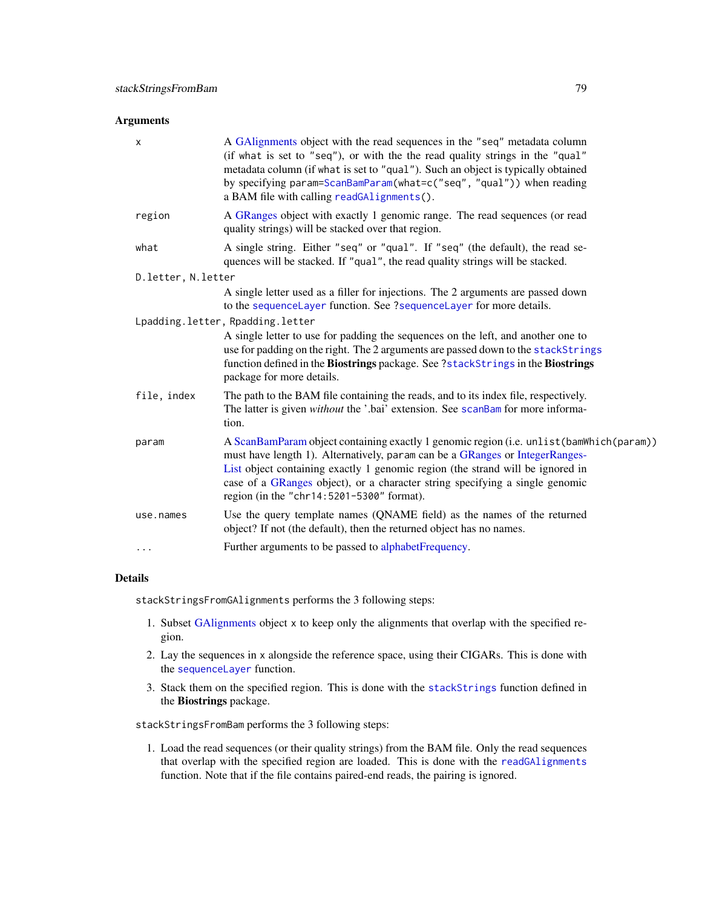# <span id="page-78-0"></span>Arguments

| X                    | A GAlignments object with the read sequences in the "seq" metadata column<br>(if what is set to "seq"), or with the the read quality strings in the "qual"<br>metadata column (if what is set to "qual"). Such an object is typically obtained<br>by specifying param=ScanBamParam(what=c("seq", "qual")) when reading<br>a BAM file with calling readGAlignments().                     |
|----------------------|------------------------------------------------------------------------------------------------------------------------------------------------------------------------------------------------------------------------------------------------------------------------------------------------------------------------------------------------------------------------------------------|
| region               | A GRanges object with exactly 1 genomic range. The read sequences (or read<br>quality strings) will be stacked over that region.                                                                                                                                                                                                                                                         |
| what                 | A single string. Either "seq" or "qual". If "seq" (the default), the read se-<br>quences will be stacked. If "qual", the read quality strings will be stacked.                                                                                                                                                                                                                           |
| D. letter, N. letter |                                                                                                                                                                                                                                                                                                                                                                                          |
|                      | A single letter used as a filler for injections. The 2 arguments are passed down<br>to the sequenceLayer function. See ?sequenceLayer for more details.                                                                                                                                                                                                                                  |
|                      | Lpadding.letter, Rpadding.letter                                                                                                                                                                                                                                                                                                                                                         |
|                      | A single letter to use for padding the sequences on the left, and another one to<br>use for padding on the right. The 2 arguments are passed down to the stackStrings<br>function defined in the Biostrings package. See ?stackStrings in the Biostrings<br>package for more details.                                                                                                    |
| file, index          | The path to the BAM file containing the reads, and to its index file, respectively.<br>The latter is given without the '.bai' extension. See scanBam for more informa-<br>tion.                                                                                                                                                                                                          |
| param                | A ScanBamParam object containing exactly 1 genomic region (i.e. unlist (bamWhich (param))<br>must have length 1). Alternatively, param can be a GRanges or IntegerRanges-<br>List object containing exactly 1 genomic region (the strand will be ignored in<br>case of a GRanges object), or a character string specifying a single genomic<br>region (in the "chr14:5201-5300" format). |
| use.names            | Use the query template names (QNAME field) as the names of the returned<br>object? If not (the default), then the returned object has no names.                                                                                                                                                                                                                                          |
| .                    | Further arguments to be passed to alphabetFrequency.                                                                                                                                                                                                                                                                                                                                     |
|                      |                                                                                                                                                                                                                                                                                                                                                                                          |

# Details

stackStringsFromGAlignments performs the 3 following steps:

- 1. Subset [GAlignments](#page-31-0) object x to keep only the alignments that overlap with the specified region.
- 2. Lay the sequences in x alongside the reference space, using their CIGARs. This is done with the [sequenceLayer](#page-70-0) function.
- 3. Stack them on the specified region. This is done with the [stackStrings](#page-0-0) function defined in the Biostrings package.

stackStringsFromBam performs the 3 following steps:

1. Load the read sequences (or their quality strings) from the BAM file. Only the read sequences that overlap with the specified region are loaded. This is done with the [readGAlignments](#page-63-0) function. Note that if the file contains paired-end reads, the pairing is ignored.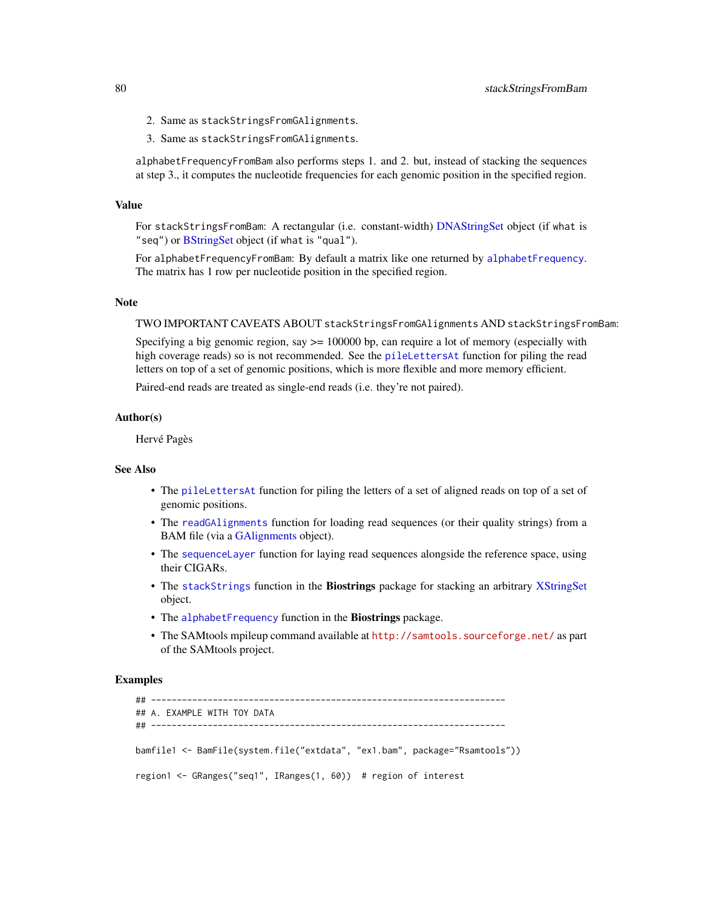- <span id="page-79-0"></span>2. Same as stackStringsFromGAlignments.
- 3. Same as stackStringsFromGAlignments.

alphabetFrequencyFromBam also performs steps 1. and 2. but, instead of stacking the sequences at step 3., it computes the nucleotide frequencies for each genomic position in the specified region.

#### Value

For stackStringsFromBam: A rectangular (i.e. constant-width) [DNAStringSet](#page-0-0) object (if what is "seq") or [BStringSet](#page-0-0) object (if what is "qual").

For alphabetFrequencyFromBam: By default a matrix like one returned by [alphabetFrequency](#page-0-0). The matrix has 1 row per nucleotide position in the specified region.

# **Note**

TWO IMPORTANT CAVEATS ABOUT stackStringsFromGAlignments AND stackStringsFromBam:

Specifying a big genomic region, say  $\geq$  100000 bp, can require a lot of memory (especially with high coverage reads) so is not recommended. See the [pileLettersAt](#page-60-0) function for piling the read letters on top of a set of genomic positions, which is more flexible and more memory efficient.

Paired-end reads are treated as single-end reads (i.e. they're not paired).

#### Author(s)

Hervé Pagès

# See Also

- The [pileLettersAt](#page-60-0) function for piling the letters of a set of aligned reads on top of a set of genomic positions.
- The [readGAlignments](#page-63-0) function for loading read sequences (or their quality strings) from a BAM file (via a [GAlignments](#page-31-0) object).
- The [sequenceLayer](#page-70-0) function for laying read sequences alongside the reference space, using their CIGARs.
- The [stackStrings](#page-0-0) function in the Biostrings package for stacking an arbitrary [XStringSet](#page-0-0) object.
- The [alphabetFrequency](#page-0-0) function in the Biostrings package.
- The SAMtools mpileup command available at <http://samtools.sourceforge.net/> as part of the SAMtools project.

# Examples

```
## ---------------------------------------------------------------------
## A. EXAMPLE WITH TOY DATA
## ---------------------------------------------------------------------
bamfile1 <- BamFile(system.file("extdata", "ex1.bam", package="Rsamtools"))
region1 <- GRanges("seq1", IRanges(1, 60)) # region of interest
```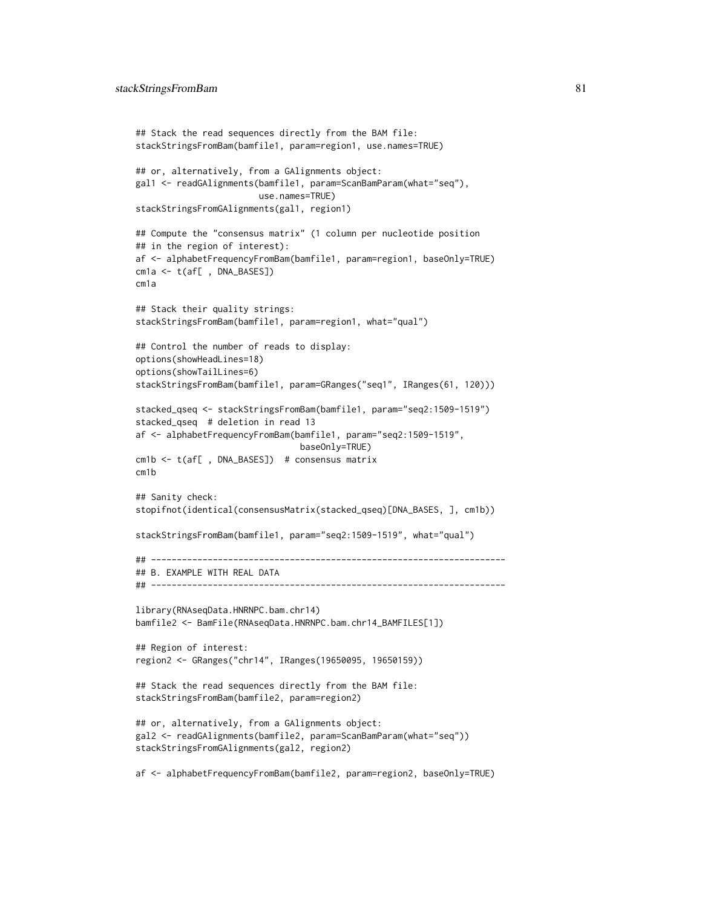```
## Stack the read sequences directly from the BAM file:
stackStringsFromBam(bamfile1, param=region1, use.names=TRUE)
## or, alternatively, from a GAlignments object:
gal1 <- readGAlignments(bamfile1, param=ScanBamParam(what="seq"),
                       use.names=TRUE)
stackStringsFromGAlignments(gal1, region1)
## Compute the "consensus matrix" (1 column per nucleotide position
## in the region of interest):
af <- alphabetFrequencyFromBam(bamfile1, param=region1, baseOnly=TRUE)
cm1a <- t(af[ , DNA_BASES])
cm1a
## Stack their quality strings:
stackStringsFromBam(bamfile1, param=region1, what="qual")
## Control the number of reads to display:
options(showHeadLines=18)
options(showTailLines=6)
stackStringsFromBam(bamfile1, param=GRanges("seq1", IRanges(61, 120)))
stacked_qseq <- stackStringsFromBam(bamfile1, param="seq2:1509-1519")
stacked_qseq # deletion in read 13
af <- alphabetFrequencyFromBam(bamfile1, param="seq2:1509-1519",
                                baseOnly=TRUE)
cm1b <- t(af[ , DNA_BASES]) # consensus matrix
cm1b
## Sanity check:
stopifnot(identical(consensusMatrix(stacked_qseq)[DNA_BASES, ], cm1b))
stackStringsFromBam(bamfile1, param="seq2:1509-1519", what="qual")
## ---------------------------------------------------------------------
## B. EXAMPLE WITH REAL DATA
## ---------------------------------------------------------------------
library(RNAseqData.HNRNPC.bam.chr14)
bamfile2 <- BamFile(RNAseqData.HNRNPC.bam.chr14_BAMFILES[1])
## Region of interest:
region2 <- GRanges("chr14", IRanges(19650095, 19650159))
## Stack the read sequences directly from the BAM file:
stackStringsFromBam(bamfile2, param=region2)
## or, alternatively, from a GAlignments object:
gal2 <- readGAlignments(bamfile2, param=ScanBamParam(what="seq"))
stackStringsFromGAlignments(gal2, region2)
af <- alphabetFrequencyFromBam(bamfile2, param=region2, baseOnly=TRUE)
```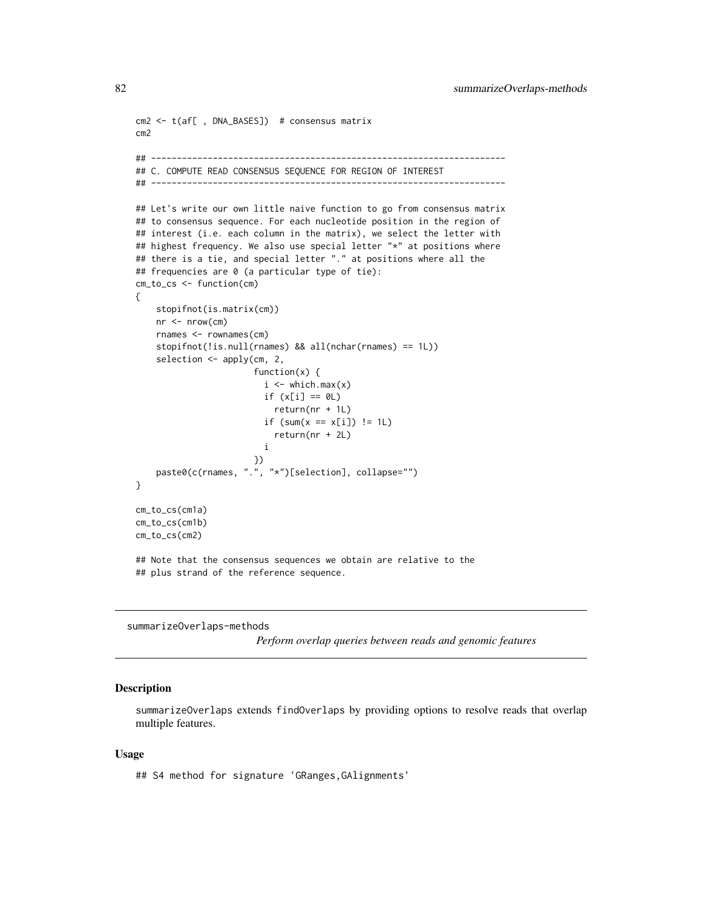```
cm2 <- t(af[ , DNA_BASES]) # consensus matrix
cm2
## ---------------------------------------------------------------------
## C. COMPUTE READ CONSENSUS SEQUENCE FOR REGION OF INTEREST
## ---------------------------------------------------------------------
## Let's write our own little naive function to go from consensus matrix
## to consensus sequence. For each nucleotide position in the region of
## interest (i.e. each column in the matrix), we select the letter with
## highest frequency. We also use special letter "*" at positions where
## there is a tie, and special letter "." at positions where all the
## frequencies are 0 (a particular type of tie):
cm_to_cs <- function(cm)
{
    stopifnot(is.matrix(cm))
   nr <- nrow(cm)
   rnames <- rownames(cm)
    stopifnot(!is.null(rnames) && all(nchar(rnames) == 1L))
    selection <- apply(cm, 2,
                       function(x) {
                         i \leq which.max(x)if (x[i] == 0L)return(nr + 1L)
                         if (sum(x == x[i]) != 1L)return(nr + 2L)
                         i
                       })
    paste0(c(rnames, ".", "*")[selection], collapse="")
}
cm_to_cs(cm1a)
cm_to_cs(cm1b)
cm_to_cs(cm2)
## Note that the consensus sequences we obtain are relative to the
## plus strand of the reference sequence.
```

```
summarizeOverlaps-methods
```
*Perform overlap queries between reads and genomic features*

#### **Description**

summarizeOverlaps extends findOverlaps by providing options to resolve reads that overlap multiple features.

#### Usage

## S4 method for signature 'GRanges,GAlignments'

<span id="page-81-0"></span>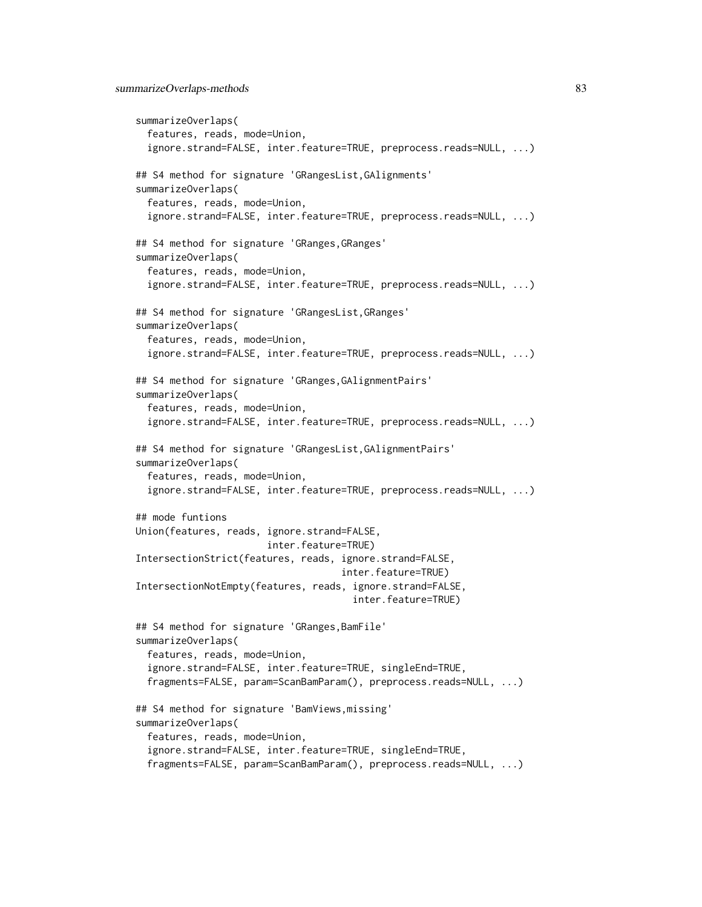```
summarizeOverlaps(
 features, reads, mode=Union,
 ignore.strand=FALSE, inter.feature=TRUE, preprocess.reads=NULL, ...)
## S4 method for signature 'GRangesList,GAlignments'
summarizeOverlaps(
 features, reads, mode=Union,
 ignore.strand=FALSE, inter.feature=TRUE, preprocess.reads=NULL, ...)
## S4 method for signature 'GRanges,GRanges'
summarizeOverlaps(
 features, reads, mode=Union,
 ignore.strand=FALSE, inter.feature=TRUE, preprocess.reads=NULL, ...)
## S4 method for signature 'GRangesList,GRanges'
summarizeOverlaps(
 features, reads, mode=Union,
 ignore.strand=FALSE, inter.feature=TRUE, preprocess.reads=NULL, ...)
## S4 method for signature 'GRanges,GAlignmentPairs'
summarizeOverlaps(
 features, reads, mode=Union,
 ignore.strand=FALSE, inter.feature=TRUE, preprocess.reads=NULL, ...)
## S4 method for signature 'GRangesList,GAlignmentPairs'
summarizeOverlaps(
 features, reads, mode=Union,
 ignore.strand=FALSE, inter.feature=TRUE, preprocess.reads=NULL, ...)
## mode funtions
Union(features, reads, ignore.strand=FALSE,
                       inter.feature=TRUE)
IntersectionStrict(features, reads, ignore.strand=FALSE,
                                    inter.feature=TRUE)
IntersectionNotEmpty(features, reads, ignore.strand=FALSE,
                                      inter.feature=TRUE)
## S4 method for signature 'GRanges, BamFile'
summarizeOverlaps(
 features, reads, mode=Union,
 ignore.strand=FALSE, inter.feature=TRUE, singleEnd=TRUE,
 fragments=FALSE, param=ScanBamParam(), preprocess.reads=NULL, ...)
## S4 method for signature 'BamViews,missing'
summarizeOverlaps(
 features, reads, mode=Union,
 ignore.strand=FALSE, inter.feature=TRUE, singleEnd=TRUE,
 fragments=FALSE, param=ScanBamParam(), preprocess.reads=NULL, ...)
```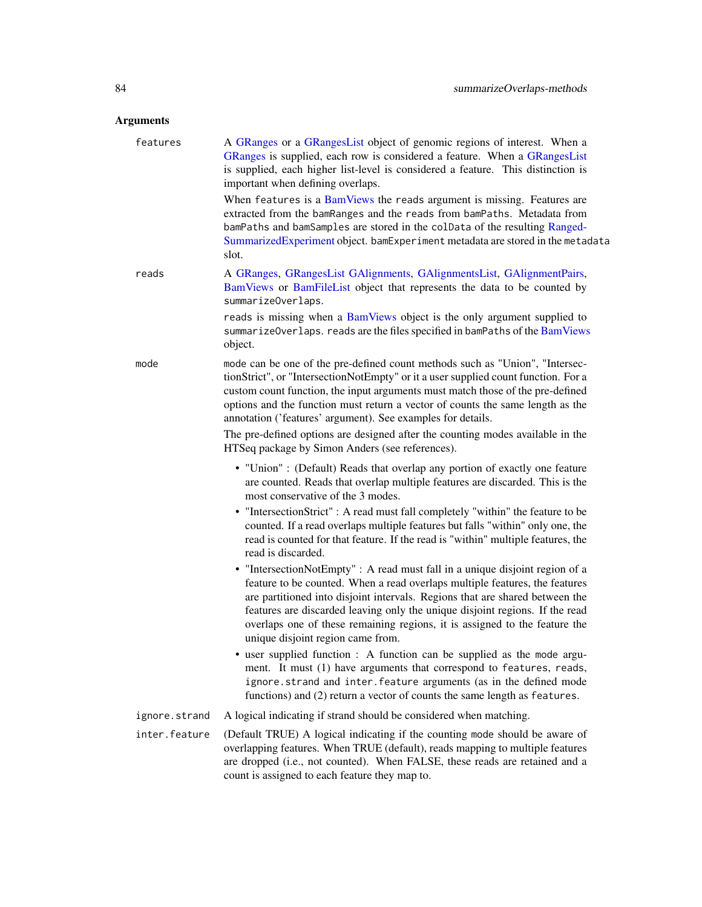# <span id="page-83-0"></span>Arguments

| features      | A GRanges or a GRangesList object of genomic regions of interest. When a<br>GRanges is supplied, each row is considered a feature. When a GRangesList<br>is supplied, each higher list-level is considered a feature. This distinction is<br>important when defining overlaps.                                                                                                                                                                 |
|---------------|------------------------------------------------------------------------------------------------------------------------------------------------------------------------------------------------------------------------------------------------------------------------------------------------------------------------------------------------------------------------------------------------------------------------------------------------|
|               | When features is a BamViews the reads argument is missing. Features are<br>extracted from the bamRanges and the reads from bamPaths. Metadata from<br>bamPaths and bamSamples are stored in the colData of the resulting Ranged-<br>SummarizedExperiment object. bamExperiment metadata are stored in the metadata<br>slot.                                                                                                                    |
| reads         | A GRanges, GRangesList GAlignments, GAlignmentsList, GAlignmentPairs,<br>BamViews or BamFileList object that represents the data to be counted by<br>summarizeOverlaps.                                                                                                                                                                                                                                                                        |
|               | reads is missing when a BamViews object is the only argument supplied to<br>summarizeOverlaps. reads are the files specified in bamPaths of the BamViews<br>object.                                                                                                                                                                                                                                                                            |
| mode          | mode can be one of the pre-defined count methods such as "Union", "Intersec-<br>tionStrict", or "IntersectionNotEmpty" or it a user supplied count function. For a<br>custom count function, the input arguments must match those of the pre-defined<br>options and the function must return a vector of counts the same length as the<br>annotation ('features' argument). See examples for details.                                          |
|               | The pre-defined options are designed after the counting modes available in the<br>HTSeq package by Simon Anders (see references).                                                                                                                                                                                                                                                                                                              |
|               | • "Union" : (Default) Reads that overlap any portion of exactly one feature<br>are counted. Reads that overlap multiple features are discarded. This is the<br>most conservative of the 3 modes.                                                                                                                                                                                                                                               |
|               | • "IntersectionStrict" : A read must fall completely "within" the feature to be<br>counted. If a read overlaps multiple features but falls "within" only one, the<br>read is counted for that feature. If the read is "within" multiple features, the<br>read is discarded.                                                                                                                                                                    |
|               | • "IntersectionNotEmpty" : A read must fall in a unique disjoint region of a<br>feature to be counted. When a read overlaps multiple features, the features<br>are partitioned into disjoint intervals. Regions that are shared between the<br>features are discarded leaving only the unique disjoint regions. If the read<br>overlaps one of these remaining regions, it is assigned to the feature the<br>unique disjoint region came from. |
|               | • user supplied function : A function can be supplied as the mode argu-<br>ment. It must (1) have arguments that correspond to features, reads,<br>ignore.strand and inter.feature arguments (as in the defined mode<br>functions) and (2) return a vector of counts the same length as features.                                                                                                                                              |
| ignore.strand | A logical indicating if strand should be considered when matching.                                                                                                                                                                                                                                                                                                                                                                             |
| inter.feature | (Default TRUE) A logical indicating if the counting mode should be aware of<br>overlapping features. When TRUE (default), reads mapping to multiple features<br>are dropped (i.e., not counted). When FALSE, these reads are retained and a<br>count is assigned to each feature they map to.                                                                                                                                                  |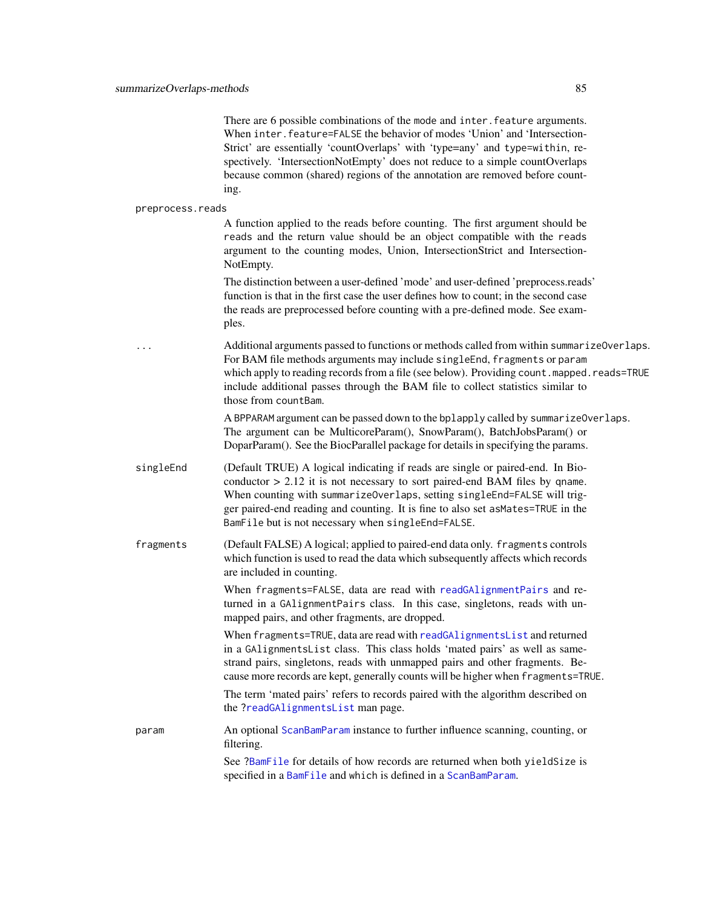<span id="page-84-0"></span>

| There are 6 possible combinations of the mode and inter, feature arguments.  |
|------------------------------------------------------------------------------|
| When inter, feature=FALSE the behavior of modes 'Union' and 'Intersection-   |
| Strict' are essentially 'countOverlaps' with 'type=any' and type=within, re- |
| spectively. 'IntersectionNotEmpty' does not reduce to a simple countOverlaps |
| because common (shared) regions of the annotation are removed before count-  |
| ing.                                                                         |

#### preprocess.reads

A function applied to the reads before counting. The first argument should be reads and the return value should be an object compatible with the reads argument to the counting modes, Union, IntersectionStrict and Intersection-NotEmpty.

The distinction between a user-defined 'mode' and user-defined 'preprocess.reads' function is that in the first case the user defines how to count; in the second case the reads are preprocessed before counting with a pre-defined mode. See examples.

Additional arguments passed to functions or methods called from within summarizeOverlaps. For BAM file methods arguments may include singleEnd, fragments or param which apply to reading records from a file (see below). Providing count.mapped.reads=TRUE include additional passes through the BAM file to collect statistics similar to those from countBam.

> A BPPARAM argument can be passed down to the bplapply called by summarizeOverlaps. The argument can be MulticoreParam(), SnowParam(), BatchJobsParam() or DoparParam(). See the BiocParallel package for details in specifying the params.

- singleEnd (Default TRUE) A logical indicating if reads are single or paired-end. In Bioconductor > 2.12 it is not necessary to sort paired-end BAM files by qname. When counting with summarizeOverlaps, setting singleEnd=FALSE will trigger paired-end reading and counting. It is fine to also set asMates=TRUE in the BamFile but is not necessary when singleEnd=FALSE.
- fragments (Default FALSE) A logical; applied to paired-end data only. fragments controls which function is used to read the data which subsequently affects which records are included in counting.

When fragments=FALSE, data are read with [readGAlignmentPairs](#page-63-1) and returned in a GAlignmentPairs class. In this case, singletons, reads with unmapped pairs, and other fragments, are dropped.

When fragments=TRUE, data are read with [readGAlignmentsList](#page-63-1) and returned in a GAlignmentsList class. This class holds 'mated pairs' as well as samestrand pairs, singletons, reads with unmapped pairs and other fragments. Because more records are kept, generally counts will be higher when fragments=TRUE.

The term 'mated pairs' refers to records paired with the algorithm described on the [?readGAlignmentsList](#page-63-1) man page.

param An optional [ScanBamParam](#page-0-0) instance to further influence scanning, counting, or filtering.

> See [?BamFile](#page-0-0) for details of how records are returned when both yieldSize is specified in a [BamFile](#page-0-0) and which is defined in a [ScanBamParam](#page-0-0).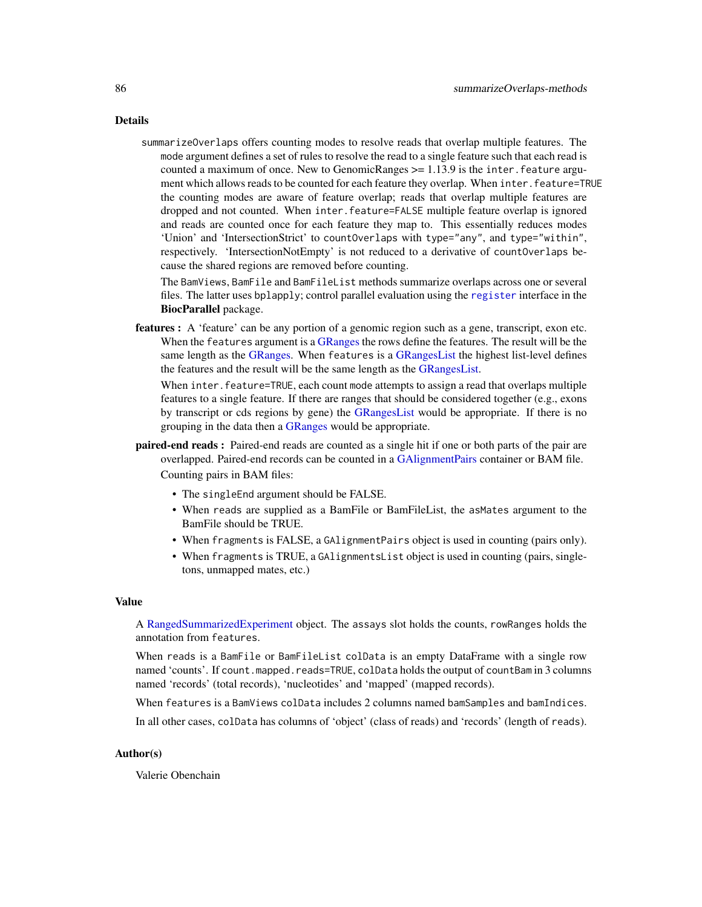<span id="page-85-0"></span>Details

summarizeOverlaps offers counting modes to resolve reads that overlap multiple features. The mode argument defines a set of rules to resolve the read to a single feature such that each read is counted a maximum of once. New to GenomicRanges  $>= 1.13.9$  is the inter. feature argument which allows reads to be counted for each feature they overlap. When inter.feature=TRUE the counting modes are aware of feature overlap; reads that overlap multiple features are dropped and not counted. When inter.feature=FALSE multiple feature overlap is ignored and reads are counted once for each feature they map to. This essentially reduces modes 'Union' and 'IntersectionStrict' to countOverlaps with type="any", and type="within", respectively. 'IntersectionNotEmpty' is not reduced to a derivative of countOverlaps because the shared regions are removed before counting.

The BamViews, BamFile and BamFileList methods summarize overlaps across one or several files. The latter uses bplapply; control parallel evaluation using the [register](#page-0-0) interface in the BiocParallel package.

features : A 'feature' can be any portion of a genomic region such as a gene, transcript, exon etc. When the features argument is a [GRanges](#page-0-0) the rows define the features. The result will be the same length as the [GRanges.](#page-0-0) When features is a [GRangesList](#page-0-0) the highest list-level defines the features and the result will be the same length as the [GRangesList.](#page-0-0)

When inter. feature=TRUE, each count mode attempts to assign a read that overlaps multiple features to a single feature. If there are ranges that should be considered together (e.g., exons by transcript or cds regions by gene) the [GRangesList](#page-0-0) would be appropriate. If there is no grouping in the data then a [GRanges](#page-0-0) would be appropriate.

paired-end reads : Paired-end reads are counted as a single hit if one or both parts of the pair are overlapped. Paired-end records can be counted in a [GAlignmentPairs](#page-26-0) container or BAM file.

Counting pairs in BAM files:

- The singleEnd argument should be FALSE.
- When reads are supplied as a BamFile or BamFileList, the asMates argument to the BamFile should be TRUE.
- When fragments is FALSE, a GAlignmentPairs object is used in counting (pairs only).
- When fragments is TRUE, a GAlignmentsList object is used in counting (pairs, singletons, unmapped mates, etc.)

#### Value

A [RangedSummarizedExperiment](#page-0-0) object. The assays slot holds the counts, rowRanges holds the annotation from features.

When reads is a BamFile or BamFileList colData is an empty DataFrame with a single row named 'counts'. If count.mapped.reads=TRUE, colData holds the output of countBam in 3 columns named 'records' (total records), 'nucleotides' and 'mapped' (mapped records).

When features is a BamViews colData includes 2 columns named bamSamples and bamIndices.

In all other cases, colData has columns of 'object' (class of reads) and 'records' (length of reads).

# Author(s)

Valerie Obenchain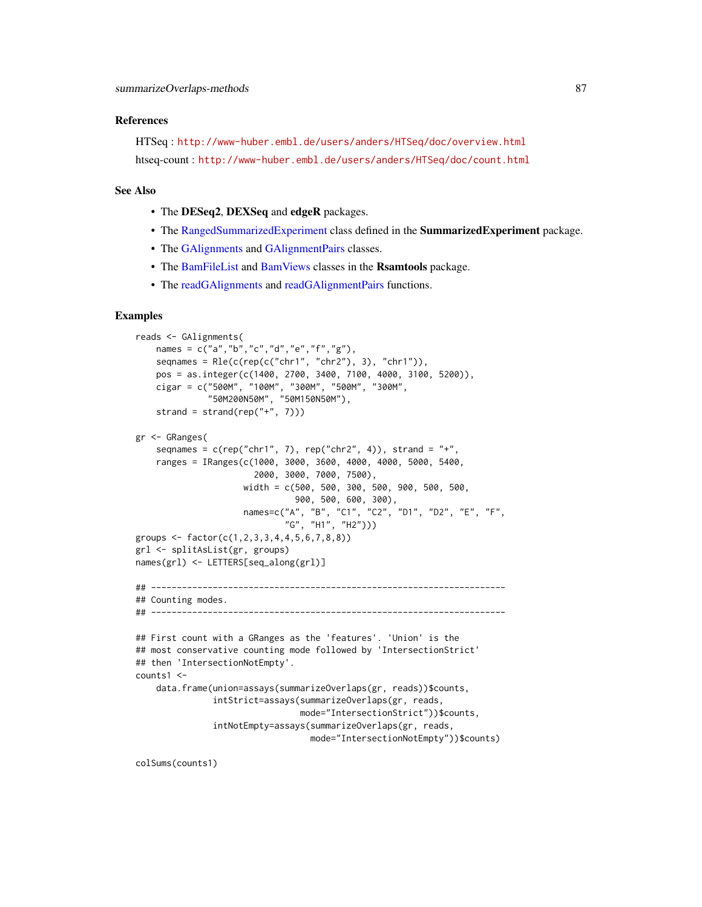#### <span id="page-86-0"></span>References

HTSeq : <http://www-huber.embl.de/users/anders/HTSeq/doc/overview.html> htseq-count : <http://www-huber.embl.de/users/anders/HTSeq/doc/count.html>

#### See Also

- The DESeq2, DEXSeq and edgeR packages.
- The [RangedSummarizedExperiment](#page-0-0) class defined in the **SummarizedExperiment** package.
- The [GAlignments](#page-31-0) and [GAlignmentPairs](#page-26-0) classes.
- The [BamFileList](#page-0-0) and [BamViews](#page-0-0) classes in the Rsamtools package.
- The [readGAlignments](#page-63-0) and [readGAlignmentPairs](#page-63-1) functions.

#### Examples

```
reads <- GAlignments(
   names = c("a", "b", "c", "d", "e", "f", "g"),
    seqnames = Rle(c(rep(c("chr1", "chr2"), 3), "chr1")),
    pos = as.integer(c(1400, 2700, 3400, 7100, 4000, 3100, 5200)),
    cigar = c("500M", "100M", "300M", "500M", "300M",
              "50M200N50M", "50M150N50M"),
    strand = strand(rep("+", 7)))
gr <- GRanges(
    seqnames = c(rep("chr1", 7), rep("chr2", 4)), strand = "+'',ranges = IRanges(c(1000, 3000, 3600, 4000, 4000, 5000, 5400,
                       2000, 3000, 7000, 7500),
                     width = c(500, 500, 300, 500, 900, 500, 500,
                               900, 500, 600, 300),
                     names=c("A", "B", "C1", "C2", "D1", "D2", "E", "F",
                             "G", "H1", "H2")))
groups <- factor(c(1,2,3,3,4,4,5,6,7,8,8))
grl <- splitAsList(gr, groups)
names(grl) <- LETTERS[seq_along(grl)]
## ---------------------------------------------------------------------
## Counting modes.
## ---------------------------------------------------------------------
## First count with a GRanges as the 'features'. 'Union' is the
## most conservative counting mode followed by 'IntersectionStrict'
## then 'IntersectionNotEmpty'.
counts1 <-
    data.frame(union=assays(summarizeOverlaps(gr, reads))$counts,
               intStrict=assays(summarizeOverlaps(gr, reads,
                                mode="IntersectionStrict"))$counts,
               intNotEmpty=assays(summarizeOverlaps(gr, reads,
                                  mode="IntersectionNotEmpty"))$counts)
```
colSums(counts1)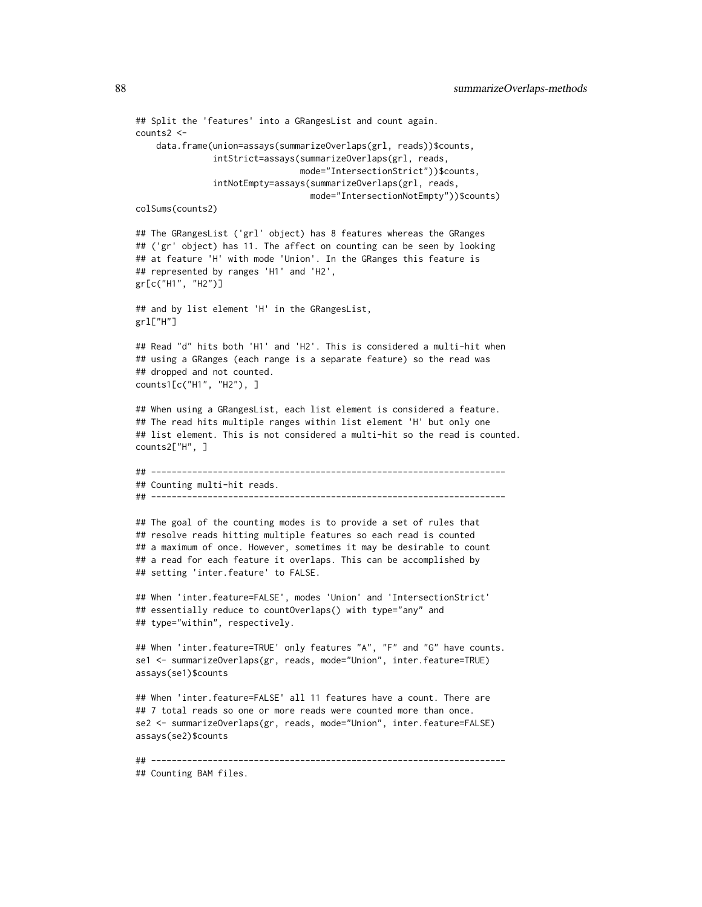```
## Split the 'features' into a GRangesList and count again.
counts2 <-
    data.frame(union=assays(summarizeOverlaps(grl, reads))$counts,
               intStrict=assays(summarizeOverlaps(grl, reads,
                                mode="IntersectionStrict"))$counts,
               intNotEmpty=assays(summarizeOverlaps(grl, reads,
                                  mode="IntersectionNotEmpty"))$counts)
colSums(counts2)
## The GRangesList ('grl' object) has 8 features whereas the GRanges
## ('gr' object) has 11. The affect on counting can be seen by looking
## at feature 'H' with mode 'Union'. In the GRanges this feature is
## represented by ranges 'H1' and 'H2',
gr[c("H1", "H2")]
## and by list element 'H' in the GRangesList,
grl["H"]
## Read "d" hits both 'H1' and 'H2'. This is considered a multi-hit when
## using a GRanges (each range is a separate feature) so the read was
## dropped and not counted.
counts1[c("H1", "H2"), ]
## When using a GRangesList, each list element is considered a feature.
## The read hits multiple ranges within list element 'H' but only one
## list element. This is not considered a multi-hit so the read is counted.
counts2["H", ]
## ---------------------------------------------------------------------
## Counting multi-hit reads.
## ---------------------------------------------------------------------
## The goal of the counting modes is to provide a set of rules that
## resolve reads hitting multiple features so each read is counted
## a maximum of once. However, sometimes it may be desirable to count
## a read for each feature it overlaps. This can be accomplished by
## setting 'inter.feature' to FALSE.
## When 'inter.feature=FALSE', modes 'Union' and 'IntersectionStrict'
## essentially reduce to countOverlaps() with type="any" and
## type="within", respectively.
## When 'inter.feature=TRUE' only features "A", "F" and "G" have counts.
se1 <- summarizeOverlaps(gr, reads, mode="Union", inter.feature=TRUE)
assays(se1)$counts
## When 'inter.feature=FALSE' all 11 features have a count. There are
## 7 total reads so one or more reads were counted more than once.
se2 <- summarizeOverlaps(gr, reads, mode="Union", inter.feature=FALSE)
assays(se2)$counts
## ---------------------------------------------------------------------
```

```
## Counting BAM files.
```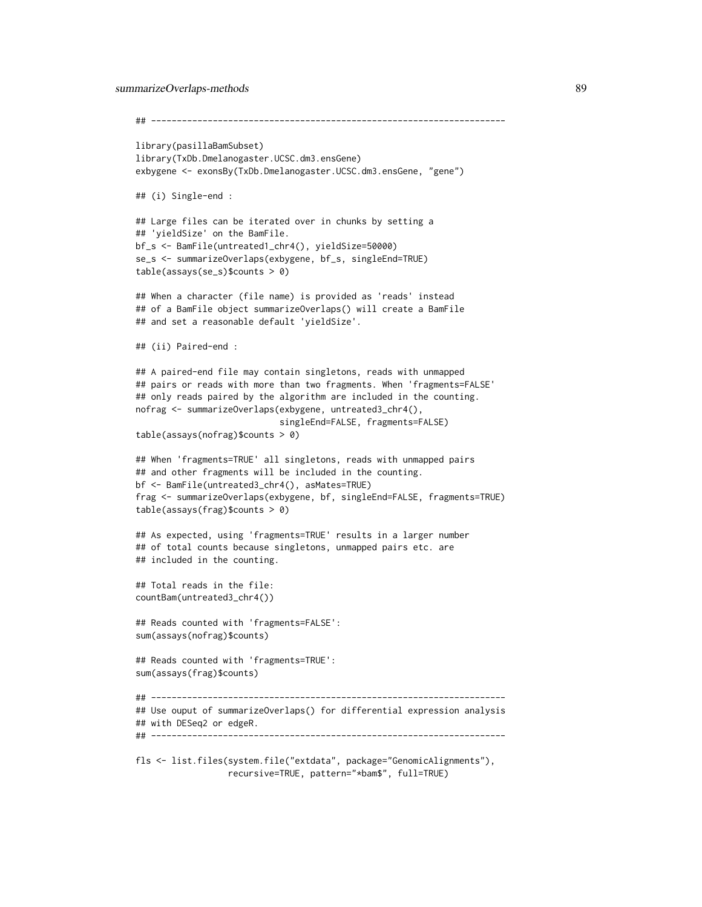```
summarizeOverlaps-methods 89
    ## ---------------------------------------------------------------------
   library(pasillaBamSubset)
   library(TxDb.Dmelanogaster.UCSC.dm3.ensGene)
   exbygene <- exonsBy(TxDb.Dmelanogaster.UCSC.dm3.ensGene, "gene")
   ## (i) Single-end :
   ## Large files can be iterated over in chunks by setting a
   ## 'yieldSize' on the BamFile.
   bf_s <- BamFile(untreated1_chr4(), yieldSize=50000)
   se_s <- summarizeOverlaps(exbygene, bf_s, singleEnd=TRUE)
    table(assays(se_s)$counts > 0)
   ## When a character (file name) is provided as 'reads' instead
   ## of a BamFile object summarizeOverlaps() will create a BamFile
   ## and set a reasonable default 'yieldSize'.
   ## (ii) Paired-end :
   ## A paired-end file may contain singletons, reads with unmapped
    ## pairs or reads with more than two fragments. When 'fragments=FALSE'
    ## only reads paired by the algorithm are included in the counting.
   nofrag <- summarizeOverlaps(exbygene, untreated3_chr4(),
                               singleEnd=FALSE, fragments=FALSE)
    table(assays(nofrag)$counts > 0)
   ## When 'fragments=TRUE' all singletons, reads with unmapped pairs
    ## and other fragments will be included in the counting.
   bf <- BamFile(untreated3_chr4(), asMates=TRUE)
   frag <- summarizeOverlaps(exbygene, bf, singleEnd=FALSE, fragments=TRUE)
   table(assays(frag)$counts > 0)
    ## As expected, using 'fragments=TRUE' results in a larger number
    ## of total counts because singletons, unmapped pairs etc. are
    ## included in the counting.
    ## Total reads in the file:
    countBam(untreated3_chr4())
    ## Reads counted with 'fragments=FALSE':
    sum(assays(nofrag)$counts)
    ## Reads counted with 'fragments=TRUE':
    sum(assays(frag)$counts)
   ## ---------------------------------------------------------------------
    ## Use ouput of summarizeOverlaps() for differential expression analysis
    ## with DESeq2 or edgeR.
    ## ---------------------------------------------------------------------
    fls <- list.files(system.file("extdata", package="GenomicAlignments"),
                     recursive=TRUE, pattern="*bam$", full=TRUE)
```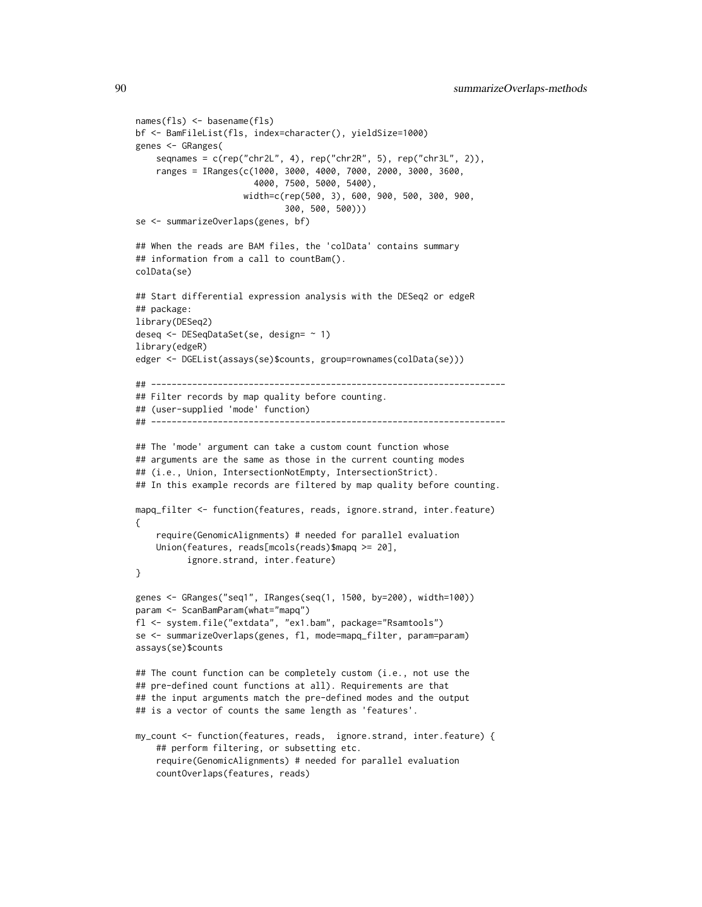```
names(fls) <- basename(fls)
bf <- BamFileList(fls, index=character(), yieldSize=1000)
genes <- GRanges(
   seqnames = c(rep("chr2L", 4), rep("chr2R", 5), rep("chr3L", 2)),ranges = IRanges(c(1000, 3000, 4000, 7000, 2000, 3000, 3600,
                       4000, 7500, 5000, 5400),
                     width=c(rep(500, 3), 600, 900, 500, 300, 900,
                             300, 500, 500)))
se <- summarizeOverlaps(genes, bf)
## When the reads are BAM files, the 'colData' contains summary
## information from a call to countBam().
colData(se)
## Start differential expression analysis with the DESeq2 or edgeR
## package:
library(DESeq2)
deseq <- DESeqDataSet(se, design= ~ 1)
library(edgeR)
edger <- DGEList(assays(se)$counts, group=rownames(colData(se)))
## ---------------------------------------------------------------------
## Filter records by map quality before counting.
## (user-supplied 'mode' function)
## ---------------------------------------------------------------------
## The 'mode' argument can take a custom count function whose
## arguments are the same as those in the current counting modes
## (i.e., Union, IntersectionNotEmpty, IntersectionStrict).
## In this example records are filtered by map quality before counting.
mapq_filter <- function(features, reads, ignore.strand, inter.feature)
{
    require(GenomicAlignments) # needed for parallel evaluation
   Union(features, reads[mcols(reads)$mapq >= 20],
          ignore.strand, inter.feature)
}
genes <- GRanges("seq1", IRanges(seq(1, 1500, by=200), width=100))
param <- ScanBamParam(what="mapq")
fl <- system.file("extdata", "ex1.bam", package="Rsamtools")
se <- summarizeOverlaps(genes, fl, mode=mapq_filter, param=param)
assays(se)$counts
## The count function can be completely custom (i.e., not use the
## pre-defined count functions at all). Requirements are that
## the input arguments match the pre-defined modes and the output
## is a vector of counts the same length as 'features'.
my_count <- function(features, reads, ignore.strand, inter.feature) {
    ## perform filtering, or subsetting etc.
    require(GenomicAlignments) # needed for parallel evaluation
    countOverlaps(features, reads)
```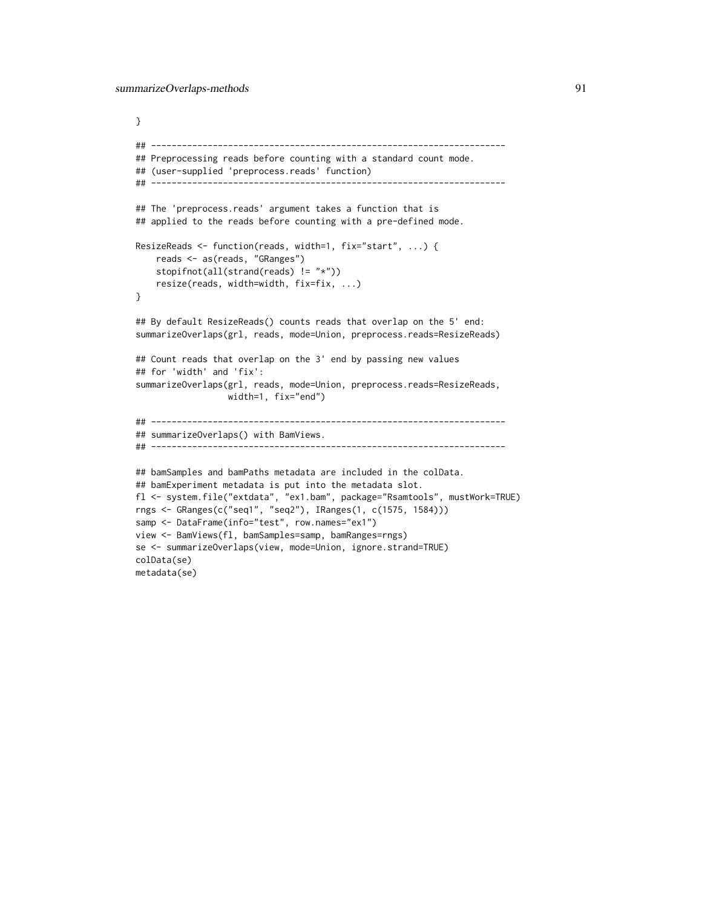```
}
## ---------------------------------------------------------------------
## Preprocessing reads before counting with a standard count mode.
## (user-supplied 'preprocess.reads' function)
## ---------------------------------------------------------------------
## The 'preprocess.reads' argument takes a function that is
## applied to the reads before counting with a pre-defined mode.
ResizeReads <- function(reads, width=1, fix="start", ...) {
    reads <- as(reads, "GRanges")
    stopifnot(all(strand(reads) != "*"))
    resize(reads, width=width, fix=fix, ...)
}
## By default ResizeReads() counts reads that overlap on the 5' end:
summarizeOverlaps(grl, reads, mode=Union, preprocess.reads=ResizeReads)
## Count reads that overlap on the 3' end by passing new values
## for 'width' and 'fix':
summarizeOverlaps(grl, reads, mode=Union, preprocess.reads=ResizeReads,
                 width=1, fix="end")
## ---------------------------------------------------------------------
## summarizeOverlaps() with BamViews.
## ---------------------------------------------------------------------
## bamSamples and bamPaths metadata are included in the colData.
## bamExperiment metadata is put into the metadata slot.
fl <- system.file("extdata", "ex1.bam", package="Rsamtools", mustWork=TRUE)
rngs <- GRanges(c("seq1", "seq2"), IRanges(1, c(1575, 1584)))
samp <- DataFrame(info="test", row.names="ex1")
view <- BamViews(fl, bamSamples=samp, bamRanges=rngs)
se <- summarizeOverlaps(view, mode=Union, ignore.strand=TRUE)
colData(se)
metadata(se)
```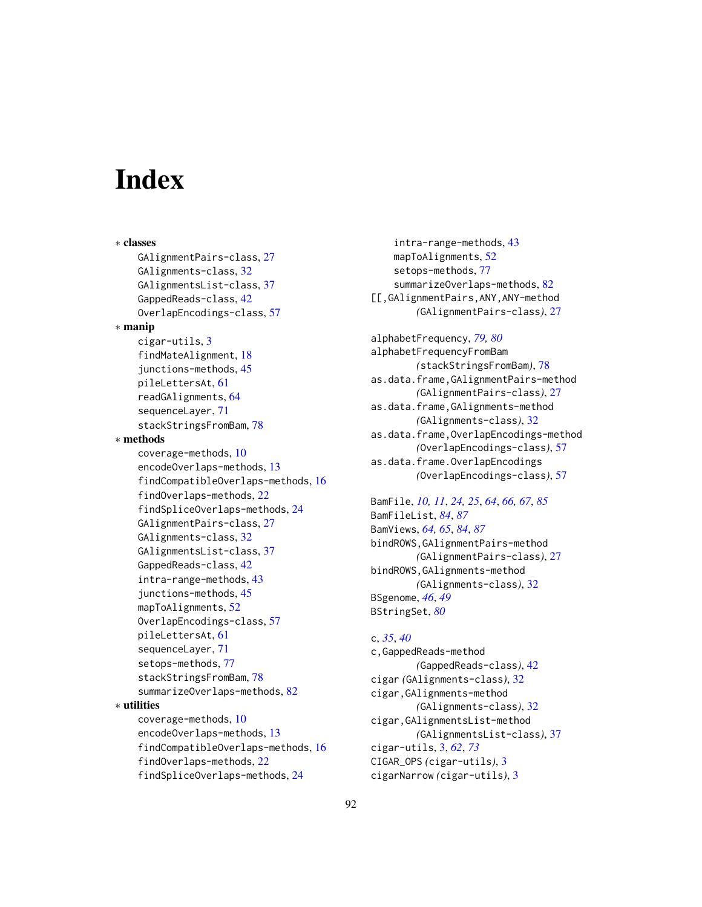# **Index**

∗ classes GAlignmentPairs-class, [27](#page-26-1) GAlignments-class, [32](#page-31-1) GAlignmentsList-class, [37](#page-36-1) GappedReads-class, [42](#page-41-0) OverlapEncodings-class, [57](#page-56-0) ∗ manip cigar-utils, [3](#page-2-1) findMateAlignment, [18](#page-17-0) junctions-methods, [45](#page-44-0) pileLettersAt, [61](#page-60-1) readGAlignments, [64](#page-63-2) sequenceLayer, [71](#page-70-1) stackStringsFromBam, [78](#page-77-1) ∗ methods coverage-methods, [10](#page-9-0) encodeOverlaps-methods, [13](#page-12-0) findCompatibleOverlaps-methods, [16](#page-15-0) findOverlaps-methods, [22](#page-21-0) findSpliceOverlaps-methods, [24](#page-23-0) GAlignmentPairs-class, [27](#page-26-1) GAlignments-class, [32](#page-31-1) GAlignmentsList-class, [37](#page-36-1) GappedReads-class, [42](#page-41-0) intra-range-methods, [43](#page-42-0) junctions-methods, [45](#page-44-0) mapToAlignments, [52](#page-51-0) OverlapEncodings-class, [57](#page-56-0) pileLettersAt, [61](#page-60-1) sequenceLayer, [71](#page-70-1) setops-methods, [77](#page-76-2) stackStringsFromBam, [78](#page-77-1) summarizeOverlaps-methods, [82](#page-81-0) ∗ utilities coverage-methods, [10](#page-9-0) encodeOverlaps-methods, [13](#page-12-0) findCompatibleOverlaps-methods, [16](#page-15-0) findOverlaps-methods, [22](#page-21-0) findSpliceOverlaps-methods, [24](#page-23-0)

intra-range-methods, [43](#page-42-0) mapToAlignments, [52](#page-51-0) setops-methods, [77](#page-76-2) summarizeOverlaps-methods, [82](#page-81-0) [[,GAlignmentPairs,ANY,ANY-method *(*GAlignmentPairs-class*)*, [27](#page-26-1)

alphabetFrequency, *[79,](#page-78-0) [80](#page-79-0)* alphabetFrequencyFromBam *(*stackStringsFromBam*)*, [78](#page-77-1) as.data.frame,GAlignmentPairs-method *(*GAlignmentPairs-class*)*, [27](#page-26-1) as.data.frame,GAlignments-method *(*GAlignments-class*)*, [32](#page-31-1) as.data.frame,OverlapEncodings-method *(*OverlapEncodings-class*)*, [57](#page-56-0) as.data.frame.OverlapEncodings *(*OverlapEncodings-class*)*, [57](#page-56-0)

BamFile, *[10,](#page-9-0) [11](#page-10-0)*, *[24,](#page-23-0) [25](#page-24-0)*, *[64](#page-63-2)*, *[66,](#page-65-0) [67](#page-66-0)*, *[85](#page-84-0)* BamFileList, *[84](#page-83-0)*, *[87](#page-86-0)* BamViews, *[64,](#page-63-2) [65](#page-64-0)*, *[84](#page-83-0)*, *[87](#page-86-0)* bindROWS,GAlignmentPairs-method *(*GAlignmentPairs-class*)*, [27](#page-26-1) bindROWS,GAlignments-method *(*GAlignments-class*)*, [32](#page-31-1) BSgenome, *[46](#page-45-0)*, *[49](#page-48-0)* BStringSet, *[80](#page-79-0)*

# c, *[35](#page-34-0)*, *[40](#page-39-0)* c,GappedReads-method *(*GappedReads-class*)*, [42](#page-41-0) cigar *(*GAlignments-class*)*, [32](#page-31-1) cigar,GAlignments-method *(*GAlignments-class*)*, [32](#page-31-1) cigar,GAlignmentsList-method *(*GAlignmentsList-class*)*, [37](#page-36-1) cigar-utils, [3,](#page-2-1) *[62](#page-61-0)*, *[73](#page-72-0)* CIGAR\_OPS *(*cigar-utils*)*, [3](#page-2-1) cigarNarrow *(*cigar-utils*)*, [3](#page-2-1)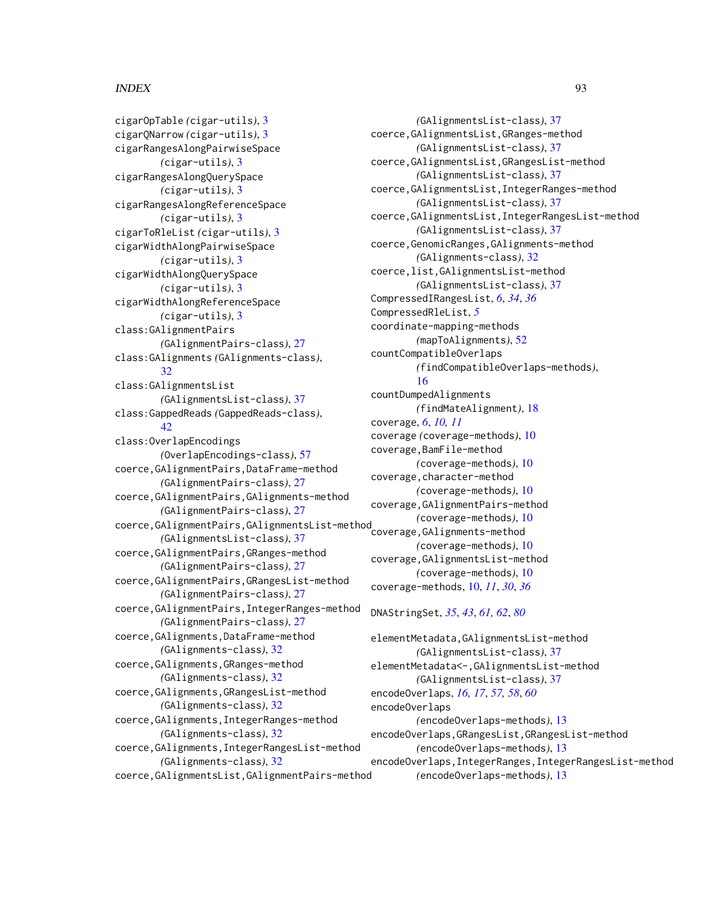# INDEX  $\sim$  93

```
cigarOpTable (cigar-utils), 3
cigarQNarrow (cigar-utils), 3
cigarRangesAlongPairwiseSpace
        (cigar-utils), 3
cigarRangesAlongQuerySpace
        (cigar-utils), 3
cigarRangesAlongReferenceSpace
        (cigar-utils), 3
cigarToRleList (cigar-utils), 3
cigarWidthAlongPairwiseSpace
        (cigar-utils), 3
cigarWidthAlongQuerySpace
        (cigar-utils), 3
cigarWidthAlongReferenceSpace
        (cigar-utils), 3
class:GAlignmentPairs
        (GAlignmentPairs-class), 27
class:GAlignments (GAlignments-class),
        32
class:GAlignmentsList
        (GAlignmentsList-class), 37
class:GappedReads (GappedReads-class),
        42
class:OverlapEncodings
        (OverlapEncodings-class), 57
coerce,GAlignmentPairs,DataFrame-method
        (GAlignmentPairs-class), 27
coerce,GAlignmentPairs,GAlignments-method
        (GAlignmentPairs-class), 27
coerce,GAlignmentPairs,GAlignmentsList-method
(coverage-methods), 10
        (GAlignmentsList-class), 37
coerce,GAlignmentPairs,GRanges-method
        (GAlignmentPairs-class), 27
coerce,GAlignmentPairs,GRangesList-method
        (GAlignmentPairs-class), 27
coerce,GAlignmentPairs,IntegerRanges-method
        (GAlignmentPairs-class), 27
coerce,GAlignments,DataFrame-method
        (GAlignments-class), 32
coerce,GAlignments,GRanges-method
        (GAlignments-class), 32
coerce,GAlignments,GRangesList-method
        (GAlignments-class), 32
coerce,GAlignments,IntegerRanges-method
        (GAlignments-class), 32
coerce,GAlignments,IntegerRangesList-method
        (GAlignments-class), 32
coerce,GAlignmentsList,GAlignmentPairs-method
```
*(*GAlignmentsList-class*)*, [37](#page-36-1) coerce,GAlignmentsList,GRanges-method *(*GAlignmentsList-class*)*, [37](#page-36-1) coerce,GAlignmentsList,GRangesList-method *(*GAlignmentsList-class*)*, [37](#page-36-1) coerce,GAlignmentsList,IntegerRanges-method *(*GAlignmentsList-class*)*, [37](#page-36-1) coerce,GAlignmentsList,IntegerRangesList-method *(*GAlignmentsList-class*)*, [37](#page-36-1) coerce,GenomicRanges,GAlignments-method *(*GAlignments-class*)*, [32](#page-31-1) coerce,list,GAlignmentsList-method *(*GAlignmentsList-class*)*, [37](#page-36-1) CompressedIRangesList, *[6](#page-5-0)*, *[34](#page-33-0)*, *[36](#page-35-0)* CompressedRleList, *[5](#page-4-0)* coordinate-mapping-methods *(*mapToAlignments*)*, [52](#page-51-0) countCompatibleOverlaps *(*findCompatibleOverlaps-methods*)*, [16](#page-15-0) countDumpedAlignments *(*findMateAlignment*)*, [18](#page-17-0) coverage, *[6](#page-5-0)*, *[10,](#page-9-0) [11](#page-10-0)* coverage *(*coverage-methods*)*, [10](#page-9-0) coverage,BamFile-method *(*coverage-methods*)*, [10](#page-9-0) coverage, character-method *(*coverage-methods*)*, [10](#page-9-0) coverage,GAlignmentPairs-method coverage,GAlignments-method *(*coverage-methods*)*, [10](#page-9-0) coverage,GAlignmentsList-method *(*coverage-methods*)*, [10](#page-9-0) coverage-methods, [10,](#page-9-0) *[11](#page-10-0)*, *[30](#page-29-0)*, *[36](#page-35-0)*

# DNAStringSet, *[35](#page-34-0)*, *[43](#page-42-0)*, *[61,](#page-60-1) [62](#page-61-0)*, *[80](#page-79-0)*

```
elementMetadata,GAlignmentsList-method
        (GAlignmentsList-class), 37
elementMetadata<-,GAlignmentsList-method
        (GAlignmentsList-class), 37
encodeOverlaps, 16, 17, 57, 58, 60
encodeOverlaps
        (encodeOverlaps-methods), 13
encodeOverlaps,GRangesList,GRangesList-method
        (encodeOverlaps-methods), 13
encodeOverlaps,IntegerRanges,IntegerRangesList-method
        (encodeOverlaps-methods), 13
```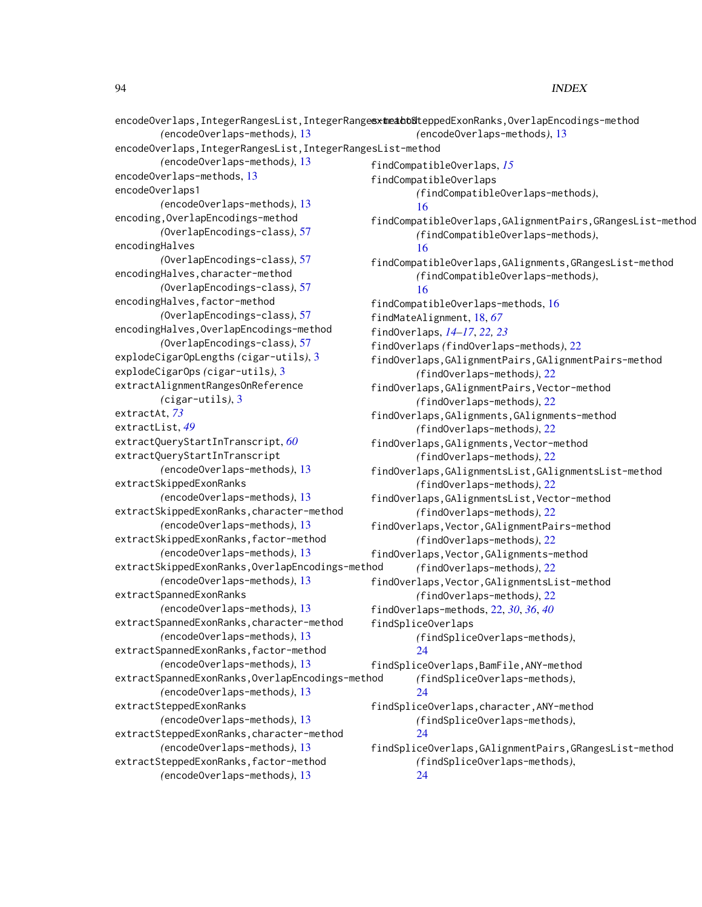```
encodeOverlaps,IntegerRangesList,IntegerRangesxtmedtof&teppedExonRanks,OverlapEncodings-method
        (encodeOverlaps-methods), 13
encodeOverlaps,IntegerRangesList,IntegerRangesList-method
        (encodeOverlaps-methods), 13
encodeOverlaps-methods, 13
encodeOverlaps1
        (encodeOverlaps-methods), 13
encoding,OverlapEncodings-method
        (OverlapEncodings-class), 57
encodingHalves
        (OverlapEncodings-class), 57
encodingHalves,character-method
        (OverlapEncodings-class), 57
encodingHalves,factor-method
        (OverlapEncodings-class), 57
encodingHalves,OverlapEncodings-method
        (OverlapEncodings-class), 57
explodeCigarOpLengths (cigar-utils), 3
explodeCigarOps (cigar-utils), 3
extractAlignmentRangesOnReference
        (cigar-utils), 3
extractAt, 73
extractList, 49
extractQueryStartInTranscript, 60
extractQueryStartInTranscript
        (encodeOverlaps-methods), 13
extractSkippedExonRanks
        (encodeOverlaps-methods), 13
extractSkippedExonRanks,character-method
        (encodeOverlaps-methods), 13
extractSkippedExonRanks,factor-method
        (encodeOverlaps-methods), 13
extractSkippedExonRanks,OverlapEncodings-method
        (encodeOverlaps-methods), 13
extractSpannedExonRanks
        (encodeOverlaps-methods), 13
extractSpannedExonRanks,character-method
        (encodeOverlaps-methods), 13
extractSpannedExonRanks,factor-method
        (encodeOverlaps-methods), 13
extractSpannedExonRanks,OverlapEncodings-method
        (encodeOverlaps-methods), 13
extractSteppedExonRanks
        (encodeOverlaps-methods), 13
extractSteppedExonRanks,character-method
        (encodeOverlaps-methods), 13
extractSteppedExonRanks,factor-method
        (encodeOverlaps-methods), 13
                                                       (encodeOverlaps-methods), 13
                                              findCompatibleOverlaps, 15
                                              findCompatibleOverlaps
                                                       (findCompatibleOverlaps-methods),
                                                       16
                                              findCompatibleOverlaps,GAlignmentPairs,GRangesList-method
                                                       (findCompatibleOverlaps-methods),
                                                       16
                                              findCompatibleOverlaps,GAlignments,GRangesList-method
                                                       (findCompatibleOverlaps-methods),
                                                       16
                                              findCompatibleOverlaps-methods, 16
                                              findMateAlignment, 18, 67
                                              findOverlaps, 14–17, 22, 23
                                              findOverlaps (findOverlaps-methods), 22
                                              findOverlaps,GAlignmentPairs,GAlignmentPairs-method
                                                       (findOverlaps-methods), 22
                                              findOverlaps,GAlignmentPairs,Vector-method
                                                       (findOverlaps-methods), 22
                                              findOverlaps,GAlignments,GAlignments-method
                                                       (findOverlaps-methods), 22
                                              findOverlaps,GAlignments,Vector-method
                                                       (findOverlaps-methods), 22
                                              findOverlaps,GAlignmentsList,GAlignmentsList-method
                                                       (findOverlaps-methods), 22
                                              findOverlaps,GAlignmentsList,Vector-method
                                                       (findOverlaps-methods), 22
                                              findOverlaps,Vector,GAlignmentPairs-method
                                                       (findOverlaps-methods), 22
                                              findOverlaps,Vector,GAlignments-method
                                                       (findOverlaps-methods), 22
                                              findOverlaps,Vector,GAlignmentsList-method
                                                       (findOverlaps-methods), 22
                                              findOverlaps-methods, 22, 30, 36, 40
                                              findSpliceOverlaps
                                                      (findSpliceOverlaps-methods),
                                                       24
                                              findSpliceOverlaps,BamFile,ANY-method
                                                       (findSpliceOverlaps-methods),
                                                       24
                                              findSpliceOverlaps,character,ANY-method
                                                       (findSpliceOverlaps-methods),
                                                       24
                                              findSpliceOverlaps,GAlignmentPairs,GRangesList-method
                                                       (findSpliceOverlaps-methods),
                                                       24
```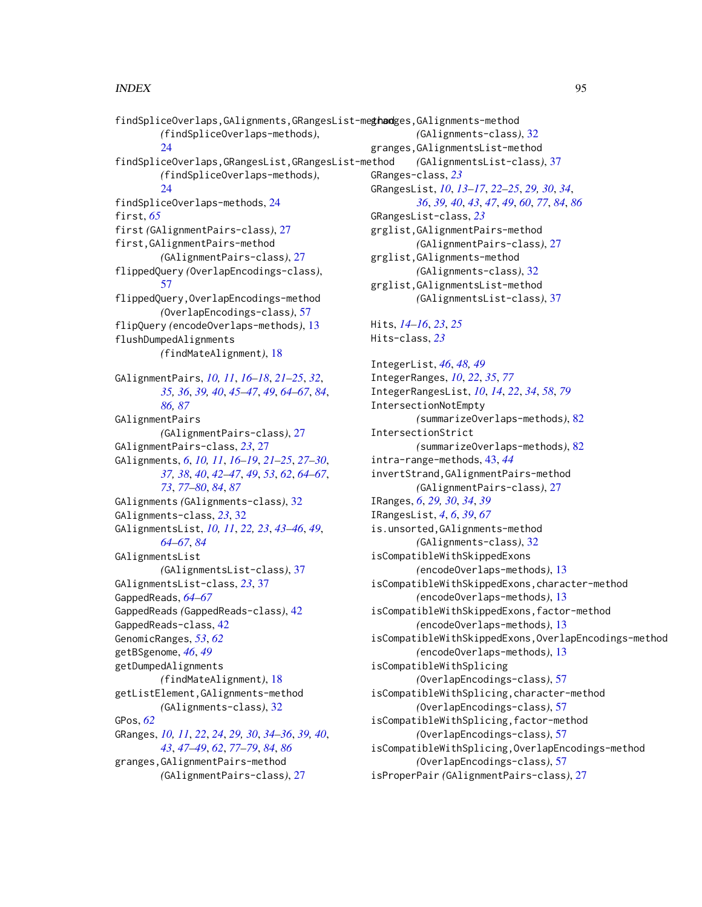```
findSpliceOverlaps, GAlignments, GRangesList-meghandges, GAlignments-method
        (findSpliceOverlaps-methods),
        24
findSpliceOverlaps,GRangesList,GRangesList-method
        (findSpliceOverlaps-methods),
        24findSpliceOverlaps-methods, 24
first, 65
first (GAlignmentPairs-class), 27
first,GAlignmentPairs-method
        (GAlignmentPairs-class), 27
flippedQuery (OverlapEncodings-class),
        57
flippedQuery,OverlapEncodings-method
        (OverlapEncodings-class), 57
flipQuery (encodeOverlaps-methods), 13
flushDumpedAlignments
        (findMateAlignment), 18
GAlignmentPairs, 10, 11, 16–18, 21–25, 32,
        35, 36, 39, 40, 45–47, 49, 64–67, 84,
        86, 87
GAlignmentPairs
        (GAlignmentPairs-class), 27
GAlignmentPairs-class, 23, 27
GAlignments, 6, 10, 11, 16–19, 21–25, 27–30,
        37, 38, 40, 42–47, 49, 53, 62, 64–67,
        73, 77–80, 84, 87
GAlignments (GAlignments-class), 32
GAlignments-class, 23, 32
GAlignmentsList, 10, 11, 22, 23, 43–46, 49,
        64–67, 84
GAlignmentsList
        (GAlignmentsList-class), 37
GAlignmentsList-class, 23, 37
GappedReads, 64–67
GappedReads (GappedReads-class), 42
GappedReads-class, 42
GenomicRanges, 53, 62
getBSgenome, 46, 49
getDumpedAlignments
        (findMateAlignment), 18
getListElement,GAlignments-method
        (GAlignments-class), 32
GPos, 62
GRanges, 10, 11, 22, 24, 29, 30, 34–36, 39, 40,
        43, 47–49, 62, 77–79, 84, 86
granges,GAlignmentPairs-method
        (GAlignmentPairs-class), 27
                                                         (GAlignments-class), 32
                                                granges,GAlignmentsList-method
                                                         (GAlignmentsList-class), 37
                                                GRanges-class, 23
                                                GRangesList, 10, 13–17, 22–25, 29, 30, 34,
                                                         36, 39, 40, 43, 47, 49, 60, 77, 84, 86
                                                GRangesList-class, 23
                                                grglist,GAlignmentPairs-method
                                                         (GAlignmentPairs-class), 27
                                                grglist,GAlignments-method
                                                         (GAlignments-class), 32
                                                grglist,GAlignmentsList-method
                                                         (GAlignmentsList-class), 37
                                                Hits, 14–16, 23, 25
                                                Hits-class, 23
                                                IntegerList, 46, 48, 49
                                                IntegerRanges, 10, 22, 35, 77
                                                IntegerRangesList, 10, 14, 22, 34, 58, 79
                                                IntersectionNotEmpty
                                                         (summarizeOverlaps-methods), 82
                                                IntersectionStrict
                                                         (summarizeOverlaps-methods), 82
                                                intra-range-methods, 43, 44
                                                invertStrand,GAlignmentPairs-method
                                                         (GAlignmentPairs-class), 27
                                                IRanges, 6, 29, 30, 34, 39
                                                IRangesList, 4, 6, 39, 67
                                                is.unsorted,GAlignments-method
                                                         (GAlignments-class), 32
                                                isCompatibleWithSkippedExons
                                                         (encodeOverlaps-methods), 13
                                                isCompatibleWithSkippedExons,character-method
                                                         (encodeOverlaps-methods), 13
                                                isCompatibleWithSkippedExons,factor-method
                                                         (encodeOverlaps-methods), 13
                                                isCompatibleWithSkippedExons,OverlapEncodings-method
                                                         (encodeOverlaps-methods), 13
                                                isCompatibleWithSplicing
                                                         (OverlapEncodings-class), 57
                                                isCompatibleWithSplicing,character-method
                                                         (OverlapEncodings-class), 57
                                                isCompatibleWithSplicing,factor-method
                                                         (OverlapEncodings-class), 57
                                                isCompatibleWithSplicing,OverlapEncodings-method
                                                         (OverlapEncodings-class), 57
                                                isProperPair (GAlignmentPairs-class), 27
```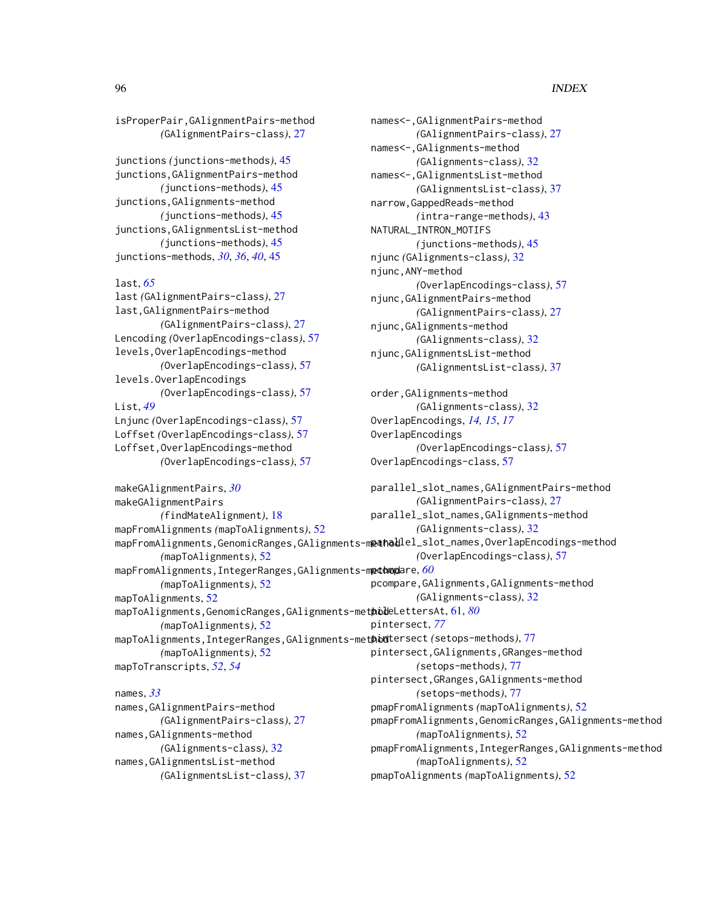```
isProperPair,GAlignmentPairs-method
        (GAlignmentPairs-class), 27
junctions (junctions-methods), 45
junctions,GAlignmentPairs-method
        (junctions-methods), 45
junctions,GAlignments-method
        (junctions-methods), 45
junctions,GAlignmentsList-method
        (junctions-methods), 45
junctions-methods, 30, 36, 40, 45
```

```
last, 65
```

```
last (GAlignmentPairs-class), 27
last,GAlignmentPairs-method
        (GAlignmentPairs-class), 27
Lencoding (OverlapEncodings-class), 57
levels,OverlapEncodings-method
        (OverlapEncodings-class), 57
levels.OverlapEncodings
        (OverlapEncodings-class), 57
List, 49
Lnjunc (OverlapEncodings-class), 57
Loffset (OverlapEncodings-class), 57
Loffset,OverlapEncodings-method
        (OverlapEncodings-class), 57
```

```
makeGAlignmentPairs, 30
makeGAlignmentPairs
        (findMateAlignment), 18
mapFromAlignments (mapToAlignments), 52
mapFromAlignments,GenomicRanges,GAlignments–m@&hollel_slot_names,OverlapEncodings–method
        (mapToAlignments), 52
mapFromAlignments,IntegerRanges,GAlignments-method
pcompare, 60
        (mapToAlignments), 52
mapToAlignments, 52
mapToAlignments,GenomicRanges,GAlignments-method
pileLettersAt, 61, 80
        (mapToAlignments), 52
mapToAlignments,IntegerRanges,GAlignments-method
pintersect (setops-methods), 77
        (mapToAlignments), 52
mapToTranscripts, 52, 54
names, 33
                                                parallel_slot_names,GAlignmentPairs-method
                                                         (GAlignmentPairs-class), 27
                                                         (GAlignments-class), 32
                                                         (OverlapEncodings-class), 57
                                                         (GAlignments-class), 32
                                                pintersect, 77
                                                         (setops-methods), 77
                                                         (setops-methods), 77
```

```
names,GAlignmentPairs-method
        (GAlignmentPairs-class), 27
names,GAlignments-method
        (GAlignments-class), 32
names,GAlignmentsList-method
        (GAlignmentsList-class), 37
```

```
names<-,GAlignmentPairs-method
        (GAlignmentPairs-class), 27
names<-,GAlignments-method
        (GAlignments-class), 32
names<-,GAlignmentsList-method
        (GAlignmentsList-class), 37
narrow,GappedReads-method
        (intra-range-methods), 43
NATURAL_INTRON_MOTIFS
        (junctions-methods), 45
njunc (GAlignments-class), 32
njunc,ANY-method
        (OverlapEncodings-class), 57
njunc,GAlignmentPairs-method
        (GAlignmentPairs-class), 27
njunc,GAlignments-method
        (GAlignments-class), 32
njunc,GAlignmentsList-method
        (GAlignmentsList-class), 37
```

```
order,GAlignments-method
        (GAlignments-class), 32
OverlapEncodings, 14, 15, 17
OverlapEncodings
        (OverlapEncodings-class), 57
OverlapEncodings-class, 57
```

```
parallel_slot_names,GAlignments-method
pcompare,GAlignments,GAlignments-method
pintersect,GAlignments,GRanges-method
pintersect,GRanges,GAlignments-method
pmapFromAlignments (mapToAlignments), 52
pmapFromAlignments,GenomicRanges,GAlignments-method
        (mapToAlignments), 52
pmapFromAlignments,IntegerRanges,GAlignments-method
        (mapToAlignments), 52
```

```
pmapToAlignments (mapToAlignments), 52
```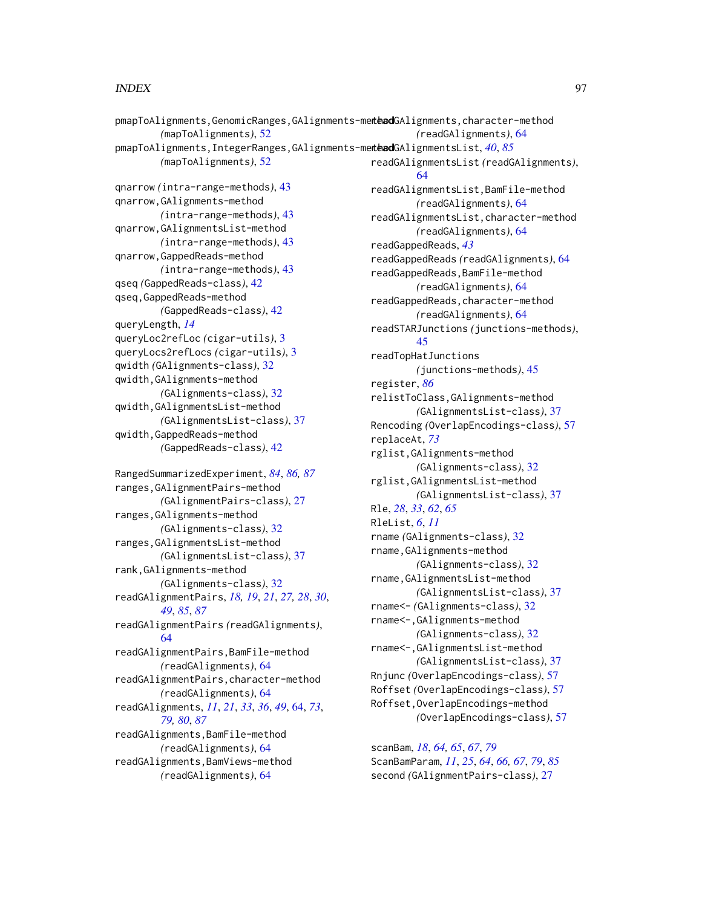```
pmapToAlignments,GenomicRanges,GAlignments-methodGAlignments,character-method
        (mapToAlignments), 52
pmapToAlignments,IntegerRanges,GAlignments-method
readGAlignmentsList, 40, 85
        (mapToAlignments), 52
qnarrow (intra-range-methods), 43
qnarrow,GAlignments-method
        (intra-range-methods), 43
qnarrow,GAlignmentsList-method
        (intra-range-methods), 43
qnarrow,GappedReads-method
        (intra-range-methods), 43
qseq (GappedReads-class), 42
qseq,GappedReads-method
        (GappedReads-class), 42
queryLength, 14
queryLoc2refLoc (cigar-utils), 3
queryLocs2refLocs (cigar-utils), 3
qwidth (GAlignments-class), 32
qwidth,GAlignments-method
        (GAlignments-class), 32
qwidth,GAlignmentsList-method
        (GAlignmentsList-class), 37
qwidth,GappedReads-method
        (GappedReads-class), 42
RangedSummarizedExperiment, 84, 86, 87
ranges,GAlignmentPairs-method
        (GAlignmentPairs-class), 27
ranges,GAlignments-method
        (GAlignments-class), 32
ranges,GAlignmentsList-method
        (GAlignmentsList-class), 37
rank,GAlignments-method
        (GAlignments-class), 32
readGAlignmentPairs, 18, 19, 21, 27, 28, 30,
        49, 85, 87
readGAlignmentPairs (readGAlignments),
        64
readGAlignmentPairs,BamFile-method
        (readGAlignments), 64
readGAlignmentPairs,character-method
        (readGAlignments), 64
readGAlignments, 11, 21, 33, 36, 49, 64, 73,
        79, 80, 87
readGAlignments,BamFile-method
        (readGAlignments), 64
readGAlignments,BamViews-method
        (readGAlignments), 64
                                                        (readGAlignments), 64
                                               readGAlignmentsList (readGAlignments),
                                                        64
                                               readGAlignmentsList,BamFile-method
                                                        (readGAlignments), 64
                                               readGAlignmentsList,character-method
                                                        (readGAlignments), 64
                                               readGappedReads, 43
                                               readGappedReads (readGAlignments), 64
                                               readGappedReads,BamFile-method
                                                        (readGAlignments), 64
                                               readGappedReads, character-method
                                                        (readGAlignments), 64
                                               readSTARJunctions (junctions-methods),
                                                        45
                                               readTopHatJunctions
                                                        (junctions-methods), 45
                                               register, 86
                                               relistToClass,GAlignments-method
                                                        (GAlignmentsList-class), 37
                                               Rencoding (OverlapEncodings-class), 57
                                               replaceAt, 73
                                               rglist,GAlignments-method
                                                        (GAlignments-class), 32
                                               rglist,GAlignmentsList-method
                                                        (GAlignmentsList-class), 37
                                               Rle, 28, 33, 62, 65
                                               RleList, 6, 11
                                               rname (GAlignments-class), 32
                                               rname,GAlignments-method
                                                        (GAlignments-class), 32
                                               rname,GAlignmentsList-method
                                                        (GAlignmentsList-class), 37
                                               rname<- (GAlignments-class), 32
                                               rname<-,GAlignments-method
                                                        (GAlignments-class), 32
                                               rname<-,GAlignmentsList-method
                                                        (GAlignmentsList-class), 37
                                               Rnjunc (OverlapEncodings-class), 57
                                               Roffset (OverlapEncodings-class), 57
                                               Roffset,OverlapEncodings-method
                                                        (OverlapEncodings-class), 57
                                               scanBam, 18, 64, 65, 67, 79
                                               ScanBamParam, 11, 25, 64, 66, 67, 79, 85
                                               second (GAlignmentPairs-class), 27
```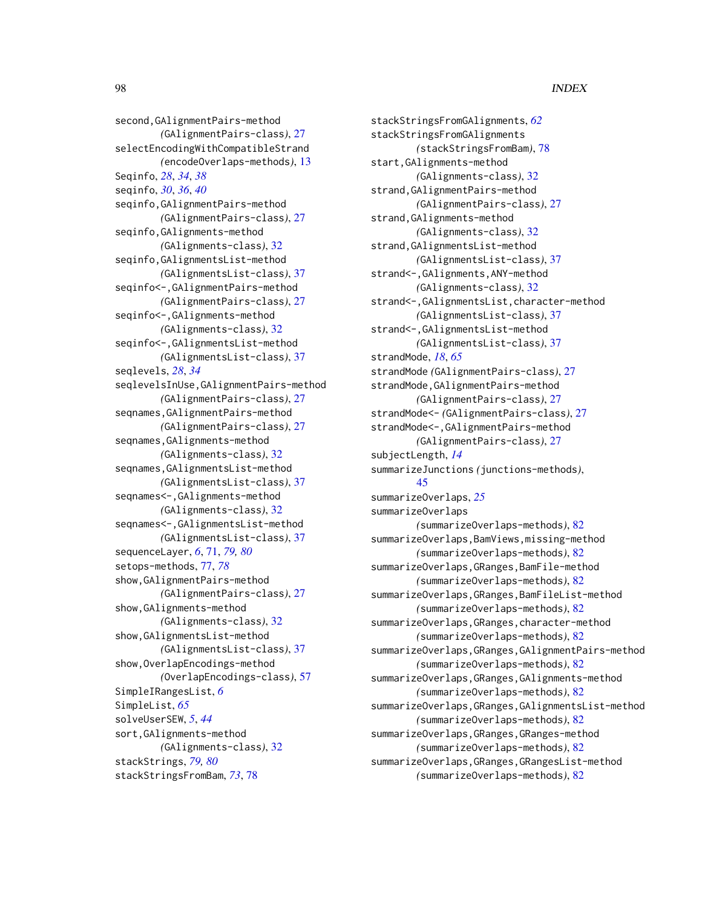second, GAlignmentPairs-method *(*GAlignmentPairs-class*)*, [27](#page-26-1) selectEncodingWithCompatibleStrand *(*encodeOverlaps-methods*)*, [13](#page-12-0) Seqinfo, *[28](#page-27-0)*, *[34](#page-33-0)*, *[38](#page-37-0)* seqinfo, *[30](#page-29-0)*, *[36](#page-35-0)*, *[40](#page-39-0)* seqinfo,GAlignmentPairs-method *(*GAlignmentPairs-class*)*, [27](#page-26-1) seqinfo,GAlignments-method *(*GAlignments-class*)*, [32](#page-31-1) seqinfo,GAlignmentsList-method *(*GAlignmentsList-class*)*, [37](#page-36-1) seqinfo<-,GAlignmentPairs-method *(*GAlignmentPairs-class*)*, [27](#page-26-1) seqinfo<-,GAlignments-method *(*GAlignments-class*)*, [32](#page-31-1) seqinfo<-,GAlignmentsList-method *(*GAlignmentsList-class*)*, [37](#page-36-1) seqlevels, *[28](#page-27-0)*, *[34](#page-33-0)* seqlevelsInUse,GAlignmentPairs-method *(*GAlignmentPairs-class*)*, [27](#page-26-1) seqnames,GAlignmentPairs-method *(*GAlignmentPairs-class*)*, [27](#page-26-1) seqnames, GAlignments-method *(*GAlignments-class*)*, [32](#page-31-1) seqnames,GAlignmentsList-method *(*GAlignmentsList-class*)*, [37](#page-36-1) seqnames<-,GAlignments-method *(*GAlignments-class*)*, [32](#page-31-1) seqnames<-,GAlignmentsList-method *(*GAlignmentsList-class*)*, [37](#page-36-1) sequenceLayer, *[6](#page-5-0)*, [71,](#page-70-1) *[79,](#page-78-0) [80](#page-79-0)* setops-methods, [77,](#page-76-2) *[78](#page-77-1)* show,GAlignmentPairs-method *(*GAlignmentPairs-class*)*, [27](#page-26-1) show,GAlignments-method *(*GAlignments-class*)*, [32](#page-31-1) show,GAlignmentsList-method *(*GAlignmentsList-class*)*, [37](#page-36-1) show,OverlapEncodings-method *(*OverlapEncodings-class*)*, [57](#page-56-0) SimpleIRangesList, *[6](#page-5-0)* SimpleList, *[65](#page-64-0)* solveUserSEW, *[5](#page-4-0)*, *[44](#page-43-0)* sort,GAlignments-method *(*GAlignments-class*)*, [32](#page-31-1) stackStrings, *[79,](#page-78-0) [80](#page-79-0)* stackStringsFromBam, *[73](#page-72-0)*, [78](#page-77-1)

stackStringsFromGAlignments, *[62](#page-61-0)* stackStringsFromGAlignments *(*stackStringsFromBam*)*, [78](#page-77-1) start,GAlignments-method *(*GAlignments-class*)*, [32](#page-31-1) strand,GAlignmentPairs-method *(*GAlignmentPairs-class*)*, [27](#page-26-1) strand,GAlignments-method *(*GAlignments-class*)*, [32](#page-31-1) strand,GAlignmentsList-method *(*GAlignmentsList-class*)*, [37](#page-36-1) strand<-,GAlignments,ANY-method *(*GAlignments-class*)*, [32](#page-31-1) strand<-,GAlignmentsList,character-method *(*GAlignmentsList-class*)*, [37](#page-36-1) strand<-,GAlignmentsList-method *(*GAlignmentsList-class*)*, [37](#page-36-1) strandMode, *[18](#page-17-0)*, *[65](#page-64-0)* strandMode *(*GAlignmentPairs-class*)*, [27](#page-26-1) strandMode,GAlignmentPairs-method *(*GAlignmentPairs-class*)*, [27](#page-26-1) strandMode<- *(*GAlignmentPairs-class*)*, [27](#page-26-1) strandMode<-,GAlignmentPairs-method *(*GAlignmentPairs-class*)*, [27](#page-26-1) subjectLength, *[14](#page-13-0)* summarizeJunctions *(*junctions-methods*)*, [45](#page-44-0) summarizeOverlaps, *[25](#page-24-0)* summarizeOverlaps *(*summarizeOverlaps-methods*)*, [82](#page-81-0) summarizeOverlaps,BamViews,missing-method *(*summarizeOverlaps-methods*)*, [82](#page-81-0) summarizeOverlaps,GRanges,BamFile-method *(*summarizeOverlaps-methods*)*, [82](#page-81-0) summarizeOverlaps,GRanges,BamFileList-method *(*summarizeOverlaps-methods*)*, [82](#page-81-0) summarizeOverlaps,GRanges,character-method *(*summarizeOverlaps-methods*)*, [82](#page-81-0) summarizeOverlaps,GRanges,GAlignmentPairs-method *(*summarizeOverlaps-methods*)*, [82](#page-81-0) summarizeOverlaps,GRanges,GAlignments-method *(*summarizeOverlaps-methods*)*, [82](#page-81-0) summarizeOverlaps,GRanges,GAlignmentsList-method *(*summarizeOverlaps-methods*)*, [82](#page-81-0) summarizeOverlaps,GRanges,GRanges-method *(*summarizeOverlaps-methods*)*, [82](#page-81-0) summarizeOverlaps,GRanges,GRangesList-method *(*summarizeOverlaps-methods*)*, [82](#page-81-0)